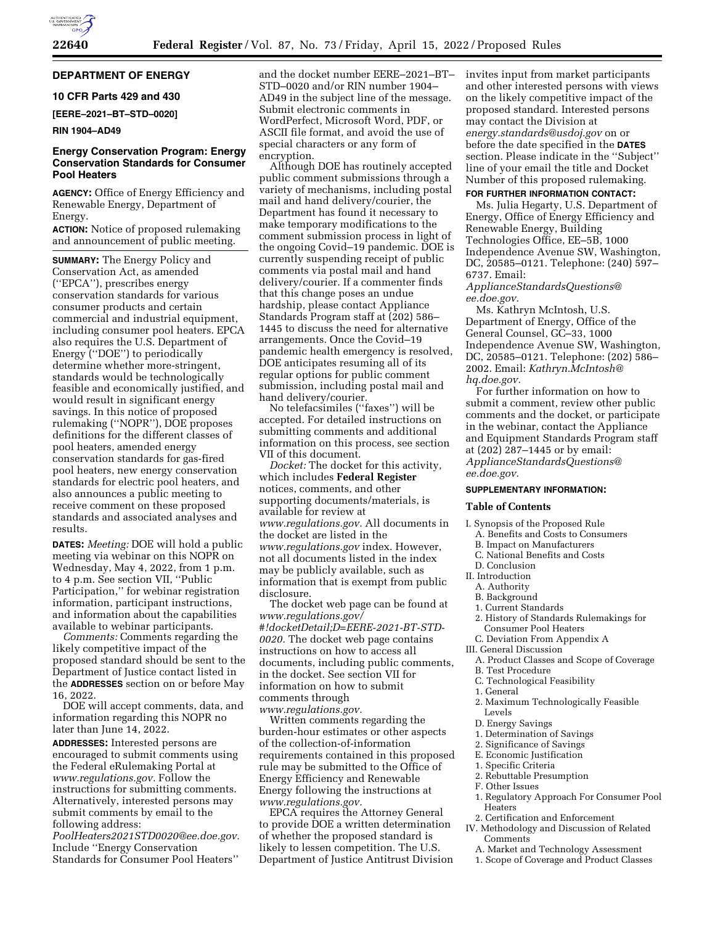# **DEPARTMENT OF ENERGY**

# **10 CFR Parts 429 and 430**

**[EERE–2021–BT–STD–0020]** 

## **RIN 1904–AD49**

# **Energy Conservation Program: Energy Conservation Standards for Consumer Pool Heaters**

**AGENCY:** Office of Energy Efficiency and Renewable Energy, Department of Energy.

**ACTION:** Notice of proposed rulemaking and announcement of public meeting.

**SUMMARY:** The Energy Policy and Conservation Act, as amended (''EPCA''), prescribes energy conservation standards for various consumer products and certain commercial and industrial equipment, including consumer pool heaters. EPCA also requires the U.S. Department of Energy (''DOE'') to periodically determine whether more-stringent, standards would be technologically feasible and economically justified, and would result in significant energy savings. In this notice of proposed rulemaking (''NOPR''), DOE proposes definitions for the different classes of pool heaters, amended energy conservation standards for gas-fired pool heaters, new energy conservation standards for electric pool heaters, and also announces a public meeting to receive comment on these proposed standards and associated analyses and results.

**DATES:** *Meeting:* DOE will hold a public meeting via webinar on this NOPR on Wednesday, May 4, 2022, from 1 p.m. to 4 p.m. See section VII, ''Public Participation,'' for webinar registration information, participant instructions, and information about the capabilities available to webinar participants.

*Comments:* Comments regarding the likely competitive impact of the proposed standard should be sent to the Department of Justice contact listed in the **ADDRESSES** section on or before May 16, 2022.

DOE will accept comments, data, and information regarding this NOPR no later than June 14, 2022.

**ADDRESSES:** Interested persons are encouraged to submit comments using the Federal eRulemaking Portal at *[www.regulations.gov.](http://www.regulations.gov)* Follow the instructions for submitting comments. Alternatively, interested persons may submit comments by email to the following address:

*[PoolHeaters2021STD0020@ee.doe.gov.](mailto:PoolHeaters2021STD0020@ee.doe.gov)*  Include ''Energy Conservation Standards for Consumer Pool Heaters''

and the docket number EERE–2021–BT– STD–0020 and/or RIN number 1904– AD49 in the subject line of the message. Submit electronic comments in WordPerfect, Microsoft Word, PDF, or ASCII file format, and avoid the use of special characters or any form of encryption.

Although DOE has routinely accepted public comment submissions through a variety of mechanisms, including postal mail and hand delivery/courier, the Department has found it necessary to make temporary modifications to the comment submission process in light of the ongoing Covid–19 pandemic. DOE is currently suspending receipt of public comments via postal mail and hand delivery/courier. If a commenter finds that this change poses an undue hardship, please contact Appliance Standards Program staff at (202) 586– 1445 to discuss the need for alternative arrangements. Once the Covid–19 pandemic health emergency is resolved, DOE anticipates resuming all of its regular options for public comment submission, including postal mail and hand delivery/courier.

No telefacsimiles (''faxes'') will be accepted. For detailed instructions on submitting comments and additional information on this process, see section VII of this document.

*Docket:* The docket for this activity, which includes **Federal Register**  notices, comments, and other supporting documents/materials, is available for review at *[www.regulations.gov.](http://www.regulations.gov)* All documents in the docket are listed in the *[www.regulations.gov](http://www.regulations.gov)* index. However, not all documents listed in the index may be publicly available, such as information that is exempt from public disclosure.

The docket web page can be found at *[www.regulations.gov/](http://www.regulations.gov/#!docketDetail;D=EERE-2021-BT-STD-0020) [#!docketDetail;D=EERE-2021-BT-STD-](http://www.regulations.gov/#!docketDetail;D=EERE-2021-BT-STD-0020)[0020.](http://www.regulations.gov/#!docketDetail;D=EERE-2021-BT-STD-0020)* The docket web page contains instructions on how to access all documents, including public comments, in the docket. See section VII for information on how to submit comments through *[www.regulations.gov.](http://www.regulations.gov)* 

Written comments regarding the burden-hour estimates or other aspects of the collection-of-information requirements contained in this proposed rule may be submitted to the Office of Energy Efficiency and Renewable Energy following the instructions at *[www.regulations.gov.](http://www.regulations.gov)* 

EPCA requires the Attorney General to provide DOE a written determination of whether the proposed standard is likely to lessen competition. The U.S. Department of Justice Antitrust Division invites input from market participants and other interested persons with views on the likely competitive impact of the proposed standard. Interested persons may contact the Division at *[energy.standards@usdoj.gov](mailto:energy.standards@usdoj.gov)* on or before the date specified in the **DATES** section. Please indicate in the ''Subject'' line of your email the title and Docket Number of this proposed rulemaking.

## **FOR FURTHER INFORMATION CONTACT:**

Ms. Julia Hegarty, U.S. Department of Energy, Office of Energy Efficiency and Renewable Energy, Building Technologies Office, EE–5B, 1000 Independence Avenue SW, Washington, DC, 20585–0121. Telephone: (240) 597– 6737. Email:

*[ApplianceStandardsQuestions@](mailto:ApplianceStandardsQuestions@ee.doe.gov) [ee.doe.gov.](mailto:ApplianceStandardsQuestions@ee.doe.gov)* 

Ms. Kathryn McIntosh, U.S. Department of Energy, Office of the General Counsel, GC–33, 1000 Independence Avenue SW, Washington, DC, 20585–0121. Telephone: (202) 586– 2002. Email: *[Kathryn.McIntosh@](mailto:Kathryn.McIntosh@hq.doe.gov) [hq.doe.gov.](mailto:Kathryn.McIntosh@hq.doe.gov)* 

For further information on how to submit a comment, review other public comments and the docket, or participate in the webinar, contact the Appliance and Equipment Standards Program staff at (202) 287–1445 or by email: *[ApplianceStandardsQuestions@](mailto:ApplianceStandardsQuestions@ee.doe.gov) [ee.doe.gov.](mailto:ApplianceStandardsQuestions@ee.doe.gov)* 

#### **SUPPLEMENTARY INFORMATION:**

#### **Table of Contents**

I. Synopsis of the Proposed Rule A. Benefits and Costs to Consumers

- B. Impact on Manufacturers
- C. National Benefits and Costs
- D. Conclusion
- II. Introduction
- A. Authority
- B. Background
- 1. Current Standards
- 2. History of Standards Rulemakings for Consumer Pool Heaters
- C. Deviation From Appendix A
- III. General Discussion
- A. Product Classes and Scope of Coverage
- B. Test Procedure
- C. Technological Feasibility
- 1. General
- 2. Maximum Technologically Feasible Levels
- D. Energy Savings
- 1. Determination of Savings
- 2. Significance of Savings
- E. Economic Justification
- 
- 1. Specific Criteria
- 2. Rebuttable Presumption
- F. Other Issues
- 1. Regulatory Approach For Consumer Pool Heaters
- 2. Certification and Enforcement
- IV. Methodology and Discussion of Related Comments
	- A. Market and Technology Assessment
	- 1. Scope of Coverage and Product Classes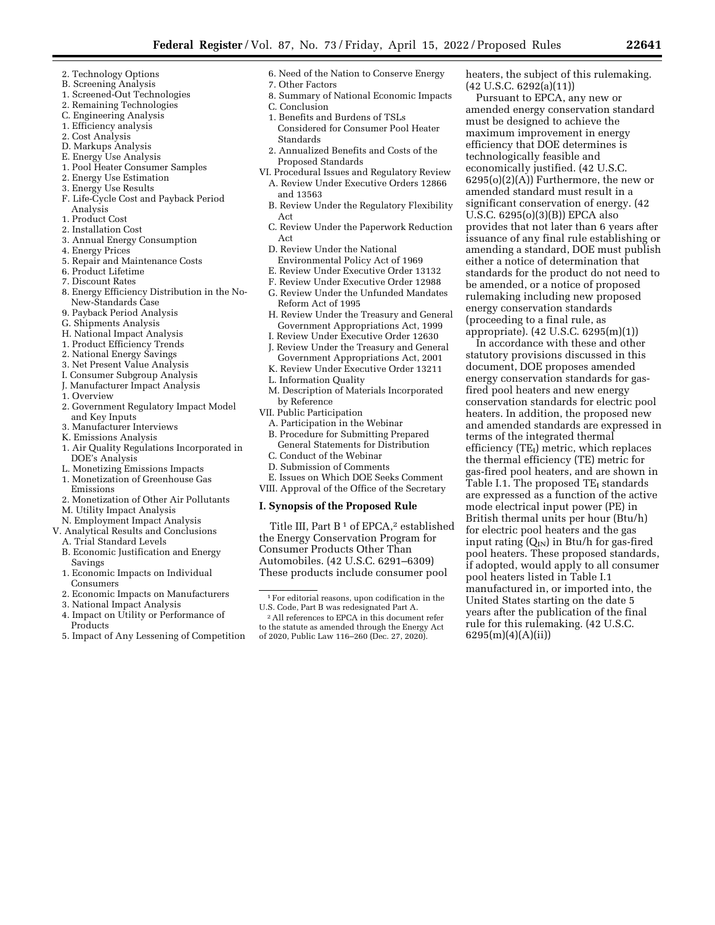- 2. Technology Options
- B. Screening Analysis
- 1. Screened-Out Technologies
- 2. Remaining Technologies
- C. Engineering Analysis
- 1. Efficiency analysis
- 2. Cost Analysis
- D. Markups Analysis
- E. Energy Use Analysis
- 1. Pool Heater Consumer Samples
- 2. Energy Use Estimation
- 3. Energy Use Results
- F. Life-Cycle Cost and Payback Period Analysis
- 1. Product Cost
- 2. Installation Cost
- 3. Annual Energy Consumption
- 4. Energy Prices
- 5. Repair and Maintenance Costs
- 6. Product Lifetime
- 7. Discount Rates
- 8. Energy Efficiency Distribution in the No-New-Standards Case
- 9. Payback Period Analysis
- G. Shipments Analysis
- H. National Impact Analysis
- 1. Product Efficiency Trends
- 2. National Energy Savings
- 
- 3. Net Present Value Analysis
- I. Consumer Subgroup Analysis J. Manufacturer Impact Analysis
- 
- 1. Overview
- 2. Government Regulatory Impact Model and Key Inputs
- 3. Manufacturer Interviews
- K. Emissions Analysis
- 1. Air Quality Regulations Incorporated in DOE's Analysis
- L. Monetizing Emissions Impacts
- 1. Monetization of Greenhouse Gas Emissions
- 2. Monetization of Other Air Pollutants
- M. Utility Impact Analysis
- N. Employment Impact Analysis
- V. Analytical Results and Conclusions
	- A. Trial Standard Levels
	- B. Economic Justification and Energy Savings
	- 1. Economic Impacts on Individual Consumers
	- 2. Economic Impacts on Manufacturers
	- 3. National Impact Analysis
	- 4. Impact on Utility or Performance of Products
	- 5. Impact of Any Lessening of Competition
- 6. Need of the Nation to Conserve Energy
- 7. Other Factors 8. Summary of National Economic Impacts
- C. Conclusion
- 1. Benefits and Burdens of TSLs Considered for Consumer Pool Heater Standards
- 2. Annualized Benefits and Costs of the Proposed Standards
- VI. Procedural Issues and Regulatory Review A. Review Under Executive Orders 12866 and 13563
	- B. Review Under the Regulatory Flexibility Act
	- C. Review Under the Paperwork Reduction Act
	- D. Review Under the National Environmental Policy Act of 1969
	- E. Review Under Executive Order 13132
	- F. Review Under Executive Order 12988
	- G. Review Under the Unfunded Mandates Reform Act of 1995
	- H. Review Under the Treasury and General Government Appropriations Act, 1999
	- I. Review Under Executive Order 12630
	- J. Review Under the Treasury and General Government Appropriations Act, 2001
	- K. Review Under Executive Order 13211
	- L. Information Quality
	- M. Description of Materials Incorporated by Reference
- VII. Public Participation
	- A. Participation in the Webinar
	- B. Procedure for Submitting Prepared General Statements for Distribution
	- C. Conduct of the Webinar
	- D. Submission of Comments
	- E. Issues on Which DOE Seeks Comment
- VIII. Approval of the Office of the Secretary

## **I. Synopsis of the Proposed Rule**

Title III, Part  $B<sup>1</sup>$  of EPCA,<sup>2</sup> established the Energy Conservation Program for Consumer Products Other Than Automobiles. (42 U.S.C. 6291–6309) These products include consumer pool

heaters, the subject of this rulemaking. (42 U.S.C. 6292(a)(11))

Pursuant to EPCA, any new or amended energy conservation standard must be designed to achieve the maximum improvement in energy efficiency that DOE determines is technologically feasible and economically justified. (42 U.S.C. 6295(o)(2)(A)) Furthermore, the new or amended standard must result in a significant conservation of energy. (42 U.S.C. 6295(o)(3)(B)) EPCA also provides that not later than 6 years after issuance of any final rule establishing or amending a standard, DOE must publish either a notice of determination that standards for the product do not need to be amended, or a notice of proposed rulemaking including new proposed energy conservation standards (proceeding to a final rule, as appropriate). (42 U.S.C. 6295(m)(1))

In accordance with these and other statutory provisions discussed in this document, DOE proposes amended energy conservation standards for gasfired pool heaters and new energy conservation standards for electric pool heaters. In addition, the proposed new and amended standards are expressed in terms of the integrated thermal efficiency  $(TE_I)$  metric, which replaces the thermal efficiency (TE) metric for gas-fired pool heaters, and are shown in Table I.1. The proposed  $TE_I$  standards are expressed as a function of the active mode electrical input power (PE) in British thermal units per hour (Btu/h) for electric pool heaters and the gas input rating  $(Q_{IN})$  in Btu/h for gas-fired pool heaters. These proposed standards, if adopted, would apply to all consumer pool heaters listed in Table I.1 manufactured in, or imported into, the United States starting on the date 5 years after the publication of the final rule for this rulemaking. (42 U.S.C. 6295(m)(4)(A)(ii))

<sup>1</sup>For editorial reasons, upon codification in the U.S. Code, Part B was redesignated Part A.

<sup>2</sup>All references to EPCA in this document refer to the statute as amended through the Energy Act of 2020, Public Law 116–260 (Dec. 27, 2020).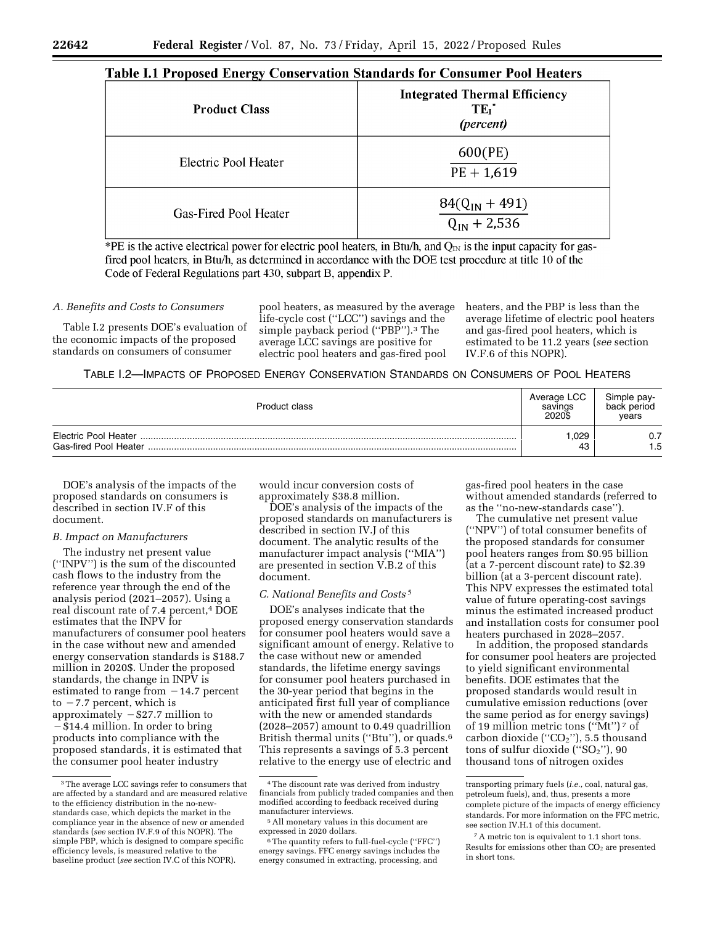## Table I.1 Proposed Energy Conservation Standards for Consumer Pool Heaters

| <b>Product Class</b>  | <b>Integrated Thermal Efficiency</b><br>$TE_I^*$<br>(percent) |
|-----------------------|---------------------------------------------------------------|
| Electric Pool Heater  | 600(PE)<br>$PE + 1,619$                                       |
| Gas-Fired Pool Heater | $84(Q_{IN} + 491)$<br>$\overline{Q_{IN} + 2,536}$             |

\*PE is the active electrical power for electric pool heaters, in Btu/h, and  $Q_{N}$  is the input capacity for gasfired pool heaters, in Btu/h, as determined in accordance with the DOE test procedure at title 10 of the Code of Federal Regulations part 430, subpart B, appendix P.

## *A. Benefits and Costs to Consumers*

Table I.2 presents DOE's evaluation of the economic impacts of the proposed standards on consumers of consumer

pool heaters, as measured by the average life-cycle cost (''LCC'') savings and the simple payback period ("PBP").<sup>3</sup> The average LCC savings are positive for electric pool heaters and gas-fired pool

heaters, and the PBP is less than the average lifetime of electric pool heaters and gas-fired pool heaters, which is estimated to be 11.2 years (*see* section IV.F.6 of this NOPR).

## TABLE I.2—IMPACTS OF PROPOSED ENERGY CONSERVATION STANDARDS ON CONSUMERS OF POOL HEATERS

| Product class                                 | Average LCC<br>savings<br>2020\$ | Simple pay-<br>back period<br>vears |
|-----------------------------------------------|----------------------------------|-------------------------------------|
| Electric Pool Heater<br>Gas-fired Pool Heater | 1,029<br>43                      | 0.7<br>1.5                          |

DOE's analysis of the impacts of the proposed standards on consumers is described in section IV.F of this document.

## *B. Impact on Manufacturers*

The industry net present value (''INPV'') is the sum of the discounted cash flows to the industry from the reference year through the end of the analysis period (2021–2057). Using a real discount rate of 7.4 percent,4 DOE estimates that the INPV for manufacturers of consumer pool heaters in the case without new and amended energy conservation standards is \$188.7 million in 2020\$. Under the proposed standards, the change in INPV is estimated to range from  $-14.7$  percent to  $-7.7$  percent, which is approximately  $-$  \$27.7 million to  $-$  \$14.4 million. In order to bring products into compliance with the proposed standards, it is estimated that the consumer pool heater industry

would incur conversion costs of approximately \$38.8 million.

DOE's analysis of the impacts of the proposed standards on manufacturers is described in section IV.J of this document. The analytic results of the manufacturer impact analysis (''MIA'') are presented in section V.B.2 of this document.

#### *C. National Benefits and Costs* 5

DOE's analyses indicate that the proposed energy conservation standards for consumer pool heaters would save a significant amount of energy. Relative to the case without new or amended standards, the lifetime energy savings for consumer pool heaters purchased in the 30-year period that begins in the anticipated first full year of compliance with the new or amended standards (2028–2057) amount to 0.49 quadrillion British thermal units (''Btu''), or quads.6 This represents a savings of 5.3 percent relative to the energy use of electric and

gas-fired pool heaters in the case without amended standards (referred to as the ''no-new-standards case'').

The cumulative net present value (''NPV'') of total consumer benefits of the proposed standards for consumer pool heaters ranges from \$0.95 billion (at a 7-percent discount rate) to \$2.39 billion (at a 3-percent discount rate). This NPV expresses the estimated total value of future operating-cost savings minus the estimated increased product and installation costs for consumer pool heaters purchased in 2028–2057.

In addition, the proposed standards for consumer pool heaters are projected to yield significant environmental benefits. DOE estimates that the proposed standards would result in cumulative emission reductions (over the same period as for energy savings) of 19 million metric tons (''Mt'') 7 of carbon dioxide (" $CO<sub>2</sub>$ "), 5.5 thousand tons of sulfur dioxide  $("SO<sub>2</sub>")$ , 90 thousand tons of nitrogen oxides

<sup>&</sup>lt;sup>3</sup>The average LCC savings refer to consumers that are affected by a standard and are measured relative to the efficiency distribution in the no-newstandards case, which depicts the market in the compliance year in the absence of new or amended standards (*see* section IV.F.9 of this NOPR). The simple PBP, which is designed to compare specific efficiency levels, is measured relative to the baseline product (*see* section IV.C of this NOPR).

<sup>4</sup>The discount rate was derived from industry financials from publicly traded companies and then modified according to feedback received during manufacturer interviews.

<sup>5</sup>All monetary values in this document are expressed in 2020 dollars.

<sup>6</sup>The quantity refers to full-fuel-cycle (''FFC'') energy savings. FFC energy savings includes the energy consumed in extracting, processing, and

transporting primary fuels (*i.e.,* coal, natural gas, petroleum fuels), and, thus, presents a more complete picture of the impacts of energy efficiency standards. For more information on the FFC metric, see section IV.H.1 of this document.

<sup>7</sup>A metric ton is equivalent to 1.1 short tons. Results for emissions other than CO<sub>2</sub> are presented in short tons.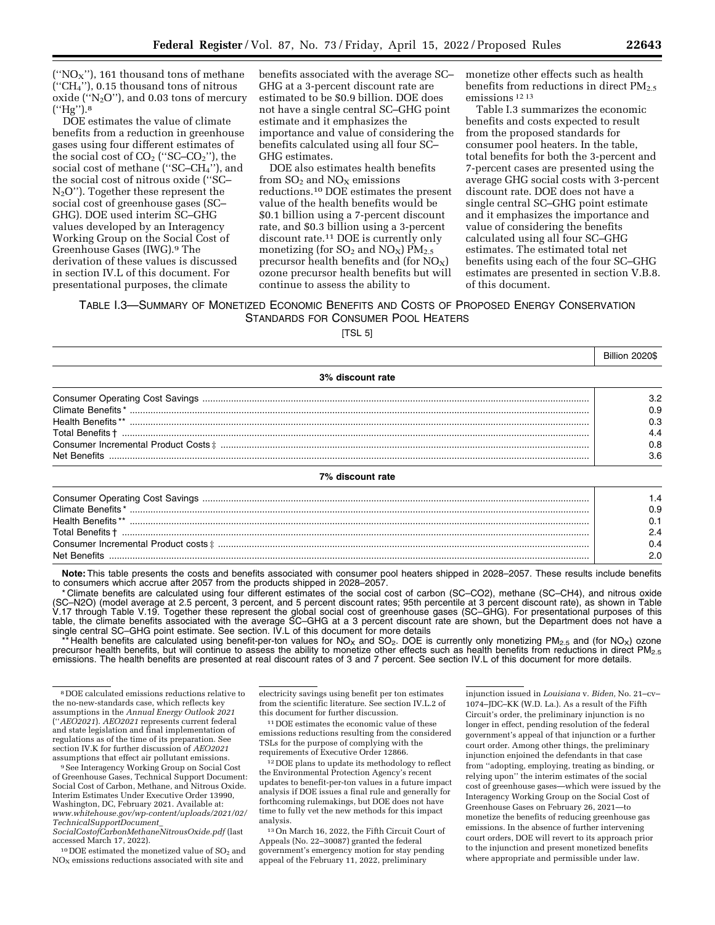(" $NO<sub>X</sub>$ "), 161 thousand tons of methane (''CH4''), 0.15 thousand tons of nitrous oxide (" $N_2O$ "), and 0.03 tons of mercury (''Hg'').8

DOE estimates the value of climate benefits from a reduction in greenhouse gases using four different estimates of the social cost of  $CO<sub>2</sub>$  ("SC– $CO<sub>2</sub>$ "), the social cost of methane (" $SC-CH<sub>4</sub>$ "), and the social cost of nitrous oxide (''SC–  $N<sub>2</sub>O$ "). Together these represent the social cost of greenhouse gases (SC– GHG). DOE used interim SC–GHG values developed by an Interagency Working Group on the Social Cost of Greenhouse Gases (IWG).9 The derivation of these values is discussed in section IV.L of this document. For presentational purposes, the climate

benefits associated with the average SC– GHG at a 3-percent discount rate are estimated to be \$0.9 billion. DOE does not have a single central SC–GHG point estimate and it emphasizes the importance and value of considering the benefits calculated using all four SC– GHG estimates.

DOE also estimates health benefits from  $SO_2$  and  $NO_X$  emissions reductions.10 DOE estimates the present value of the health benefits would be \$0.1 billion using a 7-percent discount rate, and \$0.3 billion using a 3-percent discount rate.11 DOE is currently only monetizing (for  $SO_2$  and  $NO_X$ )  $PM_{2.5}$ precursor health benefits and (for  $NO_X$ ) ozone precursor health benefits but will continue to assess the ability to

monetize other effects such as health benefits from reductions in direct  $PM<sub>2.5</sub>$ emissions 12 13

Table I.3 summarizes the economic benefits and costs expected to result from the proposed standards for consumer pool heaters. In the table, total benefits for both the 3-percent and 7-percent cases are presented using the average GHG social costs with 3-percent discount rate. DOE does not have a single central SC–GHG point estimate and it emphasizes the importance and value of considering the benefits calculated using all four SC–GHG estimates. The estimated total net benefits using each of the four SC–GHG estimates are presented in section V.B.8. of this document.

TABLE I.3—SUMMARY OF MONETIZED ECONOMIC BENEFITS AND COSTS OF PROPOSED ENERGY CONSERVATION STANDARDS FOR CONSUMER POOL HEATERS

[TSL 5]

|                  | Billion 2020\$ |
|------------------|----------------|
| 3% discount rate |                |
|                  | 3.2            |
|                  | 0.9            |
|                  | 0.3            |
|                  | 4.4            |
|                  | 0.8            |
|                  | 3.6            |
| 7% discount rate |                |
|                  | 1.4            |
|                  | 0.9            |
|                  | 0.1            |
|                  | 2.4            |

Net Benefits ......................................................................................................................................................................................... 2.0 **Note:** This table presents the costs and benefits associated with consumer pool heaters shipped in 2028–2057. These results include benefits to consumers which accrue after 2057 from the products shipped in 2028–2057.

Consumer Incremental Product costs ‡ ............................................................................................................................................... 0.4

\* Climate benefits are calculated using four different estimates of the social cost of carbon (SC–CO2), methane (SC–CH4), and nitrous oxide (SC–N2O) (model average at 2.5 percent, 3 percent, and 5 percent discount rates; 95th percentile at 3 percent discount rate), as shown in Table V.17 through Table V.19. Together these represent the global social cost of greenhouse gases (SC–GHG). For presentational purposes of this<br>table, the climate benefits associated with the average SC–GHG at a 3 percent disco single central SC–GHG point estimate. See section. IV.L of this document for more details

Health benefits are calculated using benefit-per-ton values for NO<sub>X</sub> and SO<sub>2</sub>. DOE is currently only monetizing PM<sub>2.5</sub> and (for NO<sub>X</sub>) ozone precursor health benefits, but will continue to assess the ability to monetize other effects such as health benefits from reductions in direct PM<sub>2.5</sub> emissions. The health benefits are presented at real discount rates of 3 and 7 percent. See section IV.L of this document for more details.

9See Interagency Working Group on Social Cost of Greenhouse Gases, Technical Support Document: Social Cost of Carbon, Methane, and Nitrous Oxide. Interim Estimates Under Executive Order 13990, Washington, DC, February 2021. Available at: *[www.whitehouse.gov/wp-content/uploads/2021/02/](http://www.whitehouse.gov/wp-content/uploads/2021/02/TechnicalSupportDocument_SocialCostofCarbonMethaneNitrousOxide.pdf) [TechnicalSupportDocument](http://www.whitehouse.gov/wp-content/uploads/2021/02/TechnicalSupportDocument_SocialCostofCarbonMethaneNitrousOxide.pdf)*\_

*[SocialCostofCarbonMethaneNitrousOxide.pdf](http://www.whitehouse.gov/wp-content/uploads/2021/02/TechnicalSupportDocument_SocialCostofCarbonMethaneNitrousOxide.pdf)* (last accessed March 17, 2022).

 $10$  DOE estimated the monetized value of  $SO<sub>2</sub>$  and  $\rm NO_{\rm X}$  emissions reductions associated with site and

electricity savings using benefit per ton estimates from the scientific literature. See section IV.L.2 of this document for further discussion.

11 DOE estimates the economic value of these emissions reductions resulting from the considered TSLs for the purpose of complying with the requirements of Executive Order 12866.

12 DOE plans to update its methodology to reflect the Environmental Protection Agency's recent updates to benefit-per-ton values in a future impact analysis if DOE issues a final rule and generally for forthcoming rulemakings, but DOE does not have time to fully vet the new methods for this impact analysis.

13On March 16, 2022, the Fifth Circuit Court of Appeals (No. 22–30087) granted the federal government's emergency motion for stay pending appeal of the February 11, 2022, preliminary

injunction issued in *Louisiana* v. *Biden,* No. 21–cv– 1074–JDC–KK (W.D. La.). As a result of the Fifth Circuit's order, the preliminary injunction is no longer in effect, pending resolution of the federal government's appeal of that injunction or a further court order. Among other things, the preliminary injunction enjoined the defendants in that case from ''adopting, employing, treating as binding, or relying upon'' the interim estimates of the social cost of greenhouse gases—which were issued by the Interagency Working Group on the Social Cost of Greenhouse Gases on February 26, 2021—to monetize the benefits of reducing greenhouse gas emissions. In the absence of further intervening court orders, DOE will revert to its approach prior to the injunction and present monetized benefits where appropriate and permissible under law.

<sup>8</sup> DOE calculated emissions reductions relative to the no-new-standards case, which reflects key assumptions in the *Annual Energy Outlook 2021*  (''*AEO2021*). *AEO2021* represents current federal and state legislation and final implementation of regulations as of the time of its preparation. See section IV.K for further discussion of *AEO2021*  assumptions that effect air pollutant emissions.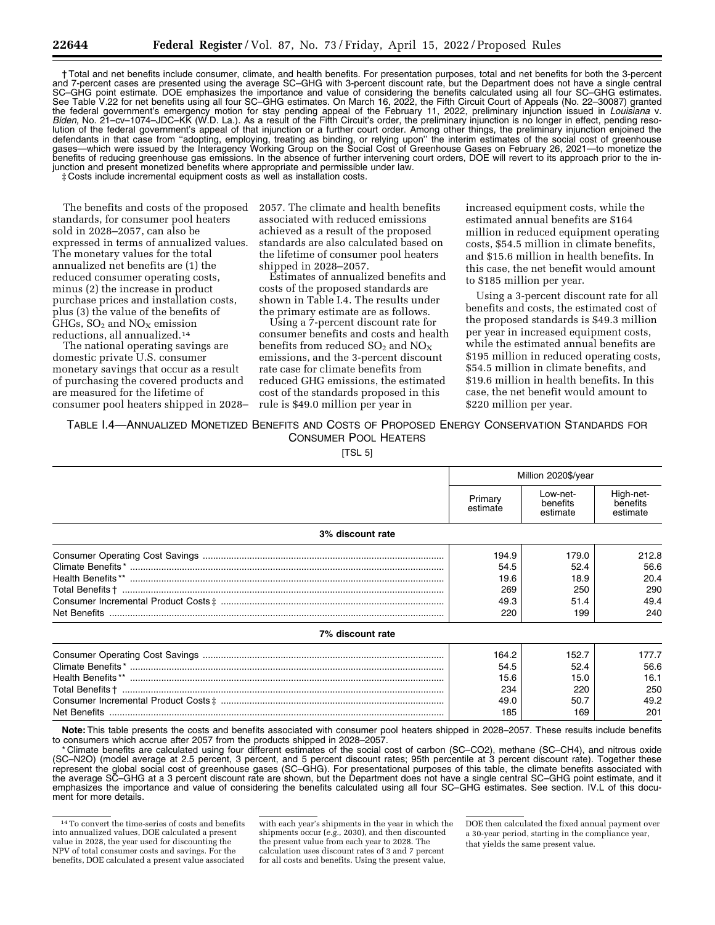† Total and net benefits include consumer, climate, and health benefits. For presentation purposes, total and net benefits for both the 3-percent and 7-percent cases are presented using the average SC–GHG with 3-percent discount rate, but the Department does not have a single central SC–GHG point estimate. DOE emphasizes the importance and value of considering the benefits calculated using all four SC–GHG estimates. See Table V.22 for net benefits using all four SC–GHG estimates. On March 16, 2022, the Fifth Circuit Court of Appeals (No. 22–30087) granted the federal government's emergency motion for stay pending appeal of the February 11, 2022, preliminary injunction issued in *Louisiana* v. *Biden,* No. 21–cv–1074–JDC–KK (W.D. La.). As a result of the Fifth Circuit's order, the preliminary injunction is no longer in effect, pending resolution of the federal government's appeal of that injunction or a further court order. Among other things, the preliminary injunction enjoined the defendants in that case from ''adopting, employing, treating as binding, or relying upon'' the interim estimates of the social cost of greenhouse gases—which were issued by the Interagency Working Group on the Social Cost of Greenhouse Gases on February 26, 2021—to monetize the benefits of reducing greenhouse gas emissions. In the absence of further intervening court orders, DOE will revert to its approach prior to the injunction and present monetized benefits where appropriate and permissible under law.

‡ Costs include incremental equipment costs as well as installation costs.

The benefits and costs of the proposed standards, for consumer pool heaters sold in 2028–2057, can also be expressed in terms of annualized values. The monetary values for the total annualized net benefits are (1) the reduced consumer operating costs, minus (2) the increase in product purchase prices and installation costs, plus (3) the value of the benefits of GHGs,  $SO<sub>2</sub>$  and  $NO<sub>x</sub>$  emission reductions, all annualized.14

The national operating savings are domestic private U.S. consumer monetary savings that occur as a result of purchasing the covered products and are measured for the lifetime of consumer pool heaters shipped in 2028– 2057. The climate and health benefits associated with reduced emissions achieved as a result of the proposed standards are also calculated based on the lifetime of consumer pool heaters shipped in 2028–2057.

Estimates of annualized benefits and costs of the proposed standards are shown in Table I.4. The results under the primary estimate are as follows.

Using a 7-percent discount rate for consumer benefits and costs and health benefits from reduced  $SO_2$  and  $NO_X$ emissions, and the 3-percent discount rate case for climate benefits from reduced GHG emissions, the estimated cost of the standards proposed in this rule is \$49.0 million per year in

increased equipment costs, while the estimated annual benefits are \$164 million in reduced equipment operating costs, \$54.5 million in climate benefits, and \$15.6 million in health benefits. In this case, the net benefit would amount to \$185 million per year.

Using a 3-percent discount rate for all benefits and costs, the estimated cost of the proposed standards is \$49.3 million per year in increased equipment costs, while the estimated annual benefits are \$195 million in reduced operating costs, \$54.5 million in climate benefits, and \$19.6 million in health benefits. In this case, the net benefit would amount to \$220 million per year.

TABLE I.4—ANNUALIZED MONETIZED BENEFITS AND COSTS OF PROPOSED ENERGY CONSERVATION STANDARDS FOR CONSUMER POOL HEATERS

[TSL 5]

|                  | Million 2020\$/year                         |                                             |                                             |
|------------------|---------------------------------------------|---------------------------------------------|---------------------------------------------|
|                  | Primary<br>estimate                         | Low-net-<br>benefits<br>estimate            | High-net-<br>benefits<br>estimate           |
| 3% discount rate |                                             |                                             |                                             |
| 7% discount rate | 194.9<br>54.5<br>19.6<br>269<br>49.3<br>220 | 179.0<br>52.4<br>18.9<br>250<br>51.4<br>199 | 212.8<br>56.6<br>20.4<br>290<br>49.4<br>240 |
|                  | 164.2                                       | 152.7                                       | 177.7                                       |
|                  | 54.5                                        | 52.4                                        | 56.6                                        |
|                  | 15.6                                        | 15.0                                        | 16.1                                        |
|                  | 234                                         | 220                                         | 250                                         |
|                  | 49.0                                        | 50.7                                        | 49.2                                        |
|                  | 185                                         | 169                                         | 201                                         |

**Note:** This table presents the costs and benefits associated with consumer pool heaters shipped in 2028–2057. These results include benefits to consumers which accrue after 2057 from the products shipped in 2028–2057.

\* Climate benefits are calculated using four different estimates of the social cost of carbon (SC–CO2), methane (SC–CH4), and nitrous oxide (SC–N2O) (model average at 2.5 percent, 3 percent, and 5 percent discount rates; 95th percentile at 3 percent discount rate). Together these represent the global social cost of greenhouse gases (SC–GHG). For presentational purposes of this table, the climate benefits associated with the average SC–GHG at a 3 percent discount rate are shown, but the Department does not have a single central SC–GHG point estimate, and it emphasizes the importance and value of considering the benefits calculated using all four SC–GHG estimates. See section. IV.L of this document for more details.

with each year's shipments in the year in which the shipments occur (*e.g.,* 2030), and then discounted the present value from each year to 2028. The calculation uses discount rates of 3 and 7 percent for all costs and benefits. Using the present value,

DOE then calculated the fixed annual payment over a 30-year period, starting in the compliance year, that yields the same present value.

<sup>14</sup>To convert the time-series of costs and benefits into annualized values, DOE calculated a present value in 2028, the year used for discounting the NPV of total consumer costs and savings. For the benefits, DOE calculated a present value associated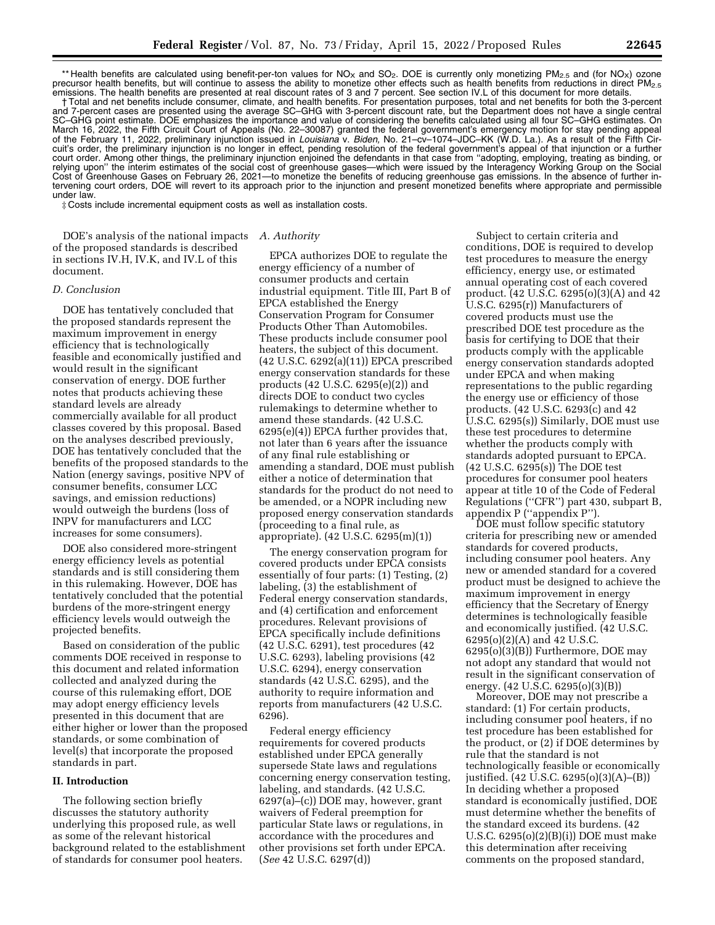\*\* Health benefits are calculated using benefit-per-ton values for NO<sub>X</sub> and SO<sub>2</sub>. DOE is currently only monetizing PM<sub>2.5</sub> and (for NO<sub>X</sub>) ozone precursor health benefits, but will continue to assess the ability to monetize other effects such as health benefits from reductions in direct PM<sub>2.5</sub> emissions. The health benefits are presented at real discount rates of 3 and 7 percent. See section IV.L of this document for more details.

† Total and net benefits include consumer, climate, and health benefits. For presentation purposes, total and net benefits for both the 3-percent and 7-percent cases are presented using the average SC–GHG with 3-percent discount rate, but the Department does not have a single central SC–GHG point estimate. DOE emphasizes the importance and value of considering the benefits calculated using all four SC–GHG estimates. On March 16, 2022, the Fifth Circuit Court of Appeals (No. 22–30087) granted the federal government's emergency motion for stay pending appeal of the February 11, 2022, preliminary injunction issued in *Louisiana* v. *Biden,* No. 21–cv–1074–JDC–KK (W.D. La.). As a result of the Fifth Circuit's order, the preliminary injunction is no longer in effect, pending resolution of the federal government's appeal of that injunction or a further court order. Among other things, the preliminary injunction enjoined the defendants in that case from ''adopting, employing, treating as binding, or relying upon'' the interim estimates of the social cost of greenhouse gases—which were issued by the Interagency Working Group on the Social Cost of Greenhouse Gases on February 26, 2021—to monetize the benefits of reducing greenhouse gas emissions. In the absence of further intervening court orders, DOE will revert to its approach prior to the injunction and present monetized benefits where appropriate and permissible under law.

‡ Costs include incremental equipment costs as well as installation costs.

DOE's analysis of the national impacts *A. Authority*  of the proposed standards is described in sections IV.H, IV.K, and IV.L of this document.

#### *D. Conclusion*

DOE has tentatively concluded that the proposed standards represent the maximum improvement in energy efficiency that is technologically feasible and economically justified and would result in the significant conservation of energy. DOE further notes that products achieving these standard levels are already commercially available for all product classes covered by this proposal. Based on the analyses described previously, DOE has tentatively concluded that the benefits of the proposed standards to the Nation (energy savings, positive NPV of consumer benefits, consumer LCC savings, and emission reductions) would outweigh the burdens (loss of INPV for manufacturers and LCC increases for some consumers).

DOE also considered more-stringent energy efficiency levels as potential standards and is still considering them in this rulemaking. However, DOE has tentatively concluded that the potential burdens of the more-stringent energy efficiency levels would outweigh the projected benefits.

Based on consideration of the public comments DOE received in response to this document and related information collected and analyzed during the course of this rulemaking effort, DOE may adopt energy efficiency levels presented in this document that are either higher or lower than the proposed standards, or some combination of level(s) that incorporate the proposed standards in part.

#### **II. Introduction**

The following section briefly discusses the statutory authority underlying this proposed rule, as well as some of the relevant historical background related to the establishment of standards for consumer pool heaters.

EPCA authorizes DOE to regulate the energy efficiency of a number of consumer products and certain industrial equipment. Title III, Part B of EPCA established the Energy Conservation Program for Consumer Products Other Than Automobiles. These products include consumer pool heaters, the subject of this document. (42 U.S.C. 6292(a)(11)) EPCA prescribed energy conservation standards for these products (42 U.S.C. 6295(e)(2)) and directs DOE to conduct two cycles rulemakings to determine whether to amend these standards. (42 U.S.C. 6295(e)(4)) EPCA further provides that, not later than 6 years after the issuance of any final rule establishing or amending a standard, DOE must publish either a notice of determination that standards for the product do not need to be amended, or a NOPR including new proposed energy conservation standards (proceeding to a final rule, as appropriate). (42 U.S.C. 6295(m)(1))

The energy conservation program for covered products under EPCA consists essentially of four parts: (1) Testing, (2) labeling, (3) the establishment of Federal energy conservation standards, and (4) certification and enforcement procedures. Relevant provisions of EPCA specifically include definitions (42 U.S.C. 6291), test procedures (42 U.S.C. 6293), labeling provisions (42 U.S.C. 6294), energy conservation standards (42 U.S.C. 6295), and the authority to require information and reports from manufacturers (42 U.S.C. 6296).

Federal energy efficiency requirements for covered products established under EPCA generally supersede State laws and regulations concerning energy conservation testing, labeling, and standards. (42 U.S.C. 6297(a)–(c)) DOE may, however, grant waivers of Federal preemption for particular State laws or regulations, in accordance with the procedures and other provisions set forth under EPCA. (*See* 42 U.S.C. 6297(d))

Subject to certain criteria and conditions, DOE is required to develop test procedures to measure the energy efficiency, energy use, or estimated annual operating cost of each covered product. (42 U.S.C. 6295(o)(3)(A) and 42 U.S.C. 6295(r)) Manufacturers of covered products must use the prescribed DOE test procedure as the basis for certifying to DOE that their products comply with the applicable energy conservation standards adopted under EPCA and when making representations to the public regarding the energy use or efficiency of those products. (42 U.S.C. 6293(c) and 42 U.S.C. 6295(s)) Similarly, DOE must use these test procedures to determine whether the products comply with standards adopted pursuant to EPCA. (42 U.S.C. 6295(s)) The DOE test procedures for consumer pool heaters appear at title 10 of the Code of Federal Regulations (''CFR'') part 430, subpart B, appendix P (''appendix P'').

DOE must follow specific statutory criteria for prescribing new or amended standards for covered products, including consumer pool heaters. Any new or amended standard for a covered product must be designed to achieve the maximum improvement in energy efficiency that the Secretary of Energy determines is technologically feasible and economically justified. (42 U.S.C. 6295(o)(2)(A) and 42 U.S.C. 6295(o)(3)(B)) Furthermore, DOE may not adopt any standard that would not result in the significant conservation of energy. (42 U.S.C. 6295(o)(3)(B))

Moreover, DOE may not prescribe a standard: (1) For certain products, including consumer pool heaters, if no test procedure has been established for the product, or (2) if DOE determines by rule that the standard is not technologically feasible or economically justified. (42 U.S.C. 6295(o)(3)(A)–(B)) In deciding whether a proposed standard is economically justified, DOE must determine whether the benefits of the standard exceed its burdens. (42 U.S.C. 6295(o)(2)(B)(i)) DOE must make this determination after receiving comments on the proposed standard,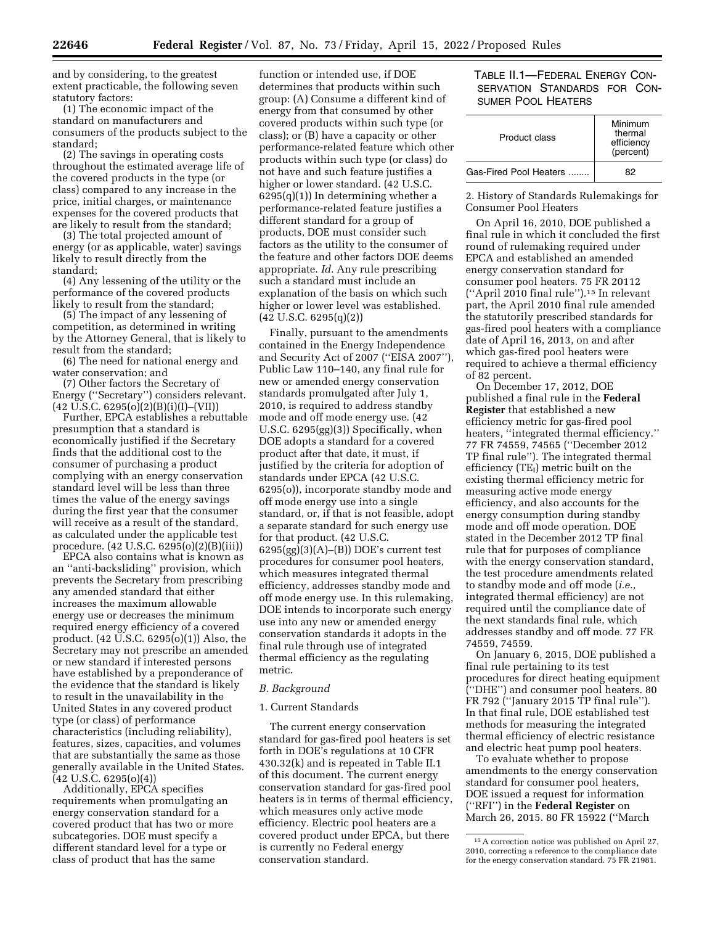and by considering, to the greatest extent practicable, the following seven statutory factors:

(1) The economic impact of the standard on manufacturers and consumers of the products subject to the standard;

(2) The savings in operating costs throughout the estimated average life of the covered products in the type (or class) compared to any increase in the price, initial charges, or maintenance expenses for the covered products that are likely to result from the standard;

(3) The total projected amount of energy (or as applicable, water) savings likely to result directly from the standard;

(4) Any lessening of the utility or the performance of the covered products likely to result from the standard;

(5) The impact of any lessening of competition, as determined in writing by the Attorney General, that is likely to result from the standard;

(6) The need for national energy and water conservation; and

(7) Other factors the Secretary of Energy (''Secretary'') considers relevant.  $(42 \text{ U.S.C. } 6295(0)(2)(B)(i)(I) - (VII))$ 

Further, EPCA establishes a rebuttable presumption that a standard is economically justified if the Secretary finds that the additional cost to the consumer of purchasing a product complying with an energy conservation standard level will be less than three times the value of the energy savings during the first year that the consumer will receive as a result of the standard, as calculated under the applicable test procedure. (42 U.S.C. 6295(o)(2)(B)(iii))

EPCA also contains what is known as an ''anti-backsliding'' provision, which prevents the Secretary from prescribing any amended standard that either increases the maximum allowable energy use or decreases the minimum required energy efficiency of a covered product. (42 U.S.C. 6295(o)(1)) Also, the Secretary may not prescribe an amended or new standard if interested persons have established by a preponderance of the evidence that the standard is likely to result in the unavailability in the United States in any covered product type (or class) of performance characteristics (including reliability), features, sizes, capacities, and volumes that are substantially the same as those generally available in the United States.  $(42 \text{ U.S.C. } 6295(0)(4))$ 

Additionally, EPCA specifies requirements when promulgating an energy conservation standard for a covered product that has two or more subcategories. DOE must specify a different standard level for a type or class of product that has the same

function or intended use, if DOE determines that products within such group: (A) Consume a different kind of energy from that consumed by other covered products within such type (or class); or (B) have a capacity or other performance-related feature which other products within such type (or class) do not have and such feature justifies a higher or lower standard. (42 U.S.C. 6295(q)(1)) In determining whether a performance-related feature justifies a different standard for a group of products, DOE must consider such factors as the utility to the consumer of the feature and other factors DOE deems appropriate. *Id.* Any rule prescribing such a standard must include an explanation of the basis on which such higher or lower level was established. (42 U.S.C. 6295(q)(2))

Finally, pursuant to the amendments contained in the Energy Independence and Security Act of 2007 (''EISA 2007''), Public Law 110–140, any final rule for new or amended energy conservation standards promulgated after July 1, 2010, is required to address standby mode and off mode energy use. (42 U.S.C. 6295(gg)(3)) Specifically, when DOE adopts a standard for a covered product after that date, it must, if justified by the criteria for adoption of standards under EPCA (42 U.S.C. 6295(o)), incorporate standby mode and off mode energy use into a single standard, or, if that is not feasible, adopt a separate standard for such energy use for that product. (42 U.S.C.  $6295(gg)(3)(A)$ – $(B)$ ) DOE's current test procedures for consumer pool heaters, which measures integrated thermal efficiency, addresses standby mode and off mode energy use. In this rulemaking, DOE intends to incorporate such energy use into any new or amended energy conservation standards it adopts in the final rule through use of integrated thermal efficiency as the regulating metric.

## *B. Background*

## 1. Current Standards

The current energy conservation standard for gas-fired pool heaters is set forth in DOE's regulations at 10 CFR 430.32(k) and is repeated in Table II.1 of this document. The current energy conservation standard for gas-fired pool heaters is in terms of thermal efficiency, which measures only active mode efficiency. Electric pool heaters are a covered product under EPCA, but there is currently no Federal energy conservation standard.

TABLE II.1—FEDERAL ENERGY CON-SERVATION STANDARDS FOR CON-SUMER POOL HEATERS

| Product class          | Minimum<br>thermal<br>efficiency<br>(percent) |
|------------------------|-----------------------------------------------|
| Gas-Fired Pool Heaters | 82                                            |

2. History of Standards Rulemakings for Consumer Pool Heaters

On April 16, 2010, DOE published a final rule in which it concluded the first round of rulemaking required under EPCA and established an amended energy conservation standard for consumer pool heaters. 75 FR 20112 (''April 2010 final rule'').15 In relevant part, the April 2010 final rule amended the statutorily prescribed standards for gas-fired pool heaters with a compliance date of April 16, 2013, on and after which gas-fired pool heaters were required to achieve a thermal efficiency of 82 percent.

On December 17, 2012, DOE published a final rule in the **Federal Register** that established a new efficiency metric for gas-fired pool heaters, ''integrated thermal efficiency.'' 77 FR 74559, 74565 (''December 2012 TP final rule''). The integrated thermal efficiency  $(TE_I)$  metric built on the existing thermal efficiency metric for measuring active mode energy efficiency, and also accounts for the energy consumption during standby mode and off mode operation. DOE stated in the December 2012 TP final rule that for purposes of compliance with the energy conservation standard, the test procedure amendments related to standby mode and off mode (*i.e.,*  integrated thermal efficiency) are not required until the compliance date of the next standards final rule, which addresses standby and off mode. 77 FR 74559, 74559.

On January 6, 2015, DOE published a final rule pertaining to its test procedures for direct heating equipment (''DHE'') and consumer pool heaters. 80 FR 792 (''January 2015 TP final rule''). In that final rule, DOE established test methods for measuring the integrated thermal efficiency of electric resistance and electric heat pump pool heaters.

To evaluate whether to propose amendments to the energy conservation standard for consumer pool heaters, DOE issued a request for information (''RFI'') in the **Federal Register** on March 26, 2015. 80 FR 15922 (''March

<sup>15</sup>A correction notice was published on April 27, 2010, correcting a reference to the compliance date for the energy conservation standard. 75 FR 21981.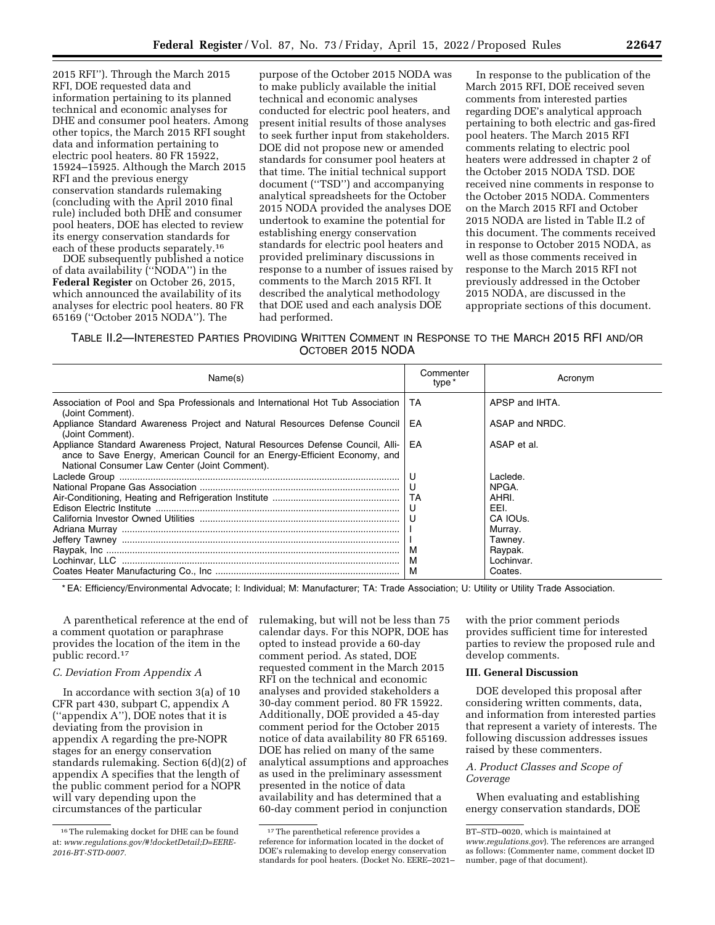2015 RFI''). Through the March 2015 RFI, DOE requested data and information pertaining to its planned technical and economic analyses for DHE and consumer pool heaters. Among other topics, the March 2015 RFI sought data and information pertaining to electric pool heaters. 80 FR 15922, 15924–15925. Although the March 2015 RFI and the previous energy conservation standards rulemaking (concluding with the April 2010 final rule) included both DHE and consumer pool heaters, DOE has elected to review its energy conservation standards for each of these products separately.16

DOE subsequently published a notice of data availability (''NODA'') in the **Federal Register** on October 26, 2015, which announced the availability of its analyses for electric pool heaters. 80 FR 65169 (''October 2015 NODA''). The

purpose of the October 2015 NODA was to make publicly available the initial technical and economic analyses conducted for electric pool heaters, and present initial results of those analyses to seek further input from stakeholders. DOE did not propose new or amended standards for consumer pool heaters at that time. The initial technical support document (''TSD'') and accompanying analytical spreadsheets for the October 2015 NODA provided the analyses DOE undertook to examine the potential for establishing energy conservation standards for electric pool heaters and provided preliminary discussions in response to a number of issues raised by comments to the March 2015 RFI. It described the analytical methodology that DOE used and each analysis DOE had performed.

In response to the publication of the March 2015 RFI, DOE received seven comments from interested parties regarding DOE's analytical approach pertaining to both electric and gas-fired pool heaters. The March 2015 RFI comments relating to electric pool heaters were addressed in chapter 2 of the October 2015 NODA TSD. DOE received nine comments in response to the October 2015 NODA. Commenters on the March 2015 RFI and October 2015 NODA are listed in Table II.2 of this document. The comments received in response to October 2015 NODA, as well as those comments received in response to the March 2015 RFI not previously addressed in the October 2015 NODA, are discussed in the appropriate sections of this document.

TABLE II.2—INTERESTED PARTIES PROVIDING WRITTEN COMMENT IN RESPONSE TO THE MARCH 2015 RFI AND/OR OCTOBER 2015 NODA

| Name(s)                                                                                                                                                                                                       | Commenter<br>type * | Acronym        |
|---------------------------------------------------------------------------------------------------------------------------------------------------------------------------------------------------------------|---------------------|----------------|
| Association of Pool and Spa Professionals and International Hot Tub Association<br>(Joint Comment).                                                                                                           | TA.                 | APSP and IHTA. |
| Appliance Standard Awareness Project and Natural Resources Defense Council<br>(Joint Comment).                                                                                                                | EA                  | ASAP and NRDC. |
| Appliance Standard Awareness Project, Natural Resources Defense Council, Alli-<br>ance to Save Energy, American Council for an Energy-Efficient Economy, and<br>National Consumer Law Center (Joint Comment). | EA                  | ASAP et al.    |
|                                                                                                                                                                                                               | U                   | Laclede.       |
|                                                                                                                                                                                                               | U                   | NPGA.          |
|                                                                                                                                                                                                               | TA                  | AHRI.          |
|                                                                                                                                                                                                               | U                   | EEI.           |
|                                                                                                                                                                                                               | U                   | CA IOUS.       |
|                                                                                                                                                                                                               |                     | Murray.        |
|                                                                                                                                                                                                               |                     | Tawney.        |
|                                                                                                                                                                                                               | м                   | Raypak.        |
|                                                                                                                                                                                                               | M                   | Lochinvar.     |
|                                                                                                                                                                                                               | M                   | Coates.        |

\* EA: Efficiency/Environmental Advocate; I: Individual; M: Manufacturer; TA: Trade Association; U: Utility or Utility Trade Association.

A parenthetical reference at the end of a comment quotation or paraphrase provides the location of the item in the public record.17

# *C. Deviation From Appendix A*

In accordance with section 3(a) of 10 CFR part 430, subpart C, appendix A (''appendix A''), DOE notes that it is deviating from the provision in appendix A regarding the pre-NOPR stages for an energy conservation standards rulemaking. Section 6(d)(2) of appendix A specifies that the length of the public comment period for a NOPR will vary depending upon the circumstances of the particular

rulemaking, but will not be less than 75 calendar days. For this NOPR, DOE has opted to instead provide a 60-day comment period. As stated, DOE requested comment in the March 2015 RFI on the technical and economic analyses and provided stakeholders a 30-day comment period. 80 FR 15922. Additionally, DOE provided a 45-day comment period for the October 2015 notice of data availability 80 FR 65169. DOE has relied on many of the same analytical assumptions and approaches as used in the preliminary assessment presented in the notice of data availability and has determined that a 60-day comment period in conjunction

with the prior comment periods provides sufficient time for interested parties to review the proposed rule and develop comments.

## **III. General Discussion**

DOE developed this proposal after considering written comments, data, and information from interested parties that represent a variety of interests. The following discussion addresses issues raised by these commenters.

## *A. Product Classes and Scope of Coverage*

When evaluating and establishing energy conservation standards, DOE

<sup>&</sup>lt;sup>16</sup> The rulemaking docket for DHE can be found at: *[www.regulations.gov/#!docketDetail;D=EERE-](http://www.regulations.gov/#!docketDetail;D=EERE-2016-BT-STD-0007)[2016-BT-STD-0007.](http://www.regulations.gov/#!docketDetail;D=EERE-2016-BT-STD-0007)* 

<sup>&</sup>lt;sup>17</sup>The parenthetical reference provides a reference for information located in the docket of DOE's rulemaking to develop energy conservation standards for pool heaters. (Docket No. EERE–2021–

BT–STD–0020, which is maintained at *[www.regulations.gov](http://www.regulations.gov)*). The references are arranged as follows: (Commenter name, comment docket ID number, page of that document).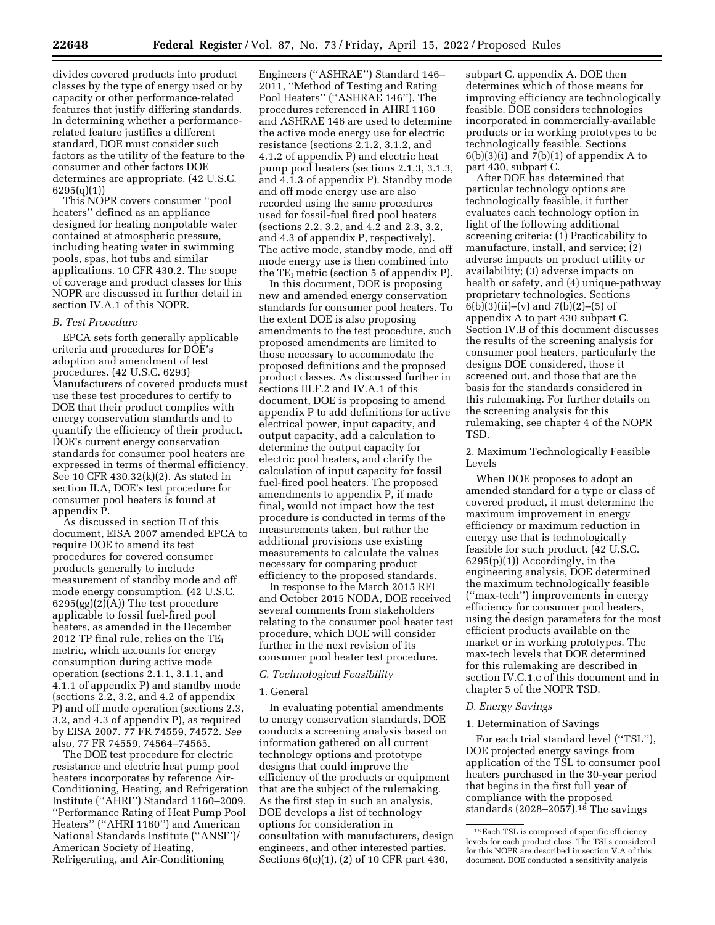divides covered products into product classes by the type of energy used or by capacity or other performance-related features that justify differing standards. In determining whether a performancerelated feature justifies a different standard, DOE must consider such factors as the utility of the feature to the consumer and other factors DOE determines are appropriate. (42 U.S.C. 6295(q)(1))

This NOPR covers consumer ''pool heaters'' defined as an appliance designed for heating nonpotable water contained at atmospheric pressure, including heating water in swimming pools, spas, hot tubs and similar applications. 10 CFR 430.2. The scope of coverage and product classes for this NOPR are discussed in further detail in section IV.A.1 of this NOPR.

#### *B. Test Procedure*

EPCA sets forth generally applicable criteria and procedures for DOE's adoption and amendment of test procedures. (42 U.S.C. 6293) Manufacturers of covered products must use these test procedures to certify to DOE that their product complies with energy conservation standards and to quantify the efficiency of their product. DOE's current energy conservation standards for consumer pool heaters are expressed in terms of thermal efficiency. See 10 CFR 430.32(k)(2). As stated in section II.A, DOE's test procedure for consumer pool heaters is found at appendix P.

As discussed in section II of this document, EISA 2007 amended EPCA to require DOE to amend its test procedures for covered consumer products generally to include measurement of standby mode and off mode energy consumption. (42 U.S.C. 6295(gg)(2)(A)) The test procedure applicable to fossil fuel-fired pool heaters, as amended in the December  $2012$  TP final rule, relies on the TE<sub>I</sub> metric, which accounts for energy consumption during active mode operation (sections 2.1.1, 3.1.1, and 4.1.1 of appendix P) and standby mode (sections 2.2, 3.2, and 4.2 of appendix P) and off mode operation (sections 2.3, 3.2, and 4.3 of appendix P), as required by EISA 2007. 77 FR 74559, 74572. *See*  also, 77 FR 74559, 74564–74565.

The DOE test procedure for electric resistance and electric heat pump pool heaters incorporates by reference Air-Conditioning, Heating, and Refrigeration Institute (''AHRI'') Standard 1160–2009, ''Performance Rating of Heat Pump Pool Heaters'' (''AHRI 1160'') and American National Standards Institute (''ANSI'')/ American Society of Heating, Refrigerating, and Air-Conditioning

Engineers (''ASHRAE'') Standard 146– 2011, ''Method of Testing and Rating Pool Heaters'' (''ASHRAE 146''). The procedures referenced in AHRI 1160 and ASHRAE 146 are used to determine the active mode energy use for electric resistance (sections 2.1.2, 3.1.2, and 4.1.2 of appendix P) and electric heat pump pool heaters (sections 2.1.3, 3.1.3, and 4.1.3 of appendix P). Standby mode and off mode energy use are also recorded using the same procedures used for fossil-fuel fired pool heaters (sections 2.2, 3.2, and 4.2 and 2.3, 3.2, and 4.3 of appendix P, respectively). The active mode, standby mode, and off mode energy use is then combined into the  $TE_I$  metric (section 5 of appendix P).

In this document, DOE is proposing new and amended energy conservation standards for consumer pool heaters. To the extent DOE is also proposing amendments to the test procedure, such proposed amendments are limited to those necessary to accommodate the proposed definitions and the proposed product classes. As discussed further in sections III.F.2 and IV.A.1 of this document, DOE is proposing to amend appendix P to add definitions for active electrical power, input capacity, and output capacity, add a calculation to determine the output capacity for electric pool heaters, and clarify the calculation of input capacity for fossil fuel-fired pool heaters. The proposed amendments to appendix P, if made final, would not impact how the test procedure is conducted in terms of the measurements taken, but rather the additional provisions use existing measurements to calculate the values necessary for comparing product efficiency to the proposed standards.

In response to the March 2015 RFI and October 2015 NODA, DOE received several comments from stakeholders relating to the consumer pool heater test procedure, which DOE will consider further in the next revision of its consumer pool heater test procedure.

## *C. Technological Feasibility*

#### 1. General

In evaluating potential amendments to energy conservation standards, DOE conducts a screening analysis based on information gathered on all current technology options and prototype designs that could improve the efficiency of the products or equipment that are the subject of the rulemaking. As the first step in such an analysis, DOE develops a list of technology options for consideration in consultation with manufacturers, design engineers, and other interested parties. Sections 6(c)(1), (2) of 10 CFR part 430,

subpart C, appendix A. DOE then determines which of those means for improving efficiency are technologically feasible. DOE considers technologies incorporated in commercially-available products or in working prototypes to be technologically feasible. Sections  $6(b)(3)(i)$  and  $7(b)(1)$  of appendix A to part 430, subpart C.

After DOE has determined that particular technology options are technologically feasible, it further evaluates each technology option in light of the following additional screening criteria: (1) Practicability to manufacture, install, and service; (2) adverse impacts on product utility or availability; (3) adverse impacts on health or safety, and (4) unique-pathway proprietary technologies. Sections 6(b)(3)(ii)–(v) and 7(b)(2)–(5) of appendix A to part 430 subpart C. Section IV.B of this document discusses the results of the screening analysis for consumer pool heaters, particularly the designs DOE considered, those it screened out, and those that are the basis for the standards considered in this rulemaking. For further details on the screening analysis for this rulemaking, see chapter 4 of the NOPR TSD.

2. Maximum Technologically Feasible Levels

When DOE proposes to adopt an amended standard for a type or class of covered product, it must determine the maximum improvement in energy efficiency or maximum reduction in energy use that is technologically feasible for such product. (42 U.S.C.  $6295(p)(1)$  Accordingly, in the engineering analysis, DOE determined the maximum technologically feasible (''max-tech'') improvements in energy efficiency for consumer pool heaters, using the design parameters for the most efficient products available on the market or in working prototypes. The max-tech levels that DOE determined for this rulemaking are described in section IV.C.1.c of this document and in chapter 5 of the NOPR TSD.

## *D. Energy Savings*

#### 1. Determination of Savings

For each trial standard level ("TSL"), DOE projected energy savings from application of the TSL to consumer pool heaters purchased in the 30-year period that begins in the first full year of compliance with the proposed standards (2028–2057).18 The savings

<sup>18</sup>Each TSL is composed of specific efficiency levels for each product class. The TSLs considered for this NOPR are described in section V.A of this document. DOE conducted a sensitivity analysis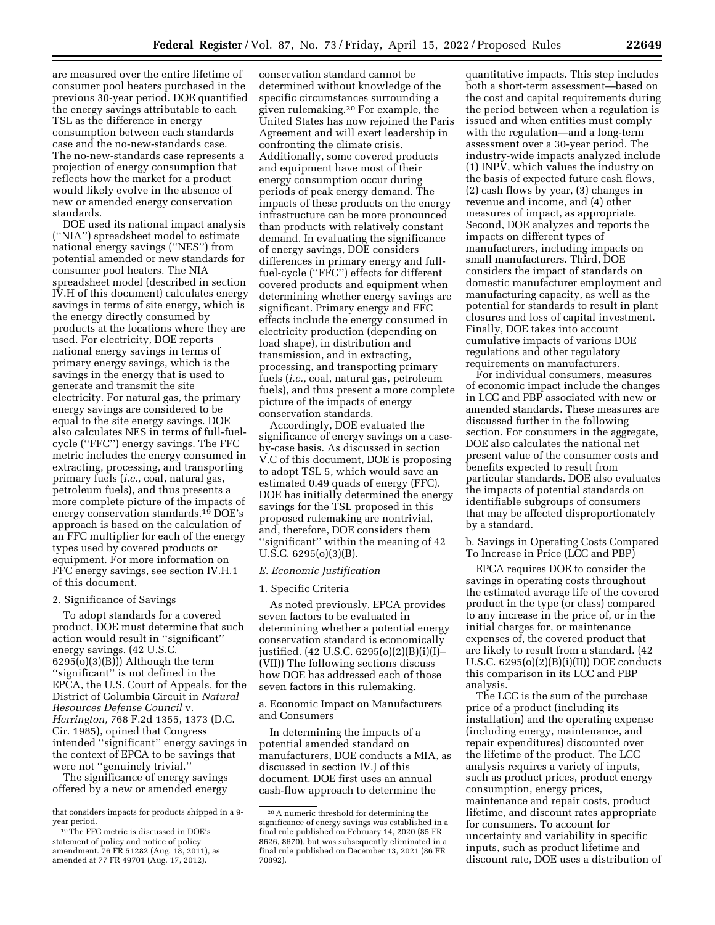are measured over the entire lifetime of consumer pool heaters purchased in the previous 30-year period. DOE quantified the energy savings attributable to each TSL as the difference in energy consumption between each standards case and the no-new-standards case. The no-new-standards case represents a projection of energy consumption that reflects how the market for a product would likely evolve in the absence of new or amended energy conservation standards.

DOE used its national impact analysis (''NIA'') spreadsheet model to estimate national energy savings (''NES'') from potential amended or new standards for consumer pool heaters. The NIA spreadsheet model (described in section IV.H of this document) calculates energy savings in terms of site energy, which is the energy directly consumed by products at the locations where they are used. For electricity, DOE reports national energy savings in terms of primary energy savings, which is the savings in the energy that is used to generate and transmit the site electricity. For natural gas, the primary energy savings are considered to be equal to the site energy savings. DOE also calculates NES in terms of full-fuelcycle (''FFC'') energy savings. The FFC metric includes the energy consumed in extracting, processing, and transporting primary fuels (*i.e.,* coal, natural gas, petroleum fuels), and thus presents a more complete picture of the impacts of energy conservation standards.19 DOE's approach is based on the calculation of an FFC multiplier for each of the energy types used by covered products or equipment. For more information on FFC energy savings, see section IV.H.1 of this document.

## 2. Significance of Savings

To adopt standards for a covered product, DOE must determine that such action would result in ''significant'' energy savings. (42 U.S.C.  $6295(o)(3)(B))$ ) Although the term ''significant'' is not defined in the EPCA, the U.S. Court of Appeals, for the District of Columbia Circuit in *Natural Resources Defense Council* v. *Herrington,* 768 F.2d 1355, 1373 (D.C. Cir. 1985), opined that Congress intended ''significant'' energy savings in the context of EPCA to be savings that were not ''genuinely trivial.''

The significance of energy savings offered by a new or amended energy

conservation standard cannot be determined without knowledge of the specific circumstances surrounding a given rulemaking.20 For example, the United States has now rejoined the Paris Agreement and will exert leadership in confronting the climate crisis. Additionally, some covered products and equipment have most of their energy consumption occur during periods of peak energy demand. The impacts of these products on the energy infrastructure can be more pronounced than products with relatively constant demand. In evaluating the significance of energy savings, DOE considers differences in primary energy and fullfuel-cycle (''FFC'') effects for different covered products and equipment when determining whether energy savings are significant. Primary energy and FFC effects include the energy consumed in electricity production (depending on load shape), in distribution and transmission, and in extracting, processing, and transporting primary fuels (*i.e.,* coal, natural gas, petroleum fuels), and thus present a more complete picture of the impacts of energy conservation standards.

Accordingly, DOE evaluated the significance of energy savings on a caseby-case basis. As discussed in section V.C of this document, DOE is proposing to adopt TSL 5, which would save an estimated 0.49 quads of energy (FFC). DOE has initially determined the energy savings for the TSL proposed in this proposed rulemaking are nontrivial, and, therefore, DOE considers them ''significant'' within the meaning of 42 U.S.C. 6295(o)(3)(B).

#### *E. Economic Justification*

## 1. Specific Criteria

As noted previously, EPCA provides seven factors to be evaluated in determining whether a potential energy conservation standard is economically justified. (42 U.S.C. 6295(o)(2)(B)(i)(I)– (VII)) The following sections discuss how DOE has addressed each of those seven factors in this rulemaking.

a. Economic Impact on Manufacturers and Consumers

In determining the impacts of a potential amended standard on manufacturers, DOE conducts a MIA, as discussed in section IV.J of this document. DOE first uses an annual cash-flow approach to determine the

quantitative impacts. This step includes both a short-term assessment—based on the cost and capital requirements during the period between when a regulation is issued and when entities must comply with the regulation—and a long-term assessment over a 30-year period. The industry-wide impacts analyzed include (1) INPV, which values the industry on the basis of expected future cash flows, (2) cash flows by year, (3) changes in revenue and income, and (4) other measures of impact, as appropriate. Second, DOE analyzes and reports the impacts on different types of manufacturers, including impacts on small manufacturers. Third, DOE considers the impact of standards on domestic manufacturer employment and manufacturing capacity, as well as the potential for standards to result in plant closures and loss of capital investment. Finally, DOE takes into account cumulative impacts of various DOE regulations and other regulatory requirements on manufacturers.

For individual consumers, measures of economic impact include the changes in LCC and PBP associated with new or amended standards. These measures are discussed further in the following section. For consumers in the aggregate, DOE also calculates the national net present value of the consumer costs and benefits expected to result from particular standards. DOE also evaluates the impacts of potential standards on identifiable subgroups of consumers that may be affected disproportionately by a standard.

b. Savings in Operating Costs Compared To Increase in Price (LCC and PBP)

EPCA requires DOE to consider the savings in operating costs throughout the estimated average life of the covered product in the type (or class) compared to any increase in the price of, or in the initial charges for, or maintenance expenses of, the covered product that are likely to result from a standard. (42 U.S.C. 6295(o)(2)(B)(i)(II)) DOE conducts this comparison in its LCC and PBP analysis.

The LCC is the sum of the purchase price of a product (including its installation) and the operating expense (including energy, maintenance, and repair expenditures) discounted over the lifetime of the product. The LCC analysis requires a variety of inputs, such as product prices, product energy consumption, energy prices, maintenance and repair costs, product lifetime, and discount rates appropriate for consumers. To account for uncertainty and variability in specific inputs, such as product lifetime and discount rate, DOE uses a distribution of

that considers impacts for products shipped in a 9 year period.

<sup>19</sup>The FFC metric is discussed in DOE's statement of policy and notice of policy amendment. 76 FR 51282 (Aug. 18, 2011), as amended at 77 FR 49701 (Aug. 17, 2012).

<sup>20</sup>A numeric threshold for determining the significance of energy savings was established in a final rule published on February 14, 2020 (85 FR 8626, 8670), but was subsequently eliminated in a final rule published on December 13, 2021 (86 FR 70892).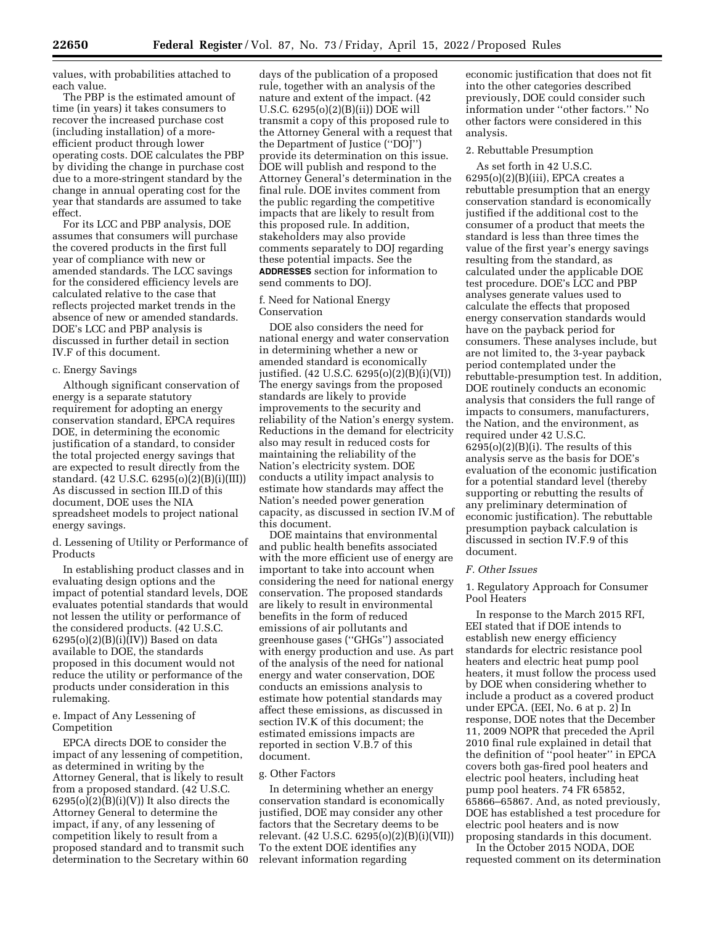values, with probabilities attached to each value.

The PBP is the estimated amount of time (in years) it takes consumers to recover the increased purchase cost (including installation) of a moreefficient product through lower operating costs. DOE calculates the PBP by dividing the change in purchase cost due to a more-stringent standard by the change in annual operating cost for the year that standards are assumed to take effect.

For its LCC and PBP analysis, DOE assumes that consumers will purchase the covered products in the first full year of compliance with new or amended standards. The LCC savings for the considered efficiency levels are calculated relative to the case that reflects projected market trends in the absence of new or amended standards. DOE's LCC and PBP analysis is discussed in further detail in section IV.F of this document.

## c. Energy Savings

Although significant conservation of energy is a separate statutory requirement for adopting an energy conservation standard, EPCA requires DOE, in determining the economic justification of a standard, to consider the total projected energy savings that are expected to result directly from the standard. (42 U.S.C. 6295(o)(2)(B)(i)(III)) As discussed in section III.D of this document, DOE uses the NIA spreadsheet models to project national energy savings.

d. Lessening of Utility or Performance of Products

In establishing product classes and in evaluating design options and the impact of potential standard levels, DOE evaluates potential standards that would not lessen the utility or performance of the considered products. (42 U.S.C. 6295(o)(2)(B)(i)(IV)) Based on data available to DOE, the standards proposed in this document would not reduce the utility or performance of the products under consideration in this rulemaking.

## e. Impact of Any Lessening of Competition

EPCA directs DOE to consider the impact of any lessening of competition, as determined in writing by the Attorney General, that is likely to result from a proposed standard. (42 U.S.C.  $6295(o)(2)(B)(i)(V))$  It also directs the Attorney General to determine the impact, if any, of any lessening of competition likely to result from a proposed standard and to transmit such determination to the Secretary within 60 days of the publication of a proposed rule, together with an analysis of the nature and extent of the impact. (42 U.S.C. 6295(o)(2)(B)(ii)) DOE will transmit a copy of this proposed rule to the Attorney General with a request that the Department of Justice (''DOJ'') provide its determination on this issue. DOE will publish and respond to the Attorney General's determination in the final rule. DOE invites comment from the public regarding the competitive impacts that are likely to result from this proposed rule. In addition, stakeholders may also provide comments separately to DOJ regarding these potential impacts. See the **ADDRESSES** section for information to send comments to DOJ.

f. Need for National Energy Conservation

DOE also considers the need for national energy and water conservation in determining whether a new or amended standard is economically justified. (42 U.S.C. 6295(o)(2)(B)(i)(VI)) The energy savings from the proposed standards are likely to provide improvements to the security and reliability of the Nation's energy system. Reductions in the demand for electricity also may result in reduced costs for maintaining the reliability of the Nation's electricity system. DOE conducts a utility impact analysis to estimate how standards may affect the Nation's needed power generation capacity, as discussed in section IV.M of this document.

DOE maintains that environmental and public health benefits associated with the more efficient use of energy are important to take into account when considering the need for national energy conservation. The proposed standards are likely to result in environmental benefits in the form of reduced emissions of air pollutants and greenhouse gases (''GHGs'') associated with energy production and use. As part of the analysis of the need for national energy and water conservation, DOE conducts an emissions analysis to estimate how potential standards may affect these emissions, as discussed in section IV.K of this document; the estimated emissions impacts are reported in section V.B.7 of this document.

## g. Other Factors

In determining whether an energy conservation standard is economically justified, DOE may consider any other factors that the Secretary deems to be relevant. (42 U.S.C. 6295(o)(2)(B)(i)(VII)) To the extent DOE identifies any relevant information regarding

economic justification that does not fit into the other categories described previously, DOE could consider such information under ''other factors.'' No other factors were considered in this analysis.

## 2. Rebuttable Presumption

As set forth in 42 U.S.C.  $6295(o)(2)(B)(iii)$ , EPCA creates a rebuttable presumption that an energy conservation standard is economically justified if the additional cost to the consumer of a product that meets the standard is less than three times the value of the first year's energy savings resulting from the standard, as calculated under the applicable DOE test procedure. DOE's LCC and PBP analyses generate values used to calculate the effects that proposed energy conservation standards would have on the payback period for consumers. These analyses include, but are not limited to, the 3-year payback period contemplated under the rebuttable-presumption test. In addition, DOE routinely conducts an economic analysis that considers the full range of impacts to consumers, manufacturers, the Nation, and the environment, as required under 42 U.S.C.  $6295(o)(2)(B)(i)$ . The results of this analysis serve as the basis for DOE's evaluation of the economic justification for a potential standard level (thereby supporting or rebutting the results of any preliminary determination of economic justification). The rebuttable presumption payback calculation is discussed in section IV.F.9 of this document.

## *F. Other Issues*

1. Regulatory Approach for Consumer Pool Heaters

In response to the March 2015 RFI, EEI stated that if DOE intends to establish new energy efficiency standards for electric resistance pool heaters and electric heat pump pool heaters, it must follow the process used by DOE when considering whether to include a product as a covered product under EPCA. (EEI, No. 6 at p. 2) In response, DOE notes that the December 11, 2009 NOPR that preceded the April 2010 final rule explained in detail that the definition of ''pool heater'' in EPCA covers both gas-fired pool heaters and electric pool heaters, including heat pump pool heaters. 74 FR 65852, 65866–65867. And, as noted previously, DOE has established a test procedure for electric pool heaters and is now proposing standards in this document.

In the October 2015 NODA, DOE requested comment on its determination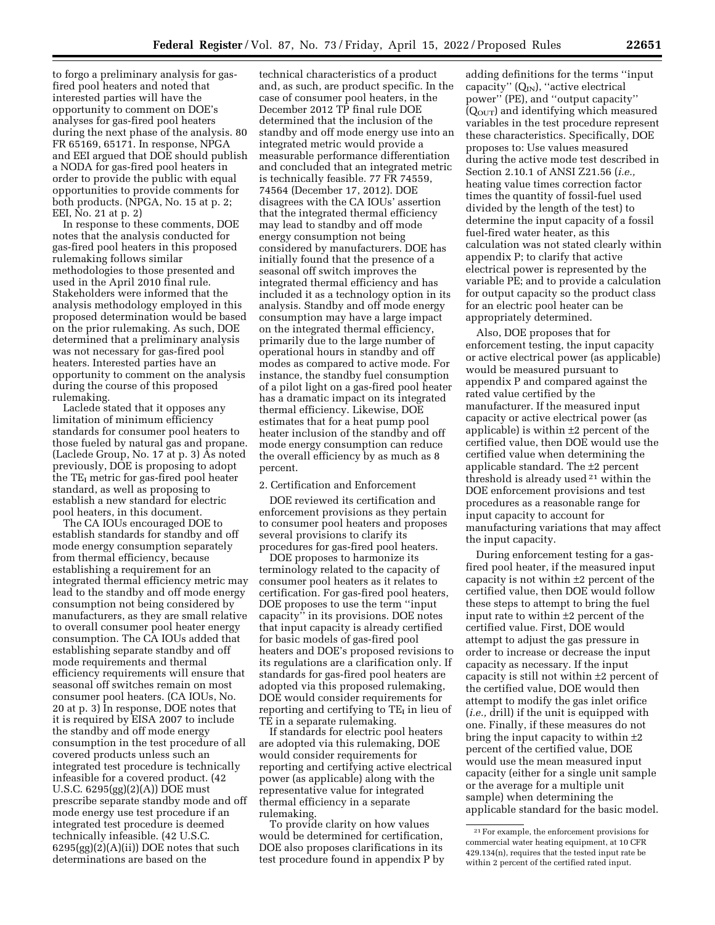to forgo a preliminary analysis for gasfired pool heaters and noted that interested parties will have the opportunity to comment on DOE's analyses for gas-fired pool heaters during the next phase of the analysis. 80 FR 65169, 65171. In response, NPGA and EEI argued that DOE should publish a NODA for gas-fired pool heaters in order to provide the public with equal

EEI, No. 21 at p. 2) In response to these comments, DOE notes that the analysis conducted for gas-fired pool heaters in this proposed rulemaking follows similar methodologies to those presented and used in the April 2010 final rule. Stakeholders were informed that the analysis methodology employed in this proposed determination would be based on the prior rulemaking. As such, DOE determined that a preliminary analysis was not necessary for gas-fired pool heaters. Interested parties have an opportunity to comment on the analysis during the course of this proposed rulemaking.

opportunities to provide comments for both products. (NPGA, No. 15 at p. 2;

Laclede stated that it opposes any limitation of minimum efficiency standards for consumer pool heaters to those fueled by natural gas and propane. (Laclede Group, No. 17 at p. 3) As noted previously, DOE is proposing to adopt the  $TE<sub>I</sub>$  metric for gas-fired pool heater standard, as well as proposing to establish a new standard for electric pool heaters, in this document.

The CA IOUs encouraged DOE to establish standards for standby and off mode energy consumption separately from thermal efficiency, because establishing a requirement for an integrated thermal efficiency metric may lead to the standby and off mode energy consumption not being considered by manufacturers, as they are small relative to overall consumer pool heater energy consumption. The CA IOUs added that establishing separate standby and off mode requirements and thermal efficiency requirements will ensure that seasonal off switches remain on most consumer pool heaters. (CA IOUs, No. 20 at p. 3) In response, DOE notes that it is required by EISA 2007 to include the standby and off mode energy consumption in the test procedure of all covered products unless such an integrated test procedure is technically infeasible for a covered product. (42 U.S.C. 6295(gg)(2)(A)) DOE must prescribe separate standby mode and off mode energy use test procedure if an integrated test procedure is deemed technically infeasible. (42 U.S.C.  $6295(gg)(2)(A)(ii)$  DOE notes that such determinations are based on the

technical characteristics of a product and, as such, are product specific. In the case of consumer pool heaters, in the December 2012 TP final rule DOE determined that the inclusion of the standby and off mode energy use into an integrated metric would provide a measurable performance differentiation and concluded that an integrated metric is technically feasible. 77 FR 74559, 74564 (December 17, 2012). DOE disagrees with the CA IOUs' assertion that the integrated thermal efficiency may lead to standby and off mode energy consumption not being considered by manufacturers. DOE has initially found that the presence of a seasonal off switch improves the integrated thermal efficiency and has included it as a technology option in its analysis. Standby and off mode energy consumption may have a large impact on the integrated thermal efficiency, primarily due to the large number of operational hours in standby and off modes as compared to active mode. For instance, the standby fuel consumption of a pilot light on a gas-fired pool heater has a dramatic impact on its integrated thermal efficiency. Likewise, DOE estimates that for a heat pump pool heater inclusion of the standby and off mode energy consumption can reduce the overall efficiency by as much as 8 percent.

## 2. Certification and Enforcement

DOE reviewed its certification and enforcement provisions as they pertain to consumer pool heaters and proposes several provisions to clarify its procedures for gas-fired pool heaters.

DOE proposes to harmonize its terminology related to the capacity of consumer pool heaters as it relates to certification. For gas-fired pool heaters, DOE proposes to use the term ''input capacity'' in its provisions. DOE notes that input capacity is already certified for basic models of gas-fired pool heaters and DOE's proposed revisions to its regulations are a clarification only. If standards for gas-fired pool heaters are adopted via this proposed rulemaking, DOE would consider requirements for reporting and certifying to TE<sub>I</sub> in lieu of TE in a separate rulemaking.

If standards for electric pool heaters are adopted via this rulemaking, DOE would consider requirements for reporting and certifying active electrical power (as applicable) along with the representative value for integrated thermal efficiency in a separate rulemaking.

To provide clarity on how values would be determined for certification, DOE also proposes clarifications in its test procedure found in appendix P by

adding definitions for the terms ''input capacity"  $(Q_{IN})$ , "active electrical power'' (PE), and ''output capacity''  $(Q<sub>OUT</sub>)$  and identifying which measured variables in the test procedure represent these characteristics. Specifically, DOE proposes to: Use values measured during the active mode test described in Section 2.10.1 of ANSI Z21.56 (*i.e.,*  heating value times correction factor times the quantity of fossil-fuel used divided by the length of the test) to determine the input capacity of a fossil fuel-fired water heater, as this calculation was not stated clearly within appendix P; to clarify that active electrical power is represented by the variable PE; and to provide a calculation for output capacity so the product class for an electric pool heater can be appropriately determined.

Also, DOE proposes that for enforcement testing, the input capacity or active electrical power (as applicable) would be measured pursuant to appendix P and compared against the rated value certified by the manufacturer. If the measured input capacity or active electrical power (as applicable) is within ±2 percent of the certified value, then DOE would use the certified value when determining the applicable standard. The ±2 percent threshold is already used 21 within the DOE enforcement provisions and test procedures as a reasonable range for input capacity to account for manufacturing variations that may affect the input capacity.

During enforcement testing for a gasfired pool heater, if the measured input capacity is not within ±2 percent of the certified value, then DOE would follow these steps to attempt to bring the fuel input rate to within ±2 percent of the certified value. First, DOE would attempt to adjust the gas pressure in order to increase or decrease the input capacity as necessary. If the input capacity is still not within ±2 percent of the certified value, DOE would then attempt to modify the gas inlet orifice (*i.e.,* drill) if the unit is equipped with one. Finally, if these measures do not bring the input capacity to within ±2 percent of the certified value, DOE would use the mean measured input capacity (either for a single unit sample or the average for a multiple unit sample) when determining the applicable standard for the basic model.

<sup>21</sup>For example, the enforcement provisions for commercial water heating equipment, at 10 CFR 429.134(n), requires that the tested input rate be within 2 percent of the certified rated input.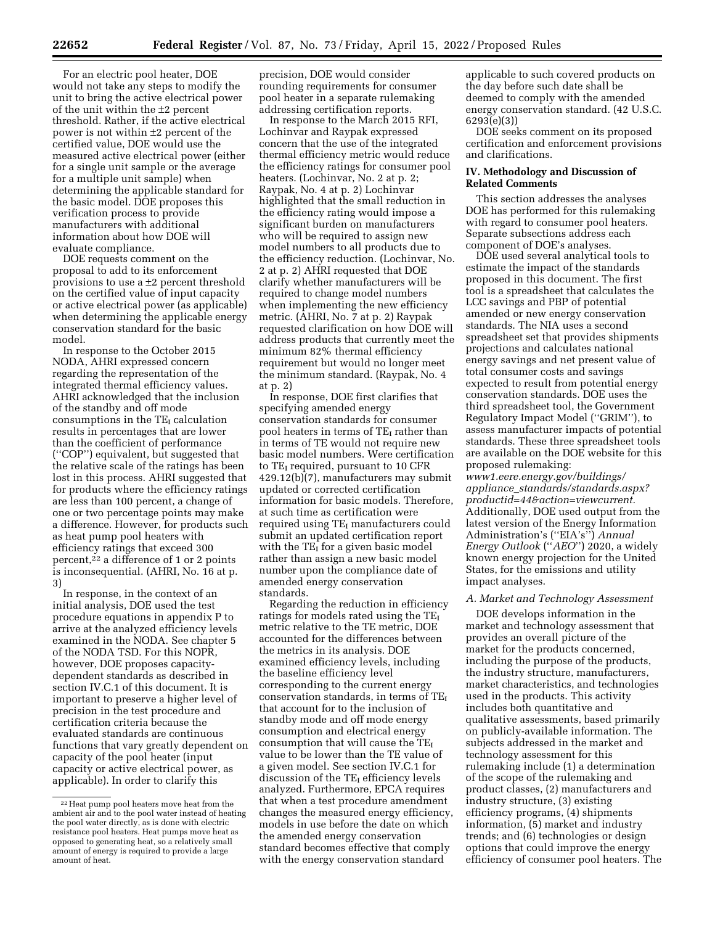For an electric pool heater, DOE would not take any steps to modify the unit to bring the active electrical power of the unit within the  $\pm 2$  percent threshold. Rather, if the active electrical power is not within ±2 percent of the certified value, DOE would use the measured active electrical power (either for a single unit sample or the average for a multiple unit sample) when determining the applicable standard for the basic model. DOE proposes this verification process to provide manufacturers with additional information about how DOE will evaluate compliance.

DOE requests comment on the proposal to add to its enforcement provisions to use a ±2 percent threshold on the certified value of input capacity or active electrical power (as applicable) when determining the applicable energy conservation standard for the basic model.

In response to the October 2015 NODA, AHRI expressed concern regarding the representation of the integrated thermal efficiency values. AHRI acknowledged that the inclusion of the standby and off mode consumptions in the  $TE_I$  calculation results in percentages that are lower than the coefficient of performance (''COP'') equivalent, but suggested that the relative scale of the ratings has been lost in this process. AHRI suggested that for products where the efficiency ratings are less than 100 percent, a change of one or two percentage points may make a difference. However, for products such as heat pump pool heaters with efficiency ratings that exceed 300 percent,22 a difference of 1 or 2 points is inconsequential. (AHRI, No. 16 at p. 3)

In response, in the context of an initial analysis, DOE used the test procedure equations in appendix P to arrive at the analyzed efficiency levels examined in the NODA. See chapter 5 of the NODA TSD. For this NOPR, however, DOE proposes capacitydependent standards as described in section IV.C.1 of this document. It is important to preserve a higher level of precision in the test procedure and certification criteria because the evaluated standards are continuous functions that vary greatly dependent on capacity of the pool heater (input capacity or active electrical power, as applicable). In order to clarify this

precision, DOE would consider rounding requirements for consumer pool heater in a separate rulemaking addressing certification reports.

In response to the March 2015 RFI, Lochinvar and Raypak expressed concern that the use of the integrated thermal efficiency metric would reduce the efficiency ratings for consumer pool heaters. (Lochinvar, No. 2 at p. 2; Raypak, No. 4 at p. 2) Lochinvar highlighted that the small reduction in the efficiency rating would impose a significant burden on manufacturers who will be required to assign new model numbers to all products due to the efficiency reduction. (Lochinvar, No. 2 at p. 2) AHRI requested that DOE clarify whether manufacturers will be required to change model numbers when implementing the new efficiency metric. (AHRI, No. 7 at p. 2) Raypak requested clarification on how DOE will address products that currently meet the minimum 82% thermal efficiency requirement but would no longer meet the minimum standard. (Raypak, No. 4 at p. 2)

In response, DOE first clarifies that specifying amended energy conservation standards for consumer pool heaters in terms of TE<sub>I</sub> rather than in terms of TE would not require new basic model numbers. Were certification to TEI required, pursuant to 10 CFR 429.12(b)(7), manufacturers may submit updated or corrected certification information for basic models. Therefore, at such time as certification were required using TE<sub>I</sub> manufacturers could submit an updated certification report with the  $TE_I$  for a given basic model rather than assign a new basic model number upon the compliance date of amended energy conservation standards.

Regarding the reduction in efficiency ratings for models rated using the TE<sub>I</sub> metric relative to the TE metric, DOE accounted for the differences between the metrics in its analysis. DOE examined efficiency levels, including the baseline efficiency level corresponding to the current energy conservation standards, in terms of TE<sub>I</sub> that account for to the inclusion of standby mode and off mode energy consumption and electrical energy consumption that will cause the  $TE<sub>I</sub>$ value to be lower than the TE value of a given model. See section IV.C.1 for discussion of the  $TE_I$  efficiency levels analyzed. Furthermore, EPCA requires that when a test procedure amendment changes the measured energy efficiency, models in use before the date on which the amended energy conservation standard becomes effective that comply with the energy conservation standard

applicable to such covered products on the day before such date shall be deemed to comply with the amended energy conservation standard. (42 U.S.C. 6293(e)(3))

DOE seeks comment on its proposed certification and enforcement provisions and clarifications.

## **IV. Methodology and Discussion of Related Comments**

This section addresses the analyses DOE has performed for this rulemaking with regard to consumer pool heaters. Separate subsections address each component of DOE's analyses.

DOE used several analytical tools to estimate the impact of the standards proposed in this document. The first tool is a spreadsheet that calculates the LCC savings and PBP of potential amended or new energy conservation standards. The NIA uses a second spreadsheet set that provides shipments projections and calculates national energy savings and net present value of total consumer costs and savings expected to result from potential energy conservation standards. DOE uses the third spreadsheet tool, the Government Regulatory Impact Model (''GRIM''), to assess manufacturer impacts of potential standards. These three spreadsheet tools are available on the DOE website for this proposed rulemaking:

*[www1.eere.energy.gov/buildings/](http://www1.eere.energy.gov/buildings/appliance_standards/standards.aspx?productid=44&action=viewcurrent)  appliance*\_*[standards/standards.aspx?](http://www1.eere.energy.gov/buildings/appliance_standards/standards.aspx?productid=44&action=viewcurrent) [productid=44&action=viewcurrent.](http://www1.eere.energy.gov/buildings/appliance_standards/standards.aspx?productid=44&action=viewcurrent)*  Additionally, DOE used output from the latest version of the Energy Information Administration's (''EIA's'') *Annual Energy Outlook* (''*AEO*'') 2020, a widely known energy projection for the United States, for the emissions and utility impact analyses.

## *A. Market and Technology Assessment*

DOE develops information in the market and technology assessment that provides an overall picture of the market for the products concerned, including the purpose of the products, the industry structure, manufacturers, market characteristics, and technologies used in the products. This activity includes both quantitative and qualitative assessments, based primarily on publicly-available information. The subjects addressed in the market and technology assessment for this rulemaking include (1) a determination of the scope of the rulemaking and product classes, (2) manufacturers and industry structure, (3) existing efficiency programs, (4) shipments information, (5) market and industry trends; and (6) technologies or design options that could improve the energy efficiency of consumer pool heaters. The

<sup>22</sup>Heat pump pool heaters move heat from the ambient air and to the pool water instead of heating the pool water directly, as is done with electric resistance pool heaters. Heat pumps move heat as opposed to generating heat, so a relatively small amount of energy is required to provide a large amount of heat.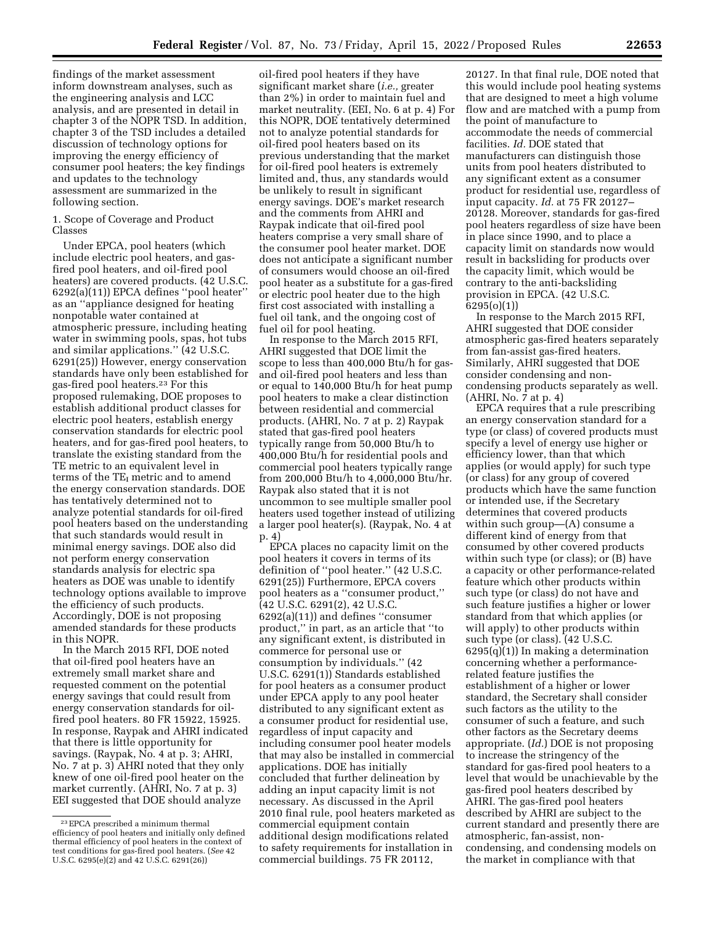findings of the market assessment inform downstream analyses, such as the engineering analysis and LCC analysis, and are presented in detail in chapter 3 of the NOPR TSD. In addition, chapter 3 of the TSD includes a detailed discussion of technology options for improving the energy efficiency of consumer pool heaters; the key findings and updates to the technology assessment are summarized in the following section.

## 1. Scope of Coverage and Product Classes

Under EPCA, pool heaters (which include electric pool heaters, and gasfired pool heaters, and oil-fired pool heaters) are covered products. (42 U.S.C. 6292(a)(11)) EPCA defines ''pool heater'' as an ''appliance designed for heating nonpotable water contained at atmospheric pressure, including heating water in swimming pools, spas, hot tubs and similar applications.'' (42 U.S.C. 6291(25)) However, energy conservation standards have only been established for gas-fired pool heaters.23 For this proposed rulemaking, DOE proposes to establish additional product classes for electric pool heaters, establish energy conservation standards for electric pool heaters, and for gas-fired pool heaters, to translate the existing standard from the TE metric to an equivalent level in terms of the  $TE_I$  metric and to amend the energy conservation standards. DOE has tentatively determined not to analyze potential standards for oil-fired pool heaters based on the understanding that such standards would result in minimal energy savings. DOE also did not perform energy conservation standards analysis for electric spa heaters as DOE was unable to identify technology options available to improve the efficiency of such products. Accordingly, DOE is not proposing amended standards for these products in this NOPR.

In the March 2015 RFI, DOE noted that oil-fired pool heaters have an extremely small market share and requested comment on the potential energy savings that could result from energy conservation standards for oilfired pool heaters. 80 FR 15922, 15925. In response, Raypak and AHRI indicated that there is little opportunity for savings. (Raypak, No. 4 at p. 3; AHRI, No. 7 at p. 3) AHRI noted that they only knew of one oil-fired pool heater on the market currently. (AHRI, No. 7 at p. 3) EEI suggested that DOE should analyze

oil-fired pool heaters if they have significant market share (*i.e.,* greater than 2%) in order to maintain fuel and market neutrality. (EEI, No. 6 at p. 4) For this NOPR, DOE tentatively determined not to analyze potential standards for oil-fired pool heaters based on its previous understanding that the market for oil-fired pool heaters is extremely limited and, thus, any standards would be unlikely to result in significant energy savings. DOE's market research and the comments from AHRI and Raypak indicate that oil-fired pool heaters comprise a very small share of the consumer pool heater market. DOE does not anticipate a significant number of consumers would choose an oil-fired pool heater as a substitute for a gas-fired or electric pool heater due to the high first cost associated with installing a fuel oil tank, and the ongoing cost of fuel oil for pool heating.

In response to the March 2015 RFI, AHRI suggested that DOE limit the scope to less than 400,000 Btu/h for gasand oil-fired pool heaters and less than or equal to 140,000 Btu/h for heat pump pool heaters to make a clear distinction between residential and commercial products. (AHRI, No. 7 at p. 2) Raypak stated that gas-fired pool heaters typically range from 50,000 Btu/h to 400,000 Btu/h for residential pools and commercial pool heaters typically range from 200,000 Btu/h to 4,000,000 Btu/hr. Raypak also stated that it is not uncommon to see multiple smaller pool heaters used together instead of utilizing a larger pool heater(s). (Raypak, No. 4 at p. 4)

EPCA places no capacity limit on the pool heaters it covers in terms of its definition of ''pool heater.'' (42 U.S.C. 6291(25)) Furthermore, EPCA covers pool heaters as a ''consumer product,'' (42 U.S.C. 6291(2), 42 U.S.C. 6292(a)(11)) and defines ''consumer product,'' in part, as an article that ''to any significant extent, is distributed in commerce for personal use or consumption by individuals.'' (42 U.S.C. 6291(1)) Standards established for pool heaters as a consumer product under EPCA apply to any pool heater distributed to any significant extent as a consumer product for residential use, regardless of input capacity and including consumer pool heater models that may also be installed in commercial applications. DOE has initially concluded that further delineation by adding an input capacity limit is not necessary. As discussed in the April 2010 final rule, pool heaters marketed as commercial equipment contain additional design modifications related to safety requirements for installation in commercial buildings. 75 FR 20112,

20127. In that final rule, DOE noted that this would include pool heating systems that are designed to meet a high volume flow and are matched with a pump from the point of manufacture to accommodate the needs of commercial facilities. *Id.* DOE stated that manufacturers can distinguish those units from pool heaters distributed to any significant extent as a consumer product for residential use, regardless of input capacity. *Id.* at 75 FR 20127– 20128. Moreover, standards for gas-fired pool heaters regardless of size have been in place since 1990, and to place a capacity limit on standards now would result in backsliding for products over the capacity limit, which would be contrary to the anti-backsliding provision in EPCA. (42 U.S.C. 6295(o)(1))

In response to the March 2015 RFI, AHRI suggested that DOE consider atmospheric gas-fired heaters separately from fan-assist gas-fired heaters. Similarly, AHRI suggested that DOE consider condensing and noncondensing products separately as well. (AHRI, No. 7 at p. 4)

EPCA requires that a rule prescribing an energy conservation standard for a type (or class) of covered products must specify a level of energy use higher or efficiency lower, than that which applies (or would apply) for such type (or class) for any group of covered products which have the same function or intended use, if the Secretary determines that covered products within such group—(A) consume a different kind of energy from that consumed by other covered products within such type (or class); or (B) have a capacity or other performance-related feature which other products within such type (or class) do not have and such feature justifies a higher or lower standard from that which applies (or will apply) to other products within such type (or class). (42 U.S.C.  $6295(q)(1)$  In making a determination concerning whether a performancerelated feature justifies the establishment of a higher or lower standard, the Secretary shall consider such factors as the utility to the consumer of such a feature, and such other factors as the Secretary deems appropriate. (*Id.*) DOE is not proposing to increase the stringency of the standard for gas-fired pool heaters to a level that would be unachievable by the gas-fired pool heaters described by AHRI. The gas-fired pool heaters described by AHRI are subject to the current standard and presently there are atmospheric, fan-assist, noncondensing, and condensing models on the market in compliance with that

<sup>23</sup>EPCA prescribed a minimum thermal efficiency of pool heaters and initially only defined thermal efficiency of pool heaters in the context of test conditions for gas-fired pool heaters. (*See* 42 U.S.C. 6295(e)(2) and 42 U.S.C. 6291(26))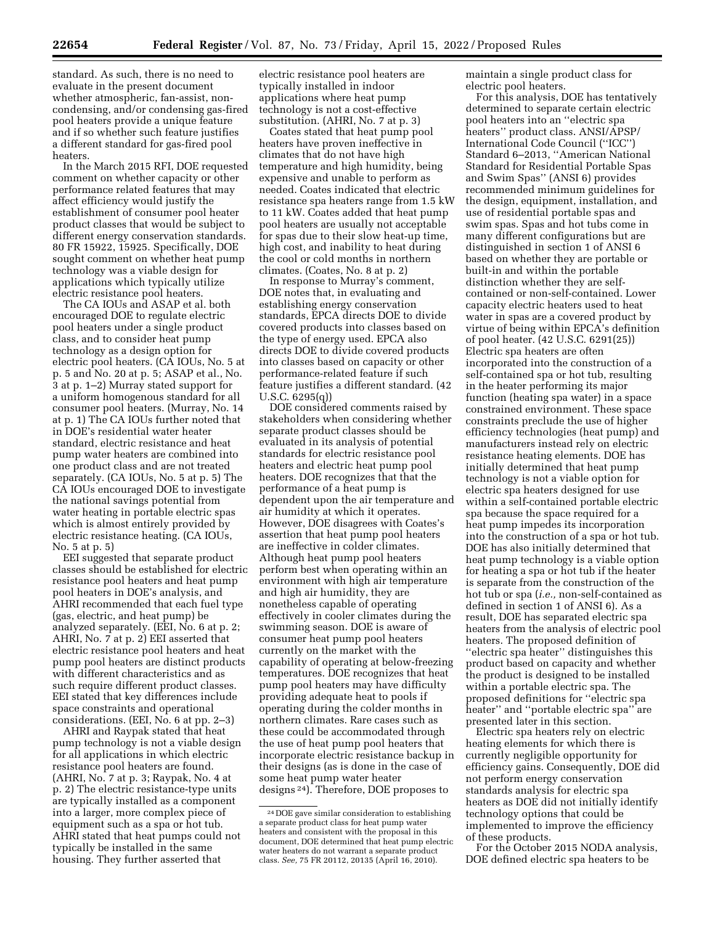standard. As such, there is no need to evaluate in the present document whether atmospheric, fan-assist, noncondensing, and/or condensing gas-fired pool heaters provide a unique feature and if so whether such feature justifies a different standard for gas-fired pool heaters.

In the March 2015 RFI, DOE requested comment on whether capacity or other performance related features that may affect efficiency would justify the establishment of consumer pool heater product classes that would be subject to different energy conservation standards. 80 FR 15922, 15925. Specifically, DOE sought comment on whether heat pump technology was a viable design for applications which typically utilize electric resistance pool heaters.

The CA IOUs and ASAP et al. both encouraged DOE to regulate electric pool heaters under a single product class, and to consider heat pump technology as a design option for electric pool heaters. (CA IOUs, No. 5 at p. 5 and No. 20 at p. 5; ASAP et al., No. 3 at p. 1–2) Murray stated support for a uniform homogenous standard for all consumer pool heaters. (Murray, No. 14 at p. 1) The CA IOUs further noted that in DOE's residential water heater standard, electric resistance and heat pump water heaters are combined into one product class and are not treated separately. (CA IOUs, No. 5 at p. 5) The CA IOUs encouraged DOE to investigate the national savings potential from water heating in portable electric spas which is almost entirely provided by electric resistance heating. (CA IOUs, No. 5 at p. 5)

EEI suggested that separate product classes should be established for electric resistance pool heaters and heat pump pool heaters in DOE's analysis, and AHRI recommended that each fuel type (gas, electric, and heat pump) be analyzed separately. (EEI, No. 6 at p. 2; AHRI, No. 7 at p. 2) EEI asserted that electric resistance pool heaters and heat pump pool heaters are distinct products with different characteristics and as such require different product classes. EEI stated that key differences include space constraints and operational considerations. (EEI, No. 6 at pp. 2–3)

AHRI and Raypak stated that heat pump technology is not a viable design for all applications in which electric resistance pool heaters are found. (AHRI, No. 7 at p. 3; Raypak, No. 4 at p. 2) The electric resistance-type units are typically installed as a component into a larger, more complex piece of equipment such as a spa or hot tub. AHRI stated that heat pumps could not typically be installed in the same housing. They further asserted that

electric resistance pool heaters are typically installed in indoor applications where heat pump technology is not a cost-effective substitution. (AHRI, No. 7 at p. 3)

Coates stated that heat pump pool heaters have proven ineffective in climates that do not have high temperature and high humidity, being expensive and unable to perform as needed. Coates indicated that electric resistance spa heaters range from 1.5 kW to 11 kW. Coates added that heat pump pool heaters are usually not acceptable for spas due to their slow heat-up time, high cost, and inability to heat during the cool or cold months in northern climates. (Coates, No. 8 at p. 2)

In response to Murray's comment, DOE notes that, in evaluating and establishing energy conservation standards, EPCA directs DOE to divide covered products into classes based on the type of energy used. EPCA also directs DOE to divide covered products into classes based on capacity or other performance-related feature if such feature justifies a different standard. (42 U.S.C. 6295(q))

DOE considered comments raised by stakeholders when considering whether separate product classes should be evaluated in its analysis of potential standards for electric resistance pool heaters and electric heat pump pool heaters. DOE recognizes that that the performance of a heat pump is dependent upon the air temperature and air humidity at which it operates. However, DOE disagrees with Coates's assertion that heat pump pool heaters are ineffective in colder climates. Although heat pump pool heaters perform best when operating within an environment with high air temperature and high air humidity, they are nonetheless capable of operating effectively in cooler climates during the swimming season. DOE is aware of consumer heat pump pool heaters currently on the market with the capability of operating at below-freezing temperatures. DOE recognizes that heat pump pool heaters may have difficulty providing adequate heat to pools if operating during the colder months in northern climates. Rare cases such as these could be accommodated through the use of heat pump pool heaters that incorporate electric resistance backup in their designs (as is done in the case of some heat pump water heater designs 24). Therefore, DOE proposes to

maintain a single product class for electric pool heaters.

For this analysis, DOE has tentatively determined to separate certain electric pool heaters into an ''electric spa heaters'' product class. ANSI/APSP/ International Code Council (''ICC'') Standard 6–2013, ''American National Standard for Residential Portable Spas and Swim Spas'' (ANSI 6) provides recommended minimum guidelines for the design, equipment, installation, and use of residential portable spas and swim spas. Spas and hot tubs come in many different configurations but are distinguished in section 1 of ANSI 6 based on whether they are portable or built-in and within the portable distinction whether they are selfcontained or non-self-contained. Lower capacity electric heaters used to heat water in spas are a covered product by virtue of being within EPCA's definition of pool heater. (42 U.S.C. 6291(25)) Electric spa heaters are often incorporated into the construction of a self-contained spa or hot tub, resulting in the heater performing its major function (heating spa water) in a space constrained environment. These space constraints preclude the use of higher efficiency technologies (heat pump) and manufacturers instead rely on electric resistance heating elements. DOE has initially determined that heat pump technology is not a viable option for electric spa heaters designed for use within a self-contained portable electric spa because the space required for a heat pump impedes its incorporation into the construction of a spa or hot tub. DOE has also initially determined that heat pump technology is a viable option for heating a spa or hot tub if the heater is separate from the construction of the hot tub or spa (*i.e.,* non-self-contained as defined in section 1 of ANSI 6). As a result, DOE has separated electric spa heaters from the analysis of electric pool heaters. The proposed definition of ''electric spa heater'' distinguishes this product based on capacity and whether the product is designed to be installed within a portable electric spa. The proposed definitions for ''electric spa heater'' and ''portable electric spa'' are presented later in this section.

Electric spa heaters rely on electric heating elements for which there is currently negligible opportunity for efficiency gains. Consequently, DOE did not perform energy conservation standards analysis for electric spa heaters as DOE did not initially identify technology options that could be implemented to improve the efficiency of these products.

For the October 2015 NODA analysis, DOE defined electric spa heaters to be

<sup>24</sup> DOE gave similar consideration to establishing a separate product class for heat pump water heaters and consistent with the proposal in this document, DOE determined that heat pump electric water heaters do not warrant a separate product class. *See,* 75 FR 20112, 20135 (April 16, 2010).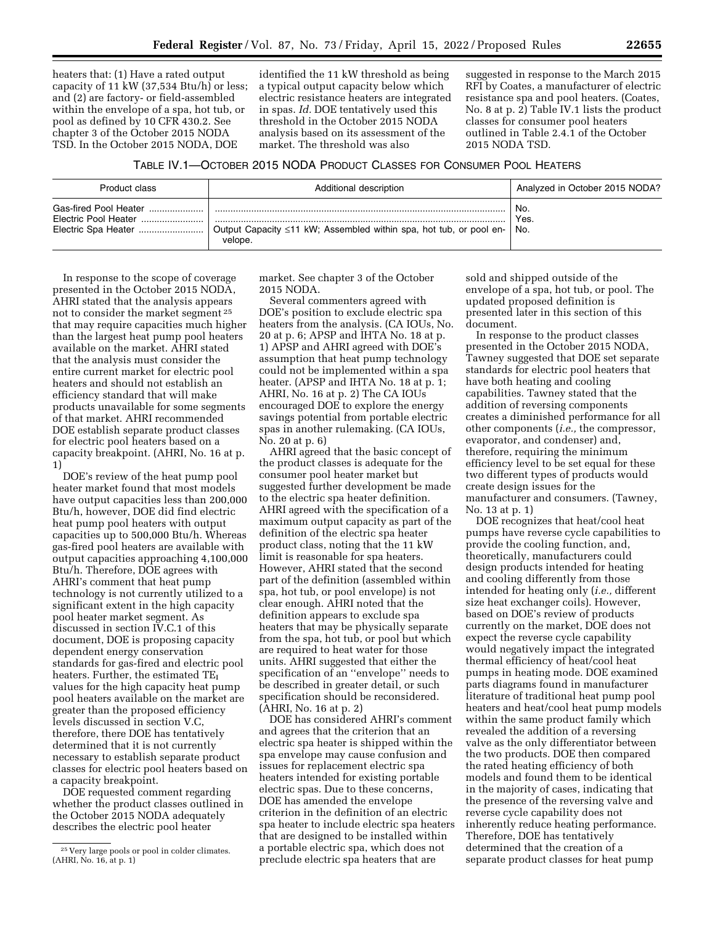heaters that: (1) Have a rated output capacity of 11 kW (37,534 Btu/h) or less; and (2) are factory- or field-assembled within the envelope of a spa, hot tub, or pool as defined by 10 CFR 430.2. See chapter 3 of the October 2015 NODA TSD. In the October 2015 NODA, DOE

identified the 11 kW threshold as being a typical output capacity below which electric resistance heaters are integrated in spas. *Id.* DOE tentatively used this threshold in the October 2015 NODA analysis based on its assessment of the market. The threshold was also

suggested in response to the March 2015 RFI by Coates, a manufacturer of electric resistance spa and pool heaters. (Coates, No. 8 at p. 2) Table IV.1 lists the product classes for consumer pool heaters outlined in Table 2.4.1 of the October 2015 NODA TSD.

## TABLE IV.1—OCTOBER 2015 NODA PRODUCT CLASSES FOR CONSUMER POOL HEATERS

| Product class                                                        | Additional description                                                        | Analyzed in October 2015 NODA? |
|----------------------------------------------------------------------|-------------------------------------------------------------------------------|--------------------------------|
| Gas-fired Pool Heater<br>Electric Pool Heater<br>Electric Spa Heater | Output Capacity ≤11 kW; Assembled within spa, hot tub, or pool en-<br>velope. | No.<br>Yes.<br>No.             |

In response to the scope of coverage presented in the October 2015 NODA, AHRI stated that the analysis appears not to consider the market segment 25 that may require capacities much higher than the largest heat pump pool heaters available on the market. AHRI stated that the analysis must consider the entire current market for electric pool heaters and should not establish an efficiency standard that will make products unavailable for some segments of that market. AHRI recommended DOE establish separate product classes for electric pool heaters based on a capacity breakpoint. (AHRI, No. 16 at p. 1)

DOE's review of the heat pump pool heater market found that most models have output capacities less than 200,000 Btu/h, however, DOE did find electric heat pump pool heaters with output capacities up to 500,000 Btu/h. Whereas gas-fired pool heaters are available with output capacities approaching 4,100,000 Btu/h. Therefore, DOE agrees with AHRI's comment that heat pump technology is not currently utilized to a significant extent in the high capacity pool heater market segment. As discussed in section IV.C.1 of this document, DOE is proposing capacity dependent energy conservation standards for gas-fired and electric pool heaters. Further, the estimated TE<sub>I</sub> values for the high capacity heat pump pool heaters available on the market are greater than the proposed efficiency levels discussed in section V.C, therefore, there DOE has tentatively determined that it is not currently necessary to establish separate product classes for electric pool heaters based on a capacity breakpoint.

DOE requested comment regarding whether the product classes outlined in the October 2015 NODA adequately describes the electric pool heater

market. See chapter 3 of the October 2015 NODA.

Several commenters agreed with DOE's position to exclude electric spa heaters from the analysis. (CA IOUs, No. 20 at p. 6; APSP and IHTA No. 18 at p. 1) APSP and AHRI agreed with DOE's assumption that heat pump technology could not be implemented within a spa heater. (APSP and IHTA No. 18 at p. 1; AHRI, No. 16 at p. 2) The CA IOUs encouraged DOE to explore the energy savings potential from portable electric spas in another rulemaking. (CA IOUs, No. 20 at p. 6)

AHRI agreed that the basic concept of the product classes is adequate for the consumer pool heater market but suggested further development be made to the electric spa heater definition. AHRI agreed with the specification of a maximum output capacity as part of the definition of the electric spa heater product class, noting that the 11 kW limit is reasonable for spa heaters. However, AHRI stated that the second part of the definition (assembled within spa, hot tub, or pool envelope) is not clear enough. AHRI noted that the definition appears to exclude spa heaters that may be physically separate from the spa, hot tub, or pool but which are required to heat water for those units. AHRI suggested that either the specification of an ''envelope'' needs to be described in greater detail, or such specification should be reconsidered. (AHRI, No. 16 at p. 2)

DOE has considered AHRI's comment and agrees that the criterion that an electric spa heater is shipped within the spa envelope may cause confusion and issues for replacement electric spa heaters intended for existing portable electric spas. Due to these concerns, DOE has amended the envelope criterion in the definition of an electric spa heater to include electric spa heaters that are designed to be installed within a portable electric spa, which does not preclude electric spa heaters that are

sold and shipped outside of the envelope of a spa, hot tub, or pool. The updated proposed definition is presented later in this section of this document.

In response to the product classes presented in the October 2015 NODA, Tawney suggested that DOE set separate standards for electric pool heaters that have both heating and cooling capabilities. Tawney stated that the addition of reversing components creates a diminished performance for all other components (*i.e.,* the compressor, evaporator, and condenser) and, therefore, requiring the minimum efficiency level to be set equal for these two different types of products would create design issues for the manufacturer and consumers. (Tawney, No. 13 at p. 1)

DOE recognizes that heat/cool heat pumps have reverse cycle capabilities to provide the cooling function, and, theoretically, manufacturers could design products intended for heating and cooling differently from those intended for heating only (*i.e.,* different size heat exchanger coils). However, based on DOE's review of products currently on the market, DOE does not expect the reverse cycle capability would negatively impact the integrated thermal efficiency of heat/cool heat pumps in heating mode. DOE examined parts diagrams found in manufacturer literature of traditional heat pump pool heaters and heat/cool heat pump models within the same product family which revealed the addition of a reversing valve as the only differentiator between the two products. DOE then compared the rated heating efficiency of both models and found them to be identical in the majority of cases, indicating that the presence of the reversing valve and reverse cycle capability does not inherently reduce heating performance. Therefore, DOE has tentatively determined that the creation of a separate product classes for heat pump

<sup>25</sup> Very large pools or pool in colder climates. (AHRI, No. 16, at p. 1)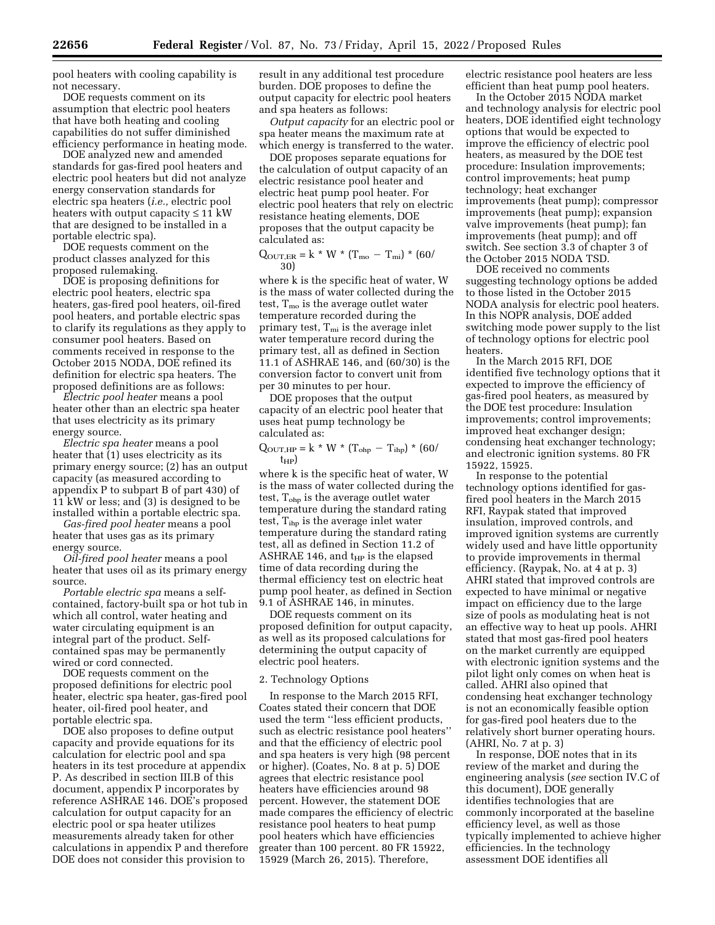pool heaters with cooling capability is not necessary.

DOE requests comment on its assumption that electric pool heaters that have both heating and cooling capabilities do not suffer diminished efficiency performance in heating mode.

DOE analyzed new and amended standards for gas-fired pool heaters and electric pool heaters but did not analyze energy conservation standards for electric spa heaters (*i.e.,* electric pool heaters with output capacity  $\leq 11$  kW that are designed to be installed in a portable electric spa).

DOE requests comment on the product classes analyzed for this proposed rulemaking.

DOE is proposing definitions for electric pool heaters, electric spa heaters, gas-fired pool heaters, oil-fired pool heaters, and portable electric spas to clarify its regulations as they apply to consumer pool heaters. Based on comments received in response to the October 2015 NODA, DOE refined its definition for electric spa heaters. The proposed definitions are as follows:

*Electric pool heater* means a pool heater other than an electric spa heater that uses electricity as its primary energy source.

*Electric spa heater* means a pool heater that (1) uses electricity as its primary energy source; (2) has an output capacity (as measured according to appendix P to subpart B of part 430) of 11 kW or less; and (3) is designed to be installed within a portable electric spa.

*Gas-fired pool heater* means a pool heater that uses gas as its primary energy source.

*Oil-fired pool heater* means a pool heater that uses oil as its primary energy source.

*Portable electric spa* means a selfcontained, factory-built spa or hot tub in which all control, water heating and water circulating equipment is an integral part of the product. Selfcontained spas may be permanently wired or cord connected.

DOE requests comment on the proposed definitions for electric pool heater, electric spa heater, gas-fired pool heater, oil-fired pool heater, and portable electric spa.

DOE also proposes to define output capacity and provide equations for its calculation for electric pool and spa heaters in its test procedure at appendix P. As described in section III.B of this document, appendix P incorporates by reference ASHRAE 146. DOE's proposed calculation for output capacity for an electric pool or spa heater utilizes measurements already taken for other calculations in appendix P and therefore DOE does not consider this provision to

result in any additional test procedure burden. DOE proposes to define the output capacity for electric pool heaters and spa heaters as follows:

*Output capacity* for an electric pool or spa heater means the maximum rate at which energy is transferred to the water.

DOE proposes separate equations for the calculation of output capacity of an electric resistance pool heater and electric heat pump pool heater. For electric pool heaters that rely on electric resistance heating elements, DOE proposes that the output capacity be calculated as:

 $Q_{\text{OUT,ER}} = k * W * (T_{\text{mo}} - T_{\text{mi}}) * (60/$ 30)

where k is the specific heat of water, W is the mass of water collected during the test,  $T_{\text{mo}}$  is the average outlet water temperature recorded during the primary test,  $T_{mi}$  is the average inlet water temperature record during the primary test, all as defined in Section 11.1 of ASHRAE 146, and (60/30) is the conversion factor to convert unit from per 30 minutes to per hour.

DOE proposes that the output capacity of an electric pool heater that uses heat pump technology be calculated as:

$$
Q_{\text{OUT,HP}} = k * W * (T_{\text{ohp}} - T_{\text{ihp}}) * (60 / t_{\text{HP}})
$$

where k is the specific heat of water, W is the mass of water collected during the test,  $T_{\text{ohp}}$  is the average outlet water temperature during the standard rating test, T<sub>ihp</sub> is the average inlet water temperature during the standard rating test, all as defined in Section 11.2 of ASHRAE 146, and  $t_{HP}$  is the elapsed time of data recording during the thermal efficiency test on electric heat pump pool heater, as defined in Section 9.1 of ASHRAE 146, in minutes.

DOE requests comment on its proposed definition for output capacity, as well as its proposed calculations for determining the output capacity of electric pool heaters.

## 2. Technology Options

In response to the March 2015 RFI, Coates stated their concern that DOE used the term ''less efficient products, such as electric resistance pool heaters'' and that the efficiency of electric pool and spa heaters is very high (98 percent or higher). (Coates, No. 8 at p. 5) DOE agrees that electric resistance pool heaters have efficiencies around 98 percent. However, the statement DOE made compares the efficiency of electric resistance pool heaters to heat pump pool heaters which have efficiencies greater than 100 percent. 80 FR 15922, 15929 (March 26, 2015). Therefore,

electric resistance pool heaters are less efficient than heat pump pool heaters.

In the October 2015 NODA market and technology analysis for electric pool heaters, DOE identified eight technology options that would be expected to improve the efficiency of electric pool heaters, as measured by the DOE test procedure: Insulation improvements; control improvements; heat pump technology; heat exchanger improvements (heat pump); compressor improvements (heat pump); expansion valve improvements (heat pump); fan improvements (heat pump); and off switch. See section 3.3 of chapter 3 of the October 2015 NODA TSD.

DOE received no comments suggesting technology options be added to those listed in the October 2015 NODA analysis for electric pool heaters. In this NOPR analysis, DOE added switching mode power supply to the list of technology options for electric pool heaters.

In the March 2015 RFI, DOE identified five technology options that it expected to improve the efficiency of gas-fired pool heaters, as measured by the DOE test procedure: Insulation improvements; control improvements; improved heat exchanger design; condensing heat exchanger technology; and electronic ignition systems. 80 FR 15922, 15925.

In response to the potential technology options identified for gasfired pool heaters in the March 2015 RFI, Raypak stated that improved insulation, improved controls, and improved ignition systems are currently widely used and have little opportunity to provide improvements in thermal efficiency. (Raypak, No. at 4 at p. 3) AHRI stated that improved controls are expected to have minimal or negative impact on efficiency due to the large size of pools as modulating heat is not an effective way to heat up pools. AHRI stated that most gas-fired pool heaters on the market currently are equipped with electronic ignition systems and the pilot light only comes on when heat is called. AHRI also opined that condensing heat exchanger technology is not an economically feasible option for gas-fired pool heaters due to the relatively short burner operating hours. (AHRI, No. 7 at p. 3)

In response, DOE notes that in its review of the market and during the engineering analysis (*see* section IV.C of this document), DOE generally identifies technologies that are commonly incorporated at the baseline efficiency level, as well as those typically implemented to achieve higher efficiencies. In the technology assessment DOE identifies all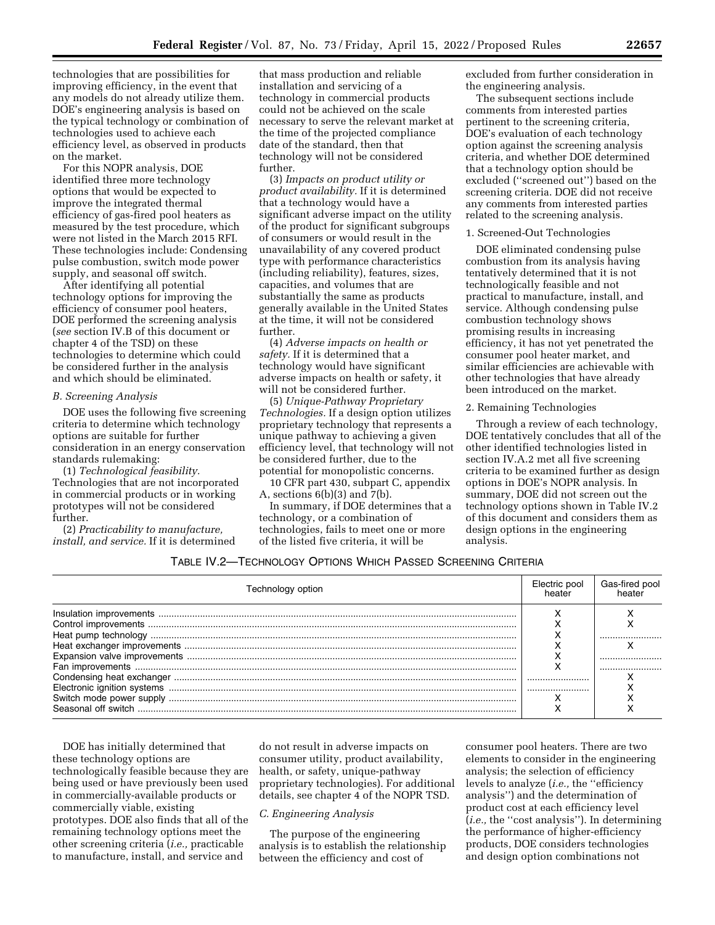technologies that are possibilities for improving efficiency, in the event that any models do not already utilize them. DOE's engineering analysis is based on the typical technology or combination of technologies used to achieve each efficiency level, as observed in products on the market.

For this NOPR analysis, DOE identified three more technology options that would be expected to improve the integrated thermal efficiency of gas-fired pool heaters as measured by the test procedure, which were not listed in the March 2015 RFI. These technologies include: Condensing pulse combustion, switch mode power supply, and seasonal off switch.

After identifying all potential technology options for improving the efficiency of consumer pool heaters, DOE performed the screening analysis (*see* section IV.B of this document or chapter 4 of the TSD) on these technologies to determine which could be considered further in the analysis and which should be eliminated.

#### *B. Screening Analysis*

DOE uses the following five screening criteria to determine which technology options are suitable for further consideration in an energy conservation standards rulemaking:

(1) *Technological feasibility.*  Technologies that are not incorporated in commercial products or in working prototypes will not be considered further.

(2) *Practicability to manufacture, install, and service.* If it is determined

that mass production and reliable installation and servicing of a technology in commercial products could not be achieved on the scale necessary to serve the relevant market at the time of the projected compliance date of the standard, then that technology will not be considered further.

(3) *Impacts on product utility or product availability.* If it is determined that a technology would have a significant adverse impact on the utility of the product for significant subgroups of consumers or would result in the unavailability of any covered product type with performance characteristics (including reliability), features, sizes, capacities, and volumes that are substantially the same as products generally available in the United States at the time, it will not be considered further.

(4) *Adverse impacts on health or safety.* If it is determined that a technology would have significant adverse impacts on health or safety, it will not be considered further.

(5) *Unique-Pathway Proprietary Technologies.* If a design option utilizes proprietary technology that represents a unique pathway to achieving a given efficiency level, that technology will not be considered further, due to the potential for monopolistic concerns.

10 CFR part 430, subpart C, appendix A, sections  $6(b)(3)$  and  $7(b)$ .

In summary, if DOE determines that a technology, or a combination of technologies, fails to meet one or more of the listed five criteria, it will be

excluded from further consideration in the engineering analysis.

The subsequent sections include comments from interested parties pertinent to the screening criteria, DOE's evaluation of each technology option against the screening analysis criteria, and whether DOE determined that a technology option should be excluded (''screened out'') based on the screening criteria. DOE did not receive any comments from interested parties related to the screening analysis.

#### 1. Screened-Out Technologies

DOE eliminated condensing pulse combustion from its analysis having tentatively determined that it is not technologically feasible and not practical to manufacture, install, and service. Although condensing pulse combustion technology shows promising results in increasing efficiency, it has not yet penetrated the consumer pool heater market, and similar efficiencies are achievable with other technologies that have already been introduced on the market.

## 2. Remaining Technologies

Through a review of each technology, DOE tentatively concludes that all of the other identified technologies listed in section IV.A.2 met all five screening criteria to be examined further as design options in DOE's NOPR analysis. In summary, DOE did not screen out the technology options shown in Table IV.2 of this document and considers them as design options in the engineering analysis.

# TABLE IV.2—TECHNOLOGY OPTIONS WHICH PASSED SCREENING CRITERIA

| Technology option | Electric pool<br>heater | Gas-fired pool |
|-------------------|-------------------------|----------------|
|                   |                         |                |
|                   |                         |                |
|                   |                         |                |
|                   |                         |                |

DOE has initially determined that these technology options are technologically feasible because they are being used or have previously been used in commercially-available products or commercially viable, existing prototypes. DOE also finds that all of the remaining technology options meet the other screening criteria (*i.e.,* practicable to manufacture, install, and service and

do not result in adverse impacts on consumer utility, product availability, health, or safety, unique-pathway proprietary technologies). For additional details, see chapter 4 of the NOPR TSD.

## *C. Engineering Analysis*

The purpose of the engineering analysis is to establish the relationship between the efficiency and cost of

consumer pool heaters. There are two elements to consider in the engineering analysis; the selection of efficiency levels to analyze (*i.e.,* the ''efficiency analysis'') and the determination of product cost at each efficiency level (*i.e.,* the ''cost analysis''). In determining the performance of higher-efficiency products, DOE considers technologies and design option combinations not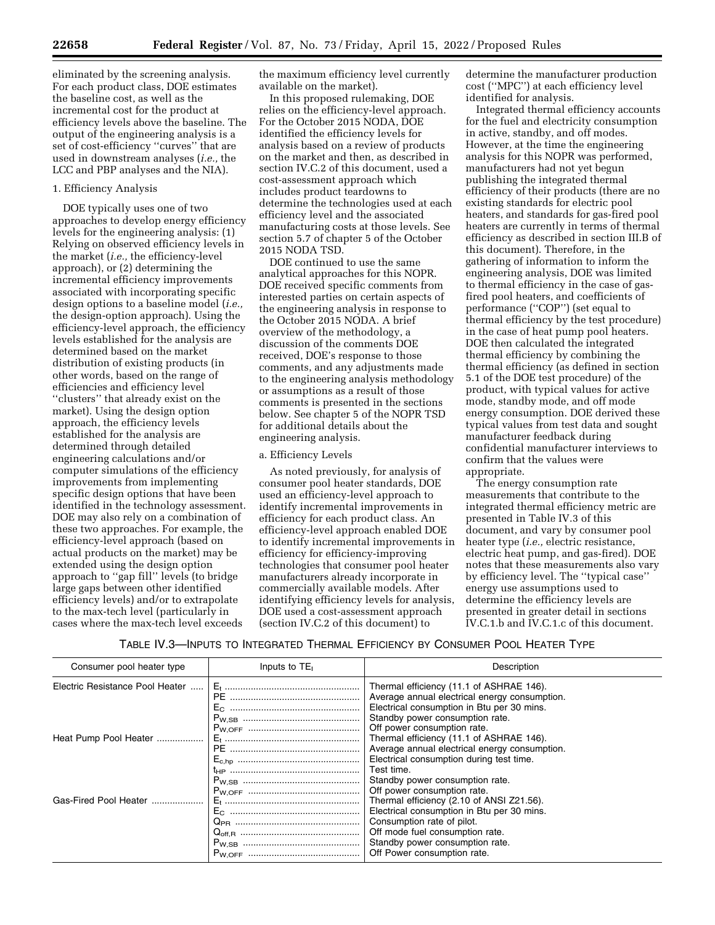eliminated by the screening analysis. For each product class, DOE estimates the baseline cost, as well as the incremental cost for the product at efficiency levels above the baseline. The output of the engineering analysis is a set of cost-efficiency ''curves'' that are used in downstream analyses (*i.e.,* the LCC and PBP analyses and the NIA).

## 1. Efficiency Analysis

DOE typically uses one of two approaches to develop energy efficiency levels for the engineering analysis: (1) Relying on observed efficiency levels in the market (*i.e.,* the efficiency-level approach), or (2) determining the incremental efficiency improvements associated with incorporating specific design options to a baseline model (*i.e.,*  the design-option approach). Using the efficiency-level approach, the efficiency levels established for the analysis are determined based on the market distribution of existing products (in other words, based on the range of efficiencies and efficiency level ''clusters'' that already exist on the market). Using the design option approach, the efficiency levels established for the analysis are determined through detailed engineering calculations and/or computer simulations of the efficiency improvements from implementing specific design options that have been identified in the technology assessment. DOE may also rely on a combination of these two approaches. For example, the efficiency-level approach (based on actual products on the market) may be extended using the design option approach to ''gap fill'' levels (to bridge large gaps between other identified efficiency levels) and/or to extrapolate to the max-tech level (particularly in cases where the max-tech level exceeds

the maximum efficiency level currently available on the market).

In this proposed rulemaking, DOE relies on the efficiency-level approach. For the October 2015 NODA, DOE identified the efficiency levels for analysis based on a review of products on the market and then, as described in section IV.C.2 of this document, used a cost-assessment approach which includes product teardowns to determine the technologies used at each efficiency level and the associated manufacturing costs at those levels. See section 5.7 of chapter 5 of the October 2015 NODA TSD.

DOE continued to use the same analytical approaches for this NOPR. DOE received specific comments from interested parties on certain aspects of the engineering analysis in response to the October 2015 NODA. A brief overview of the methodology, a discussion of the comments DOE received, DOE's response to those comments, and any adjustments made to the engineering analysis methodology or assumptions as a result of those comments is presented in the sections below. See chapter 5 of the NOPR TSD for additional details about the engineering analysis.

## a. Efficiency Levels

As noted previously, for analysis of consumer pool heater standards, DOE used an efficiency-level approach to identify incremental improvements in efficiency for each product class. An efficiency-level approach enabled DOE to identify incremental improvements in efficiency for efficiency-improving technologies that consumer pool heater manufacturers already incorporate in commercially available models. After identifying efficiency levels for analysis, DOE used a cost-assessment approach (section IV.C.2 of this document) to

determine the manufacturer production cost (''MPC'') at each efficiency level identified for analysis.

Integrated thermal efficiency accounts for the fuel and electricity consumption in active, standby, and off modes. However, at the time the engineering analysis for this NOPR was performed, manufacturers had not yet begun publishing the integrated thermal efficiency of their products (there are no existing standards for electric pool heaters, and standards for gas-fired pool heaters are currently in terms of thermal efficiency as described in section III.B of this document). Therefore, in the gathering of information to inform the engineering analysis, DOE was limited to thermal efficiency in the case of gasfired pool heaters, and coefficients of performance (''COP'') (set equal to thermal efficiency by the test procedure) in the case of heat pump pool heaters. DOE then calculated the integrated thermal efficiency by combining the thermal efficiency (as defined in section 5.1 of the DOE test procedure) of the product, with typical values for active mode, standby mode, and off mode energy consumption. DOE derived these typical values from test data and sought manufacturer feedback during confidential manufacturer interviews to confirm that the values were appropriate.

The energy consumption rate measurements that contribute to the integrated thermal efficiency metric are presented in Table IV.3 of this document, and vary by consumer pool heater type (*i.e.,* electric resistance, electric heat pump, and gas-fired). DOE notes that these measurements also vary by efficiency level. The ''typical case'' energy use assumptions used to determine the efficiency levels are presented in greater detail in sections IV.C.1.b and IV.C.1.c of this document.

TABLE IV.3—INPUTS TO INTEGRATED THERMAL EFFICIENCY BY CONSUMER POOL HEATER TYPE

| Consumer pool heater type       | Inputs to $TE1$ | Description                                                                               |
|---------------------------------|-----------------|-------------------------------------------------------------------------------------------|
| Electric Resistance Pool Heater |                 | Thermal efficiency (11.1 of ASHRAE 146).<br>Average annual electrical energy consumption. |
|                                 |                 | Electrical consumption in Btu per 30 mins.<br>Standby power consumption rate.             |
| Heat Pump Pool Heater           |                 | Off power consumption rate.<br>Thermal efficiency (11.1 of ASHRAE 146).                   |
|                                 |                 | Average annual electrical energy consumption.<br>Electrical consumption during test time. |
|                                 |                 | Test time.<br>Standby power consumption rate.<br>Off power consumption rate.              |
| Gas-Fired Pool Heater           |                 | Thermal efficiency (2.10 of ANSI Z21.56).<br>Electrical consumption in Btu per 30 mins.   |
|                                 |                 | Consumption rate of pilot.<br>Off mode fuel consumption rate.                             |
|                                 |                 | Standby power consumption rate.<br>Off Power consumption rate.                            |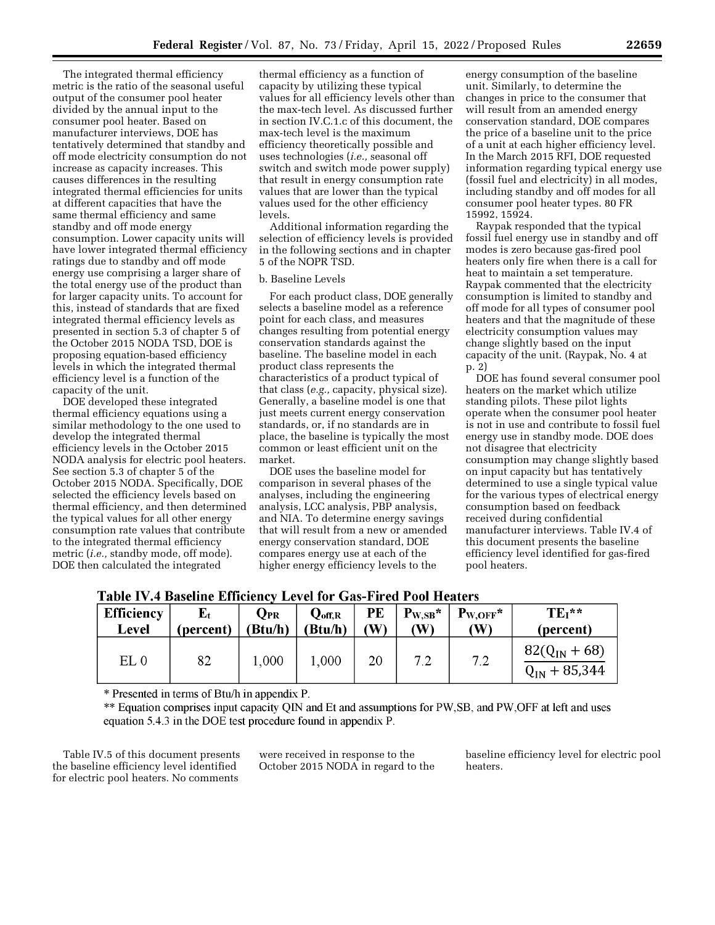The integrated thermal efficiency metric is the ratio of the seasonal useful output of the consumer pool heater divided by the annual input to the consumer pool heater. Based on manufacturer interviews, DOE has tentatively determined that standby and off mode electricity consumption do not increase as capacity increases. This causes differences in the resulting integrated thermal efficiencies for units at different capacities that have the same thermal efficiency and same standby and off mode energy consumption. Lower capacity units will have lower integrated thermal efficiency ratings due to standby and off mode energy use comprising a larger share of the total energy use of the product than for larger capacity units. To account for this, instead of standards that are fixed integrated thermal efficiency levels as presented in section 5.3 of chapter 5 of the October 2015 NODA TSD, DOE is proposing equation-based efficiency levels in which the integrated thermal efficiency level is a function of the capacity of the unit.

DOE developed these integrated thermal efficiency equations using a similar methodology to the one used to develop the integrated thermal efficiency levels in the October 2015 NODA analysis for electric pool heaters. See section 5.3 of chapter 5 of the October 2015 NODA. Specifically, DOE selected the efficiency levels based on thermal efficiency, and then determined the typical values for all other energy consumption rate values that contribute to the integrated thermal efficiency metric (*i.e.,* standby mode, off mode). DOE then calculated the integrated

thermal efficiency as a function of capacity by utilizing these typical values for all efficiency levels other than the max-tech level. As discussed further in section IV.C.1.c of this document, the max-tech level is the maximum efficiency theoretically possible and uses technologies (*i.e.,* seasonal off switch and switch mode power supply) that result in energy consumption rate values that are lower than the typical values used for the other efficiency levels.

Additional information regarding the selection of efficiency levels is provided in the following sections and in chapter 5 of the NOPR TSD.

#### b. Baseline Levels

For each product class, DOE generally selects a baseline model as a reference point for each class, and measures changes resulting from potential energy conservation standards against the baseline. The baseline model in each product class represents the characteristics of a product typical of that class (*e.g.,* capacity, physical size). Generally, a baseline model is one that just meets current energy conservation standards, or, if no standards are in place, the baseline is typically the most common or least efficient unit on the market.

DOE uses the baseline model for comparison in several phases of the analyses, including the engineering analysis, LCC analysis, PBP analysis, and NIA. To determine energy savings that will result from a new or amended energy conservation standard, DOE compares energy use at each of the higher energy efficiency levels to the

energy consumption of the baseline unit. Similarly, to determine the changes in price to the consumer that will result from an amended energy conservation standard, DOE compares the price of a baseline unit to the price of a unit at each higher efficiency level. In the March 2015 RFI, DOE requested information regarding typical energy use (fossil fuel and electricity) in all modes, including standby and off modes for all consumer pool heater types. 80 FR 15992, 15924.

Raypak responded that the typical fossil fuel energy use in standby and off modes is zero because gas-fired pool heaters only fire when there is a call for heat to maintain a set temperature. Raypak commented that the electricity consumption is limited to standby and off mode for all types of consumer pool heaters and that the magnitude of these electricity consumption values may change slightly based on the input capacity of the unit. (Raypak, No. 4 at p. 2)

DOE has found several consumer pool heaters on the market which utilize standing pilots. These pilot lights operate when the consumer pool heater is not in use and contribute to fossil fuel energy use in standby mode. DOE does not disagree that electricity consumption may change slightly based on input capacity but has tentatively determined to use a single typical value for the various types of electrical energy consumption based on feedback received during confidential manufacturer interviews. Table IV.4 of this document presents the baseline efficiency level identified for gas-fired pool heaters.

**Table IV.4 Baseline Efficiency Level for Gas-Fired Pool Heaters** 

| <b>Efficiency</b> | (percent) | $\mathbf{Q}_\mathrm{PR}$ | $Q_{\rm off,R}$ | PE  | $P_{W,SB}$ * | $P_{W,OFF}$ * | $TE_1$ **                              |
|-------------------|-----------|--------------------------|-----------------|-----|--------------|---------------|----------------------------------------|
| Level             |           | (Btu/h)                  | 'Btu/h)         | (W) | (W)          | (W)           | (percent)                              |
| EL0               | 82        | 1,000                    | 1,000           | 20  | 7.2          | 7.2           | $82(Q_{IN} + 68)$<br>$Q_{IN}$ + 85,344 |

\* Presented in terms of Btu/h in appendix P.

\*\* Equation comprises input capacity QIN and Et and assumptions for PW, SB, and PW, OFF at left and uses equation  $5.4.3$  in the DOE test procedure found in appendix P.

Table IV.5 of this document presents the baseline efficiency level identified for electric pool heaters. No comments

were received in response to the October 2015 NODA in regard to the baseline efficiency level for electric pool heaters.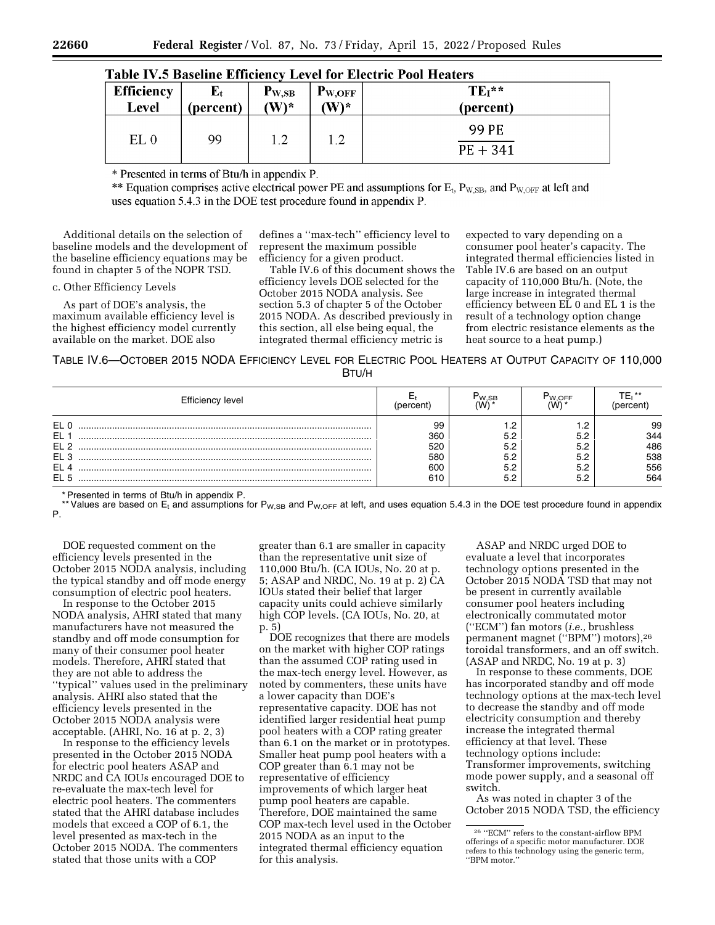| <b>Efficiency</b> | ${\bf E}_{\bf t}$ | $P_{W,SB}$                | $P_{W,OFF}$               | $TE_1$ **           |
|-------------------|-------------------|---------------------------|---------------------------|---------------------|
| Level             | (percent)         | $\mathbf{W}$ <sup>*</sup> | $\mathbf{W}$ <sup>*</sup> | (percent)           |
| EL <sub>0</sub>   | 99                | ר ו                       | 1.2                       | 99 PE<br>$PE + 341$ |

| <b>Table IV.5 Baseline Efficiency Level for Electric Pool Heaters</b> |  |  |  |
|-----------------------------------------------------------------------|--|--|--|
|-----------------------------------------------------------------------|--|--|--|

\* Presented in terms of Btu/h in appendix P.

\*\* Equation comprises active electrical power PE and assumptions for  $E_t$ ,  $P_{W, SB}$ , and  $P_{W, OFF}$  at left and uses equation 5.4.3 in the DOE test procedure found in appendix P.

Additional details on the selection of baseline models and the development of the baseline efficiency equations may be found in chapter 5 of the NOPR TSD.

c. Other Efficiency Levels

As part of DOE's analysis, the maximum available efficiency level is the highest efficiency model currently available on the market. DOE also

defines a ''max-tech'' efficiency level to represent the maximum possible efficiency for a given product.

Table IV.6 of this document shows the efficiency levels DOE selected for the October 2015 NODA analysis. See section 5.3 of chapter 5 of the October 2015 NODA. As described previously in this section, all else being equal, the integrated thermal efficiency metric is

expected to vary depending on a consumer pool heater's capacity. The integrated thermal efficiencies listed in Table IV.6 are based on an output capacity of 110,000 Btu/h. (Note, the large increase in integrated thermal efficiency between EL 0 and EL 1 is the result of a technology option change from electric resistance elements as the heat source to a heat pump.)

TABLE IV.6—OCTOBER 2015 NODA EFFICIENCY LEVEL FOR ELECTRIC POOL HEATERS AT OUTPUT CAPACITY OF 110,000 BTU/H

| Efficiency level                                                               |                                       | ۲w.sв                           | W.OFF |                                       |
|--------------------------------------------------------------------------------|---------------------------------------|---------------------------------|-------|---------------------------------------|
| EL <sub>0</sub><br><b>EL</b><br>EL <sub>2</sub><br>EL <sub>3</sub><br>EL<br>EL | 99<br>360<br>520<br>580<br>600<br>610 | 5.2<br>5.2<br>5.2<br>5.2<br>5.2 | 5.2   | 99<br>344<br>486<br>538<br>556<br>564 |

\* Presented in terms of Btu/h in appendix P.

\* Values are based on E<sub>t</sub> and assumptions for P<sub>W,SB</sub> and P<sub>W,OFF</sub> at left, and uses equation 5.4.3 in the DOE test procedure found in appendix P.

DOE requested comment on the efficiency levels presented in the October 2015 NODA analysis, including the typical standby and off mode energy consumption of electric pool heaters.

In response to the October 2015 NODA analysis, AHRI stated that many manufacturers have not measured the standby and off mode consumption for many of their consumer pool heater models. Therefore, AHRI stated that they are not able to address the ''typical'' values used in the preliminary

analysis. AHRI also stated that the efficiency levels presented in the October 2015 NODA analysis were acceptable. (AHRI, No. 16 at p. 2, 3)

In response to the efficiency levels presented in the October 2015 NODA for electric pool heaters ASAP and NRDC and CA IOUs encouraged DOE to re-evaluate the max-tech level for electric pool heaters. The commenters stated that the AHRI database includes models that exceed a COP of 6.1, the level presented as max-tech in the October 2015 NODA. The commenters stated that those units with a COP

greater than 6.1 are smaller in capacity than the representative unit size of 110,000 Btu/h. (CA IOUs, No. 20 at p. 5; ASAP and NRDC, No. 19 at p. 2) CA IOUs stated their belief that larger capacity units could achieve similarly high COP levels. (CA IOUs, No. 20, at p. 5)

DOE recognizes that there are models on the market with higher COP ratings than the assumed COP rating used in the max-tech energy level. However, as noted by commenters, these units have a lower capacity than DOE's representative capacity. DOE has not identified larger residential heat pump pool heaters with a COP rating greater than 6.1 on the market or in prototypes. Smaller heat pump pool heaters with a COP greater than 6.1 may not be representative of efficiency improvements of which larger heat pump pool heaters are capable. Therefore, DOE maintained the same COP max-tech level used in the October 2015 NODA as an input to the integrated thermal efficiency equation for this analysis.

ASAP and NRDC urged DOE to evaluate a level that incorporates technology options presented in the October 2015 NODA TSD that may not be present in currently available consumer pool heaters including electronically commutated motor (''ECM'') fan motors (*i.e.,* brushless permanent magnet (''BPM'') motors),26 toroidal transformers, and an off switch. (ASAP and NRDC, No. 19 at p. 3)

In response to these comments, DOE has incorporated standby and off mode technology options at the max-tech level to decrease the standby and off mode electricity consumption and thereby increase the integrated thermal efficiency at that level. These technology options include: Transformer improvements, switching mode power supply, and a seasonal off switch.

As was noted in chapter 3 of the October 2015 NODA TSD, the efficiency

<sup>26</sup> ''ECM'' refers to the constant-airflow BPM offerings of a specific motor manufacturer. DOE refers to this technology using the generic term, ''BPM motor.''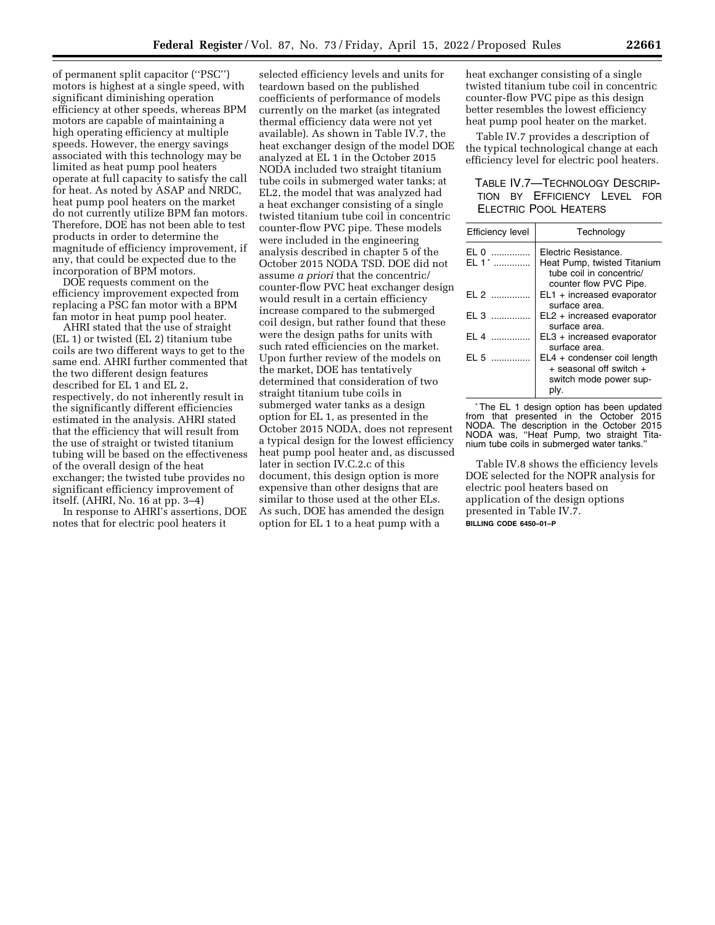of permanent split capacitor (''PSC'') motors is highest at a single speed, with significant diminishing operation efficiency at other speeds, whereas BPM motors are capable of maintaining a high operating efficiency at multiple speeds. However, the energy savings associated with this technology may be limited as heat pump pool heaters operate at full capacity to satisfy the call for heat. As noted by ASAP and NRDC, heat pump pool heaters on the market do not currently utilize BPM fan motors. Therefore, DOE has not been able to test products in order to determine the magnitude of efficiency improvement, if any, that could be expected due to the incorporation of BPM motors.

DOE requests comment on the efficiency improvement expected from replacing a PSC fan motor with a BPM fan motor in heat pump pool heater.

AHRI stated that the use of straight (EL 1) or twisted (EL 2) titanium tube coils are two different ways to get to the same end. AHRI further commented that the two different design features described for EL 1 and EL 2, respectively, do not inherently result in the significantly different efficiencies estimated in the analysis. AHRI stated that the efficiency that will result from the use of straight or twisted titanium tubing will be based on the effectiveness of the overall design of the heat exchanger; the twisted tube provides no significant efficiency improvement of itself. (AHRI, No. 16 at pp. 3–4)

In response to AHRI's assertions, DOE notes that for electric pool heaters it

selected efficiency levels and units for teardown based on the published coefficients of performance of models currently on the market (as integrated thermal efficiency data were not yet available). As shown in Table IV.7, the heat exchanger design of the model DOE analyzed at EL 1 in the October 2015 NODA included two straight titanium tube coils in submerged water tanks; at EL2, the model that was analyzed had a heat exchanger consisting of a single twisted titanium tube coil in concentric counter-flow PVC pipe. These models were included in the engineering analysis described in chapter 5 of the October 2015 NODA TSD. DOE did not assume *a priori* that the concentric/ counter-flow PVC heat exchanger design would result in a certain efficiency increase compared to the submerged coil design, but rather found that these were the design paths for units with such rated efficiencies on the market. Upon further review of the models on the market, DOE has tentatively determined that consideration of two straight titanium tube coils in submerged water tanks as a design option for EL 1, as presented in the October 2015 NODA, does not represent a typical design for the lowest efficiency heat pump pool heater and, as discussed later in section IV.C.2.c of this document, this design option is more expensive than other designs that are similar to those used at the other ELs. As such, DOE has amended the design option for EL 1 to a heat pump with a

heat exchanger consisting of a single twisted titanium tube coil in concentric counter-flow PVC pipe as this design better resembles the lowest efficiency heat pump pool heater on the market.

Table IV.7 provides a description of the typical technological change at each efficiency level for electric pool heaters.

# TABLE IV.7—TECHNOLOGY DESCRIP-TION BY EFFICIENCY LEVEL FOR ELECTRIC POOL HEATERS

| <b>Efficiency level</b> | Technology                                                                                                |
|-------------------------|-----------------------------------------------------------------------------------------------------------|
| EL 0<br>.<br>FL 1*      | Electric Resistance.<br>Heat Pump, twisted Titanium<br>tube coil in concentric/<br>counter flow PVC Pipe. |
| $EL 2$                  | $EL1 + increased$ evaporator<br>surface area.                                                             |
|                         | $EL2 + increased$ evaporator<br>surface area.                                                             |
| $F1$ 4 $\ldots$         | $EL3 + increased$ evaporator<br>surface area.                                                             |
| EL 5                    | EL4 + condenser coil length<br>+ seasonal off switch +<br>switch mode power sup-<br>ply.                  |

\*The EL 1 design option has been updated from that presented in the October 2015 NODA. The description in the October 2015 NODA was, ''Heat Pump, two straight Titanium tube coils in submerged water tanks.''

Table IV.8 shows the efficiency levels DOE selected for the NOPR analysis for electric pool heaters based on application of the design options presented in Table IV.7. **BILLING CODE 6450–01–P**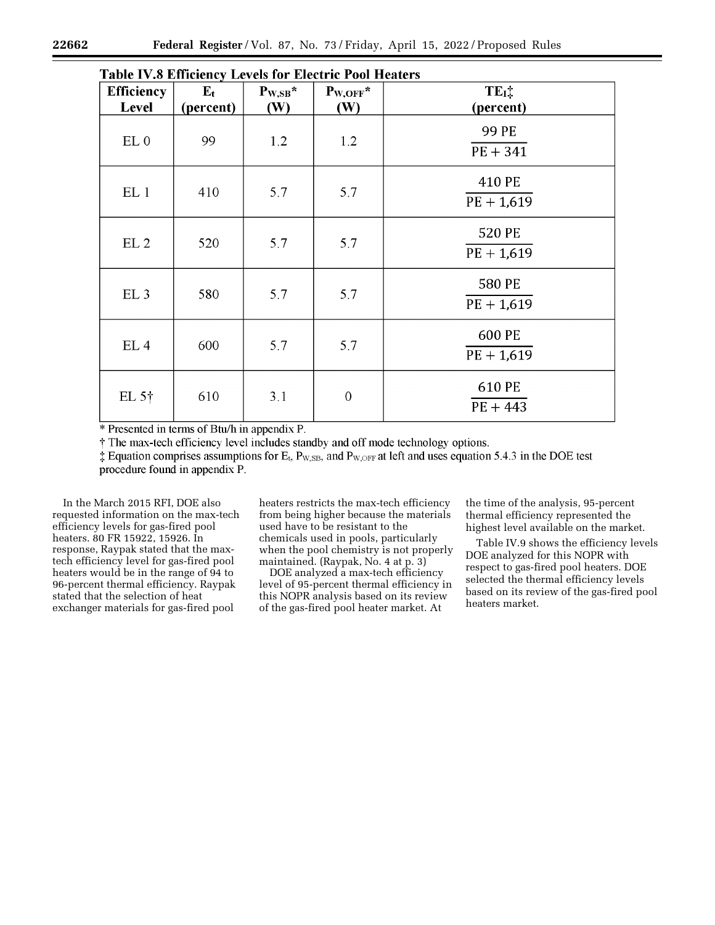| TADIC TV.0 EMICICILY LEVEIS TOT EXCUTE TOOI HEATERS |                   |              |                  |                            |
|-----------------------------------------------------|-------------------|--------------|------------------|----------------------------|
| <b>Efficiency</b>                                   | ${\bf E}_{\bf t}$ | $P_{W,SB}$ * | $P_{W,OFF}$ *    | $TE_{I}$ :                 |
| Level                                               | (percent)         | <b>(W)</b>   | <b>(W)</b>       | (percent)                  |
| EL <sub>0</sub>                                     | 99                | 1.2          | 1.2              | <b>99 PE</b><br>$PE + 341$ |
| EL <sub>1</sub>                                     | 410               | 5.7          | 5.7              | 410 PE<br>$PE + 1,619$     |
| EL <sub>2</sub>                                     | 520               | 5.7          | 5.7              | 520 PE<br>$PE + 1,619$     |
| EL <sub>3</sub>                                     | 580               | 5.7          | 5.7              | 580 PE<br>$PE + 1,619$     |
| EL <sub>4</sub>                                     | 600               | 5.7          | 5.7              | 600 PE<br>$PE + 1,619$     |
| EL $5\dagger$                                       | 610               | 3.1          | $\boldsymbol{0}$ | 610 PE<br>$PE + 443$       |

Table IV & Efficiency Levels for Electric Pool Heaters

\* Presented in terms of Btu/h in appendix P.

<sup>†</sup> The max-tech efficiency level includes standby and off mode technology options.

 $\ddagger$  Equation comprises assumptions for E<sub>t</sub>, P<sub>W,SB</sub>, and P<sub>W,OFF</sub> at left and uses equation 5.4.3 in the DOE test procedure found in appendix P.

In the March 2015 RFI, DOE also requested information on the max-tech efficiency levels for gas-fired pool heaters. 80 FR 15922, 15926. In response, Raypak stated that the maxtech efficiency level for gas-fired pool heaters would be in the range of 94 to 96-percent thermal efficiency. Raypak stated that the selection of heat exchanger materials for gas-fired pool

heaters restricts the max-tech efficiency from being higher because the materials used have to be resistant to the chemicals used in pools, particularly when the pool chemistry is not properly maintained. (Raypak, No. 4 at p. 3)

DOE analyzed a max-tech efficiency level of 95-percent thermal efficiency in this NOPR analysis based on its review of the gas-fired pool heater market. At

the time of the analysis, 95-percent thermal efficiency represented the highest level available on the market.

Table IV.9 shows the efficiency levels DOE analyzed for this NOPR with respect to gas-fired pool heaters. DOE selected the thermal efficiency levels based on its review of the gas-fired pool heaters market.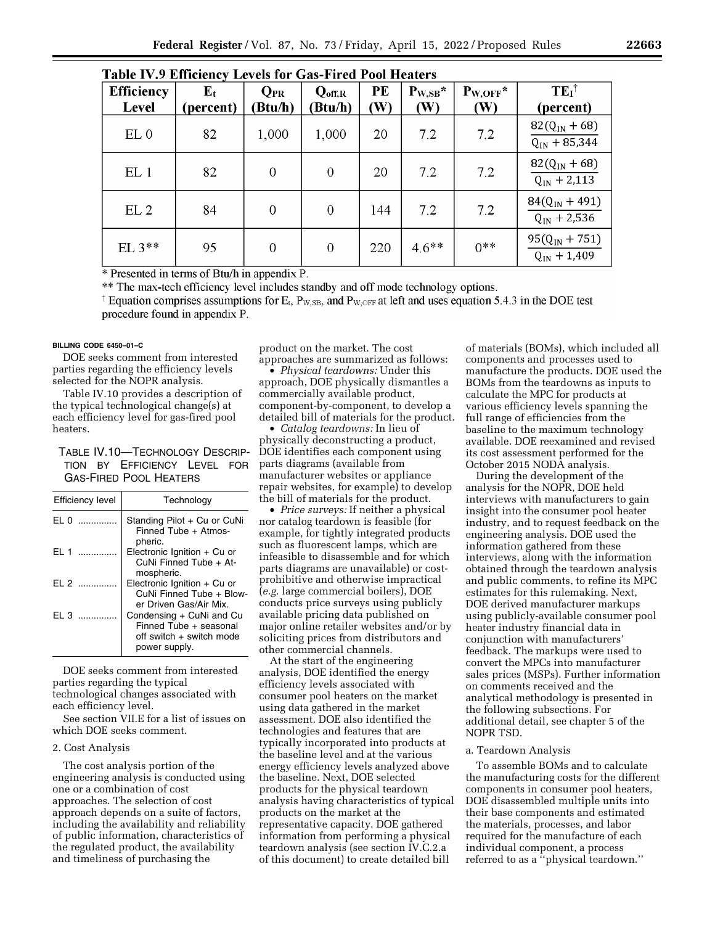| Table IV.9 Efficiency Levels for Gas-Fired Pool Heaters |                          |                     |                               |           |                                |                                 |                                        |
|---------------------------------------------------------|--------------------------|---------------------|-------------------------------|-----------|--------------------------------|---------------------------------|----------------------------------------|
| <b>Efficiency</b><br><b>Level</b>                       | ${\bf E_t}$<br>(percent) | $Q_{PR}$<br>(Btu/h) | $Q_{\text{off,R}}$<br>(Btu/h) | PE<br>(W) | $P_{W,SB}$ *<br>$(\mathbf{W})$ | $P_{W,OFF}$ *<br>$(\mathbf{W})$ | $TEI^{\dagger}$<br>(percent)           |
| EL <sub>0</sub>                                         | 82                       | 1,000               | 1,000                         | 20        | 7.2                            | 7.2                             | $82(Q_{IN} + 68)$<br>$Q_{IN}$ + 85,344 |
| EL <sub>1</sub>                                         | 82                       | $\overline{0}$      | 0                             | 20        | 7.2                            | 7.2                             | $82(Q_{IN} + 68)$<br>$Q_{IN}$ + 2,113  |
| EL <sub>2</sub>                                         | 84                       | $\overline{0}$      | $\Omega$                      | 144       | 7.2                            | 7.2                             | $84(Q_{IN} + 491)$<br>$Q_{IN}$ + 2,536 |
| EL $3***$                                               | 95                       | $\overline{0}$      | $\overline{0}$                | 220       | $4.6***$                       | $0***$                          | $95(Q_{IN} + 751)$<br>$Q_{IN} + 1,409$ |

\* Presented in terms of Btu/h in appendix P.

\*\* The max-tech efficiency level includes standby and off mode technology options.

<sup>†</sup> Equation comprises assumptions for E<sub>t</sub>, P<sub>W,SB</sub>, and P<sub>W,OFF</sub> at left and uses equation 5.4.3 in the DOE test procedure found in appendix P.

## **BILLING CODE 6450–01–C**

DOE seeks comment from interested parties regarding the efficiency levels selected for the NOPR analysis.

Table IV.10 provides a description of the typical technological change(s) at each efficiency level for gas-fired pool heaters.

TABLE IV.10—TECHNOLOGY DESCRIP-TION BY EFFICIENCY LEVEL FOR GAS-FIRED POOL HEATERS

| Efficiency level | Technology                                                                                      |
|------------------|-------------------------------------------------------------------------------------------------|
| EL 0             | Standing Pilot + Cu or CuNi<br>Finned Tube + Atmos-<br>pheric.                                  |
| F11              | Electronic Ignition $+$ Cu or<br>CuNi Finned Tube + At-<br>mospheric.                           |
| F12              | Electronic Ignition + Cu or<br>CuNi Finned Tube + Blow-<br>er Driven Gas/Air Mix.               |
| $F1$ 3           | Condensing + CuNi and Cu<br>Finned Tube + seasonal<br>off switch + switch mode<br>power supply. |

DOE seeks comment from interested parties regarding the typical technological changes associated with each efficiency level.

See section VII.E for a list of issues on which DOE seeks comment.

#### 2. Cost Analysis

The cost analysis portion of the engineering analysis is conducted using one or a combination of cost approaches. The selection of cost approach depends on a suite of factors, including the availability and reliability of public information, characteristics of the regulated product, the availability and timeliness of purchasing the

product on the market. The cost approaches are summarized as follows:

• *Physical teardowns:* Under this approach, DOE physically dismantles a commercially available product, component-by-component, to develop a detailed bill of materials for the product.

• *Catalog teardowns:* In lieu of physically deconstructing a product, DOE identifies each component using parts diagrams (available from manufacturer websites or appliance repair websites, for example) to develop the bill of materials for the product.

• *Price surveys:* If neither a physical nor catalog teardown is feasible (for example, for tightly integrated products such as fluorescent lamps, which are infeasible to disassemble and for which parts diagrams are unavailable) or costprohibitive and otherwise impractical (*e.g.* large commercial boilers), DOE conducts price surveys using publicly available pricing data published on major online retailer websites and/or by soliciting prices from distributors and other commercial channels.

At the start of the engineering analysis, DOE identified the energy efficiency levels associated with consumer pool heaters on the market using data gathered in the market assessment. DOE also identified the technologies and features that are typically incorporated into products at the baseline level and at the various energy efficiency levels analyzed above the baseline. Next, DOE selected products for the physical teardown analysis having characteristics of typical products on the market at the representative capacity. DOE gathered information from performing a physical teardown analysis (see section IV.C.2.a of this document) to create detailed bill

of materials (BOMs), which included all components and processes used to manufacture the products. DOE used the BOMs from the teardowns as inputs to calculate the MPC for products at various efficiency levels spanning the full range of efficiencies from the baseline to the maximum technology available. DOE reexamined and revised its cost assessment performed for the October 2015 NODA analysis.

During the development of the analysis for the NOPR, DOE held interviews with manufacturers to gain insight into the consumer pool heater industry, and to request feedback on the engineering analysis. DOE used the information gathered from these interviews, along with the information obtained through the teardown analysis and public comments, to refine its MPC estimates for this rulemaking. Next, DOE derived manufacturer markups using publicly-available consumer pool heater industry financial data in conjunction with manufacturers' feedback. The markups were used to convert the MPCs into manufacturer sales prices (MSPs). Further information on comments received and the analytical methodology is presented in the following subsections. For additional detail, see chapter 5 of the NOPR TSD.

## a. Teardown Analysis

To assemble BOMs and to calculate the manufacturing costs for the different components in consumer pool heaters, DOE disassembled multiple units into their base components and estimated the materials, processes, and labor required for the manufacture of each individual component, a process referred to as a ''physical teardown.''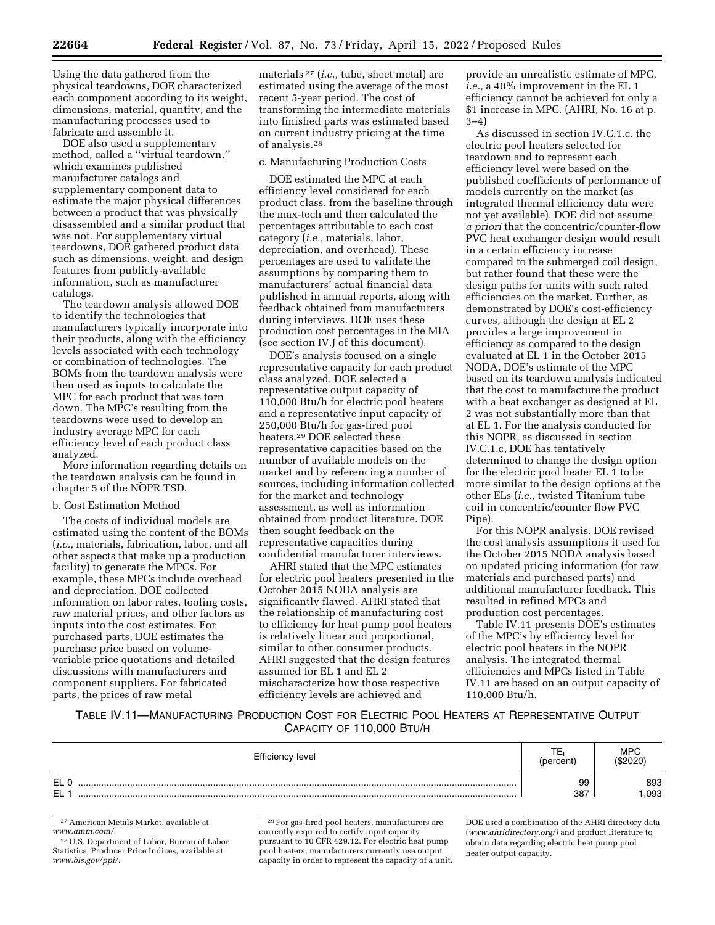Using the data gathered from the physical teardowns, DOE characterized each component according to its weight, dimensions, material, quantity, and the manufacturing processes used to fabricate and assemble it.

DOE also used a supplementary method, called a ''virtual teardown,'' which examines published manufacturer catalogs and supplementary component data to estimate the major physical differences between a product that was physically disassembled and a similar product that was not. For supplementary virtual teardowns, DOE gathered product data such as dimensions, weight, and design features from publicly-available information, such as manufacturer catalogs.

The teardown analysis allowed DOE to identify the technologies that manufacturers typically incorporate into their products, along with the efficiency levels associated with each technology or combination of technologies. The BOMs from the teardown analysis were then used as inputs to calculate the MPC for each product that was torn down. The MPC's resulting from the teardowns were used to develop an industry average MPC for each efficiency level of each product class analyzed.

More information regarding details on the teardown analysis can be found in chapter 5 of the NOPR TSD.

## b. Cost Estimation Method

The costs of individual models are estimated using the content of the BOMs (*i.e.,* materials, fabrication, labor, and all other aspects that make up a production facility) to generate the MPCs. For example, these MPCs include overhead and depreciation. DOE collected information on labor rates, tooling costs, raw material prices, and other factors as inputs into the cost estimates. For purchased parts, DOE estimates the purchase price based on volumevariable price quotations and detailed discussions with manufacturers and component suppliers. For fabricated parts, the prices of raw metal

materials 27 (*i.e.,* tube, sheet metal) are estimated using the average of the most recent 5-year period. The cost of transforming the intermediate materials into finished parts was estimated based on current industry pricing at the time of analysis.28

#### c. Manufacturing Production Costs

DOE estimated the MPC at each efficiency level considered for each product class, from the baseline through the max-tech and then calculated the percentages attributable to each cost category (*i.e.,* materials, labor, depreciation, and overhead). These percentages are used to validate the assumptions by comparing them to manufacturers' actual financial data published in annual reports, along with feedback obtained from manufacturers during interviews. DOE uses these production cost percentages in the MIA (see section IV.J of this document).

DOE's analysis focused on a single representative capacity for each product class analyzed. DOE selected a representative output capacity of 110,000 Btu/h for electric pool heaters and a representative input capacity of 250,000 Btu/h for gas-fired pool heaters.29 DOE selected these representative capacities based on the number of available models on the market and by referencing a number of sources, including information collected for the market and technology assessment, as well as information obtained from product literature. DOE then sought feedback on the representative capacities during confidential manufacturer interviews.

AHRI stated that the MPC estimates for electric pool heaters presented in the October 2015 NODA analysis are significantly flawed. AHRI stated that the relationship of manufacturing cost to efficiency for heat pump pool heaters is relatively linear and proportional, similar to other consumer products. AHRI suggested that the design features assumed for EL 1 and EL 2 mischaracterize how those respective efficiency levels are achieved and

provide an unrealistic estimate of MPC, *i.e.,* a 40% improvement in the EL 1 efficiency cannot be achieved for only a \$1 increase in MPC. (AHRI, No. 16 at p. 3–4)

As discussed in section IV.C.1.c, the electric pool heaters selected for teardown and to represent each efficiency level were based on the published coefficients of performance of models currently on the market (as integrated thermal efficiency data were not yet available). DOE did not assume *a priori* that the concentric/counter-flow PVC heat exchanger design would result in a certain efficiency increase compared to the submerged coil design, but rather found that these were the design paths for units with such rated efficiencies on the market. Further, as demonstrated by DOE's cost-efficiency curves, although the design at EL 2 provides a large improvement in efficiency as compared to the design evaluated at EL 1 in the October 2015 NODA, DOE's estimate of the MPC based on its teardown analysis indicated that the cost to manufacture the product with a heat exchanger as designed at EL 2 was not substantially more than that at EL 1. For the analysis conducted for this NOPR, as discussed in section IV.C.1.c, DOE has tentatively determined to change the design option for the electric pool heater EL 1 to be more similar to the design options at the other ELs (*i.e.,* twisted Titanium tube coil in concentric/counter flow PVC Pipe).

For this NOPR analysis, DOE revised the cost analysis assumptions it used for the October 2015 NODA analysis based on updated pricing information (for raw materials and purchased parts) and additional manufacturer feedback. This resulted in refined MPCs and production cost percentages.

Table IV.11 presents DOE's estimates of the MPC's by efficiency level for electric pool heaters in the NOPR analysis. The integrated thermal efficiencies and MPCs listed in Table IV.11 are based on an output capacity of 110,000 Btu/h.

TABLE IV.11—MANUFACTURING PRODUCTION COST FOR ELECTRIC POOL HEATERS AT REPRESENTATIVE OUTPUT CAPACITY OF 110,000 BTU/H

| Efficiency level    | --<br>percent) | <b>MPC</b><br>(\$2020) |
|---------------------|----------------|------------------------|
| FI<br>ᅩ<br>FI<br>-- | 99<br>387      | 893<br>.093            |

27American Metals Market, available at *[www.amm.com/.](http://www.amm.com/)* 

28U.S. Department of Labor, Bureau of Labor Statistics, Producer Price Indices, available at *[www.bls.gov/ppi/.](http://www.bls.gov/ppi/)* 

29For gas-fired pool heaters, manufacturers are currently required to certify input capacity pursuant to 10 CFR 429.12. For electric heat pump pool heaters, manufacturers currently use output capacity in order to represent the capacity of a unit. DOE used a combination of the AHRI directory data (*[www.ahridirectory.org/\)](http://www.ahridirectory.org/)* and product literature to obtain data regarding electric heat pump pool heater output capacity.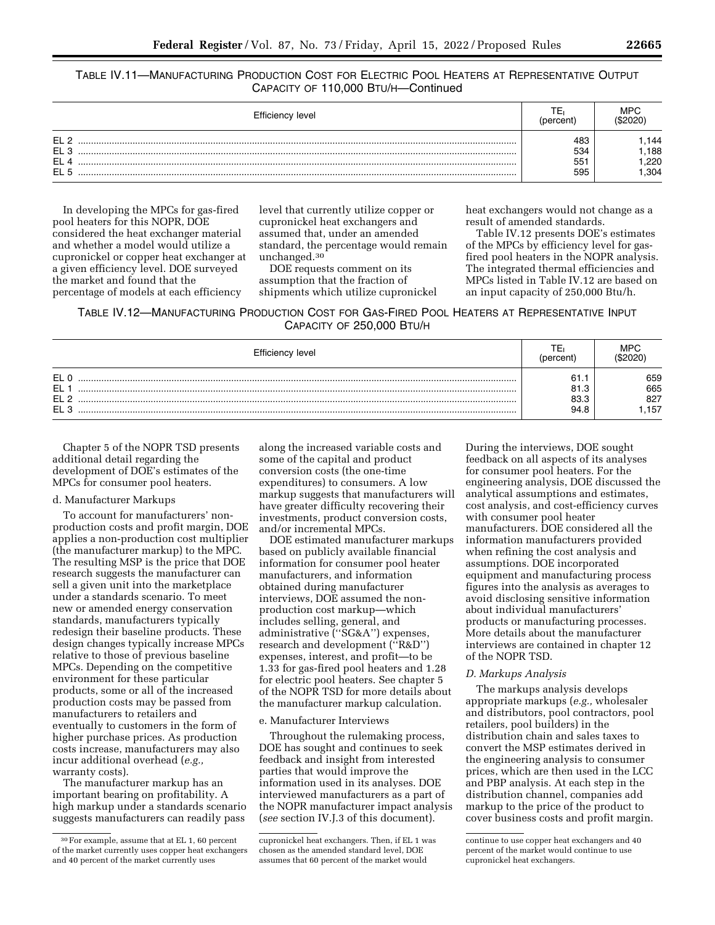# TABLE IV.11—MANUFACTURING PRODUCTION COST FOR ELECTRIC POOL HEATERS AT REPRESENTATIVE OUTPUT CAPACITY OF 110,000 BTU/H—Continued

| Efficiency level                                                         |                          | MPC                          |
|--------------------------------------------------------------------------|--------------------------|------------------------------|
| EL <sub>2</sub><br>EL <sub>3</sub><br>EL <sub>4</sub><br>EL <sub>5</sub> | 483<br>534<br>551<br>595 | .144<br>.188<br>.220<br>.304 |

In developing the MPCs for gas-fired pool heaters for this NOPR, DOE considered the heat exchanger material and whether a model would utilize a cupronickel or copper heat exchanger at a given efficiency level. DOE surveyed the market and found that the percentage of models at each efficiency

level that currently utilize copper or cupronickel heat exchangers and assumed that, under an amended standard, the percentage would remain unchanged.30

DOE requests comment on its assumption that the fraction of shipments which utilize cupronickel heat exchangers would not change as a result of amended standards.

Table IV.12 presents DOE's estimates of the MPCs by efficiency level for gasfired pool heaters in the NOPR analysis. The integrated thermal efficiencies and MPCs listed in Table IV.12 are based on an input capacity of 250,000 Btu/h.

TABLE IV.12—MANUFACTURING PRODUCTION COST FOR GAS-FIRED POOL HEATERS AT REPRESENTATIVE INPUT CAPACITY OF 250,000 BTU/H

| Efficiency level                   |              | MPC         |
|------------------------------------|--------------|-------------|
| EL <sub>0</sub><br><b>EL</b>       | 61.1<br>81.3 | 659<br>665  |
| EL <sub>2</sub><br>EL <sub>3</sub> | 83.3<br>94.8 | 827<br>.157 |

Chapter 5 of the NOPR TSD presents additional detail regarding the development of DOE's estimates of the MPCs for consumer pool heaters.

## d. Manufacturer Markups

To account for manufacturers' nonproduction costs and profit margin, DOE applies a non-production cost multiplier (the manufacturer markup) to the MPC. The resulting MSP is the price that DOE research suggests the manufacturer can sell a given unit into the marketplace under a standards scenario. To meet new or amended energy conservation standards, manufacturers typically redesign their baseline products. These design changes typically increase MPCs relative to those of previous baseline MPCs. Depending on the competitive environment for these particular products, some or all of the increased production costs may be passed from manufacturers to retailers and eventually to customers in the form of higher purchase prices. As production costs increase, manufacturers may also incur additional overhead (*e.g.,*  warranty costs).

The manufacturer markup has an important bearing on profitability. A high markup under a standards scenario suggests manufacturers can readily pass

along the increased variable costs and some of the capital and product conversion costs (the one-time expenditures) to consumers. A low markup suggests that manufacturers will have greater difficulty recovering their investments, product conversion costs, and/or incremental MPCs.

DOE estimated manufacturer markups based on publicly available financial information for consumer pool heater manufacturers, and information obtained during manufacturer interviews, DOE assumed the nonproduction cost markup—which includes selling, general, and administrative (''SG&A'') expenses, research and development (''R&D'') expenses, interest, and profit—to be 1.33 for gas-fired pool heaters and 1.28 for electric pool heaters. See chapter 5 of the NOPR TSD for more details about the manufacturer markup calculation.

## e. Manufacturer Interviews

Throughout the rulemaking process, DOE has sought and continues to seek feedback and insight from interested parties that would improve the information used in its analyses. DOE interviewed manufacturers as a part of the NOPR manufacturer impact analysis (*see* section IV.J.3 of this document).

During the interviews, DOE sought feedback on all aspects of its analyses for consumer pool heaters. For the engineering analysis, DOE discussed the analytical assumptions and estimates, cost analysis, and cost-efficiency curves with consumer pool heater manufacturers. DOE considered all the information manufacturers provided when refining the cost analysis and assumptions. DOE incorporated equipment and manufacturing process figures into the analysis as averages to avoid disclosing sensitive information about individual manufacturers' products or manufacturing processes. More details about the manufacturer interviews are contained in chapter 12 of the NOPR TSD.

# *D. Markups Analysis*

The markups analysis develops appropriate markups (*e.g.,* wholesaler and distributors, pool contractors, pool retailers, pool builders) in the distribution chain and sales taxes to convert the MSP estimates derived in the engineering analysis to consumer prices, which are then used in the LCC and PBP analysis. At each step in the distribution channel, companies add markup to the price of the product to cover business costs and profit margin.

<sup>30</sup>For example, assume that at EL 1, 60 percent of the market currently uses copper heat exchangers and 40 percent of the market currently uses

cupronickel heat exchangers. Then, if EL 1 was chosen as the amended standard level, DOE assumes that 60 percent of the market would

continue to use copper heat exchangers and 40 percent of the market would continue to use cupronickel heat exchangers.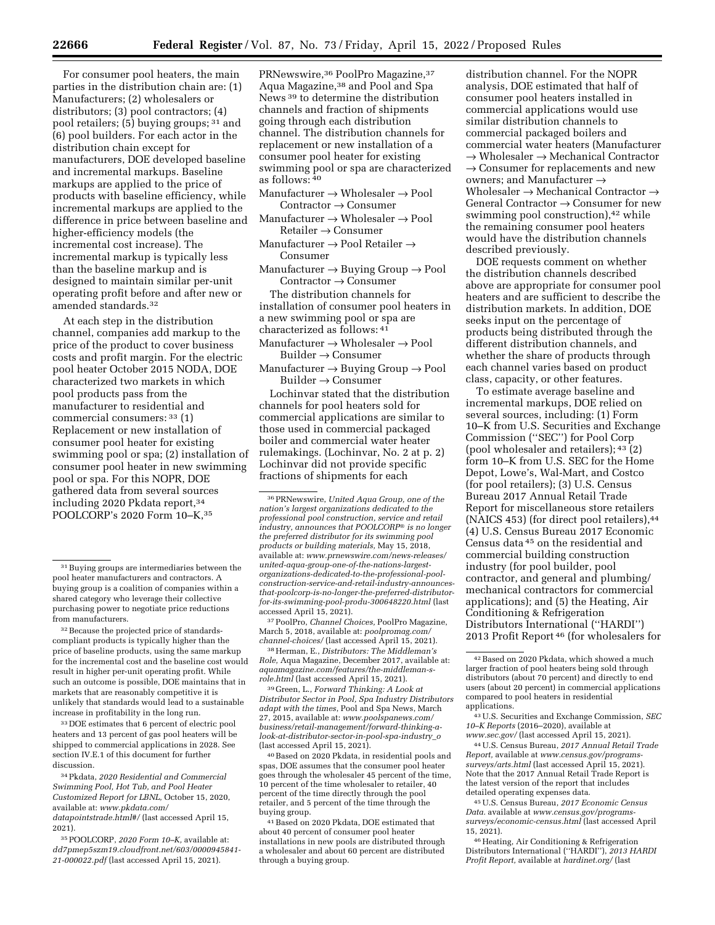For consumer pool heaters, the main parties in the distribution chain are: (1) Manufacturers; (2) wholesalers or distributors; (3) pool contractors; (4) pool retailers; (5) buying groups; 31 and (6) pool builders. For each actor in the distribution chain except for manufacturers, DOE developed baseline and incremental markups. Baseline markups are applied to the price of products with baseline efficiency, while incremental markups are applied to the difference in price between baseline and higher-efficiency models (the incremental cost increase). The incremental markup is typically less than the baseline markup and is designed to maintain similar per-unit operating profit before and after new or amended standards.32

At each step in the distribution channel, companies add markup to the price of the product to cover business costs and profit margin. For the electric pool heater October 2015 NODA, DOE characterized two markets in which pool products pass from the manufacturer to residential and commercial consumers: 33 (1) Replacement or new installation of consumer pool heater for existing swimming pool or spa; (2) installation of consumer pool heater in new swimming pool or spa. For this NOPR, DOE gathered data from several sources including 2020 Pkdata report,34 POOLCORP's 2020 Form 10-K, 35

<sup>32</sup> Because the projected price of standardscompliant products is typically higher than the price of baseline products, using the same markup for the incremental cost and the baseline cost would result in higher per-unit operating profit. While such an outcome is possible, DOE maintains that in markets that are reasonably competitive it is unlikely that standards would lead to a sustainable increase in profitability in the long run.

33 DOE estimates that 6 percent of electric pool heaters and 13 percent of gas pool heaters will be shipped to commercial applications in 2028. See section IV.E.1 of this document for further discussion.

34Pkdata, *2020 Residential and Commercial Swimming Pool, Hot Tub, and Pool Heater Customized Report for LBNL,* October 15, 2020, available at: *[www.pkdata.com/](http://www.pkdata.com/datapointstrade.html#/) [datapointstrade.html#/](http://www.pkdata.com/datapointstrade.html#/)* (last accessed April 15, 2021).

35POOLCORP, *2020 Form 10–K,* available at: *dd7pmep5szm19.cloudfront.net/603/0000945841- 21-000022.pdf* (last accessed April 15, 2021).

PRNewswire,<sup>36</sup> PoolPro Magazine,<sup>37</sup> Aqua Magazine,38 and Pool and Spa News 39 to determine the distribution channels and fraction of shipments going through each distribution channel. The distribution channels for replacement or new installation of a consumer pool heater for existing swimming pool or spa are characterized as follows: 40

- Manufacturer  $\rightarrow$  Wholesaler  $\rightarrow$  Pool Contractor → Consumer
- Manufacturer  $\rightarrow$  Wholesaler  $\rightarrow$  Pool Retailer → Consumer
- Manufacturer  $\rightarrow$  Pool Retailer  $\rightarrow$ Consumer
- Manufacturer  $\rightarrow$  Buying Group  $\rightarrow$  Pool Contractor → Consumer

The distribution channels for installation of consumer pool heaters in a new swimming pool or spa are characterized as follows: 41

- Manufacturer → Wholesaler → Pool Builder → Consumer
- Manufacturer  $\rightarrow$  Buying Group  $\rightarrow$  Pool Builder → Consumer

Lochinvar stated that the distribution channels for pool heaters sold for commercial applications are similar to those used in commercial packaged boiler and commercial water heater rulemakings. (Lochinvar, No. 2 at p. 2) Lochinvar did not provide specific fractions of shipments for each

37PoolPro, *Channel Choices,* PoolPro Magazine, March 5, 2018, available at: *poolpromag.com/ channel-choices/* (last accessed April 15, 2021).

38Herman, E., *Distributors: The Middleman's Role,* Aqua Magazine, December 2017, available at: *aquamagazine.com/features/the-middleman-srole.html* (last accessed April 15, 2021).

39 Green, L., *Forward Thinking: A Look at Distributor Sector in Pool, Spa Industry Distributors adapt with the times*, Pool and Spa News, March 27, 2015, available at: *[www.poolspanews.com/](http://www.poolspanews.com/business/retail-management/forward-thinking-a-look-at-distributor-sector-in-pool-spa-industry_o) [business/retail-management/forward-thinking-a](http://www.poolspanews.com/business/retail-management/forward-thinking-a-look-at-distributor-sector-in-pool-spa-industry_o)[look-at-distributor-sector-in-pool-spa-industry](http://www.poolspanews.com/business/retail-management/forward-thinking-a-look-at-distributor-sector-in-pool-spa-industry_o)*\_*o*  (last accessed April 15, 2021).

40Based on 2020 Pkdata, in residential pools and spas, DOE assumes that the consumer pool heater goes through the wholesaler 45 percent of the time, 10 percent of the time wholesaler to retailer, 40 percent of the time directly through the pool retailer, and 5 percent of the time through the buying group.

41Based on 2020 Pkdata, DOE estimated that about 40 percent of consumer pool heater installations in new pools are distributed through a wholesaler and about 60 percent are distributed through a buying group.

distribution channel. For the NOPR analysis, DOE estimated that half of consumer pool heaters installed in commercial applications would use similar distribution channels to commercial packaged boilers and commercial water heaters (Manufacturer  $\rightarrow$  Wholesaler  $\rightarrow$  Mechanical Contractor  $\rightarrow$  Consumer for replacements and new owners; and Manufacturer → Wholesaler  $\rightarrow$  Mechanical Contractor  $\rightarrow$ General Contractor  $\rightarrow$  Consumer for new swimming pool construction), $42$  while the remaining consumer pool heaters would have the distribution channels described previously.

DOE requests comment on whether the distribution channels described above are appropriate for consumer pool heaters and are sufficient to describe the distribution markets. In addition, DOE seeks input on the percentage of products being distributed through the different distribution channels, and whether the share of products through each channel varies based on product class, capacity, or other features.

To estimate average baseline and incremental markups, DOE relied on several sources, including: (1) Form 10–K from U.S. Securities and Exchange Commission (''SEC'') for Pool Corp (pool wholesaler and retailers); 43 (2) form 10–K from U.S. SEC for the Home Depot, Lowe's, Wal-Mart, and Costco (for pool retailers); (3) U.S. Census Bureau 2017 Annual Retail Trade Report for miscellaneous store retailers (NAICS 453) (for direct pool retailers), 44 (4) U.S. Census Bureau 2017 Economic Census data 45 on the residential and commercial building construction industry (for pool builder, pool contractor, and general and plumbing/ mechanical contractors for commercial applications); and (5) the Heating, Air Conditioning & Refrigeration Distributors International (''HARDI'') 2013 Profit Report 46 (for wholesalers for

43U.S. Securities and Exchange Commission, *SEC 10–K Reports* (2016–2020), available at *[www.sec.gov/](http://www.sec.gov/)* (last accessed April 15, 2021).

44U.S. Census Bureau, *2017 Annual Retail Trade Report,* available at *[www.census.gov/programs](http://www.census.gov/programs-surveys/arts.html)[surveys/arts.html](http://www.census.gov/programs-surveys/arts.html)* (last accessed April 15, 2021). Note that the 2017 Annual Retail Trade Report is the latest version of the report that includes detailed operating expenses data.

45U.S. Census Bureau, *2017 Economic Census Data.* available at *[www.census.gov/programs](http://www.census.gov/programs-surveys/economic-census.html)[surveys/economic-census.html](http://www.census.gov/programs-surveys/economic-census.html)* (last accessed April 15, 2021).

46Heating, Air Conditioning & Refrigeration Distributors International (''HARDI''), *2013 HARDI Profit Report,* available at *hardinet.org/* (last

<sup>31</sup>Buying groups are intermediaries between the pool heater manufacturers and contractors. A buying group is a coalition of companies within a shared category who leverage their collective purchasing power to negotiate price reductions from manufacturers.

<sup>36</sup>PRNewswire, *United Aqua Group, one of the nation's largest organizations dedicated to the professional pool construction, service and retail industry, announces that POOLCORP*® *is no longer the preferred distributor for its swimming pool products or building materials,* May 15, 2018, available at: *[www.prnewswire.com/news-releases/](http://www.prnewswire.com/news-releases/united-aqua-group-one-of-the-nations-largest-organizations-dedicated-to-the-professional-pool-construction-service-and-retail-industry-announces-that-poolcorp-is-no-longer-the-preferred-distributor-for-its-swimming-pool-produ-300648220.html)  [united-aqua-group-one-of-the-nations-largest](http://www.prnewswire.com/news-releases/united-aqua-group-one-of-the-nations-largest-organizations-dedicated-to-the-professional-pool-construction-service-and-retail-industry-announces-that-poolcorp-is-no-longer-the-preferred-distributor-for-its-swimming-pool-produ-300648220.html)[organizations-dedicated-to-the-professional-pool](http://www.prnewswire.com/news-releases/united-aqua-group-one-of-the-nations-largest-organizations-dedicated-to-the-professional-pool-construction-service-and-retail-industry-announces-that-poolcorp-is-no-longer-the-preferred-distributor-for-its-swimming-pool-produ-300648220.html)[construction-service-and-retail-industry-announces](http://www.prnewswire.com/news-releases/united-aqua-group-one-of-the-nations-largest-organizations-dedicated-to-the-professional-pool-construction-service-and-retail-industry-announces-that-poolcorp-is-no-longer-the-preferred-distributor-for-its-swimming-pool-produ-300648220.html)[that-poolcorp-is-no-longer-the-preferred-distributor](http://www.prnewswire.com/news-releases/united-aqua-group-one-of-the-nations-largest-organizations-dedicated-to-the-professional-pool-construction-service-and-retail-industry-announces-that-poolcorp-is-no-longer-the-preferred-distributor-for-its-swimming-pool-produ-300648220.html)[for-its-swimming-pool-produ-300648220.html](http://www.prnewswire.com/news-releases/united-aqua-group-one-of-the-nations-largest-organizations-dedicated-to-the-professional-pool-construction-service-and-retail-industry-announces-that-poolcorp-is-no-longer-the-preferred-distributor-for-its-swimming-pool-produ-300648220.html)* (last accessed April 15, 2021).

<sup>42</sup>Based on 2020 Pkdata, which showed a much larger fraction of pool heaters being sold through distributors (about 70 percent) and directly to end users (about 20 percent) in commercial applications compared to pool heaters in residential applications.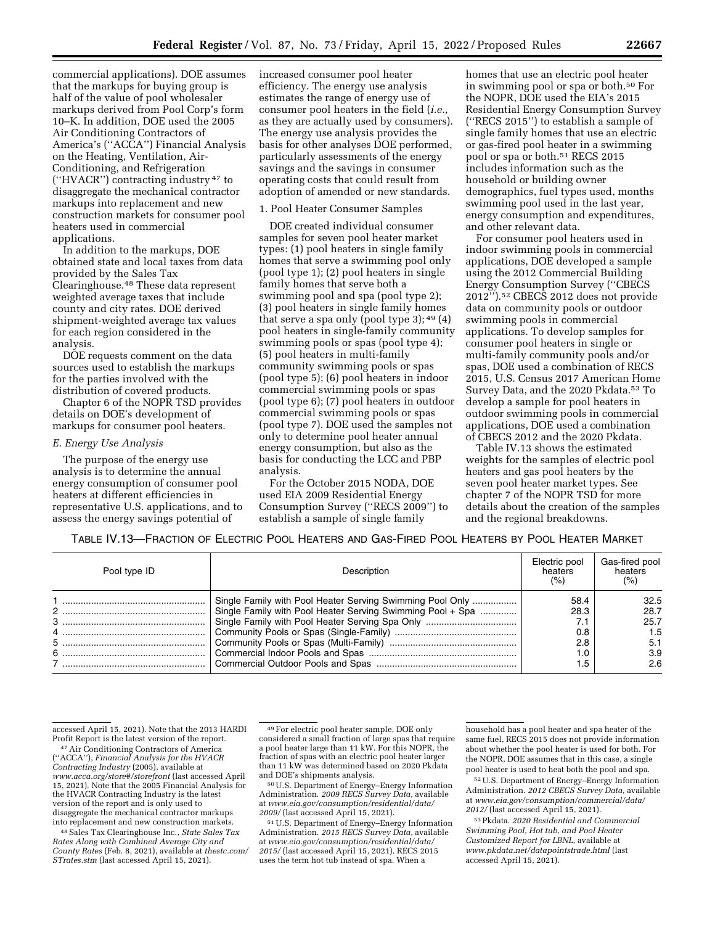commercial applications). DOE assumes that the markups for buying group is half of the value of pool wholesaler markups derived from Pool Corp's form 10–K. In addition, DOE used the 2005 Air Conditioning Contractors of America's (''ACCA'') Financial Analysis on the Heating, Ventilation, Air-Conditioning, and Refrigeration (''HVACR'') contracting industry 47 to disaggregate the mechanical contractor markups into replacement and new construction markets for consumer pool heaters used in commercial applications.

In addition to the markups, DOE obtained state and local taxes from data provided by the Sales Tax Clearinghouse.48 These data represent weighted average taxes that include county and city rates. DOE derived shipment-weighted average tax values for each region considered in the analysis.

DOE requests comment on the data sources used to establish the markups for the parties involved with the distribution of covered products.

Chapter 6 of the NOPR TSD provides details on DOE's development of markups for consumer pool heaters.

## *E. Energy Use Analysis*

The purpose of the energy use analysis is to determine the annual energy consumption of consumer pool heaters at different efficiencies in representative U.S. applications, and to assess the energy savings potential of

increased consumer pool heater efficiency. The energy use analysis estimates the range of energy use of consumer pool heaters in the field (*i.e.,*  as they are actually used by consumers). The energy use analysis provides the basis for other analyses DOE performed, particularly assessments of the energy savings and the savings in consumer operating costs that could result from adoption of amended or new standards.

#### 1. Pool Heater Consumer Samples

DOE created individual consumer samples for seven pool heater market types: (1) pool heaters in single family homes that serve a swimming pool only (pool type 1); (2) pool heaters in single family homes that serve both a swimming pool and spa (pool type 2); (3) pool heaters in single family homes that serve a spa only (pool type 3);  $49(4)$ pool heaters in single-family community swimming pools or spas (pool type 4); (5) pool heaters in multi-family community swimming pools or spas (pool type 5); (6) pool heaters in indoor commercial swimming pools or spas (pool type 6); (7) pool heaters in outdoor commercial swimming pools or spas (pool type 7). DOE used the samples not only to determine pool heater annual energy consumption, but also as the basis for conducting the LCC and PBP analysis.

For the October 2015 NODA, DOE used EIA 2009 Residential Energy Consumption Survey (''RECS 2009'') to establish a sample of single family

homes that use an electric pool heater in swimming pool or spa or both.50 For the NOPR, DOE used the EIA's 2015 Residential Energy Consumption Survey (''RECS 2015'') to establish a sample of single family homes that use an electric or gas-fired pool heater in a swimming pool or spa or both.51 RECS 2015 includes information such as the household or building owner demographics, fuel types used, months swimming pool used in the last year, energy consumption and expenditures, and other relevant data.

For consumer pool heaters used in indoor swimming pools in commercial applications, DOE developed a sample using the 2012 Commercial Building Energy Consumption Survey (''CBECS 2012'').52 CBECS 2012 does not provide data on community pools or outdoor swimming pools in commercial applications. To develop samples for consumer pool heaters in single or multi-family community pools and/or spas, DOE used a combination of RECS 2015, U.S. Census 2017 American Home Survey Data, and the 2020 Pkdata.<sup>53</sup> To develop a sample for pool heaters in outdoor swimming pools in commercial applications, DOE used a combination of CBECS 2012 and the 2020 Pkdata.

Table IV.13 shows the estimated weights for the samples of electric pool heaters and gas pool heaters by the seven pool heater market types. See chapter 7 of the NOPR TSD for more details about the creation of the samples and the regional breakdowns.

# TABLE IV.13—FRACTION OF ELECTRIC POOL HEATERS AND GAS-FIRED POOL HEATERS BY POOL HEATER MARKET

| Pool type ID | Description                                                | Electric pool<br>heaters<br>(%) | Gas-fired pool<br>heaters<br>(%) |
|--------------|------------------------------------------------------------|---------------------------------|----------------------------------|
|              | Single Family with Pool Heater Serving Swimming Pool Only  | 58.4                            | 32.5                             |
|              | Single Family with Pool Heater Serving Swimming Pool + Spa | 28.3                            | 28.7                             |
|              |                                                            |                                 | 25.7                             |
|              |                                                            | 0.8                             | 1.5                              |
|              |                                                            | 2.8                             | 5.1                              |
|              |                                                            |                                 | 3.9                              |
|              |                                                            |                                 | 2.6                              |

accessed April 15, 2021). Note that the 2013 HARDI

<sup>47</sup> Air Conditioning Contractors of America (''ACCA''), *Financial Analysis for the HVACR Contracting Industry* (2005), available at *[www.acca.org/store#/storefront](http://www.acca.org/store#/storefront)* (last accessed April 15, 2021). Note that the 2005 Financial Analysis for the HVACR Contracting Industry is the latest version of the report and is only used to disaggregate the mechanical contractor markups into replacement and new construction markets.

48Sales Tax Clearinghouse Inc., *State Sales Tax Rates Along with Combined Average City and County Rates* (Feb. 8, 2021), available at *thestc.com/ STrates.stm* (last accessed April 15, 2021).

49For electric pool heater sample, DOE only considered a small fraction of large spas that require a pool heater large than 11 kW. For this NOPR, the fraction of spas with an electric pool heater larger than 11 kW was determined based on 2020 Pkdata

<sup>50</sup> U.S. Department of Energy–Energy Information Administration. *2009 RECS Survey Data,* available at *[www.eia.gov/consumption/residential/data/](http://www.eia.gov/consumption/residential/data/2009/)  [2009/](http://www.eia.gov/consumption/residential/data/2009/)* (last accessed April 15, 2021).

51U.S. Department of Energy–Energy Information Administration. *2015 RECS Survey Data,* available at *[www.eia.gov/consumption/residential/data/](http://www.eia.gov/consumption/residential/data/2015/)  [2015/](http://www.eia.gov/consumption/residential/data/2015/)* (last accessed April 15, 2021). RECS 2015 uses the term hot tub instead of spa. When a

household has a pool heater and spa heater of the same fuel, RECS 2015 does not provide information about whether the pool heater is used for both. For the NOPR, DOE assumes that in this case, a single pool heater is used to heat both the pool and spa.

52U.S. Department of Energy–Energy Information Administration. *2012 CBECS Survey Data,* available at *[www.eia.gov/consumption/commercial/data/](http://www.eia.gov/consumption/commercial/data/2012/)  [2012/](http://www.eia.gov/consumption/commercial/data/2012/)* (last accessed April 15, 2021).

53Pkdata. *2020 Residential and Commercial Swimming Pool, Hot tub, and Pool Heater Customized Report for LBNL,* available at *[www.pkdata.net/datapointstrade.html](http://www.pkdata.net/datapointstrade.html)* (last accessed April 15, 2021).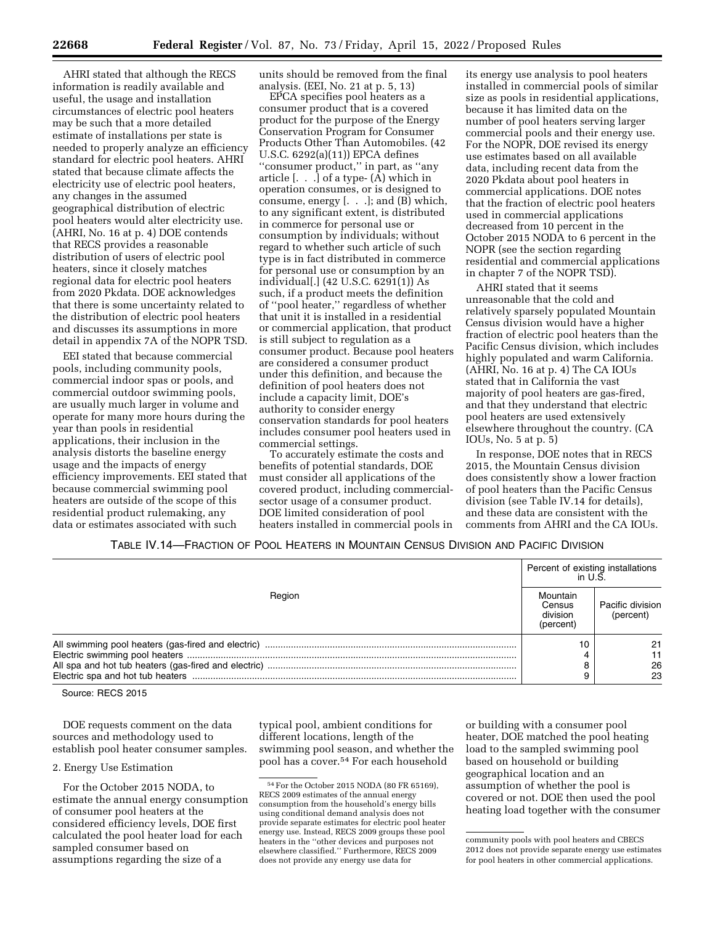AHRI stated that although the RECS information is readily available and useful, the usage and installation circumstances of electric pool heaters may be such that a more detailed estimate of installations per state is needed to properly analyze an efficiency standard for electric pool heaters. AHRI stated that because climate affects the electricity use of electric pool heaters, any changes in the assumed geographical distribution of electric pool heaters would alter electricity use. (AHRI, No. 16 at p. 4) DOE contends that RECS provides a reasonable distribution of users of electric pool heaters, since it closely matches regional data for electric pool heaters from 2020 Pkdata. DOE acknowledges that there is some uncertainty related to the distribution of electric pool heaters and discusses its assumptions in more detail in appendix 7A of the NOPR TSD.

EEI stated that because commercial pools, including community pools, commercial indoor spas or pools, and commercial outdoor swimming pools, are usually much larger in volume and operate for many more hours during the year than pools in residential applications, their inclusion in the analysis distorts the baseline energy usage and the impacts of energy efficiency improvements. EEI stated that because commercial swimming pool heaters are outside of the scope of this residential product rulemaking, any data or estimates associated with such

units should be removed from the final analysis. (EEI, No. 21 at p. 5, 13)

EPCA specifies pool heaters as a consumer product that is a covered product for the purpose of the Energy Conservation Program for Consumer Products Other Than Automobiles. (42 U.S.C. 6292(a)(11)) EPCA defines ''consumer product,'' in part, as ''any article [. . .] of a type- (A) which in operation consumes, or is designed to consume, energy [. . .]; and (B) which, to any significant extent, is distributed in commerce for personal use or consumption by individuals; without regard to whether such article of such type is in fact distributed in commerce for personal use or consumption by an individual[.] (42 U.S.C. 6291(1)) As such, if a product meets the definition of ''pool heater,'' regardless of whether that unit it is installed in a residential or commercial application, that product is still subject to regulation as a consumer product. Because pool heaters are considered a consumer product under this definition, and because the definition of pool heaters does not include a capacity limit, DOE's authority to consider energy conservation standards for pool heaters includes consumer pool heaters used in commercial settings.

To accurately estimate the costs and benefits of potential standards, DOE must consider all applications of the covered product, including commercialsector usage of a consumer product. DOE limited consideration of pool heaters installed in commercial pools in

its energy use analysis to pool heaters installed in commercial pools of similar size as pools in residential applications, because it has limited data on the number of pool heaters serving larger commercial pools and their energy use. For the NOPR, DOE revised its energy use estimates based on all available data, including recent data from the 2020 Pkdata about pool heaters in commercial applications. DOE notes that the fraction of electric pool heaters used in commercial applications decreased from 10 percent in the October 2015 NODA to 6 percent in the NOPR (see the section regarding residential and commercial applications in chapter 7 of the NOPR TSD).

AHRI stated that it seems unreasonable that the cold and relatively sparsely populated Mountain Census division would have a higher fraction of electric pool heaters than the Pacific Census division, which includes highly populated and warm California. (AHRI, No. 16 at p. 4) The CA IOUs stated that in California the vast majority of pool heaters are gas-fired, and that they understand that electric pool heaters are used extensively elsewhere throughout the country. (CA IOUs, No. 5 at p. 5)

In response, DOE notes that in RECS 2015, the Mountain Census division does consistently show a lower fraction of pool heaters than the Pacific Census division (see Table IV.14 for details), and these data are consistent with the comments from AHRI and the CA IOUs.

TABLE IV.14—FRACTION OF POOL HEATERS IN MOUNTAIN CENSUS DIVISION AND PACIFIC DIVISION

|        | Percent of existing installations<br>in U.S. |                               |
|--------|----------------------------------------------|-------------------------------|
| Region | Mountain<br>Census<br>division<br>(percent)  | Pacific division<br>(percent) |
|        |                                              | 21<br>26<br>23                |

Source: RECS 2015

DOE requests comment on the data sources and methodology used to establish pool heater consumer samples.

## 2. Energy Use Estimation

For the October 2015 NODA, to estimate the annual energy consumption of consumer pool heaters at the considered efficiency levels, DOE first calculated the pool heater load for each sampled consumer based on assumptions regarding the size of a

typical pool, ambient conditions for different locations, length of the swimming pool season, and whether the pool has a cover.54 For each household

or building with a consumer pool heater, DOE matched the pool heating load to the sampled swimming pool based on household or building geographical location and an assumption of whether the pool is covered or not. DOE then used the pool heating load together with the consumer

<sup>54</sup>For the October 2015 NODA (80 FR 65169), RECS 2009 estimates of the annual energy consumption from the household's energy bills using conditional demand analysis does not provide separate estimates for electric pool heater energy use. Instead, RECS 2009 groups these pool heaters in the ''other devices and purposes not elsewhere classified.'' Furthermore, RECS 2009 does not provide any energy use data for

community pools with pool heaters and CBECS 2012 does not provide separate energy use estimates for pool heaters in other commercial applications.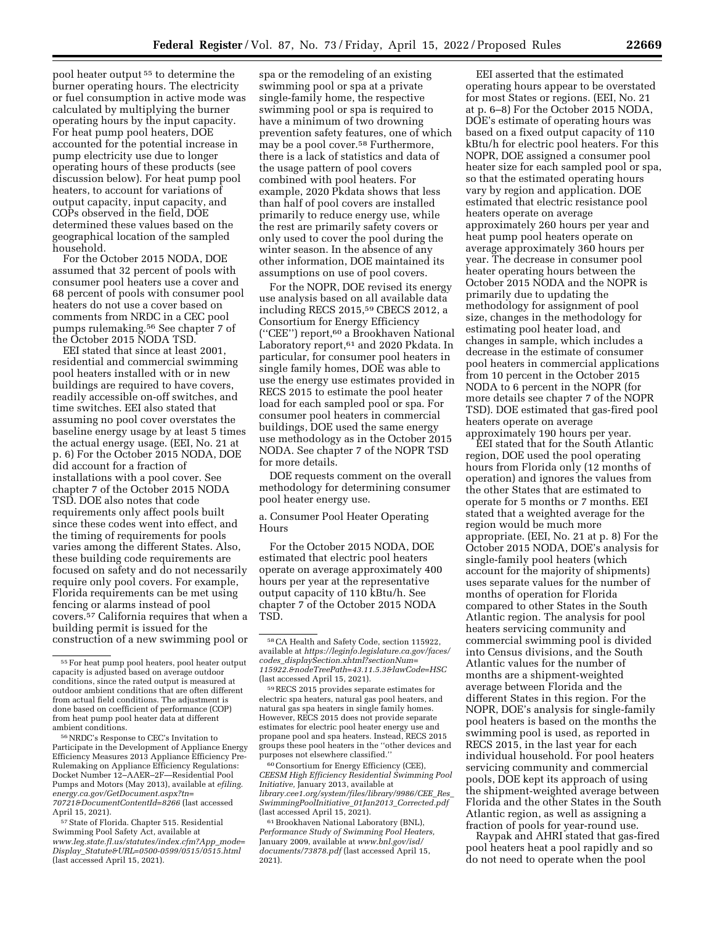pool heater output 55 to determine the burner operating hours. The electricity or fuel consumption in active mode was calculated by multiplying the burner operating hours by the input capacity. For heat pump pool heaters, DOE accounted for the potential increase in pump electricity use due to longer operating hours of these products (see discussion below). For heat pump pool heaters, to account for variations of output capacity, input capacity, and COPs observed in the field, DOE determined these values based on the geographical location of the sampled household.

For the October 2015 NODA, DOE assumed that 32 percent of pools with consumer pool heaters use a cover and 68 percent of pools with consumer pool heaters do not use a cover based on comments from NRDC in a CEC pool pumps rulemaking.56 See chapter 7 of the October 2015 NODA TSD.

EEI stated that since at least 2001, residential and commercial swimming pool heaters installed with or in new buildings are required to have covers, readily accessible on-off switches, and time switches. EEI also stated that assuming no pool cover overstates the baseline energy usage by at least 5 times the actual energy usage. (EEI, No. 21 at p. 6) For the October 2015 NODA, DOE did account for a fraction of installations with a pool cover. See chapter 7 of the October 2015 NODA TSD. DOE also notes that code requirements only affect pools built since these codes went into effect, and the timing of requirements for pools varies among the different States. Also, these building code requirements are focused on safety and do not necessarily require only pool covers. For example, Florida requirements can be met using fencing or alarms instead of pool covers.57 California requires that when a building permit is issued for the construction of a new swimming pool or

56NRDC's Response to CEC's Invitation to Participate in the Development of Appliance Energy Efficiency Measures 2013 Appliance Efficiency Pre-Rulemaking on Appliance Efficiency Regulations: Docket Number 12–AAER–2F—Residential Pool Pumps and Motors (May 2013), available at *efiling. energy.ca.gov/GetDocument.aspx?tn= 70721&DocumentContentId=8266* (last accessed April 15, 2021).

57State of Florida. Chapter 515. Residential Swimming Pool Safety Act, available at *[www.leg.state.fl.us/statutes/index.cfm?App](http://www.leg.state.fl.us/statutes/index.cfm?App_mode=Display_Statute&URL=0500-0599/0515/0515.html)*\_*mode= Display*\_*[Statute&URL=0500-0599/0515/0515.html](http://www.leg.state.fl.us/statutes/index.cfm?App_mode=Display_Statute&URL=0500-0599/0515/0515.html)*  (last accessed April 15, 2021).

spa or the remodeling of an existing swimming pool or spa at a private single-family home, the respective swimming pool or spa is required to have a minimum of two drowning prevention safety features, one of which may be a pool cover.58 Furthermore, there is a lack of statistics and data of the usage pattern of pool covers combined with pool heaters. For example, 2020 Pkdata shows that less than half of pool covers are installed primarily to reduce energy use, while the rest are primarily safety covers or only used to cover the pool during the winter season. In the absence of any other information, DOE maintained its assumptions on use of pool covers.

For the NOPR, DOE revised its energy use analysis based on all available data including RECS 2015,59 CBECS 2012, a Consortium for Energy Efficiency (''CEE'') report,60 a Brookhaven National Laboratory report,<sup>61</sup> and 2020 Pkdata. In particular, for consumer pool heaters in single family homes, DOE was able to use the energy use estimates provided in RECS 2015 to estimate the pool heater load for each sampled pool or spa. For consumer pool heaters in commercial buildings, DOE used the same energy use methodology as in the October 2015 NODA. See chapter 7 of the NOPR TSD for more details.

DOE requests comment on the overall methodology for determining consumer pool heater energy use.

a. Consumer Pool Heater Operating Hours

For the October 2015 NODA, DOE estimated that electric pool heaters operate on average approximately 400 hours per year at the representative output capacity of 110 kBtu/h. See chapter 7 of the October 2015 NODA TSD.

60Consortium for Energy Efficiency (CEE), *CEESM High Efficiency Residential Swimming Pool Initiative,* January 2013, available at *library.cee1.org/system/files/library/9986/CEE*\_*Res*\_ *SwimmingPoolInitiative*\_*01Jan2013*\_*Corrected.pdf*  (last accessed April 15, 2021).

61Brookhaven National Laboratory (BNL), *Performance Study of Swimming Pool Heaters,*  January 2009, available at *[www.bnl.gov/isd/](http://www.bnl.gov/isd/documents/73878.pdf) [documents/73878.pdf](http://www.bnl.gov/isd/documents/73878.pdf)* (last accessed April 15, 2021).

EEI asserted that the estimated operating hours appear to be overstated for most States or regions. (EEI, No. 21 at p. 6–8) For the October 2015 NODA, DOE's estimate of operating hours was based on a fixed output capacity of 110 kBtu/h for electric pool heaters. For this NOPR, DOE assigned a consumer pool heater size for each sampled pool or spa, so that the estimated operating hours vary by region and application. DOE estimated that electric resistance pool heaters operate on average approximately 260 hours per year and heat pump pool heaters operate on average approximately 360 hours per year. The decrease in consumer pool heater operating hours between the October 2015 NODA and the NOPR is primarily due to updating the methodology for assignment of pool size, changes in the methodology for estimating pool heater load, and changes in sample, which includes a decrease in the estimate of consumer pool heaters in commercial applications from 10 percent in the October 2015 NODA to 6 percent in the NOPR (for more details see chapter 7 of the NOPR TSD). DOE estimated that gas-fired pool heaters operate on average approximately 190 hours per year.

EEI stated that for the South Atlantic region, DOE used the pool operating hours from Florida only (12 months of operation) and ignores the values from the other States that are estimated to operate for 5 months or 7 months. EEI stated that a weighted average for the region would be much more appropriate. (EEI, No. 21 at p. 8) For the October 2015 NODA, DOE's analysis for single-family pool heaters (which account for the majority of shipments) uses separate values for the number of months of operation for Florida compared to other States in the South Atlantic region. The analysis for pool heaters servicing community and commercial swimming pool is divided into Census divisions, and the South Atlantic values for the number of months are a shipment-weighted average between Florida and the different States in this region. For the NOPR, DOE's analysis for single-family pool heaters is based on the months the swimming pool is used, as reported in RECS 2015, in the last year for each individual household. For pool heaters servicing community and commercial pools, DOE kept its approach of using the shipment-weighted average between Florida and the other States in the South Atlantic region, as well as assigning a fraction of pools for year-round use.

Raypak and AHRI stated that gas-fired pool heaters heat a pool rapidly and so do not need to operate when the pool

<sup>55</sup>For heat pump pool heaters, pool heater output capacity is adjusted based on average outdoor conditions, since the rated output is measured at outdoor ambient conditions that are often different from actual field conditions. The adjustment is done based on coefficient of performance (COP) from heat pump pool heater data at different ambient conditions.

<sup>58</sup>CA Health and Safety Code, section 115922, available at *[https://leginfo.legislature.ca.gov/faces/](https://leginfo.legislature.ca.gov/faces/codes_displaySection.xhtml?sectionNum=115922.&nodeTreePath=43.11.5.3&lawCode=HSC) codes*\_*[displaySection.xhtml?sectionNum=](https://leginfo.legislature.ca.gov/faces/codes_displaySection.xhtml?sectionNum=115922.&nodeTreePath=43.11.5.3&lawCode=HSC) [115922.&nodeTreePath=43.11.5.3&lawCode=HSC](https://leginfo.legislature.ca.gov/faces/codes_displaySection.xhtml?sectionNum=115922.&nodeTreePath=43.11.5.3&lawCode=HSC)*  (last accessed April 15, 2021).

<sup>59</sup>RECS 2015 provides separate estimates for electric spa heaters, natural gas pool heaters, and natural gas spa heaters in single family homes. However, RECS 2015 does not provide separate estimates for electric pool heater energy use and propane pool and spa heaters. Instead, RECS 2015 groups these pool heaters in the ''other devices and purposes not elsewhere classified.''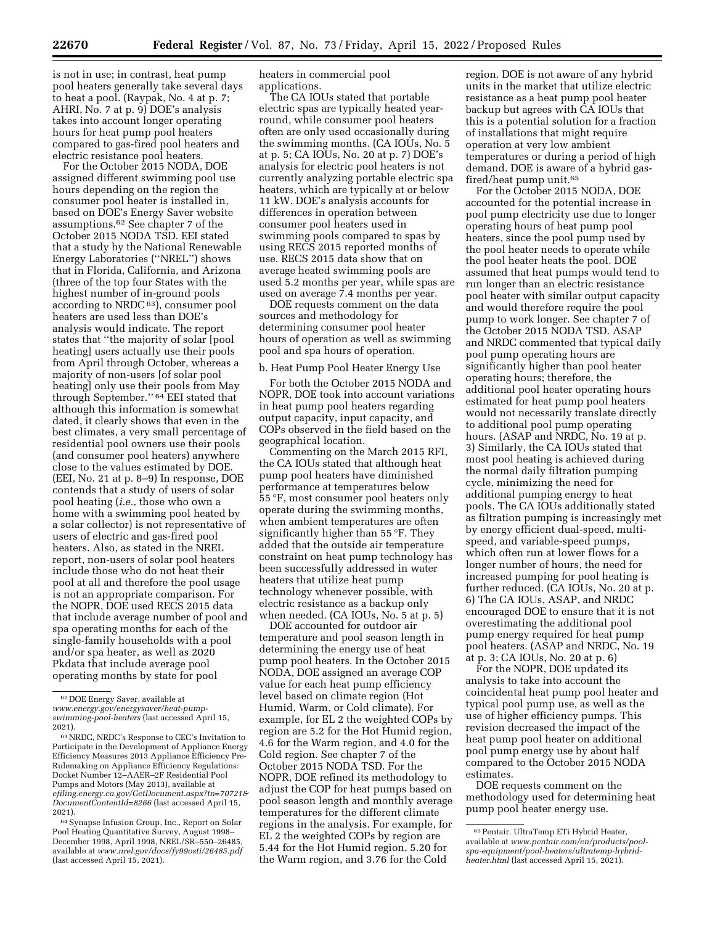is not in use; in contrast, heat pump pool heaters generally take several days to heat a pool. (Raypak, No. 4 at p. 7; AHRI, No. 7 at p. 9) DOE's analysis takes into account longer operating hours for heat pump pool heaters compared to gas-fired pool heaters and electric resistance pool heaters.

For the October 2015 NODA, DOE assigned different swimming pool use hours depending on the region the consumer pool heater is installed in, based on DOE's Energy Saver website assumptions.62 See chapter 7 of the October 2015 NODA TSD. EEI stated that a study by the National Renewable Energy Laboratories (''NREL'') shows that in Florida, California, and Arizona (three of the top four States with the highest number of in-ground pools according to NRDC $63$ ), consumer pool heaters are used less than DOE's analysis would indicate. The report states that ''the majority of solar [pool heating] users actually use their pools from April through October, whereas a majority of non-users [of solar pool heating] only use their pools from May through September.'' 64 EEI stated that although this information is somewhat dated, it clearly shows that even in the best climates, a very small percentage of residential pool owners use their pools (and consumer pool heaters) anywhere close to the values estimated by DOE. (EEI, No. 21 at p. 8–9) In response, DOE contends that a study of users of solar pool heating (*i.e.,* those who own a home with a swimming pool heated by a solar collector) is not representative of users of electric and gas-fired pool heaters. Also, as stated in the NREL report, non-users of solar pool heaters include those who do not heat their pool at all and therefore the pool usage is not an appropriate comparison. For the NOPR, DOE used RECS 2015 data that include average number of pool and spa operating months for each of the single-family households with a pool and/or spa heater, as well as 2020 Pkdata that include average pool operating months by state for pool

heaters in commercial pool applications.

The CA IOUs stated that portable electric spas are typically heated yearround, while consumer pool heaters often are only used occasionally during the swimming months. (CA IOUs, No. 5 at p. 5; CA IOUs, No. 20 at p. 7) DOE's analysis for electric pool heaters is not currently analyzing portable electric spa heaters, which are typically at or below 11 kW. DOE's analysis accounts for differences in operation between consumer pool heaters used in swimming pools compared to spas by using RECS 2015 reported months of use. RECS 2015 data show that on average heated swimming pools are used 5.2 months per year, while spas are used on average 7.4 months per year.

DOE requests comment on the data sources and methodology for determining consumer pool heater hours of operation as well as swimming pool and spa hours of operation.

## b. Heat Pump Pool Heater Energy Use

For both the October 2015 NODA and NOPR, DOE took into account variations in heat pump pool heaters regarding output capacity, input capacity, and COPs observed in the field based on the geographical location.

Commenting on the March 2015 RFI, the CA IOUs stated that although heat pump pool heaters have diminished performance at temperatures below 55 °F, most consumer pool heaters only operate during the swimming months, when ambient temperatures are often significantly higher than 55 °F. They added that the outside air temperature constraint on heat pump technology has been successfully addressed in water heaters that utilize heat pump technology whenever possible, with electric resistance as a backup only when needed. (CA IOUs, No. 5 at p. 5)

DOE accounted for outdoor air temperature and pool season length in determining the energy use of heat pump pool heaters. In the October 2015 NODA, DOE assigned an average COP value for each heat pump efficiency level based on climate region (Hot Humid, Warm, or Cold climate). For example, for EL 2 the weighted COPs by region are 5.2 for the Hot Humid region, 4.6 for the Warm region, and 4.0 for the Cold region. See chapter 7 of the October 2015 NODA TSD. For the NOPR, DOE refined its methodology to adjust the COP for heat pumps based on pool season length and monthly average temperatures for the different climate regions in the analysis. For example, for EL 2 the weighted COPs by region are 5.44 for the Hot Humid region, 5.20 for the Warm region, and 3.76 for the Cold

region. DOE is not aware of any hybrid units in the market that utilize electric resistance as a heat pump pool heater backup but agrees with CA IOUs that this is a potential solution for a fraction of installations that might require operation at very low ambient temperatures or during a period of high demand. DOE is aware of a hybrid gasfired/heat pump unit.65

For the October 2015 NODA, DOE accounted for the potential increase in pool pump electricity use due to longer operating hours of heat pump pool heaters, since the pool pump used by the pool heater needs to operate while the pool heater heats the pool. DOE assumed that heat pumps would tend to run longer than an electric resistance pool heater with similar output capacity and would therefore require the pool pump to work longer. See chapter 7 of the October 2015 NODA TSD. ASAP and NRDC commented that typical daily pool pump operating hours are significantly higher than pool heater operating hours; therefore, the additional pool heater operating hours estimated for heat pump pool heaters would not necessarily translate directly to additional pool pump operating hours. (ASAP and NRDC, No. 19 at p. 3) Similarly, the CA IOUs stated that most pool heating is achieved during the normal daily filtration pumping cycle, minimizing the need for additional pumping energy to heat pools. The CA IOUs additionally stated as filtration pumping is increasingly met by energy efficient dual-speed, multispeed, and variable-speed pumps, which often run at lower flows for a longer number of hours, the need for increased pumping for pool heating is further reduced. (CA IOUs, No. 20 at p. 6) The CA IOUs, ASAP, and NRDC encouraged DOE to ensure that it is not overestimating the additional pool pump energy required for heat pump pool heaters. (ASAP and NRDC, No. 19 at p. 3; CA IOUs, No. 20 at p. 6)

For the NOPR, DOE updated its analysis to take into account the coincidental heat pump pool heater and typical pool pump use, as well as the use of higher efficiency pumps. This revision decreased the impact of the heat pump pool heater on additional pool pump energy use by about half compared to the October 2015 NODA estimates.

DOE requests comment on the methodology used for determining heat pump pool heater energy use.

<sup>62</sup> DOE Energy Saver, available at *[www.energy.gov/energysaver/heat-pump](http://www.energy.gov/energysaver/heat-pump-swimming-pool-heaters)[swimming-pool-heaters](http://www.energy.gov/energysaver/heat-pump-swimming-pool-heaters)* (last accessed April 15, 2021).

<sup>63</sup>NRDC, NRDC's Response to CEC's Invitation to Participate in the Development of Appliance Energy Efficiency Measures 2013 Appliance Efficiency Pre-Rulemaking on Appliance Efficiency Regulations: Docket Number 12–AAER–2F Residential Pool Pumps and Motors (May 2013), available at *efiling.energy.ca.gov/GetDocument.aspx?tn=70721& DocumentContentId=8266* (last accessed April 15, 2021).

<sup>64</sup>Synapse Infusion Group, Inc., Report on Solar Pool Heating Quantitative Survey, August 1998– December 1998, April 1998, NREL/SR–550–26485, available at *[www.nrel.gov/docs/fy99osti/26485.pdf](http://www.nrel.gov/docs/fy99osti/26485.pdf)*  (last accessed April 15, 2021).

<sup>65</sup>Pentair. UltraTemp ETi Hybrid Heater, available at *[www.pentair.com/en/products/pool](http://www.pentair.com/en/products/pool-spa-equipment/pool-heaters/ultratemp-hybrid-heater.html)[spa-equipment/pool-heaters/ultratemp-hybrid](http://www.pentair.com/en/products/pool-spa-equipment/pool-heaters/ultratemp-hybrid-heater.html)[heater.html](http://www.pentair.com/en/products/pool-spa-equipment/pool-heaters/ultratemp-hybrid-heater.html)* (last accessed April 15, 2021).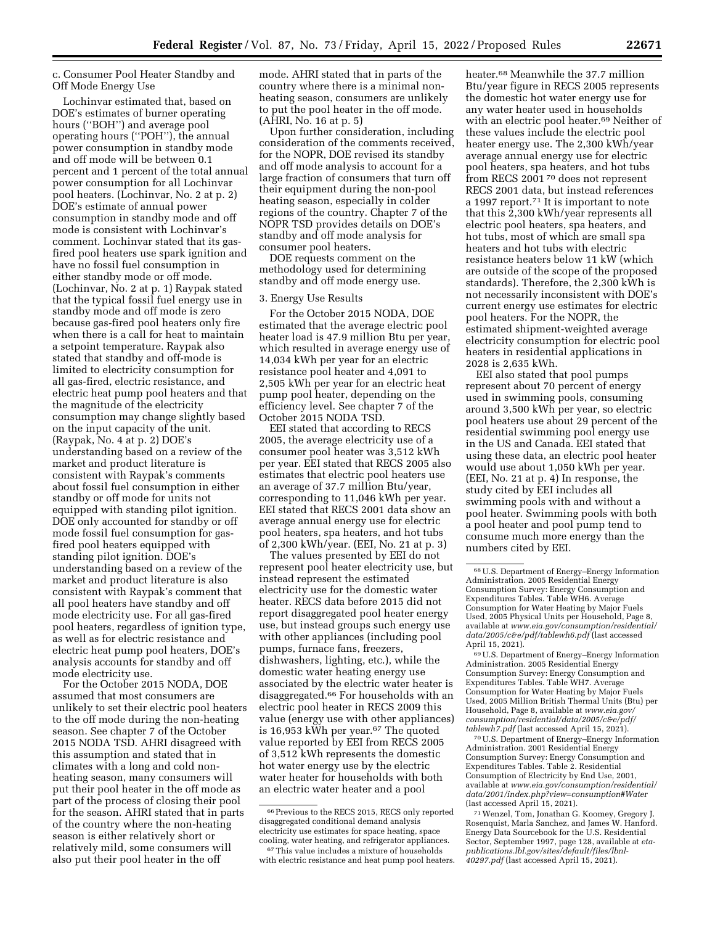c. Consumer Pool Heater Standby and Off Mode Energy Use

Lochinvar estimated that, based on DOE's estimates of burner operating hours (''BOH'') and average pool operating hours (''POH''), the annual power consumption in standby mode and off mode will be between 0.1 percent and 1 percent of the total annual power consumption for all Lochinvar pool heaters. (Lochinvar, No. 2 at p. 2) DOE's estimate of annual power consumption in standby mode and off mode is consistent with Lochinvar's comment. Lochinvar stated that its gasfired pool heaters use spark ignition and have no fossil fuel consumption in either standby mode or off mode. (Lochinvar, No. 2 at p. 1) Raypak stated that the typical fossil fuel energy use in standby mode and off mode is zero because gas-fired pool heaters only fire when there is a call for heat to maintain a setpoint temperature. Raypak also stated that standby and off-mode is limited to electricity consumption for all gas-fired, electric resistance, and electric heat pump pool heaters and that the magnitude of the electricity consumption may change slightly based on the input capacity of the unit. (Raypak, No. 4 at p. 2) DOE's understanding based on a review of the market and product literature is consistent with Raypak's comments about fossil fuel consumption in either standby or off mode for units not equipped with standing pilot ignition. DOE only accounted for standby or off mode fossil fuel consumption for gasfired pool heaters equipped with standing pilot ignition. DOE's understanding based on a review of the market and product literature is also consistent with Raypak's comment that all pool heaters have standby and off mode electricity use. For all gas-fired pool heaters, regardless of ignition type, as well as for electric resistance and electric heat pump pool heaters, DOE's analysis accounts for standby and off mode electricity use.

For the October 2015 NODA, DOE assumed that most consumers are unlikely to set their electric pool heaters to the off mode during the non-heating season. See chapter 7 of the October 2015 NODA TSD. AHRI disagreed with this assumption and stated that in climates with a long and cold nonheating season, many consumers will put their pool heater in the off mode as part of the process of closing their pool for the season. AHRI stated that in parts of the country where the non-heating season is either relatively short or relatively mild, some consumers will also put their pool heater in the off

mode. AHRI stated that in parts of the country where there is a minimal nonheating season, consumers are unlikely to put the pool heater in the off mode. (AHRI, No. 16 at p. 5)

Upon further consideration, including consideration of the comments received, for the NOPR, DOE revised its standby and off mode analysis to account for a large fraction of consumers that turn off their equipment during the non-pool heating season, especially in colder regions of the country. Chapter 7 of the NOPR TSD provides details on DOE's standby and off mode analysis for consumer pool heaters.

DOE requests comment on the methodology used for determining standby and off mode energy use.

#### 3. Energy Use Results

For the October 2015 NODA, DOE estimated that the average electric pool heater load is 47.9 million Btu per year, which resulted in average energy use of 14,034 kWh per year for an electric resistance pool heater and 4,091 to 2,505 kWh per year for an electric heat pump pool heater, depending on the efficiency level. See chapter 7 of the October 2015 NODA TSD.

EEI stated that according to RECS 2005, the average electricity use of a consumer pool heater was 3,512 kWh per year. EEI stated that RECS 2005 also estimates that electric pool heaters use an average of 37.7 million Btu/year, corresponding to 11,046 kWh per year. EEI stated that RECS 2001 data show an average annual energy use for electric pool heaters, spa heaters, and hot tubs of 2,300 kWh/year. (EEI, No. 21 at p. 3)

The values presented by EEI do not represent pool heater electricity use, but instead represent the estimated electricity use for the domestic water heater. RECS data before 2015 did not report disaggregated pool heater energy use, but instead groups such energy use with other appliances (including pool pumps, furnace fans, freezers, dishwashers, lighting, etc.), while the domestic water heating energy use associated by the electric water heater is disaggregated.66 For households with an electric pool heater in RECS 2009 this value (energy use with other appliances) is 16,953 kWh per year.67 The quoted value reported by EEI from RECS 2005 of 3,512 kWh represents the domestic hot water energy use by the electric water heater for households with both an electric water heater and a pool

heater.68 Meanwhile the 37.7 million Btu/year figure in RECS 2005 represents the domestic hot water energy use for any water heater used in households with an electric pool heater.69 Neither of these values include the electric pool heater energy use. The 2,300 kWh/year average annual energy use for electric pool heaters, spa heaters, and hot tubs from RECS 2001 70 does not represent RECS 2001 data, but instead references a 1997 report.71 It is important to note that this 2,300 kWh/year represents all electric pool heaters, spa heaters, and hot tubs, most of which are small spa heaters and hot tubs with electric resistance heaters below 11 kW (which are outside of the scope of the proposed standards). Therefore, the 2,300 kWh is not necessarily inconsistent with DOE's current energy use estimates for electric pool heaters. For the NOPR, the estimated shipment-weighted average electricity consumption for electric pool heaters in residential applications in 2028 is 2,635 kWh.

EEI also stated that pool pumps represent about 70 percent of energy used in swimming pools, consuming around 3,500 kWh per year, so electric pool heaters use about 29 percent of the residential swimming pool energy use in the US and Canada. EEI stated that using these data, an electric pool heater would use about 1,050 kWh per year. (EEI, No. 21 at p. 4) In response, the study cited by EEI includes all swimming pools with and without a pool heater. Swimming pools with both a pool heater and pool pump tend to consume much more energy than the numbers cited by EEI.

69U.S. Department of Energy–Energy Information Administration. 2005 Residential Energy Consumption Survey: Energy Consumption and Expenditures Tables. Table WH7. Average Consumption for Water Heating by Major Fuels Used, 2005 Million British Thermal Units (Btu) per Household, Page 8, available at *[www.eia.gov/](http://www.eia.gov/consumption/residential/data/2005/c&e/pdf/tablewh7.pdf)  [consumption/residential/data/2005/c&e/pdf/](http://www.eia.gov/consumption/residential/data/2005/c&e/pdf/tablewh7.pdf)  [tablewh7.pdf](http://www.eia.gov/consumption/residential/data/2005/c&e/pdf/tablewh7.pdf)* (last accessed April 15, 2021).

70U.S. Department of Energy–Energy Information Administration. 2001 Residential Energy Consumption Survey: Energy Consumption and Expenditures Tables. Table 2. Residential Consumption of Electricity by End Use, 2001, available at *[www.eia.gov/consumption/residential/](http://www.eia.gov/consumption/residential/data/2001/index.php?view=consumption#Water)  [data/2001/index.php?view=consumption#Water](http://www.eia.gov/consumption/residential/data/2001/index.php?view=consumption#Water)*  (last accessed April 15, 2021).

71Wenzel, Tom, Jonathan G. Koomey, Gregory J. Rosenquist, Marla Sanchez, and James W. Hanford. Energy Data Sourcebook for the U.S. Residential Sector, September 1997, page 128, available at *etapublications.lbl.gov/sites/default/files/lbnl-40297.pdf* (last accessed April 15, 2021).

<sup>66</sup>Previous to the RECS 2015, RECS only reported disaggregated conditional demand analysis electricity use estimates for space heating, space cooling, water heating, and refrigerator appliances. 67This value includes a mixture of households

with electric resistance and heat pump pool heaters.

<sup>68</sup>U.S. Department of Energy–Energy Information Administration. 2005 Residential Energy Consumption Survey: Energy Consumption and Expenditures Tables. Table WH6. Average Consumption for Water Heating by Major Fuels Used, 2005 Physical Units per Household, Page 8, available at *[www.eia.gov/consumption/residential/](http://www.eia.gov/consumption/residential/data/2005/c&e/pdf/tablewh6.pdf)  [data/2005/c&e/pdf/tablewh6.pdf](http://www.eia.gov/consumption/residential/data/2005/c&e/pdf/tablewh6.pdf)* (last accessed April 15, 2021).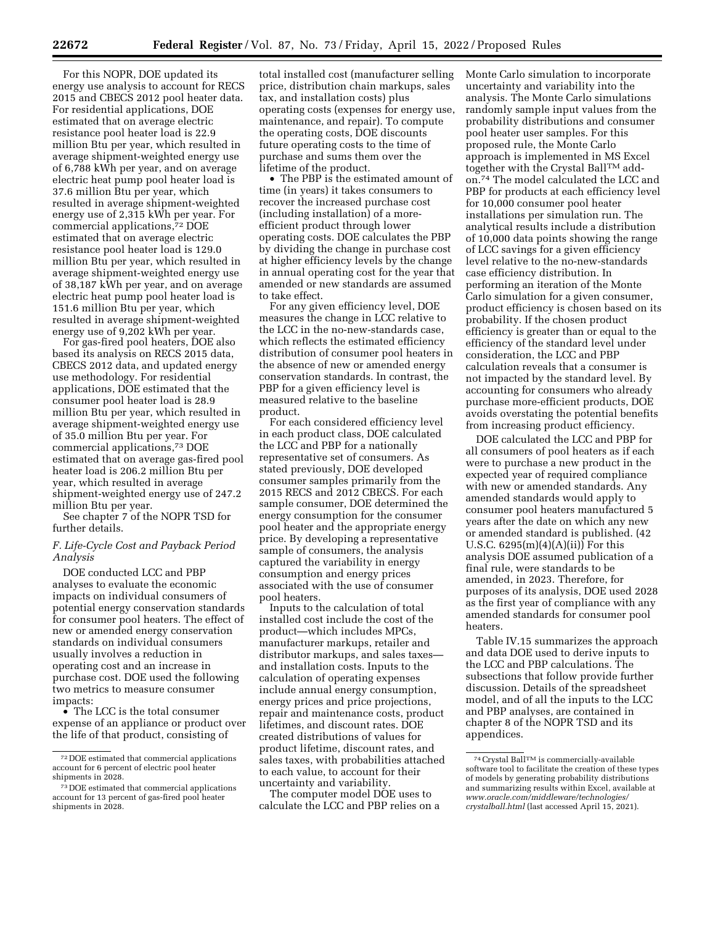For this NOPR, DOE updated its energy use analysis to account for RECS 2015 and CBECS 2012 pool heater data. For residential applications, DOE estimated that on average electric resistance pool heater load is 22.9 million Btu per year, which resulted in average shipment-weighted energy use of 6,788 kWh per year, and on average electric heat pump pool heater load is 37.6 million Btu per year, which resulted in average shipment-weighted energy use of 2,315 kWh per year. For commercial applications,72 DOE estimated that on average electric resistance pool heater load is 129.0 million Btu per year, which resulted in average shipment-weighted energy use of 38,187 kWh per year, and on average electric heat pump pool heater load is 151.6 million Btu per year, which resulted in average shipment-weighted energy use of 9,202 kWh per year.

For gas-fired pool heaters, DOE also based its analysis on RECS 2015 data, CBECS 2012 data, and updated energy use methodology. For residential applications, DOE estimated that the consumer pool heater load is 28.9 million Btu per year, which resulted in average shipment-weighted energy use of 35.0 million Btu per year. For commercial applications,73 DOE estimated that on average gas-fired pool heater load is 206.2 million Btu per year, which resulted in average shipment-weighted energy use of 247.2 million Btu per year.

See chapter 7 of the NOPR TSD for further details.

## *F. Life-Cycle Cost and Payback Period Analysis*

DOE conducted LCC and PBP analyses to evaluate the economic impacts on individual consumers of potential energy conservation standards for consumer pool heaters. The effect of new or amended energy conservation standards on individual consumers usually involves a reduction in operating cost and an increase in purchase cost. DOE used the following two metrics to measure consumer impacts:

• The LCC is the total consumer expense of an appliance or product over the life of that product, consisting of

total installed cost (manufacturer selling price, distribution chain markups, sales tax, and installation costs) plus operating costs (expenses for energy use, maintenance, and repair). To compute the operating costs, DOE discounts future operating costs to the time of purchase and sums them over the lifetime of the product.

• The PBP is the estimated amount of time (in years) it takes consumers to recover the increased purchase cost (including installation) of a moreefficient product through lower operating costs. DOE calculates the PBP by dividing the change in purchase cost at higher efficiency levels by the change in annual operating cost for the year that amended or new standards are assumed to take effect.

For any given efficiency level, DOE measures the change in LCC relative to the LCC in the no-new-standards case, which reflects the estimated efficiency distribution of consumer pool heaters in the absence of new or amended energy conservation standards. In contrast, the PBP for a given efficiency level is measured relative to the baseline product.

For each considered efficiency level in each product class, DOE calculated the LCC and PBP for a nationally representative set of consumers. As stated previously, DOE developed consumer samples primarily from the 2015 RECS and 2012 CBECS. For each sample consumer, DOE determined the energy consumption for the consumer pool heater and the appropriate energy price. By developing a representative sample of consumers, the analysis captured the variability in energy consumption and energy prices associated with the use of consumer pool heaters.

Inputs to the calculation of total installed cost include the cost of the product—which includes MPCs, manufacturer markups, retailer and distributor markups, and sales taxes and installation costs. Inputs to the calculation of operating expenses include annual energy consumption, energy prices and price projections, repair and maintenance costs, product lifetimes, and discount rates. DOE created distributions of values for product lifetime, discount rates, and sales taxes, with probabilities attached to each value, to account for their uncertainty and variability.

The computer model DOE uses to calculate the LCC and PBP relies on a Monte Carlo simulation to incorporate uncertainty and variability into the analysis. The Monte Carlo simulations randomly sample input values from the probability distributions and consumer pool heater user samples. For this proposed rule, the Monte Carlo approach is implemented in MS Excel together with the Crystal Ball<sup>TM</sup> addon.74 The model calculated the LCC and PBP for products at each efficiency level for 10,000 consumer pool heater installations per simulation run. The analytical results include a distribution of 10,000 data points showing the range of LCC savings for a given efficiency level relative to the no-new-standards case efficiency distribution. In performing an iteration of the Monte Carlo simulation for a given consumer, product efficiency is chosen based on its probability. If the chosen product efficiency is greater than or equal to the efficiency of the standard level under consideration, the LCC and PBP calculation reveals that a consumer is not impacted by the standard level. By accounting for consumers who already purchase more-efficient products, DOE avoids overstating the potential benefits from increasing product efficiency.

DOE calculated the LCC and PBP for all consumers of pool heaters as if each were to purchase a new product in the expected year of required compliance with new or amended standards. Any amended standards would apply to consumer pool heaters manufactured 5 years after the date on which any new or amended standard is published. (42 U.S.C.  $6295(m)(4)(A)(ii)$  For this analysis DOE assumed publication of a final rule, were standards to be amended, in 2023. Therefore, for purposes of its analysis, DOE used 2028 as the first year of compliance with any amended standards for consumer pool heaters.

Table IV.15 summarizes the approach and data DOE used to derive inputs to the LCC and PBP calculations. The subsections that follow provide further discussion. Details of the spreadsheet model, and of all the inputs to the LCC and PBP analyses, are contained in chapter 8 of the NOPR TSD and its appendices.

<sup>72</sup> DOE estimated that commercial applications account for 6 percent of electric pool heater shipments in 2028.

<sup>73</sup> DOE estimated that commercial applications account for 13 percent of gas-fired pool heater shipments in 2028.

 $\overline{^{74}\mathrm{Cr}$ ystal BallTM is commercially-available software tool to facilitate the creation of these types of models by generating probability distributions and summarizing results within Excel, available at *[www.oracle.com/middleware/technologies/](http://www.oracle.com/middleware/technologies/crystalball.html)  [crystalball.html](http://www.oracle.com/middleware/technologies/crystalball.html)* (last accessed April 15, 2021).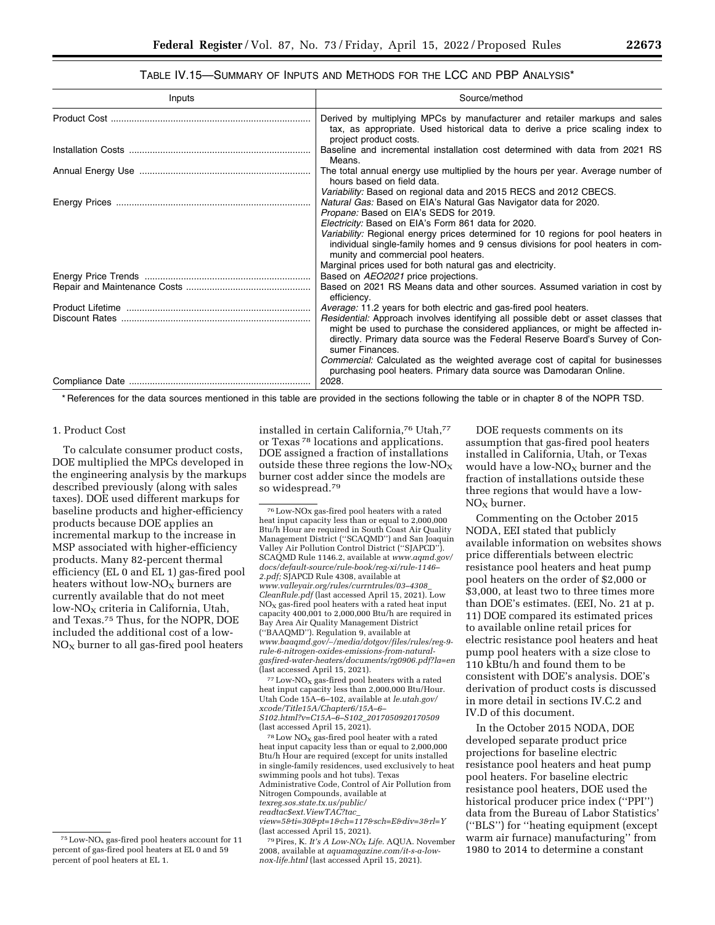# TABLE IV.15—SUMMARY OF INPUTS AND METHODS FOR THE LCC AND PBP ANALYSIS\*

| Inputs | Source/method                                                                                                                                                                                                                                                          |
|--------|------------------------------------------------------------------------------------------------------------------------------------------------------------------------------------------------------------------------------------------------------------------------|
|        | Derived by multiplying MPCs by manufacturer and retailer markups and sales<br>tax, as appropriate. Used historical data to derive a price scaling index to<br>project product costs.                                                                                   |
|        | Baseline and incremental installation cost determined with data from 2021 RS<br>Means.                                                                                                                                                                                 |
|        | The total annual energy use multiplied by the hours per year. Average number of<br>hours based on field data.                                                                                                                                                          |
|        | Variability: Based on regional data and 2015 RECS and 2012 CBECS.<br>Natural Gas: Based on EIA's Natural Gas Navigator data for 2020.<br>Propane: Based on EIA's SEDS for 2019.<br>Electricity: Based on EIA's Form 861 data for 2020.                                 |
|        | Variability: Regional energy prices determined for 10 regions for pool heaters in<br>individual single-family homes and 9 census divisions for pool heaters in com-<br>munity and commercial pool heaters.                                                             |
|        | Marginal prices used for both natural gas and electricity.                                                                                                                                                                                                             |
|        | Based on AEO2021 price projections.<br>Based on 2021 RS Means data and other sources. Assumed variation in cost by<br>efficiency.                                                                                                                                      |
|        | <i>Average:</i> 11.2 years for both electric and gas-fired pool heaters.                                                                                                                                                                                               |
|        | Residential: Approach involves identifying all possible debt or asset classes that<br>might be used to purchase the considered appliances, or might be affected in-<br>directly. Primary data source was the Federal Reserve Board's Survey of Con-<br>sumer Finances. |
|        | <i>Commercial:</i> Calculated as the weighted average cost of capital for businesses                                                                                                                                                                                   |
|        | purchasing pool heaters. Primary data source was Damodaran Online.                                                                                                                                                                                                     |

\* References for the data sources mentioned in this table are provided in the sections following the table or in chapter 8 of the NOPR TSD.

## 1. Product Cost

To calculate consumer product costs, DOE multiplied the MPCs developed in the engineering analysis by the markups described previously (along with sales taxes). DOE used different markups for baseline products and higher-efficiency products because DOE applies an incremental markup to the increase in MSP associated with higher-efficiency products. Many 82-percent thermal efficiency (EL 0 and EL 1) gas-fired pool heaters without low- $NO<sub>x</sub>$  burners are currently available that do not meet  $low-NO<sub>X</sub>$  criteria in California, Utah, and Texas.75 Thus, for the NOPR, DOE included the additional cost of a low- $NO<sub>x</sub>$  burner to all gas-fired pool heaters

installed in certain California,76 Utah,77 or Texas 78 locations and applications. DOE assigned a fraction of installations outside these three regions the low- $NO_X$ burner cost adder since the models are so widespread.79

 $^{77}\mathrm{Low}\text{-}\mathrm{NO}_{\mathrm{X}}$  gas-fired pool heaters with a rated heat input capacity less than 2,000,000 Btu/Hour. Utah Code 15A–6–102, available at *[le.utah.gov/](http://le.utah.gov/xcode/Title15A/Chapter6/15A-6-S102.html?v=C15A-6-S102_2017050920170509)  [xcode/Title15A/Chapter6/15A–6–](http://le.utah.gov/xcode/Title15A/Chapter6/15A-6-S102.html?v=C15A-6-S102_2017050920170509)  [S102.html?v=C15A–6–S102](http://le.utah.gov/xcode/Title15A/Chapter6/15A-6-S102.html?v=C15A-6-S102_2017050920170509)*\_*2017050920170509*  (last accessed April 15, 2021).

 $78$  Low NO<sub>X</sub> gas-fired pool heater with a rated heat input capacity less than or equal to 2,000,000 Btu/h Hour are required (except for units installed in single-family residences, used exclusively to heat swimming pools and hot tubs). Texas Administrative Code, Control of Air Pollution from Nitrogen Compounds, available at *[texreg.sos.state.tx.us/public/](http://texreg.sos.state.tx.us/public/readtac$ext.ViewTAC?tac_view=5&ti=30&pt=1&ch=117&sch=E&div=3&rl=Y)  [readtac\\$ext.ViewTAC?tac](http://texreg.sos.state.tx.us/public/readtac$ext.ViewTAC?tac_view=5&ti=30&pt=1&ch=117&sch=E&div=3&rl=Y)*\_ *[view=5&ti=30&pt=1&ch=117&sch=E&div=3&rl=Y](http://texreg.sos.state.tx.us/public/readtac$ext.ViewTAC?tac_view=5&ti=30&pt=1&ch=117&sch=E&div=3&rl=Y)*  (last accessed April 15, 2021).

79Pires, K. *It's A Low-NO<sup>X</sup> Life.* AQUA. November 2008, available at *[aquamagazine.com/it-s-a-low](http://aquamagazine.com/it-s-a-low-nox-life.html)[nox-life.html](http://aquamagazine.com/it-s-a-low-nox-life.html)* (last accessed April 15, 2021).

DOE requests comments on its assumption that gas-fired pool heaters installed in California, Utah, or Texas would have a low- $NO<sub>x</sub>$  burner and the fraction of installations outside these three regions that would have a low- $NO<sub>x</sub>$  burner.

Commenting on the October 2015 NODA, EEI stated that publicly available information on websites shows price differentials between electric resistance pool heaters and heat pump pool heaters on the order of \$2,000 or \$3,000, at least two to three times more than DOE's estimates. (EEI, No. 21 at p. 11) DOE compared its estimated prices to available online retail prices for electric resistance pool heaters and heat pump pool heaters with a size close to 110 kBtu/h and found them to be consistent with DOE's analysis. DOE's derivation of product costs is discussed in more detail in sections IV.C.2 and IV.D of this document.

In the October 2015 NODA, DOE developed separate product price projections for baseline electric resistance pool heaters and heat pump pool heaters. For baseline electric resistance pool heaters, DOE used the historical producer price index (''PPI'') data from the Bureau of Labor Statistics' (''BLS'') for ''heating equipment (except warm air furnace) manufacturing'' from 1980 to 2014 to determine a constant

 $75$  Low-NO<sub>x</sub> gas-fired pool heaters account for 11 percent of gas-fired pool heaters at EL 0 and 59 percent of pool heaters at EL 1.

<sup>76</sup>Low-NOx gas-fired pool heaters with a rated heat input capacity less than or equal to 2,000,000 Btu/h Hour are required in South Coast Air Quality Management District (''SCAQMD'') and San Joaquin Valley Air Pollution Control District (''SJAPCD''). SCAQMD Rule 1146.2, available at *[www.aqmd.gov/](http://www.aqmd.gov/docs/default-source/rule-book/reg-xi/rule-1146-2.pdf)  [docs/default-source/rule-book/reg-xi/rule-1146–](http://www.aqmd.gov/docs/default-source/rule-book/reg-xi/rule-1146-2.pdf)  [2.pdf;](http://www.aqmd.gov/docs/default-source/rule-book/reg-xi/rule-1146-2.pdf)* SJAPCD Rule 4308, available at *[www.valleyair.org/rules/currntrules/03–4308](http://www.valleyair.org/rules/currntrules/03-4308_CleanRule.pdf)*\_ *[CleanRule.pdf](http://www.valleyair.org/rules/currntrules/03-4308_CleanRule.pdf)* (last accessed April 15, 2021). Low  $NO<sub>x</sub>$  gas-fired pool heaters with a rated heat input capacity 400,001 to 2,000,000 Btu/h are required in Bay Area Air Quality Management District (''BAAQMD''). Regulation 9, available at *www.baaqmd.gov/*∼*[/media/dotgov/files/rules/reg-9](http://www.baaqmd.gov/~/media/dotgov/files/rules/reg-9-rule-6-nitrogen-oxides-emissions-from-natural-gasfired-water-heaters/documents/rg0906.pdf?la=en) [rule-6-nitrogen-oxides-emissions-from-natural](http://www.baaqmd.gov/~/media/dotgov/files/rules/reg-9-rule-6-nitrogen-oxides-emissions-from-natural-gasfired-water-heaters/documents/rg0906.pdf?la=en)[gasfired-water-heaters/documents/rg0906.pdf?la=en](http://www.baaqmd.gov/~/media/dotgov/files/rules/reg-9-rule-6-nitrogen-oxides-emissions-from-natural-gasfired-water-heaters/documents/rg0906.pdf?la=en)*  (last accessed April 15, 2021).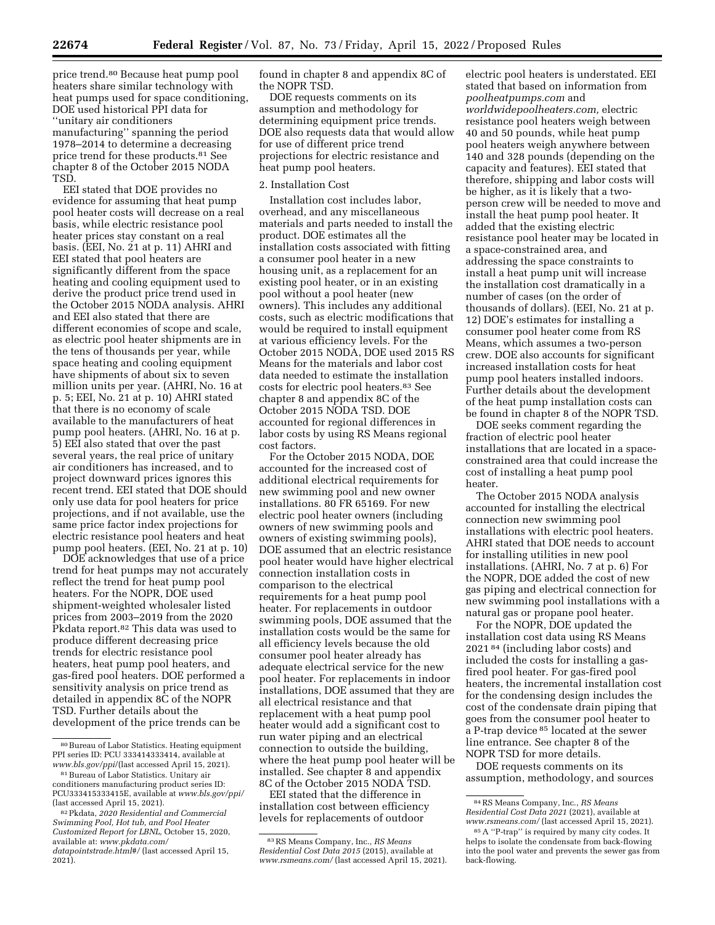price trend.80 Because heat pump pool heaters share similar technology with heat pumps used for space conditioning, DOE used historical PPI data for ''unitary air conditioners manufacturing'' spanning the period 1978–2014 to determine a decreasing price trend for these products.81 See chapter 8 of the October 2015 NODA TSD.

EEI stated that DOE provides no evidence for assuming that heat pump pool heater costs will decrease on a real basis, while electric resistance pool heater prices stay constant on a real basis. (EEI, No. 21 at p. 11) AHRI and EEI stated that pool heaters are significantly different from the space heating and cooling equipment used to derive the product price trend used in the October 2015 NODA analysis. AHRI and EEI also stated that there are different economies of scope and scale, as electric pool heater shipments are in the tens of thousands per year, while space heating and cooling equipment have shipments of about six to seven million units per year. (AHRI, No. 16 at p. 5; EEI, No. 21 at p. 10) AHRI stated that there is no economy of scale available to the manufacturers of heat pump pool heaters. (AHRI, No. 16 at p. 5) EEI also stated that over the past several years, the real price of unitary air conditioners has increased, and to project downward prices ignores this recent trend. EEI stated that DOE should only use data for pool heaters for price projections, and if not available, use the same price factor index projections for electric resistance pool heaters and heat pump pool heaters. (EEI, No. 21 at p. 10)

DOE acknowledges that use of a price trend for heat pumps may not accurately reflect the trend for heat pump pool heaters. For the NOPR, DOE used shipment-weighted wholesaler listed prices from 2003–2019 from the 2020 Pkdata report.<sup>82</sup> This data was used to produce different decreasing price trends for electric resistance pool heaters, heat pump pool heaters, and gas-fired pool heaters. DOE performed a sensitivity analysis on price trend as detailed in appendix 8C of the NOPR TSD. Further details about the development of the price trends can be

found in chapter 8 and appendix 8C of the NOPR TSD.

DOE requests comments on its assumption and methodology for determining equipment price trends. DOE also requests data that would allow for use of different price trend projections for electric resistance and heat pump pool heaters.

#### 2. Installation Cost

Installation cost includes labor, overhead, and any miscellaneous materials and parts needed to install the product. DOE estimates all the installation costs associated with fitting a consumer pool heater in a new housing unit, as a replacement for an existing pool heater, or in an existing pool without a pool heater (new owners). This includes any additional costs, such as electric modifications that would be required to install equipment at various efficiency levels. For the October 2015 NODA, DOE used 2015 RS Means for the materials and labor cost data needed to estimate the installation costs for electric pool heaters.83 See chapter 8 and appendix 8C of the October 2015 NODA TSD. DOE accounted for regional differences in labor costs by using RS Means regional cost factors.

For the October 2015 NODA, DOE accounted for the increased cost of additional electrical requirements for new swimming pool and new owner installations. 80 FR 65169. For new electric pool heater owners (including owners of new swimming pools and owners of existing swimming pools), DOE assumed that an electric resistance pool heater would have higher electrical connection installation costs in comparison to the electrical requirements for a heat pump pool heater. For replacements in outdoor swimming pools, DOE assumed that the installation costs would be the same for all efficiency levels because the old consumer pool heater already has adequate electrical service for the new pool heater. For replacements in indoor installations, DOE assumed that they are all electrical resistance and that replacement with a heat pump pool heater would add a significant cost to run water piping and an electrical connection to outside the building, where the heat pump pool heater will be installed. See chapter 8 and appendix 8C of the October 2015 NODA TSD.

EEI stated that the difference in installation cost between efficiency levels for replacements of outdoor

electric pool heaters is understated. EEI stated that based on information from *poolheatpumps.com* and *worldwidepoolheaters.com,* electric resistance pool heaters weigh between 40 and 50 pounds, while heat pump pool heaters weigh anywhere between 140 and 328 pounds (depending on the capacity and features). EEI stated that therefore, shipping and labor costs will be higher, as it is likely that a twoperson crew will be needed to move and install the heat pump pool heater. It added that the existing electric resistance pool heater may be located in a space-constrained area, and addressing the space constraints to install a heat pump unit will increase the installation cost dramatically in a number of cases (on the order of thousands of dollars). (EEI, No. 21 at p. 12) DOE's estimates for installing a consumer pool heater come from RS Means, which assumes a two-person crew. DOE also accounts for significant increased installation costs for heat pump pool heaters installed indoors. Further details about the development of the heat pump installation costs can be found in chapter 8 of the NOPR TSD.

DOE seeks comment regarding the fraction of electric pool heater installations that are located in a spaceconstrained area that could increase the cost of installing a heat pump pool heater.

The October 2015 NODA analysis accounted for installing the electrical connection new swimming pool installations with electric pool heaters. AHRI stated that DOE needs to account for installing utilities in new pool installations. (AHRI, No. 7 at p. 6) For the NOPR, DOE added the cost of new gas piping and electrical connection for new swimming pool installations with a natural gas or propane pool heater.

For the NOPR, DOE updated the installation cost data using RS Means 2021 84 (including labor costs) and included the costs for installing a gasfired pool heater. For gas-fired pool heaters, the incremental installation cost for the condensing design includes the cost of the condensate drain piping that goes from the consumer pool heater to a P-trap device 85 located at the sewer line entrance. See chapter 8 of the NOPR TSD for more details.

DOE requests comments on its assumption, methodology, and sources

<sup>80</sup>Bureau of Labor Statistics. Heating equipment PPI series ID: PCU 333414333414, available at *[www.bls.gov/ppi](http://www.bls.gov/ppi/)*/(last accessed April 15, 2021).

<sup>81</sup>Bureau of Labor Statistics. Unitary air conditioners manufacturing product series ID: PCU333415333415E, available at *[www.bls.gov/ppi/](http://www.bls.gov/ppi/)*  (last accessed April 15, 2021).

<sup>82</sup>Pkdata, *2020 Residential and Commercial Swimming Pool, Hot tub, and Pool Heater Customized Report for LBNL,* October 15, 2020, available at: *[www.pkdata.com/](http://www.pkdata.com/datapointstrade.html#/) [datapointstrade.html#/](http://www.pkdata.com/datapointstrade.html#/)* (last accessed April 15, 2021).

<sup>83</sup>RS Means Company, Inc., *RS Means Residential Cost Data 2015* (2015), available at *[www.rsmeans.com/](http://www.rsmeans.com/)* (last accessed April 15, 2021).

<sup>84</sup>RS Means Company, Inc., *RS Means Residential Cost Data 2021* (2021), available at *[www.rsmeans.com/](http://www.rsmeans.com/)* (last accessed April 15, 2021).

<sup>85</sup>A ''P-trap'' is required by many city codes. It helps to isolate the condensate from back-flowing into the pool water and prevents the sewer gas from back-flowing.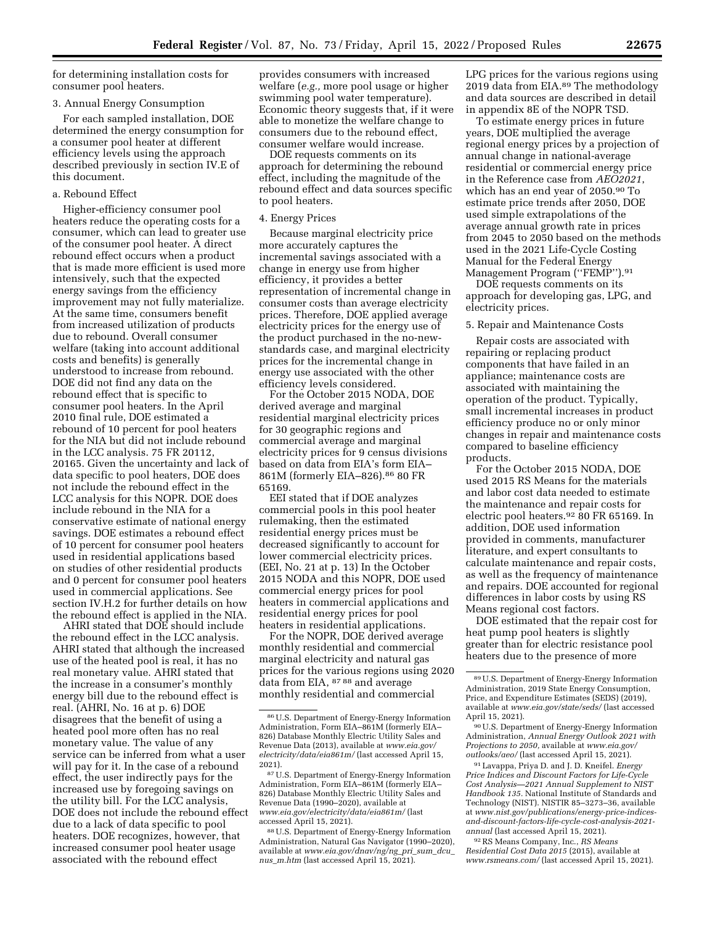for determining installation costs for consumer pool heaters.

#### 3. Annual Energy Consumption

For each sampled installation, DOE determined the energy consumption for a consumer pool heater at different efficiency levels using the approach described previously in section IV.E of this document.

a. Rebound Effect

Higher-efficiency consumer pool heaters reduce the operating costs for a consumer, which can lead to greater use of the consumer pool heater. A direct rebound effect occurs when a product that is made more efficient is used more intensively, such that the expected energy savings from the efficiency improvement may not fully materialize. At the same time, consumers benefit from increased utilization of products due to rebound. Overall consumer welfare (taking into account additional costs and benefits) is generally understood to increase from rebound. DOE did not find any data on the rebound effect that is specific to consumer pool heaters. In the April 2010 final rule, DOE estimated a rebound of 10 percent for pool heaters for the NIA but did not include rebound in the LCC analysis. 75 FR 20112, 20165. Given the uncertainty and lack of data specific to pool heaters, DOE does not include the rebound effect in the LCC analysis for this NOPR. DOE does include rebound in the NIA for a conservative estimate of national energy savings. DOE estimates a rebound effect of 10 percent for consumer pool heaters used in residential applications based on studies of other residential products and 0 percent for consumer pool heaters used in commercial applications. See section IV.H.2 for further details on how the rebound effect is applied in the NIA.

AHRI stated that DOE should include the rebound effect in the LCC analysis. AHRI stated that although the increased use of the heated pool is real, it has no real monetary value. AHRI stated that the increase in a consumer's monthly energy bill due to the rebound effect is real. (AHRI, No. 16 at p. 6) DOE disagrees that the benefit of using a heated pool more often has no real monetary value. The value of any service can be inferred from what a user will pay for it. In the case of a rebound effect, the user indirectly pays for the increased use by foregoing savings on the utility bill. For the LCC analysis, DOE does not include the rebound effect due to a lack of data specific to pool heaters. DOE recognizes, however, that increased consumer pool heater usage associated with the rebound effect

provides consumers with increased welfare (*e.g.,* more pool usage or higher swimming pool water temperature). Economic theory suggests that, if it were able to monetize the welfare change to consumers due to the rebound effect, consumer welfare would increase.

DOE requests comments on its approach for determining the rebound effect, including the magnitude of the rebound effect and data sources specific to pool heaters.

#### 4. Energy Prices

Because marginal electricity price more accurately captures the incremental savings associated with a change in energy use from higher efficiency, it provides a better representation of incremental change in consumer costs than average electricity prices. Therefore, DOE applied average electricity prices for the energy use of the product purchased in the no-newstandards case, and marginal electricity prices for the incremental change in energy use associated with the other efficiency levels considered.

For the October 2015 NODA, DOE derived average and marginal residential marginal electricity prices for 30 geographic regions and commercial average and marginal electricity prices for 9 census divisions based on data from EIA's form EIA– 861M (formerly EIA–826).86 80 FR 65169.

EEI stated that if DOE analyzes commercial pools in this pool heater rulemaking, then the estimated residential energy prices must be decreased significantly to account for lower commercial electricity prices. (EEI, No. 21 at p. 13) In the October 2015 NODA and this NOPR, DOE used commercial energy prices for pool heaters in commercial applications and residential energy prices for pool heaters in residential applications.

For the NOPR, DOE derived average monthly residential and commercial marginal electricity and natural gas prices for the various regions using 2020 data from EIA, 87 88 and average monthly residential and commercial

LPG prices for the various regions using 2019 data from EIA.<sup>89</sup> The methodology and data sources are described in detail in appendix 8E of the NOPR TSD.

To estimate energy prices in future years, DOE multiplied the average regional energy prices by a projection of annual change in national-average residential or commercial energy price in the Reference case from *AEO2021*, which has an end year of 2050.90 To estimate price trends after 2050, DOE used simple extrapolations of the average annual growth rate in prices from 2045 to 2050 based on the methods used in the 2021 Life-Cycle Costing Manual for the Federal Energy Management Program ("FEMP").91

DOE requests comments on its approach for developing gas, LPG, and electricity prices.

# 5. Repair and Maintenance Costs

Repair costs are associated with repairing or replacing product components that have failed in an appliance; maintenance costs are associated with maintaining the operation of the product. Typically, small incremental increases in product efficiency produce no or only minor changes in repair and maintenance costs compared to baseline efficiency products.

For the October 2015 NODA, DOE used 2015 RS Means for the materials and labor cost data needed to estimate the maintenance and repair costs for electric pool heaters.92 80 FR 65169. In addition, DOE used information provided in comments, manufacturer literature, and expert consultants to calculate maintenance and repair costs, as well as the frequency of maintenance and repairs. DOE accounted for regional differences in labor costs by using RS Means regional cost factors.

DOE estimated that the repair cost for heat pump pool heaters is slightly greater than for electric resistance pool heaters due to the presence of more

91Lavappa, Priya D. and J. D. Kneifel. *Energy Price Indices and Discount Factors for Life-Cycle Cost Analysis—2021 Annual Supplement to NIST Handbook 135.* National Institute of Standards and Technology (NIST). NISTIR 85–3273–36, available at *[www.nist.gov/publications/energy-price-indices](http://www.nist.gov/publications/energy-price-indices-and-discount-factors-life-cycle-cost-analysis-2021-annual)[and-discount-factors-life-cycle-cost-analysis-2021](http://www.nist.gov/publications/energy-price-indices-and-discount-factors-life-cycle-cost-analysis-2021-annual) [annual](http://www.nist.gov/publications/energy-price-indices-and-discount-factors-life-cycle-cost-analysis-2021-annual)* (last accessed April 15, 2021).

92RS Means Company, Inc., *RS Means Residential Cost Data 2015* (2015), available at *[www.rsmeans.com/](http://www.rsmeans.com/)* (last accessed April 15, 2021).

<sup>86</sup>U.S. Department of Energy-Energy Information Administration, Form EIA–861M (formerly EIA– 826) Database Monthly Electric Utility Sales and Revenue Data (2013), available at *[www.eia.gov/](http://www.eia.gov/electricity/data/eia861m/)  [electricity/data/eia861m/](http://www.eia.gov/electricity/data/eia861m/)* (last accessed April 15, 2021).

<sup>87</sup>U.S. Department of Energy-Energy Information Administration, Form EIA–861M (formerly EIA– 826) Database Monthly Electric Utility Sales and Revenue Data (1990–2020), available at *[www.eia.gov/electricity/data/eia861m/](http://www.eia.gov/electricity/data/eia861m/)* (last accessed April 15, 2021).

<sup>88</sup>U.S. Department of Energy-Energy Information Administration, Natural Gas Navigator (1990–2020), available at *[www.eia.gov/dnav/ng/ng](http://www.eia.gov/dnav/ng/ng_pri_sum_dcu_nus_m.htm)*\_*pri*\_*sum*\_*dcu*\_ *nus*\_*[m.htm](http://www.eia.gov/dnav/ng/ng_pri_sum_dcu_nus_m.htm)* (last accessed April 15, 2021).

<sup>89</sup>U.S. Department of Energy-Energy Information Administration, 2019 State Energy Consumption, Price, and Expenditure Estimates (SEDS) (2019), available at *[www.eia.gov/state/seds/](http://www.eia.gov/state/seds/)* (last accessed April 15, 2021).

<sup>90</sup>U.S. Department of Energy-Energy Information Administration, *Annual Energy Outlook 2021 with Projections to 2050,* available at *[www.eia.gov/](http://www.eia.gov/outlooks/aeo/)  [outlooks/aeo/](http://www.eia.gov/outlooks/aeo/)* (last accessed April 15, 2021).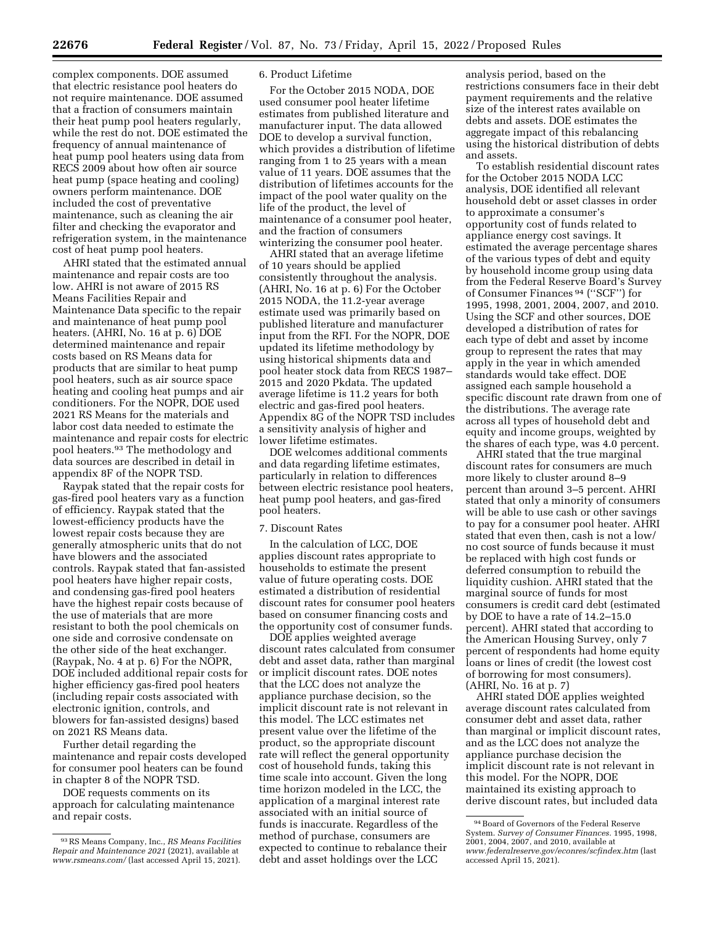complex components. DOE assumed that electric resistance pool heaters do not require maintenance. DOE assumed that a fraction of consumers maintain their heat pump pool heaters regularly, while the rest do not. DOE estimated the frequency of annual maintenance of heat pump pool heaters using data from RECS 2009 about how often air source heat pump (space heating and cooling) owners perform maintenance. DOE included the cost of preventative maintenance, such as cleaning the air filter and checking the evaporator and refrigeration system, in the maintenance cost of heat pump pool heaters.

AHRI stated that the estimated annual maintenance and repair costs are too low. AHRI is not aware of 2015 RS Means Facilities Repair and Maintenance Data specific to the repair and maintenance of heat pump pool heaters. (AHRI, No. 16 at p. 6) DOE determined maintenance and repair costs based on RS Means data for products that are similar to heat pump pool heaters, such as air source space heating and cooling heat pumps and air conditioners. For the NOPR, DOE used 2021 RS Means for the materials and labor cost data needed to estimate the maintenance and repair costs for electric pool heaters.93 The methodology and data sources are described in detail in appendix 8F of the NOPR TSD.

Raypak stated that the repair costs for gas-fired pool heaters vary as a function of efficiency. Raypak stated that the lowest-efficiency products have the lowest repair costs because they are generally atmospheric units that do not have blowers and the associated controls. Raypak stated that fan-assisted pool heaters have higher repair costs, and condensing gas-fired pool heaters have the highest repair costs because of the use of materials that are more resistant to both the pool chemicals on one side and corrosive condensate on the other side of the heat exchanger. (Raypak, No. 4 at p. 6) For the NOPR, DOE included additional repair costs for higher efficiency gas-fired pool heaters (including repair costs associated with electronic ignition, controls, and blowers for fan-assisted designs) based on 2021 RS Means data.

Further detail regarding the maintenance and repair costs developed for consumer pool heaters can be found in chapter 8 of the NOPR TSD.

DOE requests comments on its approach for calculating maintenance and repair costs.

### 6. Product Lifetime

For the October 2015 NODA, DOE used consumer pool heater lifetime estimates from published literature and manufacturer input. The data allowed DOE to develop a survival function, which provides a distribution of lifetime ranging from 1 to 25 years with a mean value of 11 years. DOE assumes that the distribution of lifetimes accounts for the impact of the pool water quality on the life of the product, the level of maintenance of a consumer pool heater, and the fraction of consumers winterizing the consumer pool heater.

AHRI stated that an average lifetime of 10 years should be applied consistently throughout the analysis. (AHRI, No. 16 at p. 6) For the October 2015 NODA, the 11.2-year average estimate used was primarily based on published literature and manufacturer input from the RFI. For the NOPR, DOE updated its lifetime methodology by using historical shipments data and pool heater stock data from RECS 1987– 2015 and 2020 Pkdata. The updated average lifetime is 11.2 years for both electric and gas-fired pool heaters. Appendix 8G of the NOPR TSD includes a sensitivity analysis of higher and lower lifetime estimates.

DOE welcomes additional comments and data regarding lifetime estimates, particularly in relation to differences between electric resistance pool heaters, heat pump pool heaters, and gas-fired pool heaters.

### 7. Discount Rates

In the calculation of LCC, DOE applies discount rates appropriate to households to estimate the present value of future operating costs. DOE estimated a distribution of residential discount rates for consumer pool heaters based on consumer financing costs and the opportunity cost of consumer funds.

DOE applies weighted average discount rates calculated from consumer debt and asset data, rather than marginal or implicit discount rates. DOE notes that the LCC does not analyze the appliance purchase decision, so the implicit discount rate is not relevant in this model. The LCC estimates net present value over the lifetime of the product, so the appropriate discount rate will reflect the general opportunity cost of household funds, taking this time scale into account. Given the long time horizon modeled in the LCC, the application of a marginal interest rate associated with an initial source of funds is inaccurate. Regardless of the method of purchase, consumers are expected to continue to rebalance their debt and asset holdings over the LCC

analysis period, based on the restrictions consumers face in their debt payment requirements and the relative size of the interest rates available on debts and assets. DOE estimates the aggregate impact of this rebalancing using the historical distribution of debts and assets.

To establish residential discount rates for the October 2015 NODA LCC analysis, DOE identified all relevant household debt or asset classes in order to approximate a consumer's opportunity cost of funds related to appliance energy cost savings. It estimated the average percentage shares of the various types of debt and equity by household income group using data from the Federal Reserve Board's Survey of Consumer Finances 94 (''SCF'') for 1995, 1998, 2001, 2004, 2007, and 2010. Using the SCF and other sources, DOE developed a distribution of rates for each type of debt and asset by income group to represent the rates that may apply in the year in which amended standards would take effect. DOE assigned each sample household a specific discount rate drawn from one of the distributions. The average rate across all types of household debt and equity and income groups, weighted by the shares of each type, was 4.0 percent.

AHRI stated that the true marginal discount rates for consumers are much more likely to cluster around 8–9 percent than around 3–5 percent. AHRI stated that only a minority of consumers will be able to use cash or other savings to pay for a consumer pool heater. AHRI stated that even then, cash is not a low/ no cost source of funds because it must be replaced with high cost funds or deferred consumption to rebuild the liquidity cushion. AHRI stated that the marginal source of funds for most consumers is credit card debt (estimated by DOE to have a rate of 14.2–15.0 percent). AHRI stated that according to the American Housing Survey, only 7 percent of respondents had home equity loans or lines of credit (the lowest cost of borrowing for most consumers). (AHRI, No. 16 at p. 7)

AHRI stated DOE applies weighted average discount rates calculated from consumer debt and asset data, rather than marginal or implicit discount rates, and as the LCC does not analyze the appliance purchase decision the implicit discount rate is not relevant in this model. For the NOPR, DOE maintained its existing approach to derive discount rates, but included data

<sup>93</sup>RS Means Company, Inc., *RS Means Facilities Repair and Maintenance 2021* (2021), available at *[www.rsmeans.com/](http://www.rsmeans.com/)* (last accessed April 15, 2021).

<sup>94</sup>Board of Governors of the Federal Reserve System. *Survey of Consumer Finances.* 1995, 1998, 2001, 2004, 2007, and 2010, available at *[www.federalreserve.gov/econres/scfindex.htm](http://www.federalreserve.gov/econres/scfindex.htm)* (last accessed April 15, 2021).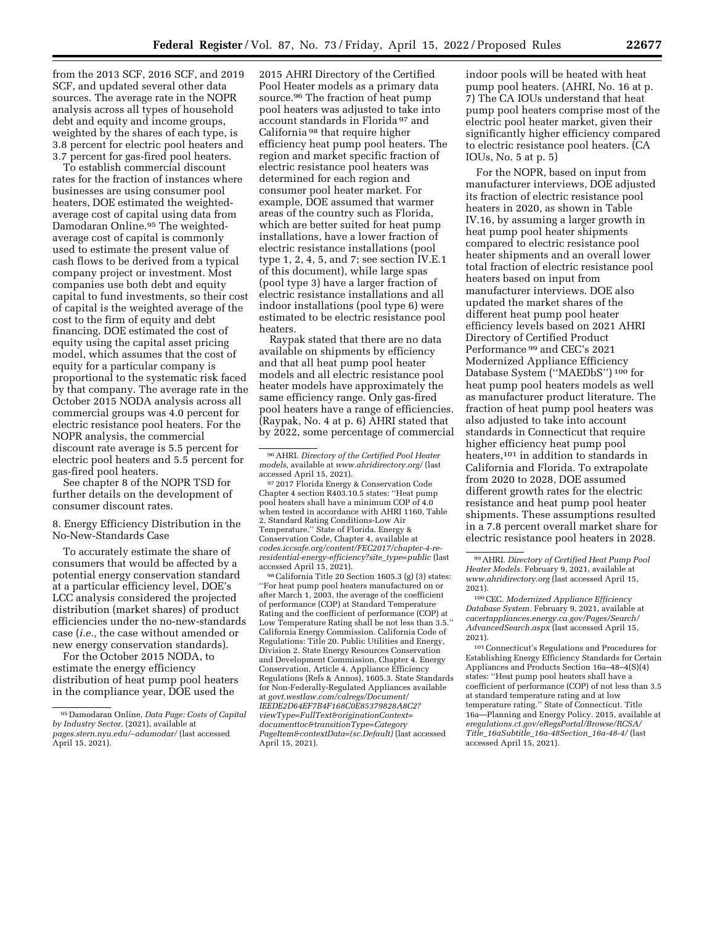from the 2013 SCF, 2016 SCF, and 2019 SCF, and updated several other data sources. The average rate in the NOPR analysis across all types of household debt and equity and income groups, weighted by the shares of each type, is 3.8 percent for electric pool heaters and 3.7 percent for gas-fired pool heaters.

To establish commercial discount rates for the fraction of instances where businesses are using consumer pool heaters, DOE estimated the weightedaverage cost of capital using data from Damodaran Online.95 The weightedaverage cost of capital is commonly used to estimate the present value of cash flows to be derived from a typical company project or investment. Most companies use both debt and equity capital to fund investments, so their cost of capital is the weighted average of the cost to the firm of equity and debt financing. DOE estimated the cost of equity using the capital asset pricing model, which assumes that the cost of equity for a particular company is proportional to the systematic risk faced by that company. The average rate in the October 2015 NODA analysis across all commercial groups was 4.0 percent for electric resistance pool heaters. For the NOPR analysis, the commercial discount rate average is 5.5 percent for electric pool heaters and 5.5 percent for gas-fired pool heaters.

See chapter 8 of the NOPR TSD for further details on the development of consumer discount rates.

8. Energy Efficiency Distribution in the No-New-Standards Case

To accurately estimate the share of consumers that would be affected by a potential energy conservation standard at a particular efficiency level, DOE's LCC analysis considered the projected distribution (market shares) of product efficiencies under the no-new-standards case (*i.e.,* the case without amended or new energy conservation standards).

For the October 2015 NODA, to estimate the energy efficiency distribution of heat pump pool heaters in the compliance year, DOE used the

2015 AHRI Directory of the Certified Pool Heater models as a primary data source.96 The fraction of heat pump pool heaters was adjusted to take into account standards in Florida 97 and California 98 that require higher efficiency heat pump pool heaters. The region and market specific fraction of electric resistance pool heaters was determined for each region and consumer pool heater market. For example, DOE assumed that warmer areas of the country such as Florida, which are better suited for heat pump installations, have a lower fraction of electric resistance installations (pool type 1, 2, 4, 5, and 7; see section IV.E.1 of this document), while large spas (pool type 3) have a larger fraction of electric resistance installations and all indoor installations (pool type 6) were estimated to be electric resistance pool heaters.

Raypak stated that there are no data available on shipments by efficiency and that all heat pump pool heater models and all electric resistance pool heater models have approximately the same efficiency range. Only gas-fired pool heaters have a range of efficiencies. (Raypak, No. 4 at p. 6) AHRI stated that by 2022, some percentage of commercial

98California Title 20 Section 1605.3 (g) (3) states: ''For heat pump pool heaters manufactured on or after March 1, 2003, the average of the coefficient of performance (COP) at Standard Temperature Rating and the coefficient of performance (COP) at Low Temperature Rating shall be not less than 3.5.'' California Energy Commission. California Code of Regulations: Title 20. Public Utilities and Energy, Division 2. State Energy Resources Conservation and Development Commission, Chapter 4. Energy Conservation, Article 4. Appliance Efficiency Regulations (Refs & Annos), 1605.3. State Standards for Non-Federally-Regulated Appliances available at *[govt.westlaw.com/calregs/Document/](http://govt.westlaw.com/calregs/Document/IEEDE2D64EF7B4F168C0E85379828A8C2?viewType=FullText&originationContext=documenttoc&transitionType=CategoryPageItem&contextData=(sc.Default))  [IEEDE2D64EF7B4F168C0E85379828A8C2?](http://govt.westlaw.com/calregs/Document/IEEDE2D64EF7B4F168C0E85379828A8C2?viewType=FullText&originationContext=documenttoc&transitionType=CategoryPageItem&contextData=(sc.Default)) [viewType=FullText&originationContext=](http://govt.westlaw.com/calregs/Document/IEEDE2D64EF7B4F168C0E85379828A8C2?viewType=FullText&originationContext=documenttoc&transitionType=CategoryPageItem&contextData=(sc.Default)) [documenttoc&transitionType=Category](http://govt.westlaw.com/calregs/Document/IEEDE2D64EF7B4F168C0E85379828A8C2?viewType=FullText&originationContext=documenttoc&transitionType=CategoryPageItem&contextData=(sc.Default)) [PageItem&contextData=\(sc.Default\)](http://govt.westlaw.com/calregs/Document/IEEDE2D64EF7B4F168C0E85379828A8C2?viewType=FullText&originationContext=documenttoc&transitionType=CategoryPageItem&contextData=(sc.Default))* (last accessed April 15, 2021).

indoor pools will be heated with heat pump pool heaters. (AHRI, No. 16 at p. 7) The CA IOUs understand that heat pump pool heaters comprise most of the electric pool heater market, given their significantly higher efficiency compared to electric resistance pool heaters. (CA IOUs, No. 5 at p. 5)

For the NOPR, based on input from manufacturer interviews, DOE adjusted its fraction of electric resistance pool heaters in 2020, as shown in Table IV.16, by assuming a larger growth in heat pump pool heater shipments compared to electric resistance pool heater shipments and an overall lower total fraction of electric resistance pool heaters based on input from manufacturer interviews. DOE also updated the market shares of the different heat pump pool heater efficiency levels based on 2021 AHRI Directory of Certified Product Performance 99 and CEC's 2021 Modernized Appliance Efficiency Database System (''MAEDbS'') 100 for heat pump pool heaters models as well as manufacturer product literature. The fraction of heat pump pool heaters was also adjusted to take into account standards in Connecticut that require higher efficiency heat pump pool heaters,101 in addition to standards in California and Florida. To extrapolate from 2020 to 2028, DOE assumed different growth rates for the electric resistance and heat pump pool heater shipments. These assumptions resulted in a 7.8 percent overall market share for electric resistance pool heaters in 2028.

99AHRI. *Directory of Certified Heat Pump Pool Heater Models.* February 9, 2021, available at *[www.ahridirectory.org](http://www.ahridirectory.org)* (last accessed April 15, 2021).

100CEC. *Modernized Appliance Efficiency Database System.* February 9, 2021, available at *[cacertappliances.energy.ca.gov/Pages/Search/](http://www.ahridirectory.org) AdvancedSearch.aspx* (last accessed April 15, 2021).

101Connecticut's Regulations and Procedures for Establishing Energy Efficiency Standards for Certain Appliances and Products Section 16a–48–4(S)(4) states: ''Heat pump pool heaters shall have a coefficient of performance (COP) of not less than 3.5 at standard temperature rating and at low temperature rating.'' State of Connecticut. Title 16a—Planning and Energy Policy. 2015, available at *[eregulations.ct.gov/eRegsPortal/Browse/RCSA/](http://eregulations.ct.gov/eRegsPortal/Browse/RCSA/Title_16aSubtitle_16a-48Section_16a-48-4/) Title*\_*16aSubtitle*\_*[16a-48Section](http://eregulations.ct.gov/eRegsPortal/Browse/RCSA/Title_16aSubtitle_16a-48Section_16a-48-4/)*\_*16a-48-4/* (last accessed April 15, 2021).

<sup>95</sup> Damodaran Online, *Data Page: Costs of Capital by Industry Sector,* (2021), available at *[pages.stern.nyu.edu/](http://pages.stern.nyu.edu/~adamodar/)*∼*adamodar/* (last accessed April 15, 2021).

<sup>96</sup>AHRI. *Directory of the Certified Pool Heater models,* available at *[www.ahridirectory.org/](http://www.ahridirectory.org/)* (last

<sup>&</sup>lt;sup>97</sup> 2017 Florida Energy & Conservation Code Chapter 4 section R403.10.5 states: ''Heat pump pool heaters shall have a minimum COP of 4.0 when tested in accordance with AHRI 1160, Table 2, Standard Rating Conditions-Low Air Temperature.'' State of Florida. Energy & Conservation Code, Chapter 4, available at *[codes.iccsafe.org/content/FEC2017/chapter-4-re](http://codes.iccsafe.org/content/FEC2017/chapter-4-reresidential-energy-efficiency?site_type=public)[residential-energy-efficiency?site](http://codes.iccsafe.org/content/FEC2017/chapter-4-reresidential-energy-efficiency?site_type=public)*\_*type=public* (last accessed April 15, 2021).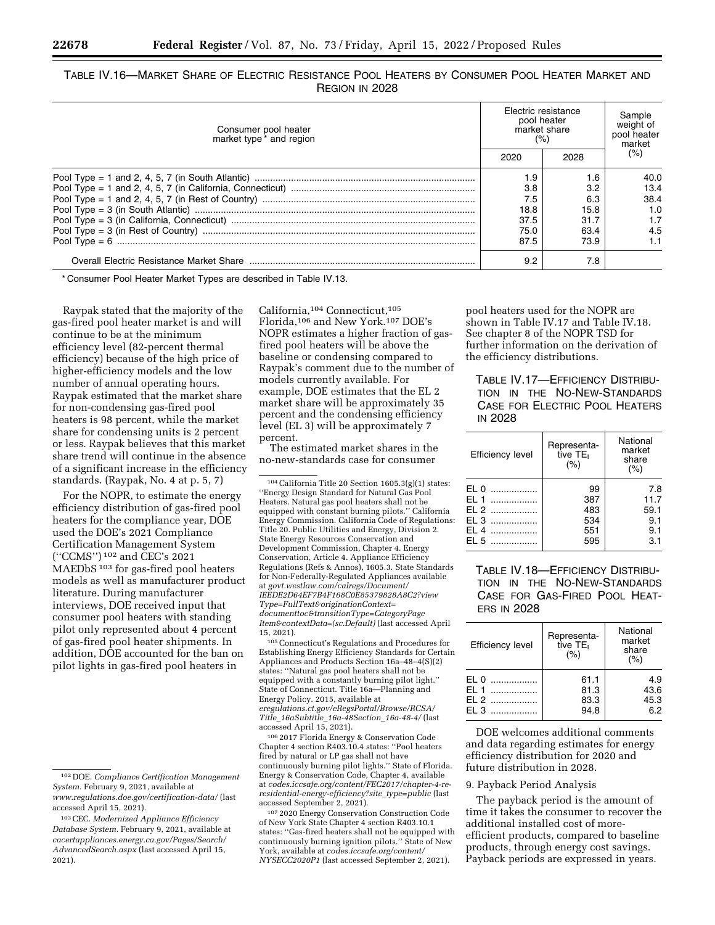# TABLE IV.16—MARKET SHARE OF ELECTRIC RESISTANCE POOL HEATERS BY CONSUMER POOL HEATER MARKET AND REGION IN 2028

| Consumer pool heater<br>market type <sup>*</sup> and region |      | Electric resistance<br>pool heater<br>market share<br>(%) |        |  |
|-------------------------------------------------------------|------|-----------------------------------------------------------|--------|--|
|                                                             | 2020 | 2028                                                      | $(\%)$ |  |
|                                                             | 1.9  | 1.6                                                       | 40.O   |  |
|                                                             | 3.8  | 3.2                                                       | 13.4   |  |
|                                                             | 7.5  | 6.3                                                       | 38.4   |  |
|                                                             | 18.8 | 15.8                                                      | 1.0    |  |
|                                                             | 37.5 | 31.7                                                      |        |  |
|                                                             | 75.0 | 63.4                                                      | 4.5    |  |
|                                                             | 87.5 | 73.9                                                      |        |  |
|                                                             | 9.2  | 7.8                                                       |        |  |

\* Consumer Pool Heater Market Types are described in Table IV.13.

Raypak stated that the majority of the gas-fired pool heater market is and will continue to be at the minimum efficiency level (82-percent thermal efficiency) because of the high price of higher-efficiency models and the low number of annual operating hours. Raypak estimated that the market share for non-condensing gas-fired pool heaters is 98 percent, while the market share for condensing units is 2 percent or less. Raypak believes that this market share trend will continue in the absence of a significant increase in the efficiency standards. (Raypak, No. 4 at p. 5, 7)

For the NOPR, to estimate the energy efficiency distribution of gas-fired pool heaters for the compliance year, DOE used the DOE's 2021 Compliance Certification Management System (''CCMS'') 102 and CEC's 2021 MAEDbS<sup>103</sup> for gas-fired pool heaters models as well as manufacturer product literature. During manufacturer interviews, DOE received input that consumer pool heaters with standing pilot only represented about 4 percent of gas-fired pool heater shipments. In addition, DOE accounted for the ban on pilot lights in gas-fired pool heaters in

California,104 Connecticut,105 Florida,106 and New York.107 DOE's NOPR estimates a higher fraction of gasfired pool heaters will be above the baseline or condensing compared to Raypak's comment due to the number of models currently available. For example, DOE estimates that the EL 2 market share will be approximately 35 percent and the condensing efficiency level (EL 3) will be approximately 7 percent.

The estimated market shares in the no-new-standards case for consumer

104California Title 20 Section 1605.3(g)(1) states: ''Energy Design Standard for Natural Gas Pool Heaters. Natural gas pool heaters shall not be equipped with constant burning pilots.'' California Energy Commission. California Code of Regulations: Title 20. Public Utilities and Energy, Division 2. State Energy Resources Conservation and Development Commission, Chapter 4. Energy Conservation, Article 4. Appliance Efficiency Regulations (Refs & Annos), 1605.3. State Standards for Non-Federally-Regulated Appliances available at *[govt.westlaw.com/calregs/Document/](http://govt.westlaw.com/calregs/Document/IEEDE2D64EF7B4F168C0E85379828A8C2?viewType=FullText&originationContext=documenttoc&transitionType=CategoryPageItem&contextData=(sc.Default))  [IEEDE2D64EF7B4F168C0E85379828A8C2?view](http://govt.westlaw.com/calregs/Document/IEEDE2D64EF7B4F168C0E85379828A8C2?viewType=FullText&originationContext=documenttoc&transitionType=CategoryPageItem&contextData=(sc.Default)) [Type=FullText&originationContext=](http://govt.westlaw.com/calregs/Document/IEEDE2D64EF7B4F168C0E85379828A8C2?viewType=FullText&originationContext=documenttoc&transitionType=CategoryPageItem&contextData=(sc.Default)) [documenttoc&transitionType=CategoryPage](http://govt.westlaw.com/calregs/Document/IEEDE2D64EF7B4F168C0E85379828A8C2?viewType=FullText&originationContext=documenttoc&transitionType=CategoryPageItem&contextData=(sc.Default)) [Item&contextData=\(sc.Default\)](http://govt.westlaw.com/calregs/Document/IEEDE2D64EF7B4F168C0E85379828A8C2?viewType=FullText&originationContext=documenttoc&transitionType=CategoryPageItem&contextData=(sc.Default))* (last accessed April 15, 2021).

105Connecticut's Regulations and Procedures for Establishing Energy Efficiency Standards for Certain Appliances and Products Section 16a–48–4(S)(2) states: ''Natural gas pool heaters shall not be equipped with a constantly burning pilot light.'' State of Connecticut. Title 16a—Planning and Energy Policy. 2015, available at *[eregulations.ct.gov/eRegsPortal/Browse/RCSA/](http://eregulations.ct.gov/eRegsPortal/Browse/RCSA/Title_16aSubtitle_16a-48Section_16a-48-4/) Title*\_*16aSubtitle*\_*[16a-48Section](http://eregulations.ct.gov/eRegsPortal/Browse/RCSA/Title_16aSubtitle_16a-48Section_16a-48-4/)*\_*16a-48-4/* (last accessed April 15, 2021).

106 2017 Florida Energy & Conservation Code Chapter 4 section R403.10.4 states: ''Pool heaters fired by natural or LP gas shall not have continuously burning pilot lights.'' State of Florida. Energy & Conservation Code, Chapter 4, available at *[codes.iccsafe.org/content/FEC2017/chapter-4-re](http://codes.iccsafe.org/content/FEC2017/chapter-4-re-residential-energy-efficiency?site_type=public)[residential-energy-efficiency?site](http://codes.iccsafe.org/content/FEC2017/chapter-4-re-residential-energy-efficiency?site_type=public)*\_*type=public* (last accessed September 2, 2021).

107 2020 Energy Conservation Construction Code of New York State Chapter 4 section R403.10.1 states: ''Gas-fired heaters shall not be equipped with continuously burning ignition pilots.'' State of New York, available at *[codes.iccsafe.org/content/](http://codes.iccsafe.org/content/NYSECC2020P1) [NYSECC2020P1](http://codes.iccsafe.org/content/NYSECC2020P1)* (last accessed September 2, 2021).

pool heaters used for the NOPR are shown in Table IV.17 and Table IV.18. See chapter 8 of the NOPR TSD for further information on the derivation of the efficiency distributions.

TABLE IV.17—EFFICIENCY DISTRIBU-TION IN THE NO-NEW-STANDARDS CASE FOR ELECTRIC POOL HEATERS IN 2028

| <b>Efficiency level</b>                                     | Representa-<br>tive TE <sub>I</sub><br>(% ) | National<br>market<br>share<br>(%)       |
|-------------------------------------------------------------|---------------------------------------------|------------------------------------------|
| EL <sub>0</sub><br>EL 1<br>$EL 2$<br>EL 3<br>EL 4<br>$FL.5$ | 99<br>387<br>483<br>534<br>551<br>595       | 7.8<br>11.7<br>59.1<br>9.1<br>9.1<br>3.1 |

TABLE IV.18—EFFICIENCY DISTRIBU-TION IN THE NO-NEW-STANDARDS CASE FOR GAS-FIRED POOL HEAT-**ERS IN 2028** 

| <b>Efficiency level</b>                  | Representa-<br>tive TE <sub>I</sub><br>(%) | National<br>market<br>share<br>(%) |  |  |
|------------------------------------------|--------------------------------------------|------------------------------------|--|--|
| FI <sub>0</sub><br>$F1$ 1<br>F12<br>F1.3 | 61.1<br>81.3<br>83.3<br>94.8               | 4.9<br>43.6<br>45.3<br>6.2         |  |  |

DOE welcomes additional comments and data regarding estimates for energy efficiency distribution for 2020 and future distribution in 2028.

#### 9. Payback Period Analysis

The payback period is the amount of time it takes the consumer to recover the additional installed cost of moreefficient products, compared to baseline products, through energy cost savings. Payback periods are expressed in years.

<sup>102</sup> DOE. *Compliance Certification Management System.* February 9, 2021, available at *[www.regulations.doe.gov/certification-data/](http://www.regulations.doe.gov/certification-data/)* (last accessed April 15, 2021).

<sup>103</sup>CEC. *Modernized Appliance Efficiency Database System.* February 9, 2021, available at *[cacertappliances.energy.ca.gov/Pages/Search/](http://cacertappliances.energy.ca.gov/Pages/Search/AdvancedSearch.aspx) [AdvancedSearch.aspx](http://cacertappliances.energy.ca.gov/Pages/Search/AdvancedSearch.aspx)* (last accessed April 15, 2021).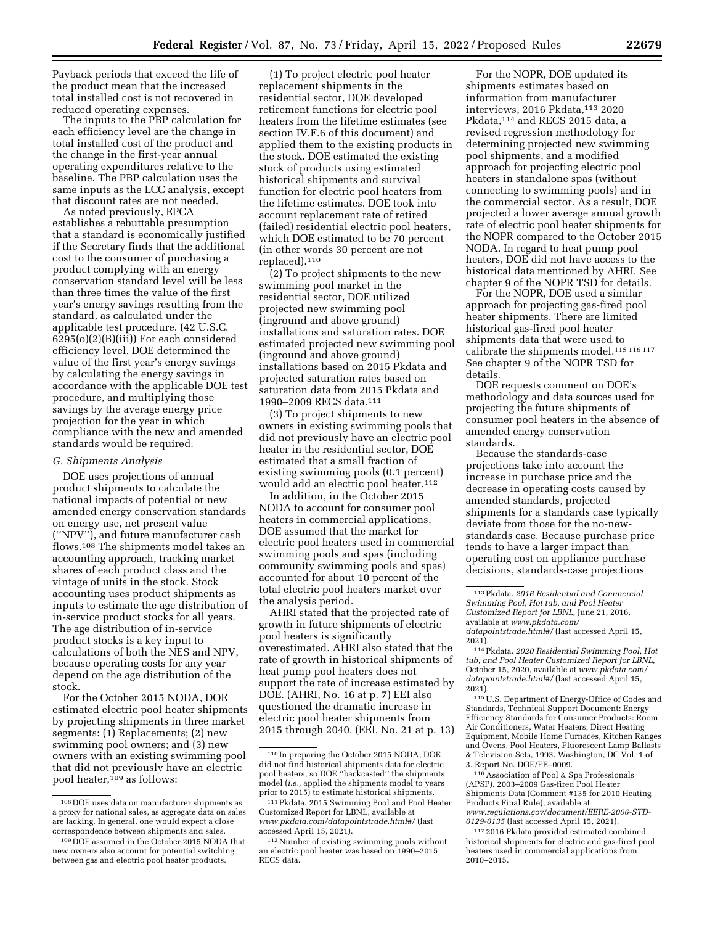Payback periods that exceed the life of the product mean that the increased total installed cost is not recovered in reduced operating expenses.

The inputs to the PBP calculation for each efficiency level are the change in total installed cost of the product and the change in the first-year annual operating expenditures relative to the baseline. The PBP calculation uses the same inputs as the LCC analysis, except that discount rates are not needed.

As noted previously, EPCA establishes a rebuttable presumption that a standard is economically justified if the Secretary finds that the additional cost to the consumer of purchasing a product complying with an energy conservation standard level will be less than three times the value of the first year's energy savings resulting from the standard, as calculated under the applicable test procedure. (42 U.S.C.  $6295(0)(2)(B)(iii)$  For each considered efficiency level, DOE determined the value of the first year's energy savings by calculating the energy savings in accordance with the applicable DOE test procedure, and multiplying those savings by the average energy price projection for the year in which compliance with the new and amended standards would be required.

### *G. Shipments Analysis*

DOE uses projections of annual product shipments to calculate the national impacts of potential or new amended energy conservation standards on energy use, net present value (''NPV''), and future manufacturer cash flows.108 The shipments model takes an accounting approach, tracking market shares of each product class and the vintage of units in the stock. Stock accounting uses product shipments as inputs to estimate the age distribution of in-service product stocks for all years. The age distribution of in-service product stocks is a key input to calculations of both the NES and NPV, because operating costs for any year depend on the age distribution of the stock.

For the October 2015 NODA, DOE estimated electric pool heater shipments by projecting shipments in three market segments: (1) Replacements; (2) new swimming pool owners; and (3) new owners with an existing swimming pool that did not previously have an electric pool heater,109 as follows:

(1) To project electric pool heater replacement shipments in the residential sector, DOE developed retirement functions for electric pool heaters from the lifetime estimates (see section IV.F.6 of this document) and applied them to the existing products in the stock. DOE estimated the existing stock of products using estimated historical shipments and survival function for electric pool heaters from the lifetime estimates. DOE took into account replacement rate of retired (failed) residential electric pool heaters, which DOE estimated to be 70 percent (in other words 30 percent are not replaced).110

(2) To project shipments to the new swimming pool market in the residential sector, DOE utilized projected new swimming pool (inground and above ground) installations and saturation rates. DOE estimated projected new swimming pool (inground and above ground) installations based on 2015 Pkdata and projected saturation rates based on saturation data from 2015 Pkdata and 1990–2009 RECS data.111

(3) To project shipments to new owners in existing swimming pools that did not previously have an electric pool heater in the residential sector, DOE estimated that a small fraction of existing swimming pools (0.1 percent) would add an electric pool heater.<sup>112</sup>

In addition, in the October 2015 NODA to account for consumer pool heaters in commercial applications, DOE assumed that the market for electric pool heaters used in commercial swimming pools and spas (including community swimming pools and spas) accounted for about 10 percent of the total electric pool heaters market over the analysis period.

AHRI stated that the projected rate of growth in future shipments of electric pool heaters is significantly overestimated. AHRI also stated that the rate of growth in historical shipments of heat pump pool heaters does not support the rate of increase estimated by DOE. (AHRI, No. 16 at p. 7) EEI also questioned the dramatic increase in electric pool heater shipments from 2015 through 2040. (EEI, No. 21 at p. 13)

For the NOPR, DOE updated its shipments estimates based on information from manufacturer interviews, 2016 Pkdata, 113 2020 Pkdata,114 and RECS 2015 data, a revised regression methodology for determining projected new swimming pool shipments, and a modified approach for projecting electric pool heaters in standalone spas (without connecting to swimming pools) and in the commercial sector. As a result, DOE projected a lower average annual growth rate of electric pool heater shipments for the NOPR compared to the October 2015 NODA. In regard to heat pump pool heaters, DOE did not have access to the historical data mentioned by AHRI. See chapter 9 of the NOPR TSD for details.

For the NOPR, DOE used a similar approach for projecting gas-fired pool heater shipments. There are limited historical gas-fired pool heater shipments data that were used to calibrate the shipments model.115 116 117 See chapter 9 of the NOPR TSD for details.

DOE requests comment on DOE's methodology and data sources used for projecting the future shipments of consumer pool heaters in the absence of amended energy conservation standards.

Because the standards-case projections take into account the increase in purchase price and the decrease in operating costs caused by amended standards, projected shipments for a standards case typically deviate from those for the no-newstandards case. Because purchase price tends to have a larger impact than operating cost on appliance purchase decisions, standards-case projections

115U.S. Department of Energy-Office of Codes and Standards, Technical Support Document: Energy Efficiency Standards for Consumer Products: Room Air Conditioners, Water Heaters, Direct Heating Equipment, Mobile Home Furnaces, Kitchen Ranges and Ovens, Pool Heaters, Fluorescent Lamp Ballasts & Television Sets, 1993. Washington, DC Vol. 1 of 3. Report No. DOE/EE–0009.

116Association of Pool & Spa Professionals (APSP). 2003–2009 Gas-fired Pool Heater Shipments Data (Comment #135 for 2010 Heating Products Final Rule), available at *[www.regulations.gov/document/EERE-2006-STD-](http://www.regulations.gov/document/EERE-2006-STD-0129-0135)[0129-0135](http://www.regulations.gov/document/EERE-2006-STD-0129-0135)* (last accessed April 15, 2021).

117 2016 Pkdata provided estimated combined historical shipments for electric and gas-fired pool heaters used in commercial applications from 2010–2015.

<sup>108</sup> DOE uses data on manufacturer shipments as a proxy for national sales, as aggregate data on sales are lacking. In general, one would expect a close correspondence between shipments and sales.

<sup>109</sup> DOE assumed in the October 2015 NODA that new owners also account for potential switching between gas and electric pool heater products.

<sup>110</sup> In preparing the October 2015 NODA, DOE did not find historical shipments data for electric pool heaters, so DOE ''backcasted'' the shipments model (*i.e.,* applied the shipments model to years prior to 2015) to estimate historical shipments.

<sup>111</sup>Pkdata. 2015 Swimming Pool and Pool Heater Customized Report for LBNL, available at *[www.pkdata.com/datapointstrade.html#/](http://www.pkdata.com/datapointstrade.html#/)* (last accessed April 15, 2021).

<sup>112</sup>Number of existing swimming pools without an electric pool heater was based on 1990–2015 RECS data.

<sup>113</sup>Pkdata. *2016 Residential and Commercial Swimming Pool, Hot tub, and Pool Heater Customized Report for LBNL,* June 21, 2016, available at *[www.pkdata.com/](http://www.pkdata.com/datapointstrade.html#/) [datapointstrade.html#/](http://www.pkdata.com/datapointstrade.html#/)* (last accessed April 15, 2021).

<sup>114</sup>Pkdata. *2020 Residential Swimming Pool, Hot tub, and Pool Heater Customized Report for LBNL,*  October 15, 2020, available at *[www.pkdata.com/](http://www.pkdata.com/datapointstrade.html#/) [datapointstrade.html#/](http://www.pkdata.com/datapointstrade.html#/)* (last accessed April 15, 2021).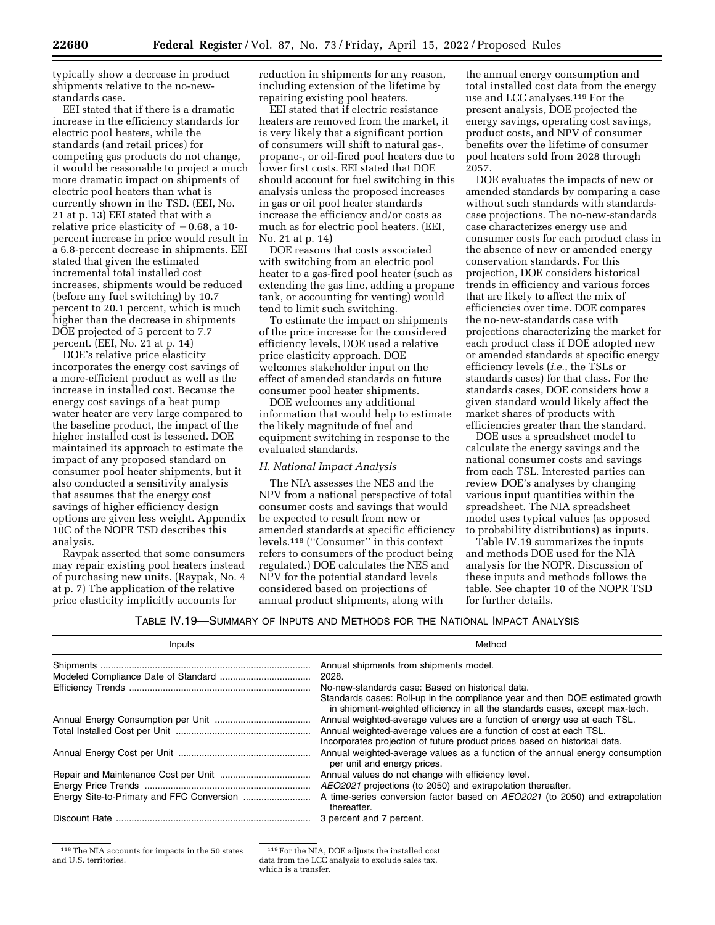typically show a decrease in product shipments relative to the no-newstandards case.

EEI stated that if there is a dramatic increase in the efficiency standards for electric pool heaters, while the standards (and retail prices) for competing gas products do not change, it would be reasonable to project a much more dramatic impact on shipments of electric pool heaters than what is currently shown in the TSD. (EEI, No. 21 at p. 13) EEI stated that with a relative price elasticity of  $-0.68$ , a 10percent increase in price would result in a 6.8-percent decrease in shipments. EEI stated that given the estimated incremental total installed cost increases, shipments would be reduced (before any fuel switching) by 10.7 percent to 20.1 percent, which is much higher than the decrease in shipments DOE projected of 5 percent to 7.7 percent. (EEI, No. 21 at p. 14)

DOE's relative price elasticity incorporates the energy cost savings of a more-efficient product as well as the increase in installed cost. Because the energy cost savings of a heat pump water heater are very large compared to the baseline product, the impact of the higher installed cost is lessened. DOE maintained its approach to estimate the impact of any proposed standard on consumer pool heater shipments, but it also conducted a sensitivity analysis that assumes that the energy cost savings of higher efficiency design options are given less weight. Appendix 10C of the NOPR TSD describes this analysis.

Raypak asserted that some consumers may repair existing pool heaters instead of purchasing new units. (Raypak, No. 4 at p. 7) The application of the relative price elasticity implicitly accounts for

reduction in shipments for any reason, including extension of the lifetime by repairing existing pool heaters.

EEI stated that if electric resistance heaters are removed from the market, it is very likely that a significant portion of consumers will shift to natural gas-, propane-, or oil-fired pool heaters due to lower first costs. EEI stated that DOE should account for fuel switching in this analysis unless the proposed increases in gas or oil pool heater standards increase the efficiency and/or costs as much as for electric pool heaters. (EEI, No. 21 at p. 14)

DOE reasons that costs associated with switching from an electric pool heater to a gas-fired pool heater (such as extending the gas line, adding a propane tank, or accounting for venting) would tend to limit such switching.

To estimate the impact on shipments of the price increase for the considered efficiency levels, DOE used a relative price elasticity approach. DOE welcomes stakeholder input on the effect of amended standards on future consumer pool heater shipments.

DOE welcomes any additional information that would help to estimate the likely magnitude of fuel and equipment switching in response to the evaluated standards.

# *H. National Impact Analysis*

The NIA assesses the NES and the NPV from a national perspective of total consumer costs and savings that would be expected to result from new or amended standards at specific efficiency levels.118 (''Consumer'' in this context refers to consumers of the product being regulated.) DOE calculates the NES and NPV for the potential standard levels considered based on projections of annual product shipments, along with

the annual energy consumption and total installed cost data from the energy use and LCC analyses.119 For the present analysis, DOE projected the energy savings, operating cost savings, product costs, and NPV of consumer benefits over the lifetime of consumer pool heaters sold from 2028 through 2057.

DOE evaluates the impacts of new or amended standards by comparing a case without such standards with standardscase projections. The no-new-standards case characterizes energy use and consumer costs for each product class in the absence of new or amended energy conservation standards. For this projection, DOE considers historical trends in efficiency and various forces that are likely to affect the mix of efficiencies over time. DOE compares the no-new-standards case with projections characterizing the market for each product class if DOE adopted new or amended standards at specific energy efficiency levels (*i.e.,* the TSLs or standards cases) for that class. For the standards cases, DOE considers how a given standard would likely affect the market shares of products with efficiencies greater than the standard.

DOE uses a spreadsheet model to calculate the energy savings and the national consumer costs and savings from each TSL. Interested parties can review DOE's analyses by changing various input quantities within the spreadsheet. The NIA spreadsheet model uses typical values (as opposed to probability distributions) as inputs.

Table IV.19 summarizes the inputs and methods DOE used for the NIA analysis for the NOPR. Discussion of these inputs and methods follows the table. See chapter 10 of the NOPR TSD for further details.

### TABLE IV.19—SUMMARY OF INPUTS AND METHODS FOR THE NATIONAL IMPACT ANALYSIS

| Inputs | Method                                                                                                                                                        |
|--------|---------------------------------------------------------------------------------------------------------------------------------------------------------------|
|        | Annual shipments from shipments model.                                                                                                                        |
|        | 2028.                                                                                                                                                         |
|        | No-new-standards case: Based on historical data.                                                                                                              |
|        | Standards cases: Roll-up in the compliance year and then DOE estimated growth<br>in shipment-weighted efficiency in all the standards cases, except max-tech. |
|        | Annual weighted-average values are a function of energy use at each TSL.                                                                                      |
|        | Annual weighted-average values are a function of cost at each TSL.                                                                                            |
|        | Incorporates projection of future product prices based on historical data.                                                                                    |
|        | Annual weighted-average values as a function of the annual energy consumption<br>per unit and energy prices.                                                  |
|        | Annual values do not change with efficiency level.                                                                                                            |
|        | AEO2021 projections (to 2050) and extrapolation thereafter.                                                                                                   |
|        | A time-series conversion factor based on AEO2021 (to 2050) and extrapolation<br>thereafter.                                                                   |
|        | 3 percent and 7 percent.                                                                                                                                      |

118The NIA accounts for impacts in the 50 states and U.S. territories.

<sup>119</sup>For the NIA, DOE adjusts the installed cost data from the LCC analysis to exclude sales tax, which is a transfer.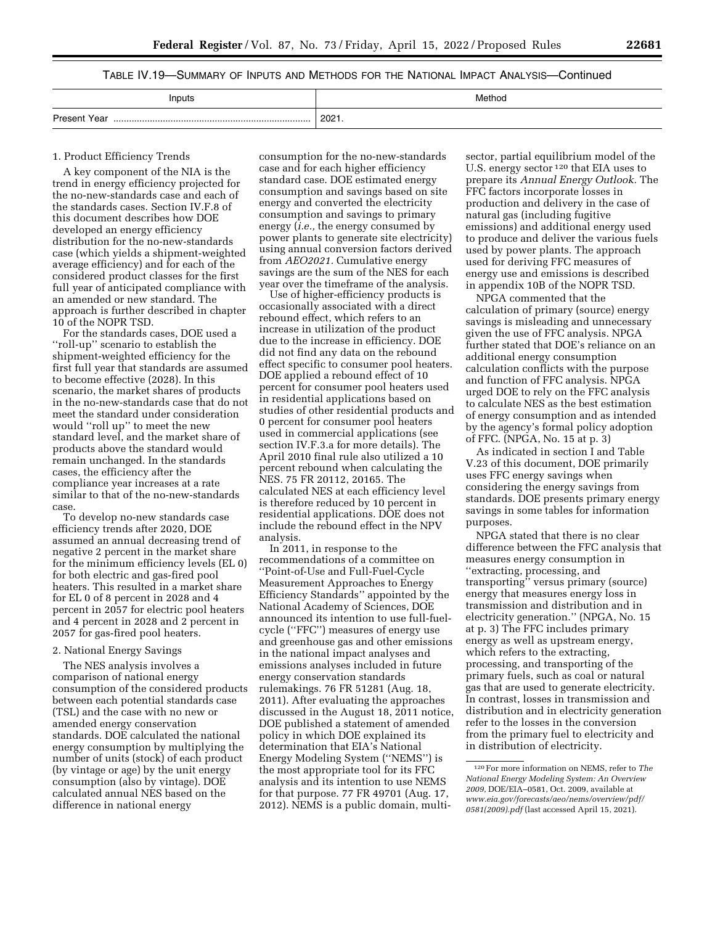# TABLE IV.19—SUMMARY OF INPUTS AND METHODS FOR THE NATIONAL IMPACT ANALYSIS—Continued

| Inputs              | Method |
|---------------------|--------|
| <b>Present Year</b> | 2021.  |
|                     |        |

#### 1. Product Efficiency Trends

A key component of the NIA is the trend in energy efficiency projected for the no-new-standards case and each of the standards cases. Section IV.F.8 of this document describes how DOE developed an energy efficiency distribution for the no-new-standards case (which yields a shipment-weighted average efficiency) and for each of the considered product classes for the first full year of anticipated compliance with an amended or new standard. The approach is further described in chapter 10 of the NOPR TSD.

For the standards cases, DOE used a ''roll-up'' scenario to establish the shipment-weighted efficiency for the first full year that standards are assumed to become effective (2028). In this scenario, the market shares of products in the no-new-standards case that do not meet the standard under consideration would ''roll up'' to meet the new standard level, and the market share of products above the standard would remain unchanged. In the standards cases, the efficiency after the compliance year increases at a rate similar to that of the no-new-standards case.

To develop no-new standards case efficiency trends after 2020, DOE assumed an annual decreasing trend of negative 2 percent in the market share for the minimum efficiency levels (EL 0) for both electric and gas-fired pool heaters. This resulted in a market share for EL 0 of 8 percent in 2028 and 4 percent in 2057 for electric pool heaters and 4 percent in 2028 and 2 percent in 2057 for gas-fired pool heaters.

### 2. National Energy Savings

The NES analysis involves a comparison of national energy consumption of the considered products between each potential standards case (TSL) and the case with no new or amended energy conservation standards. DOE calculated the national energy consumption by multiplying the number of units (stock) of each product (by vintage or age) by the unit energy consumption (also by vintage). DOE calculated annual NES based on the difference in national energy

consumption for the no-new-standards case and for each higher efficiency standard case. DOE estimated energy consumption and savings based on site energy and converted the electricity consumption and savings to primary energy (*i.e.,* the energy consumed by power plants to generate site electricity) using annual conversion factors derived from *AEO2021.* Cumulative energy savings are the sum of the NES for each year over the timeframe of the analysis.

Use of higher-efficiency products is occasionally associated with a direct rebound effect, which refers to an increase in utilization of the product due to the increase in efficiency. DOE did not find any data on the rebound effect specific to consumer pool heaters. DOE applied a rebound effect of 10 percent for consumer pool heaters used in residential applications based on studies of other residential products and 0 percent for consumer pool heaters used in commercial applications (see section IV.F.3.a for more details). The April 2010 final rule also utilized a 10 percent rebound when calculating the NES. 75 FR 20112, 20165. The calculated NES at each efficiency level is therefore reduced by 10 percent in residential applications. DOE does not include the rebound effect in the NPV analysis.

In 2011, in response to the recommendations of a committee on ''Point-of-Use and Full-Fuel-Cycle Measurement Approaches to Energy Efficiency Standards'' appointed by the National Academy of Sciences, DOE announced its intention to use full-fuelcycle (''FFC'') measures of energy use and greenhouse gas and other emissions in the national impact analyses and emissions analyses included in future energy conservation standards rulemakings. 76 FR 51281 (Aug. 18, 2011). After evaluating the approaches discussed in the August 18, 2011 notice, DOE published a statement of amended policy in which DOE explained its determination that EIA's National Energy Modeling System (''NEMS'') is the most appropriate tool for its FFC analysis and its intention to use NEMS for that purpose. 77 FR 49701 (Aug. 17, 2012). NEMS is a public domain, multi-

sector, partial equilibrium model of the U.S. energy sector 120 that EIA uses to prepare its *Annual Energy Outlook.* The FFC factors incorporate losses in production and delivery in the case of natural gas (including fugitive emissions) and additional energy used to produce and deliver the various fuels used by power plants. The approach used for deriving FFC measures of energy use and emissions is described in appendix 10B of the NOPR TSD.

NPGA commented that the calculation of primary (source) energy savings is misleading and unnecessary given the use of FFC analysis. NPGA further stated that DOE's reliance on an additional energy consumption calculation conflicts with the purpose and function of FFC analysis. NPGA urged DOE to rely on the FFC analysis to calculate NES as the best estimation of energy consumption and as intended by the agency's formal policy adoption of FFC. (NPGA, No. 15 at p. 3)

As indicated in section I and Table V.23 of this document, DOE primarily uses FFC energy savings when considering the energy savings from standards. DOE presents primary energy savings in some tables for information purposes.

NPGA stated that there is no clear difference between the FFC analysis that measures energy consumption in ''extracting, processing, and transporting'' versus primary (source) energy that measures energy loss in transmission and distribution and in electricity generation.'' (NPGA, No. 15 at p. 3) The FFC includes primary energy as well as upstream energy, which refers to the extracting, processing, and transporting of the primary fuels, such as coal or natural gas that are used to generate electricity. In contrast, losses in transmission and distribution and in electricity generation refer to the losses in the conversion from the primary fuel to electricity and in distribution of electricity.

<sup>120</sup>For more information on NEMS, refer to *The National Energy Modeling System: An Overview 2009,* DOE/EIA–0581, Oct. 2009, available at *[www.eia.gov/forecasts/aeo/nems/overview/pdf/](http://www.eia.gov/forecasts/aeo/nems/overview/pdf/0581(2009).pdf)  [0581\(2009\).pdf](http://www.eia.gov/forecasts/aeo/nems/overview/pdf/0581(2009).pdf)* (last accessed April 15, 2021).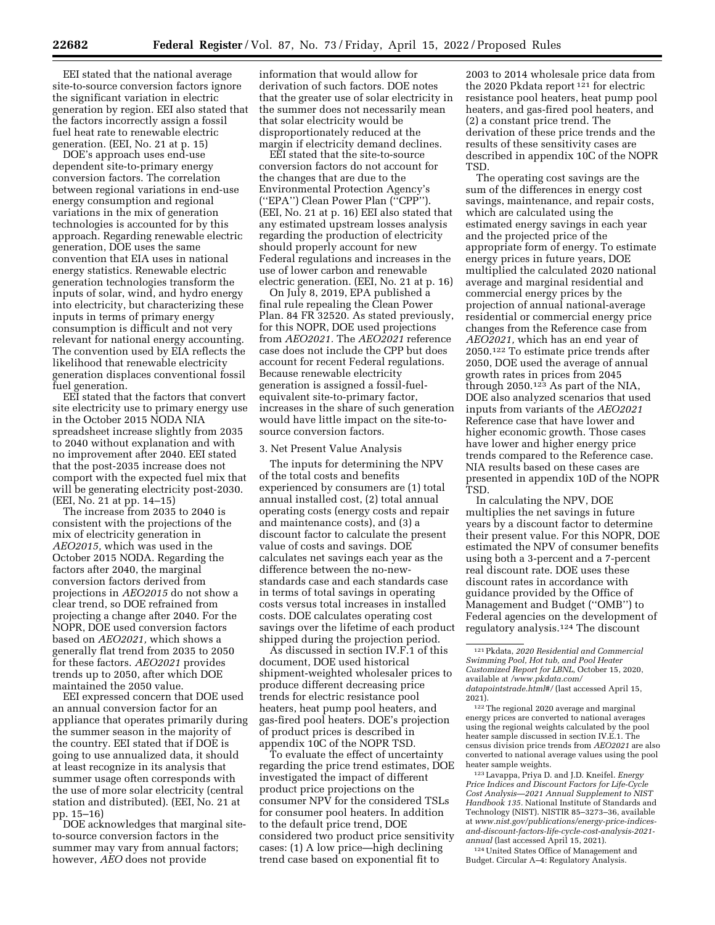EEI stated that the national average site-to-source conversion factors ignore the significant variation in electric generation by region. EEI also stated that the factors incorrectly assign a fossil fuel heat rate to renewable electric generation. (EEI, No. 21 at p. 15)

DOE's approach uses end-use dependent site-to-primary energy conversion factors. The correlation between regional variations in end-use energy consumption and regional variations in the mix of generation technologies is accounted for by this approach. Regarding renewable electric generation, DOE uses the same convention that EIA uses in national energy statistics. Renewable electric generation technologies transform the inputs of solar, wind, and hydro energy into electricity, but characterizing these inputs in terms of primary energy consumption is difficult and not very relevant for national energy accounting. The convention used by EIA reflects the likelihood that renewable electricity generation displaces conventional fossil fuel generation.

EEI stated that the factors that convert site electricity use to primary energy use in the October 2015 NODA NIA spreadsheet increase slightly from 2035 to 2040 without explanation and with no improvement after 2040. EEI stated that the post-2035 increase does not comport with the expected fuel mix that will be generating electricity post-2030. (EEI, No. 21 at pp. 14–15)

The increase from 2035 to 2040 is consistent with the projections of the mix of electricity generation in *AEO2015,* which was used in the October 2015 NODA. Regarding the factors after 2040, the marginal conversion factors derived from projections in *AEO2015* do not show a clear trend, so DOE refrained from projecting a change after 2040. For the NOPR, DOE used conversion factors based on *AEO2021,* which shows a generally flat trend from 2035 to 2050 for these factors. *AEO2021* provides trends up to 2050, after which DOE maintained the 2050 value.

EEI expressed concern that DOE used an annual conversion factor for an appliance that operates primarily during the summer season in the majority of the country. EEI stated that if DOE is going to use annualized data, it should at least recognize in its analysis that summer usage often corresponds with the use of more solar electricity (central station and distributed). (EEI, No. 21 at pp. 15–16)

DOE acknowledges that marginal siteto-source conversion factors in the summer may vary from annual factors; however, *AEO* does not provide

information that would allow for derivation of such factors. DOE notes that the greater use of solar electricity in the summer does not necessarily mean that solar electricity would be disproportionately reduced at the margin if electricity demand declines.

EEI stated that the site-to-source conversion factors do not account for the changes that are due to the Environmental Protection Agency's (''EPA'') Clean Power Plan (''CPP''). (EEI, No. 21 at p. 16) EEI also stated that any estimated upstream losses analysis regarding the production of electricity should properly account for new Federal regulations and increases in the use of lower carbon and renewable electric generation. (EEI, No. 21 at p. 16)

On July 8, 2019, EPA published a final rule repealing the Clean Power Plan. 84 FR 32520. As stated previously, for this NOPR, DOE used projections from *AEO2021.* The *AEO2021* reference case does not include the CPP but does account for recent Federal regulations. Because renewable electricity generation is assigned a fossil-fuelequivalent site-to-primary factor, increases in the share of such generation would have little impact on the site-tosource conversion factors.

3. Net Present Value Analysis

The inputs for determining the NPV of the total costs and benefits experienced by consumers are (1) total annual installed cost, (2) total annual operating costs (energy costs and repair and maintenance costs), and (3) a discount factor to calculate the present value of costs and savings. DOE calculates net savings each year as the difference between the no-newstandards case and each standards case in terms of total savings in operating costs versus total increases in installed costs. DOE calculates operating cost savings over the lifetime of each product shipped during the projection period.

As discussed in section IV.F.1 of this document, DOE used historical shipment-weighted wholesaler prices to produce different decreasing price trends for electric resistance pool heaters, heat pump pool heaters, and gas-fired pool heaters. DOE's projection of product prices is described in appendix 10C of the NOPR TSD.

To evaluate the effect of uncertainty regarding the price trend estimates, DOE investigated the impact of different product price projections on the consumer NPV for the considered TSLs for consumer pool heaters. In addition to the default price trend, DOE considered two product price sensitivity cases: (1) A low price—high declining trend case based on exponential fit to

2003 to 2014 wholesale price data from the 2020 Pkdata report 121 for electric resistance pool heaters, heat pump pool heaters, and gas-fired pool heaters, and (2) a constant price trend. The derivation of these price trends and the results of these sensitivity cases are described in appendix 10C of the NOPR TSD.

The operating cost savings are the sum of the differences in energy cost savings, maintenance, and repair costs, which are calculated using the estimated energy savings in each year and the projected price of the appropriate form of energy. To estimate energy prices in future years, DOE multiplied the calculated 2020 national average and marginal residential and commercial energy prices by the projection of annual national-average residential or commercial energy price changes from the Reference case from *AEO2021,* which has an end year of 2050.122 To estimate price trends after 2050, DOE used the average of annual growth rates in prices from 2045 through 2050.123 As part of the NIA, DOE also analyzed scenarios that used inputs from variants of the *AEO2021*  Reference case that have lower and higher economic growth. Those cases have lower and higher energy price trends compared to the Reference case. NIA results based on these cases are presented in appendix 10D of the NOPR TSD.

In calculating the NPV, DOE multiplies the net savings in future years by a discount factor to determine their present value. For this NOPR, DOE estimated the NPV of consumer benefits using both a 3-percent and a 7-percent real discount rate. DOE uses these discount rates in accordance with guidance provided by the Office of Management and Budget (''OMB'') to Federal agencies on the development of regulatory analysis.124 The discount

123Lavappa, Priya D. and J.D. Kneifel. *Energy Price Indices and Discount Factors for Life-Cycle Cost Analysis—2021 Annual Supplement to NIST Handbook 135.* National Institute of Standards and Technology (NIST). NISTIR 85–3273–36, available at *[www.nist.gov/publications/energy-price-indices](http://www.nist.gov/publications/energy-price-indices-and-discount-factors-life-cycle-cost-analysis-2021-annual)[and-discount-factors-life-cycle-cost-analysis-2021](http://www.nist.gov/publications/energy-price-indices-and-discount-factors-life-cycle-cost-analysis-2021-annual) [annual](http://www.nist.gov/publications/energy-price-indices-and-discount-factors-life-cycle-cost-analysis-2021-annual)* (last accessed April 15, 2021).

124United States Office of Management and Budget. Circular A–4: Regulatory Analysis.

<sup>121</sup>Pkdata, *2020 Residential and Commercial Swimming Pool, Hot tub, and Pool Heater Customized Report for LBNL,* October 15, 2020, available at *[/www.pkdata.com/](http://www.pkdata.com/datapointstrade.html#/)  [datapointstrade.html#/](http://www.pkdata.com/datapointstrade.html#/)* (last accessed April 15, 2021).

<sup>122</sup>The regional 2020 average and marginal energy prices are converted to national averages using the regional weights calculated by the pool heater sample discussed in section IV.E.1. The census division price trends from *AEO2021* are also converted to national average values using the pool heater sample weights.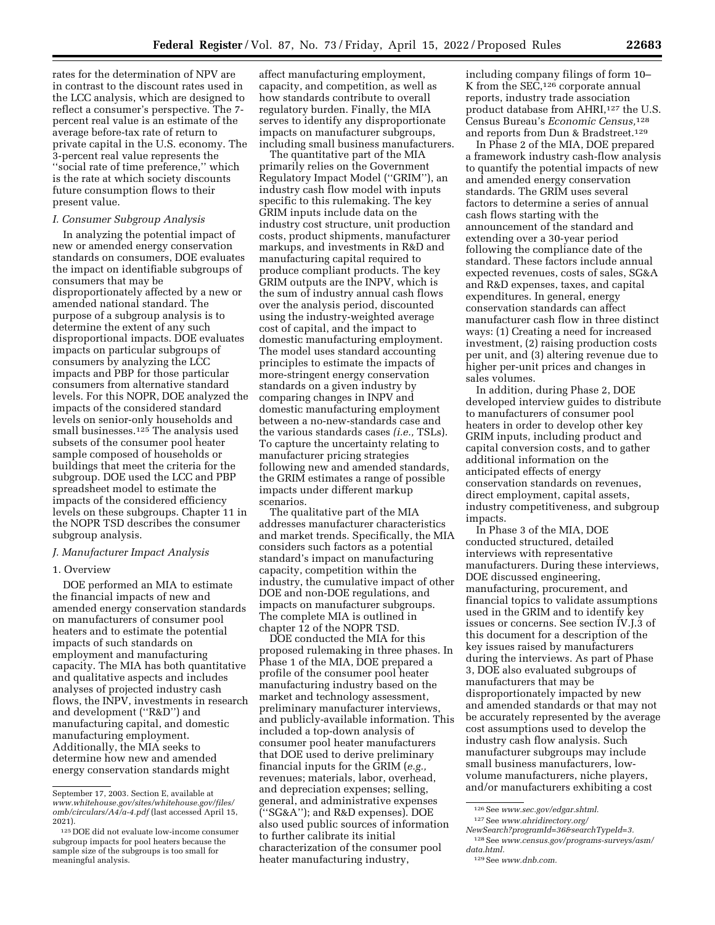rates for the determination of NPV are in contrast to the discount rates used in the LCC analysis, which are designed to reflect a consumer's perspective. The 7 percent real value is an estimate of the average before-tax rate of return to private capital in the U.S. economy. The 3-percent real value represents the ''social rate of time preference,'' which is the rate at which society discounts future consumption flows to their present value.

# *I. Consumer Subgroup Analysis*

In analyzing the potential impact of new or amended energy conservation standards on consumers, DOE evaluates the impact on identifiable subgroups of consumers that may be disproportionately affected by a new or amended national standard. The purpose of a subgroup analysis is to determine the extent of any such disproportional impacts. DOE evaluates impacts on particular subgroups of consumers by analyzing the LCC impacts and PBP for those particular consumers from alternative standard levels. For this NOPR, DOE analyzed the impacts of the considered standard levels on senior-only households and small businesses.125 The analysis used subsets of the consumer pool heater sample composed of households or buildings that meet the criteria for the subgroup. DOE used the LCC and PBP spreadsheet model to estimate the impacts of the considered efficiency levels on these subgroups. Chapter 11 in the NOPR TSD describes the consumer subgroup analysis.

## *J. Manufacturer Impact Analysis*

## 1. Overview

DOE performed an MIA to estimate the financial impacts of new and amended energy conservation standards on manufacturers of consumer pool heaters and to estimate the potential impacts of such standards on employment and manufacturing capacity. The MIA has both quantitative and qualitative aspects and includes analyses of projected industry cash flows, the INPV, investments in research and development (''R&D'') and manufacturing capital, and domestic manufacturing employment. Additionally, the MIA seeks to determine how new and amended energy conservation standards might

affect manufacturing employment, capacity, and competition, as well as how standards contribute to overall regulatory burden. Finally, the MIA serves to identify any disproportionate impacts on manufacturer subgroups, including small business manufacturers.

The quantitative part of the MIA primarily relies on the Government Regulatory Impact Model (''GRIM''), an industry cash flow model with inputs specific to this rulemaking. The key GRIM inputs include data on the industry cost structure, unit production costs, product shipments, manufacturer markups, and investments in R&D and manufacturing capital required to produce compliant products. The key GRIM outputs are the INPV, which is the sum of industry annual cash flows over the analysis period, discounted using the industry-weighted average cost of capital, and the impact to domestic manufacturing employment. The model uses standard accounting principles to estimate the impacts of more-stringent energy conservation standards on a given industry by comparing changes in INPV and domestic manufacturing employment between a no-new-standards case and the various standards cases *(i.e.,* TSLs). To capture the uncertainty relating to manufacturer pricing strategies following new and amended standards, the GRIM estimates a range of possible impacts under different markup scenarios.

The qualitative part of the MIA addresses manufacturer characteristics and market trends. Specifically, the MIA considers such factors as a potential standard's impact on manufacturing capacity, competition within the industry, the cumulative impact of other DOE and non-DOE regulations, and impacts on manufacturer subgroups. The complete MIA is outlined in chapter 12 of the NOPR TSD.

DOE conducted the MIA for this proposed rulemaking in three phases. In Phase 1 of the MIA, DOE prepared a profile of the consumer pool heater manufacturing industry based on the market and technology assessment, preliminary manufacturer interviews, and publicly-available information. This included a top-down analysis of consumer pool heater manufacturers that DOE used to derive preliminary financial inputs for the GRIM (*e.g.,*  revenues; materials, labor, overhead, and depreciation expenses; selling, general, and administrative expenses (''SG&A''); and R&D expenses). DOE also used public sources of information to further calibrate its initial characterization of the consumer pool heater manufacturing industry,

including company filings of form 10– K from the  $SE\overline{C}$ , <sup>126</sup> corporate annual reports, industry trade association product database from AHRI,<sup>127</sup> the U.S. Census Bureau's *Economic Census,*128 and reports from Dun & Bradstreet.129

In Phase 2 of the MIA, DOE prepared a framework industry cash-flow analysis to quantify the potential impacts of new and amended energy conservation standards. The GRIM uses several factors to determine a series of annual cash flows starting with the announcement of the standard and extending over a 30-year period following the compliance date of the standard. These factors include annual expected revenues, costs of sales, SG&A and R&D expenses, taxes, and capital expenditures. In general, energy conservation standards can affect manufacturer cash flow in three distinct ways: (1) Creating a need for increased investment, (2) raising production costs per unit, and (3) altering revenue due to higher per-unit prices and changes in sales volumes.

In addition, during Phase 2, DOE developed interview guides to distribute to manufacturers of consumer pool heaters in order to develop other key GRIM inputs, including product and capital conversion costs, and to gather additional information on the anticipated effects of energy conservation standards on revenues, direct employment, capital assets, industry competitiveness, and subgroup impacts.

In Phase 3 of the MIA, DOE conducted structured, detailed interviews with representative manufacturers. During these interviews, DOE discussed engineering, manufacturing, procurement, and financial topics to validate assumptions used in the GRIM and to identify key issues or concerns. See section IV.J.3 of this document for a description of the key issues raised by manufacturers during the interviews. As part of Phase 3, DOE also evaluated subgroups of manufacturers that may be disproportionately impacted by new and amended standards or that may not be accurately represented by the average cost assumptions used to develop the industry cash flow analysis. Such manufacturer subgroups may include small business manufacturers, lowvolume manufacturers, niche players, and/or manufacturers exhibiting a cost

September 17, 2003. Section E, available at *[www.whitehouse.gov/sites/whitehouse.gov/files/](http://www.whitehouse.gov/sites/whitehouse.gov/files/omb/circulars/A4/a-4.pdf)  [omb/circulars/A4/a-4.pdf](http://www.whitehouse.gov/sites/whitehouse.gov/files/omb/circulars/A4/a-4.pdf)* (last accessed April 15, 2021).

<sup>125</sup> DOE did not evaluate low-income consumer subgroup impacts for pool heaters because the sample size of the subgroups is too small for meaningful analysis.

<sup>126</sup>See *[www.sec.gov/edgar.shtml.](http://www.sec.gov/edgar.shtml)*  127See *[www.ahridirectory.org/](http://www.ahridirectory.org/NewSearch?programId=36&searchTypeId=3)* 

*[NewSearch?programId=36&searchTypeId=3.](http://www.ahridirectory.org/NewSearch?programId=36&searchTypeId=3)* 

<sup>128</sup>See *[www.census.gov/programs-surveys/asm/](http://www.census.gov/programs-surveys/asm/data.html) [data.html.](http://www.census.gov/programs-surveys/asm/data.html)* 

<sup>129</sup>See *[www.dnb.com.](http://www.dnb.com)*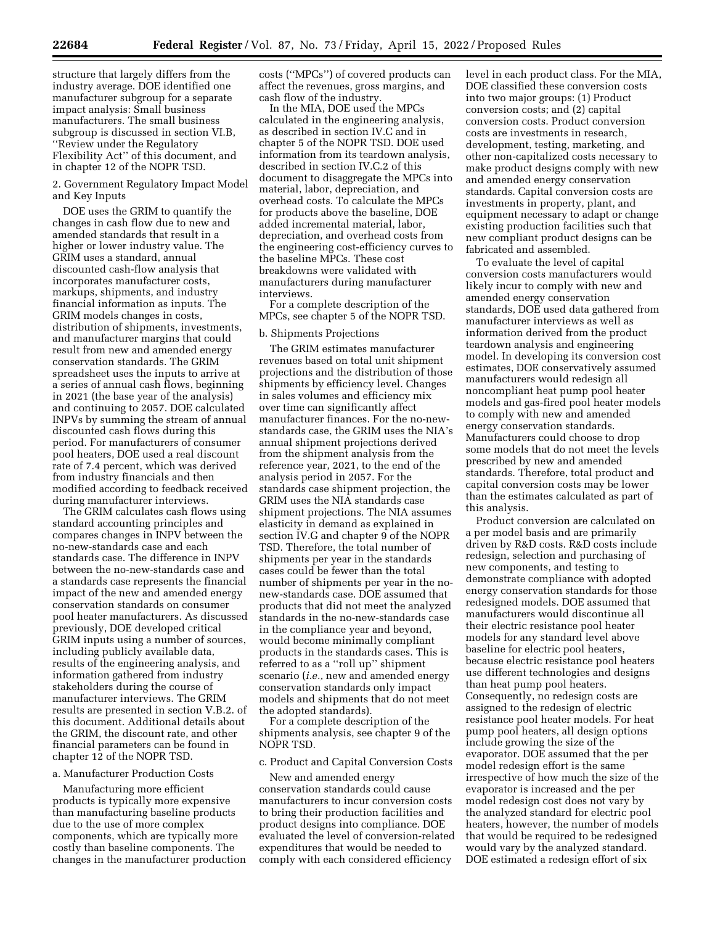structure that largely differs from the industry average. DOE identified one manufacturer subgroup for a separate impact analysis: Small business manufacturers. The small business subgroup is discussed in section VI.B, ''Review under the Regulatory Flexibility Act'' of this document, and in chapter 12 of the NOPR TSD.

2. Government Regulatory Impact Model and Key Inputs

DOE uses the GRIM to quantify the changes in cash flow due to new and amended standards that result in a higher or lower industry value. The GRIM uses a standard, annual discounted cash-flow analysis that incorporates manufacturer costs, markups, shipments, and industry financial information as inputs. The GRIM models changes in costs, distribution of shipments, investments, and manufacturer margins that could result from new and amended energy conservation standards. The GRIM spreadsheet uses the inputs to arrive at a series of annual cash flows, beginning in 2021 (the base year of the analysis) and continuing to 2057. DOE calculated INPVs by summing the stream of annual discounted cash flows during this period. For manufacturers of consumer pool heaters, DOE used a real discount rate of 7.4 percent, which was derived from industry financials and then modified according to feedback received during manufacturer interviews.

The GRIM calculates cash flows using standard accounting principles and compares changes in INPV between the no-new-standards case and each standards case. The difference in INPV between the no-new-standards case and a standards case represents the financial impact of the new and amended energy conservation standards on consumer pool heater manufacturers. As discussed previously, DOE developed critical GRIM inputs using a number of sources, including publicly available data, results of the engineering analysis, and information gathered from industry stakeholders during the course of manufacturer interviews. The GRIM results are presented in section V.B.2. of this document. Additional details about the GRIM, the discount rate, and other financial parameters can be found in chapter 12 of the NOPR TSD.

### a. Manufacturer Production Costs

Manufacturing more efficient products is typically more expensive than manufacturing baseline products due to the use of more complex components, which are typically more costly than baseline components. The changes in the manufacturer production costs (''MPCs'') of covered products can affect the revenues, gross margins, and cash flow of the industry.

In the MIA, DOE used the MPCs calculated in the engineering analysis, as described in section IV.C and in chapter 5 of the NOPR TSD. DOE used information from its teardown analysis, described in section IV.C.2 of this document to disaggregate the MPCs into material, labor, depreciation, and overhead costs. To calculate the MPCs for products above the baseline, DOE added incremental material, labor, depreciation, and overhead costs from the engineering cost-efficiency curves to the baseline MPCs. These cost breakdowns were validated with manufacturers during manufacturer interviews.

For a complete description of the MPCs, see chapter 5 of the NOPR TSD.

## b. Shipments Projections

The GRIM estimates manufacturer revenues based on total unit shipment projections and the distribution of those shipments by efficiency level. Changes in sales volumes and efficiency mix over time can significantly affect manufacturer finances. For the no-newstandards case, the GRIM uses the NIA's annual shipment projections derived from the shipment analysis from the reference year, 2021, to the end of the analysis period in 2057. For the standards case shipment projection, the GRIM uses the NIA standards case shipment projections. The NIA assumes elasticity in demand as explained in section IV.G and chapter 9 of the NOPR TSD. Therefore, the total number of shipments per year in the standards cases could be fewer than the total number of shipments per year in the nonew-standards case. DOE assumed that products that did not meet the analyzed standards in the no-new-standards case in the compliance year and beyond, would become minimally compliant products in the standards cases. This is referred to as a ''roll up'' shipment scenario (*i.e.,* new and amended energy conservation standards only impact models and shipments that do not meet the adopted standards).

For a complete description of the shipments analysis, see chapter 9 of the NOPR TSD.

### c. Product and Capital Conversion Costs

New and amended energy conservation standards could cause manufacturers to incur conversion costs to bring their production facilities and product designs into compliance. DOE evaluated the level of conversion-related expenditures that would be needed to comply with each considered efficiency

level in each product class. For the MIA, DOE classified these conversion costs into two major groups: (1) Product conversion costs; and (2) capital conversion costs. Product conversion costs are investments in research, development, testing, marketing, and other non-capitalized costs necessary to make product designs comply with new and amended energy conservation standards. Capital conversion costs are investments in property, plant, and equipment necessary to adapt or change existing production facilities such that new compliant product designs can be fabricated and assembled.

To evaluate the level of capital conversion costs manufacturers would likely incur to comply with new and amended energy conservation standards, DOE used data gathered from manufacturer interviews as well as information derived from the product teardown analysis and engineering model. In developing its conversion cost estimates, DOE conservatively assumed manufacturers would redesign all noncompliant heat pump pool heater models and gas-fired pool heater models to comply with new and amended energy conservation standards. Manufacturers could choose to drop some models that do not meet the levels prescribed by new and amended standards. Therefore, total product and capital conversion costs may be lower than the estimates calculated as part of this analysis.

Product conversion are calculated on a per model basis and are primarily driven by R&D costs. R&D costs include redesign, selection and purchasing of new components, and testing to demonstrate compliance with adopted energy conservation standards for those redesigned models. DOE assumed that manufacturers would discontinue all their electric resistance pool heater models for any standard level above baseline for electric pool heaters, because electric resistance pool heaters use different technologies and designs than heat pump pool heaters. Consequently, no redesign costs are assigned to the redesign of electric resistance pool heater models. For heat pump pool heaters, all design options include growing the size of the evaporator. DOE assumed that the per model redesign effort is the same irrespective of how much the size of the evaporator is increased and the per model redesign cost does not vary by the analyzed standard for electric pool heaters, however, the number of models that would be required to be redesigned would vary by the analyzed standard. DOE estimated a redesign effort of six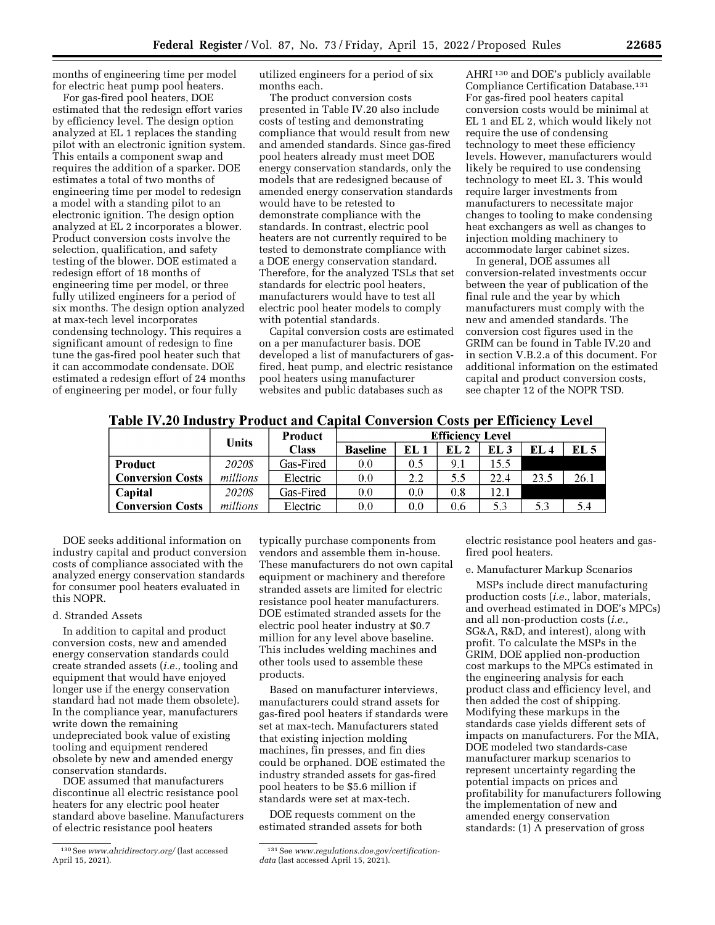months of engineering time per model for electric heat pump pool heaters.

For gas-fired pool heaters, DOE estimated that the redesign effort varies by efficiency level. The design option analyzed at EL 1 replaces the standing pilot with an electronic ignition system. This entails a component swap and requires the addition of a sparker. DOE estimates a total of two months of engineering time per model to redesign a model with a standing pilot to an electronic ignition. The design option analyzed at EL 2 incorporates a blower. Product conversion costs involve the selection, qualification, and safety testing of the blower. DOE estimated a redesign effort of 18 months of engineering time per model, or three fully utilized engineers for a period of six months. The design option analyzed at max-tech level incorporates condensing technology. This requires a significant amount of redesign to fine tune the gas-fired pool heater such that it can accommodate condensate. DOE estimated a redesign effort of 24 months of engineering per model, or four fully

utilized engineers for a period of six months each.

The product conversion costs presented in Table IV.20 also include costs of testing and demonstrating compliance that would result from new and amended standards. Since gas-fired pool heaters already must meet DOE energy conservation standards, only the models that are redesigned because of amended energy conservation standards would have to be retested to demonstrate compliance with the standards. In contrast, electric pool heaters are not currently required to be tested to demonstrate compliance with a DOE energy conservation standard. Therefore, for the analyzed TSLs that set standards for electric pool heaters, manufacturers would have to test all electric pool heater models to comply with potential standards.

Capital conversion costs are estimated on a per manufacturer basis. DOE developed a list of manufacturers of gasfired, heat pump, and electric resistance pool heaters using manufacturer websites and public databases such as

AHRI 130 and DOE's publicly available Compliance Certification Database.131 For gas-fired pool heaters capital conversion costs would be minimal at EL 1 and EL 2, which would likely not require the use of condensing technology to meet these efficiency levels. However, manufacturers would likely be required to use condensing technology to meet EL 3. This would require larger investments from manufacturers to necessitate major changes to tooling to make condensing heat exchangers as well as changes to injection molding machinery to accommodate larger cabinet sizes.

In general, DOE assumes all conversion-related investments occur between the year of publication of the final rule and the year by which manufacturers must comply with the new and amended standards. The conversion cost figures used in the GRIM can be found in Table IV.20 and in section V.B.2.a of this document. For additional information on the estimated capital and product conversion costs, see chapter 12 of the NOPR TSD.

Table IV.20 Industry Product and Capital Conversion Costs per Efficiency Level

|                         | <b>Product</b><br>Units |              |                 | <b>Efficiency Level</b> |                 |      |      |                 |  |
|-------------------------|-------------------------|--------------|-----------------|-------------------------|-----------------|------|------|-----------------|--|
|                         |                         | <b>Class</b> | <b>Baseline</b> | EL 1                    | EL <sub>2</sub> | EL 3 | EL 4 | EL <sub>5</sub> |  |
| <b>Product</b>          | 20208                   | Gas-Fired    | 0.0             | 0.5                     | 9.1             | 15.5 |      |                 |  |
| <b>Conversion Costs</b> | millions                | Electric     | 0.0             | 2.2                     | 5.5             | 22.4 | 23.5 | 26.1            |  |
| Capital                 | 20208                   | Gas-Fired    | 0.0             | 0.0                     | 0.8             | 12.1 |      |                 |  |
| <b>Conversion Costs</b> | millions                | Electric     | 0.0             | 0.0                     | 0.6             | 5.3  | 5.3  | 5.4             |  |

DOE seeks additional information on industry capital and product conversion costs of compliance associated with the analyzed energy conservation standards for consumer pool heaters evaluated in this NOPR.

### d. Stranded Assets

In addition to capital and product conversion costs, new and amended energy conservation standards could create stranded assets (*i.e.,* tooling and equipment that would have enjoyed longer use if the energy conservation standard had not made them obsolete). In the compliance year, manufacturers write down the remaining undepreciated book value of existing tooling and equipment rendered obsolete by new and amended energy conservation standards.

DOE assumed that manufacturers discontinue all electric resistance pool heaters for any electric pool heater standard above baseline. Manufacturers of electric resistance pool heaters

typically purchase components from vendors and assemble them in-house. These manufacturers do not own capital equipment or machinery and therefore stranded assets are limited for electric resistance pool heater manufacturers. DOE estimated stranded assets for the electric pool heater industry at \$0.7 million for any level above baseline. This includes welding machines and other tools used to assemble these products.

Based on manufacturer interviews, manufacturers could strand assets for gas-fired pool heaters if standards were set at max-tech. Manufacturers stated that existing injection molding machines, fin presses, and fin dies could be orphaned. DOE estimated the industry stranded assets for gas-fired pool heaters to be \$5.6 million if standards were set at max-tech.

DOE requests comment on the estimated stranded assets for both electric resistance pool heaters and gasfired pool heaters.

e. Manufacturer Markup Scenarios

MSPs include direct manufacturing production costs (*i.e.,* labor, materials, and overhead estimated in DOE's MPCs) and all non-production costs (*i.e.,*  SG&A, R&D, and interest), along with profit. To calculate the MSPs in the GRIM, DOE applied non-production cost markups to the MPCs estimated in the engineering analysis for each product class and efficiency level, and then added the cost of shipping. Modifying these markups in the standards case yields different sets of impacts on manufacturers. For the MIA, DOE modeled two standards-case manufacturer markup scenarios to represent uncertainty regarding the potential impacts on prices and profitability for manufacturers following the implementation of new and amended energy conservation standards: (1) A preservation of gross

<sup>130</sup>See *[www.ahridirectory.org/](http://www.ahridirectory.org/)* (last accessed April 15, 2021).

<sup>131</sup>See *[www.regulations.doe.gov/certification](http://www.regulations.doe.gov/certification-data)[data](http://www.regulations.doe.gov/certification-data)* (last accessed April 15, 2021).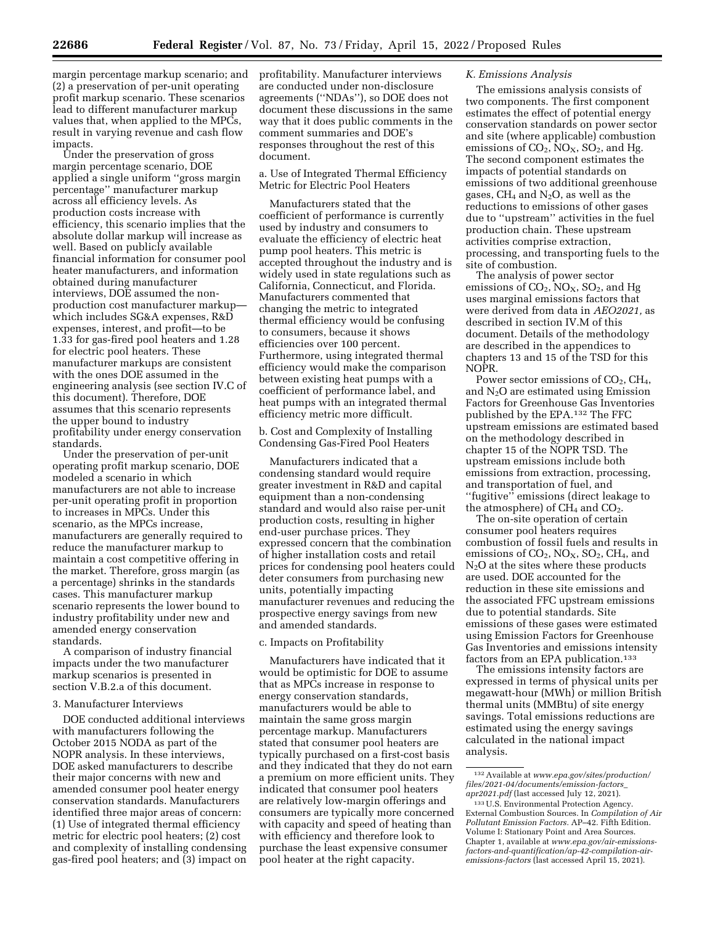margin percentage markup scenario; and (2) a preservation of per-unit operating profit markup scenario. These scenarios lead to different manufacturer markup values that, when applied to the MPCs, result in varying revenue and cash flow impacts.

Under the preservation of gross margin percentage scenario, DOE applied a single uniform ''gross margin percentage'' manufacturer markup across all efficiency levels. As production costs increase with efficiency, this scenario implies that the absolute dollar markup will increase as well. Based on publicly available financial information for consumer pool heater manufacturers, and information obtained during manufacturer interviews, DOE assumed the nonproduction cost manufacturer markup which includes SG&A expenses, R&D expenses, interest, and profit—to be 1.33 for gas-fired pool heaters and 1.28 for electric pool heaters. These manufacturer markups are consistent with the ones DOE assumed in the engineering analysis (see section IV.C of this document). Therefore, DOE assumes that this scenario represents the upper bound to industry profitability under energy conservation standards.

Under the preservation of per-unit operating profit markup scenario, DOE modeled a scenario in which manufacturers are not able to increase per-unit operating profit in proportion to increases in MPCs. Under this scenario, as the MPCs increase, manufacturers are generally required to reduce the manufacturer markup to maintain a cost competitive offering in the market. Therefore, gross margin (as a percentage) shrinks in the standards cases. This manufacturer markup scenario represents the lower bound to industry profitability under new and amended energy conservation standards.

A comparison of industry financial impacts under the two manufacturer markup scenarios is presented in section V.B.2.a of this document.

### 3. Manufacturer Interviews

DOE conducted additional interviews with manufacturers following the October 2015 NODA as part of the NOPR analysis. In these interviews, DOE asked manufacturers to describe their major concerns with new and amended consumer pool heater energy conservation standards. Manufacturers identified three major areas of concern: (1) Use of integrated thermal efficiency metric for electric pool heaters; (2) cost and complexity of installing condensing gas-fired pool heaters; and (3) impact on profitability. Manufacturer interviews are conducted under non-disclosure agreements (''NDAs''), so DOE does not document these discussions in the same way that it does public comments in the comment summaries and DOE's responses throughout the rest of this document.

a. Use of Integrated Thermal Efficiency Metric for Electric Pool Heaters

Manufacturers stated that the coefficient of performance is currently used by industry and consumers to evaluate the efficiency of electric heat pump pool heaters. This metric is accepted throughout the industry and is widely used in state regulations such as California, Connecticut, and Florida. Manufacturers commented that changing the metric to integrated thermal efficiency would be confusing to consumers, because it shows efficiencies over 100 percent. Furthermore, using integrated thermal efficiency would make the comparison between existing heat pumps with a coefficient of performance label, and heat pumps with an integrated thermal efficiency metric more difficult.

b. Cost and Complexity of Installing Condensing Gas-Fired Pool Heaters

Manufacturers indicated that a condensing standard would require greater investment in R&D and capital equipment than a non-condensing standard and would also raise per-unit production costs, resulting in higher end-user purchase prices. They expressed concern that the combination of higher installation costs and retail prices for condensing pool heaters could deter consumers from purchasing new units, potentially impacting manufacturer revenues and reducing the prospective energy savings from new and amended standards.

### c. Impacts on Profitability

Manufacturers have indicated that it would be optimistic for DOE to assume that as MPCs increase in response to energy conservation standards, manufacturers would be able to maintain the same gross margin percentage markup. Manufacturers stated that consumer pool heaters are typically purchased on a first-cost basis and they indicated that they do not earn a premium on more efficient units. They indicated that consumer pool heaters are relatively low-margin offerings and consumers are typically more concerned with capacity and speed of heating than with efficiency and therefore look to purchase the least expensive consumer pool heater at the right capacity.

## *K. Emissions Analysis*

The emissions analysis consists of two components. The first component estimates the effect of potential energy conservation standards on power sector and site (where applicable) combustion emissions of  $CO<sub>2</sub>$ , NO<sub>X</sub>, SO<sub>2</sub>, and Hg. The second component estimates the impacts of potential standards on emissions of two additional greenhouse gases,  $CH_4$  and  $N_2O$ , as well as the reductions to emissions of other gases due to ''upstream'' activities in the fuel production chain. These upstream activities comprise extraction, processing, and transporting fuels to the site of combustion.

The analysis of power sector emissions of  $CO<sub>2</sub>$ ,  $NO<sub>X</sub>$ ,  $SO<sub>2</sub>$ , and Hg uses marginal emissions factors that were derived from data in *AEO2021,* as described in section IV.M of this document. Details of the methodology are described in the appendices to chapters 13 and 15 of the TSD for this NOPR.

Power sector emissions of  $CO<sub>2</sub>$ ,  $CH<sub>4</sub>$ , and N2O are estimated using Emission Factors for Greenhouse Gas Inventories published by the EPA.132 The FFC upstream emissions are estimated based on the methodology described in chapter 15 of the NOPR TSD. The upstream emissions include both emissions from extraction, processing, and transportation of fuel, and ''fugitive'' emissions (direct leakage to the atmosphere) of  $CH_4$  and  $CO_2$ .

The on-site operation of certain consumer pool heaters requires combustion of fossil fuels and results in emissions of  $CO_2$ ,  $NO_X$ ,  $SO_2$ ,  $CH_4$ , and  $N<sub>2</sub>O$  at the sites where these products are used. DOE accounted for the reduction in these site emissions and the associated FFC upstream emissions due to potential standards. Site emissions of these gases were estimated using Emission Factors for Greenhouse Gas Inventories and emissions intensity factors from an EPA publication.133

The emissions intensity factors are expressed in terms of physical units per megawatt-hour (MWh) or million British thermal units (MMBtu) of site energy savings. Total emissions reductions are estimated using the energy savings calculated in the national impact analysis.

<sup>132</sup>Available at *[www.epa.gov/sites/production/](http://www.epa.gov/sites/production/files/2021-04/documents/emission-factors_apr2021.pdf) [files/2021-04/documents/emission-factors](http://www.epa.gov/sites/production/files/2021-04/documents/emission-factors_apr2021.pdf)*\_ *[apr2021.pdf](http://www.epa.gov/sites/production/files/2021-04/documents/emission-factors_apr2021.pdf)* (last accessed July 12, 2021).

<sup>133</sup>U.S. Environmental Protection Agency. External Combustion Sources. In *Compilation of Air Pollutant Emission Factors.* AP–42. Fifth Edition. Volume I: Stationary Point and Area Sources. Chapter 1, available at *[www.epa.gov/air-emissions](http://www.epa.gov/air-emissions-factors-and-quantification/ap-42-compilation-air-emissions-factors)[factors-and-quantification/ap-42-compilation-air](http://www.epa.gov/air-emissions-factors-and-quantification/ap-42-compilation-air-emissions-factors)[emissions-factors](http://www.epa.gov/air-emissions-factors-and-quantification/ap-42-compilation-air-emissions-factors)* (last accessed April 15, 2021).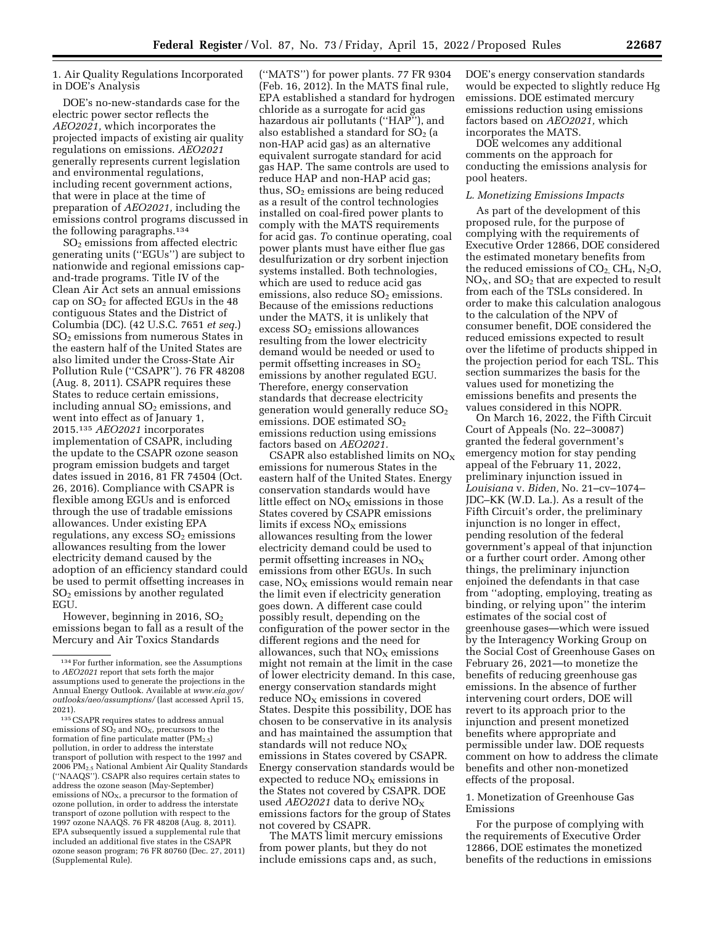1. Air Quality Regulations Incorporated in DOE's Analysis

DOE's no-new-standards case for the electric power sector reflects the *AEO2021,* which incorporates the projected impacts of existing air quality regulations on emissions. *AEO2021*  generally represents current legislation and environmental regulations, including recent government actions, that were in place at the time of preparation of *AEO2021,* including the emissions control programs discussed in the following paragraphs.134

SO2 emissions from affected electric generating units (''EGUs'') are subject to nationwide and regional emissions capand-trade programs. Title IV of the Clean Air Act sets an annual emissions cap on  $SO<sub>2</sub>$  for affected EGUs in the 48 contiguous States and the District of Columbia (DC). (42 U.S.C. 7651 *et seq.*)  $SO<sub>2</sub>$  emissions from numerous States in the eastern half of the United States are also limited under the Cross-State Air Pollution Rule (''CSAPR''). 76 FR 48208 (Aug. 8, 2011). CSAPR requires these States to reduce certain emissions, including annual  $SO<sub>2</sub>$  emissions, and went into effect as of January 1, 2015.135 *AEO2021* incorporates implementation of CSAPR, including the update to the CSAPR ozone season program emission budgets and target dates issued in 2016, 81 FR 74504 (Oct. 26, 2016). Compliance with CSAPR is flexible among EGUs and is enforced through the use of tradable emissions allowances. Under existing EPA regulations, any excess  $SO<sub>2</sub>$  emissions allowances resulting from the lower electricity demand caused by the adoption of an efficiency standard could be used to permit offsetting increases in SO2 emissions by another regulated EGU.

However, beginning in 2016,  $SO<sub>2</sub>$ emissions began to fall as a result of the Mercury and Air Toxics Standards

135CSAPR requires states to address annual emissions of  $SO<sub>2</sub>$  and  $NO<sub>X</sub>$ , precursors to the formation of fine particulate matter  $(PM_{2.5})$ pollution, in order to address the interstate transport of pollution with respect to the 1997 and 2006 PM2.5 National Ambient Air Quality Standards (''NAAQS''). CSAPR also requires certain states to address the ozone season (May-September) emissions of  $NO<sub>x</sub>$ , a precursor to the formation of ozone pollution, in order to address the interstate transport of ozone pollution with respect to the 1997 ozone NAAQS. 76 FR 48208 (Aug. 8, 2011). EPA subsequently issued a supplemental rule that included an additional five states in the CSAPR ozone season program; 76 FR 80760 (Dec. 27, 2011) (Supplemental Rule).

(''MATS'') for power plants. 77 FR 9304 (Feb. 16, 2012). In the MATS final rule, EPA established a standard for hydrogen chloride as a surrogate for acid gas hazardous air pollutants (''HAP''), and also established a standard for  $SO<sub>2</sub>$  (a non-HAP acid gas) as an alternative equivalent surrogate standard for acid gas HAP. The same controls are used to reduce HAP and non-HAP acid gas; thus,  $SO<sub>2</sub>$  emissions are being reduced as a result of the control technologies installed on coal-fired power plants to comply with the MATS requirements for acid gas. *T*o continue operating, coal power plants must have either flue gas desulfurization or dry sorbent injection systems installed. Both technologies, which are used to reduce acid gas emissions, also reduce  $SO<sub>2</sub>$  emissions. Because of the emissions reductions under the MATS, it is unlikely that excess  $SO<sub>2</sub>$  emissions allowances resulting from the lower electricity demand would be needed or used to permit offsetting increases in SO<sub>2</sub> emissions by another regulated EGU. Therefore, energy conservation standards that decrease electricity generation would generally reduce  $SO<sub>2</sub>$ emissions. DOE estimated SO<sub>2</sub> emissions reduction using emissions factors based on *AEO2021.* 

CSAPR also established limits on  $NO<sub>x</sub>$ emissions for numerous States in the eastern half of the United States. Energy conservation standards would have little effect on  $NO<sub>X</sub>$  emissions in those States covered by CSAPR emissions limits if excess  $NO<sub>x</sub>$  emissions allowances resulting from the lower electricity demand could be used to permit offsetting increases in  $NO<sub>x</sub>$ emissions from other EGUs. In such case,  $NO<sub>x</sub>$  emissions would remain near the limit even if electricity generation goes down. A different case could possibly result, depending on the configuration of the power sector in the different regions and the need for allowances, such that  $NO<sub>X</sub>$  emissions might not remain at the limit in the case of lower electricity demand. In this case, energy conservation standards might reduce  $NO<sub>x</sub>$  emissions in covered States. Despite this possibility, DOE has chosen to be conservative in its analysis and has maintained the assumption that standards will not reduce  $NO<sub>x</sub>$ emissions in States covered by CSAPR. Energy conservation standards would be expected to reduce  $NO<sub>x</sub>$  emissions in the States not covered by CSAPR. DOE used *AEO2021* data to derive NO<sub>X</sub> emissions factors for the group of States not covered by CSAPR.

The MATS limit mercury emissions from power plants, but they do not include emissions caps and, as such,

DOE's energy conservation standards would be expected to slightly reduce Hg emissions. DOE estimated mercury emissions reduction using emissions factors based on *AEO2021,* which incorporates the MATS.

DOE welcomes any additional comments on the approach for conducting the emissions analysis for pool heaters.

#### *L. Monetizing Emissions Impacts*

As part of the development of this proposed rule, for the purpose of complying with the requirements of Executive Order 12866, DOE considered the estimated monetary benefits from the reduced emissions of  $CO<sub>2</sub>$ ,  $CH<sub>4</sub>$ , N<sub>2</sub>O,  $NO<sub>X</sub>$ , and  $SO<sub>2</sub>$  that are expected to result from each of the TSLs considered. In order to make this calculation analogous to the calculation of the NPV of consumer benefit, DOE considered the reduced emissions expected to result over the lifetime of products shipped in the projection period for each TSL. This section summarizes the basis for the values used for monetizing the emissions benefits and presents the values considered in this NOPR.

On March 16, 2022, the Fifth Circuit Court of Appeals (No. 22–30087) granted the federal government's emergency motion for stay pending appeal of the February 11, 2022, preliminary injunction issued in *Louisiana* v. *Biden,* No. 21–cv–1074– JDC–KK (W.D. La.). As a result of the Fifth Circuit's order, the preliminary injunction is no longer in effect, pending resolution of the federal government's appeal of that injunction or a further court order. Among other things, the preliminary injunction enjoined the defendants in that case from ''adopting, employing, treating as binding, or relying upon'' the interim estimates of the social cost of greenhouse gases—which were issued by the Interagency Working Group on the Social Cost of Greenhouse Gases on February 26, 2021—to monetize the benefits of reducing greenhouse gas emissions. In the absence of further intervening court orders, DOE will revert to its approach prior to the injunction and present monetized benefits where appropriate and permissible under law. DOE requests comment on how to address the climate benefits and other non-monetized effects of the proposal.

# 1. Monetization of Greenhouse Gas Emissions

For the purpose of complying with the requirements of Executive Order 12866, DOE estimates the monetized benefits of the reductions in emissions

<sup>134</sup>For further information, see the Assumptions to *AEO2021* report that sets forth the major assumptions used to generate the projections in the Annual Energy Outlook. Available at *[www.eia.gov/](http://www.eia.gov/outlooks/aeo/assumptions/)  [outlooks/aeo/assumptions/](http://www.eia.gov/outlooks/aeo/assumptions/)* (last accessed April 15, 2021).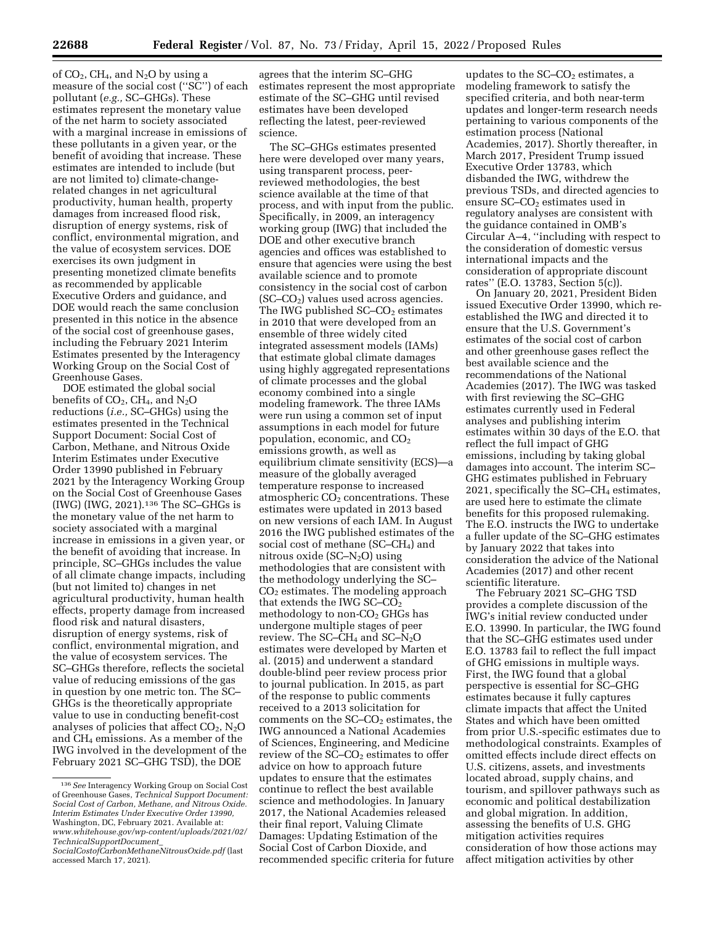of  $CO<sub>2</sub>$ , CH<sub>4</sub>, and N<sub>2</sub>O by using a measure of the social cost (''SC'') of each pollutant (*e.g.,* SC–GHGs). These estimates represent the monetary value of the net harm to society associated with a marginal increase in emissions of these pollutants in a given year, or the benefit of avoiding that increase. These estimates are intended to include (but are not limited to) climate-changerelated changes in net agricultural productivity, human health, property damages from increased flood risk, disruption of energy systems, risk of conflict, environmental migration, and the value of ecosystem services. DOE exercises its own judgment in presenting monetized climate benefits as recommended by applicable Executive Orders and guidance, and DOE would reach the same conclusion presented in this notice in the absence of the social cost of greenhouse gases, including the February 2021 Interim Estimates presented by the Interagency Working Group on the Social Cost of Greenhouse Gases.

DOE estimated the global social benefits of  $CO_2$ , CH<sub>4</sub>, and N<sub>2</sub>O reductions (*i.e.,* SC–GHGs) using the estimates presented in the Technical Support Document: Social Cost of Carbon, Methane, and Nitrous Oxide Interim Estimates under Executive Order 13990 published in February 2021 by the Interagency Working Group on the Social Cost of Greenhouse Gases (IWG) (IWG, 2021).136 The SC–GHGs is the monetary value of the net harm to society associated with a marginal increase in emissions in a given year, or the benefit of avoiding that increase. In principle, SC–GHGs includes the value of all climate change impacts, including (but not limited to) changes in net agricultural productivity, human health effects, property damage from increased flood risk and natural disasters, disruption of energy systems, risk of conflict, environmental migration, and the value of ecosystem services. The SC–GHGs therefore, reflects the societal value of reducing emissions of the gas in question by one metric ton. The SC– GHGs is the theoretically appropriate value to use in conducting benefit-cost analyses of policies that affect  $CO<sub>2</sub>$ , N<sub>2</sub>O and CH4 emissions. As a member of the IWG involved in the development of the February 2021 SC–GHG TSD), the DOE

agrees that the interim SC–GHG estimates represent the most appropriate estimate of the SC–GHG until revised estimates have been developed reflecting the latest, peer-reviewed science.

The SC–GHGs estimates presented here were developed over many years, using transparent process, peerreviewed methodologies, the best science available at the time of that process, and with input from the public. Specifically, in 2009, an interagency working group (IWG) that included the DOE and other executive branch agencies and offices was established to ensure that agencies were using the best available science and to promote consistency in the social cost of carbon  $SC-CO<sub>2</sub>$ ) values used across agencies. The IWG published  $SC-CO<sub>2</sub>$  estimates in 2010 that were developed from an ensemble of three widely cited integrated assessment models (IAMs) that estimate global climate damages using highly aggregated representations of climate processes and the global economy combined into a single modeling framework. The three IAMs were run using a common set of input assumptions in each model for future population, economic, and  $CO<sub>2</sub>$ emissions growth, as well as equilibrium climate sensitivity (ECS)—a measure of the globally averaged temperature response to increased atmospheric  $CO<sub>2</sub>$  concentrations. These estimates were updated in 2013 based on new versions of each IAM. In August 2016 the IWG published estimates of the social cost of methane (SC–CH<sub>4</sub>) and nitrous oxide  $SC-N<sub>2</sub>O$ ) using methodologies that are consistent with the methodology underlying the SC–  $CO<sub>2</sub>$  estimates. The modeling approach that extends the IWG  $SC$ - $CO<sub>2</sub>$ methodology to non-CO<sub>2</sub> GHGs has undergone multiple stages of peer review. The SC–CH<sub>4</sub> and SC–N<sub>2</sub>O estimates were developed by Marten et al. (2015) and underwent a standard double-blind peer review process prior to journal publication. In 2015, as part of the response to public comments received to a 2013 solicitation for comments on the SC–CO<sub>2</sub> estimates, the IWG announced a National Academies of Sciences, Engineering, and Medicine review of the SC–CO<sub>2</sub> estimates to offer advice on how to approach future updates to ensure that the estimates continue to reflect the best available science and methodologies. In January 2017, the National Academies released their final report, Valuing Climate Damages: Updating Estimation of the Social Cost of Carbon Dioxide, and recommended specific criteria for future

updates to the  $SC$ – $CO<sub>2</sub>$  estimates, a modeling framework to satisfy the specified criteria, and both near-term updates and longer-term research needs pertaining to various components of the estimation process (National Academies, 2017). Shortly thereafter, in March 2017, President Trump issued Executive Order 13783, which disbanded the IWG, withdrew the previous TSDs, and directed agencies to ensure  $SC$ – $CO<sub>2</sub>$  estimates used in regulatory analyses are consistent with the guidance contained in OMB's Circular A–4, ''including with respect to the consideration of domestic versus international impacts and the consideration of appropriate discount rates'' (E.O. 13783, Section 5(c)).

On January 20, 2021, President Biden issued Executive Order 13990, which reestablished the IWG and directed it to ensure that the U.S. Government's estimates of the social cost of carbon and other greenhouse gases reflect the best available science and the recommendations of the National Academies (2017). The IWG was tasked with first reviewing the SC–GHG estimates currently used in Federal analyses and publishing interim estimates within 30 days of the E.O. that reflect the full impact of GHG emissions, including by taking global damages into account. The interim SC– GHG estimates published in February 2021, specifically the  $SC-CH<sub>4</sub>$  estimates, are used here to estimate the climate benefits for this proposed rulemaking. The E.O. instructs the IWG to undertake a fuller update of the SC–GHG estimates by January 2022 that takes into consideration the advice of the National Academies (2017) and other recent scientific literature.

The February 2021 SC–GHG TSD provides a complete discussion of the IWG's initial review conducted under E.O. 13990. In particular, the IWG found that the SC–GHG estimates used under E.O. 13783 fail to reflect the full impact of GHG emissions in multiple ways. First, the IWG found that a global perspective is essential for SC–GHG estimates because it fully captures climate impacts that affect the United States and which have been omitted from prior U.S.-specific estimates due to methodological constraints. Examples of omitted effects include direct effects on U.S. citizens, assets, and investments located abroad, supply chains, and tourism, and spillover pathways such as economic and political destabilization and global migration. In addition, assessing the benefits of U.S. GHG mitigation activities requires consideration of how those actions may affect mitigation activities by other

<sup>136</sup>*See* Interagency Working Group on Social Cost of Greenhouse Gases, *Technical Support Document: Social Cost of Carbon, Methane, and Nitrous Oxide. Interim Estimates Under Executive Order 13990,*  Washington, DC, February 2021. Available at: *[www.whitehouse.gov/wp-content/uploads/2021/02/](http://www.whitehouse.gov/wp-content/uploads/2021/02/TechnicalSupportDocument_SocialCostofCarbonMethaneNitrousOxide.pdf) [TechnicalSupportDocument](http://www.whitehouse.gov/wp-content/uploads/2021/02/TechnicalSupportDocument_SocialCostofCarbonMethaneNitrousOxide.pdf)*\_

*[SocialCostofCarbonMethaneNitrousOxide.pdf](http://www.whitehouse.gov/wp-content/uploads/2021/02/TechnicalSupportDocument_SocialCostofCarbonMethaneNitrousOxide.pdf)* (last accessed March 17, 2021).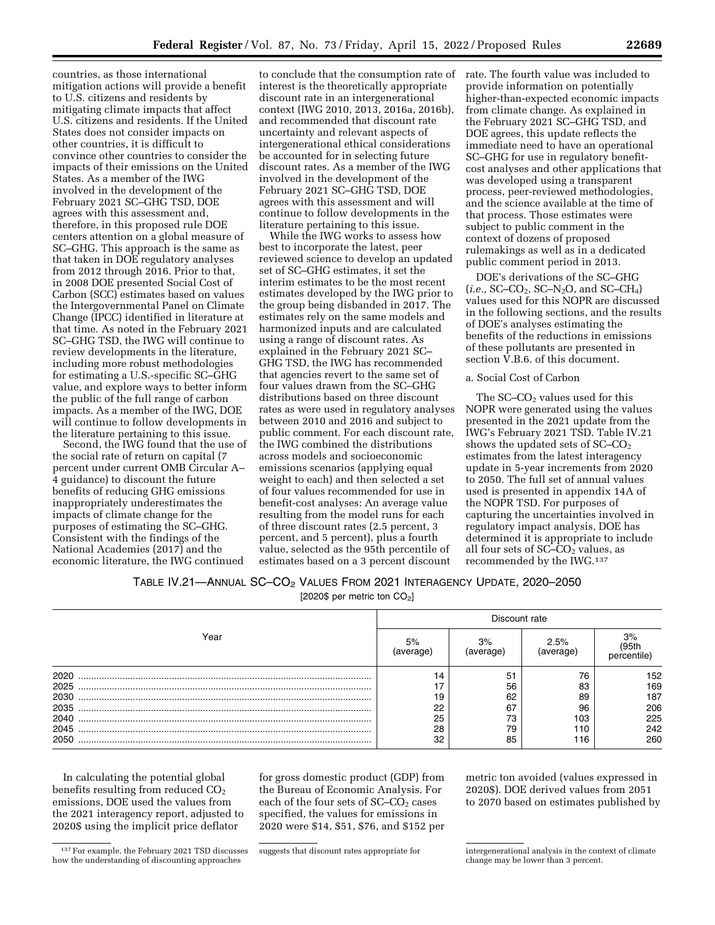countries, as those international mitigation actions will provide a benefit to U.S. citizens and residents by mitigating climate impacts that affect U.S. citizens and residents. If the United States does not consider impacts on other countries, it is difficult to convince other countries to consider the impacts of their emissions on the United States. As a member of the IWG involved in the development of the February 2021 SC–GHG TSD, DOE agrees with this assessment and, therefore, in this proposed rule DOE centers attention on a global measure of SC–GHG. This approach is the same as that taken in DOE regulatory analyses from 2012 through 2016. Prior to that, in 2008 DOE presented Social Cost of Carbon (SCC) estimates based on values the Intergovernmental Panel on Climate Change (IPCC) identified in literature at that time. As noted in the February 2021 SC–GHG TSD, the IWG will continue to review developments in the literature, including more robust methodologies for estimating a U.S.-specific SC–GHG value, and explore ways to better inform the public of the full range of carbon impacts. As a member of the IWG, DOE will continue to follow developments in the literature pertaining to this issue.

Second, the IWG found that the use of the social rate of return on capital (7 percent under current OMB Circular A– 4 guidance) to discount the future benefits of reducing GHG emissions inappropriately underestimates the impacts of climate change for the purposes of estimating the SC–GHG. Consistent with the findings of the National Academies (2017) and the economic literature, the IWG continued

to conclude that the consumption rate of interest is the theoretically appropriate discount rate in an intergenerational context (IWG 2010, 2013, 2016a, 2016b), and recommended that discount rate uncertainty and relevant aspects of intergenerational ethical considerations be accounted for in selecting future discount rates. As a member of the IWG involved in the development of the February 2021 SC–GHG TSD, DOE agrees with this assessment and will continue to follow developments in the literature pertaining to this issue.

While the IWG works to assess how best to incorporate the latest, peer reviewed science to develop an updated set of SC–GHG estimates, it set the interim estimates to be the most recent estimates developed by the IWG prior to the group being disbanded in 2017. The estimates rely on the same models and harmonized inputs and are calculated using a range of discount rates. As explained in the February 2021 SC– GHG TSD, the IWG has recommended that agencies revert to the same set of four values drawn from the SC–GHG distributions based on three discount rates as were used in regulatory analyses between 2010 and 2016 and subject to public comment. For each discount rate, the IWG combined the distributions across models and socioeconomic emissions scenarios (applying equal weight to each) and then selected a set of four values recommended for use in benefit-cost analyses: An average value resulting from the model runs for each of three discount rates (2.5 percent, 3 percent, and 5 percent), plus a fourth value, selected as the 95th percentile of estimates based on a 3 percent discount

rate. The fourth value was included to provide information on potentially higher-than-expected economic impacts from climate change. As explained in the February 2021 SC–GHG TSD, and DOE agrees, this update reflects the immediate need to have an operational SC–GHG for use in regulatory benefitcost analyses and other applications that was developed using a transparent process, peer-reviewed methodologies, and the science available at the time of that process. Those estimates were subject to public comment in the context of dozens of proposed rulemakings as well as in a dedicated public comment period in 2013.

DOE's derivations of the SC–GHG (*i.e.,* SC–CO2, SC–N2O, and SC–CH4) values used for this NOPR are discussed in the following sections, and the results of DOE's analyses estimating the benefits of the reductions in emissions of these pollutants are presented in section V.B.6. of this document.

## a. Social Cost of Carbon

The  $SC$ – $CO<sub>2</sub>$  values used for this NOPR were generated using the values presented in the 2021 update from the IWG's February 2021 TSD. Table IV.21 shows the updated sets of SC–CO<sub>2</sub> estimates from the latest interagency update in 5-year increments from 2020 to 2050. The full set of annual values used is presented in appendix 14A of the NOPR TSD. For purposes of capturing the uncertainties involved in regulatory impact analysis, DOE has determined it is appropriate to include all four sets of SC–CO<sub>2</sub> values, as recommended by the IWG.137

TABLE IV.21—ANNUAL SC–CO2 VALUES FROM 2021 INTERAGENCY UPDATE, 2020–2050

[2020\$ per metric ton CO<sub>2</sub>]

|                                                      | Discount rate              |                                        |                                           |                                               |  |  |
|------------------------------------------------------|----------------------------|----------------------------------------|-------------------------------------------|-----------------------------------------------|--|--|
| Year                                                 | 5%                         | 3%<br>(average)                        | 2.5%<br>verage'                           | 3%<br>centile                                 |  |  |
| 2020<br>2025<br>2030<br>2035<br>2040<br>2045<br>2050 | 19<br>22<br>25<br>28<br>32 | 51<br>56<br>62<br>67<br>73<br>79<br>85 | 76<br>83<br>89<br>96<br>103<br>110<br>116 | 152<br>169<br>187<br>206<br>225<br>242<br>260 |  |  |

In calculating the potential global benefits resulting from reduced  $CO<sub>2</sub>$ emissions, DOE used the values from the 2021 interagency report, adjusted to 2020\$ using the implicit price deflator

for gross domestic product (GDP) from the Bureau of Economic Analysis. For each of the four sets of  $SC-CO<sub>2</sub>$  cases specified, the values for emissions in 2020 were \$14, \$51, \$76, and \$152 per metric ton avoided (values expressed in 2020\$). DOE derived values from 2051 to 2070 based on estimates published by

<sup>137</sup>For example, the February 2021 TSD discusses how the understanding of discounting approaches

suggests that discount rates appropriate for intergenerational analysis in the context of climate change may be lower than 3 percent.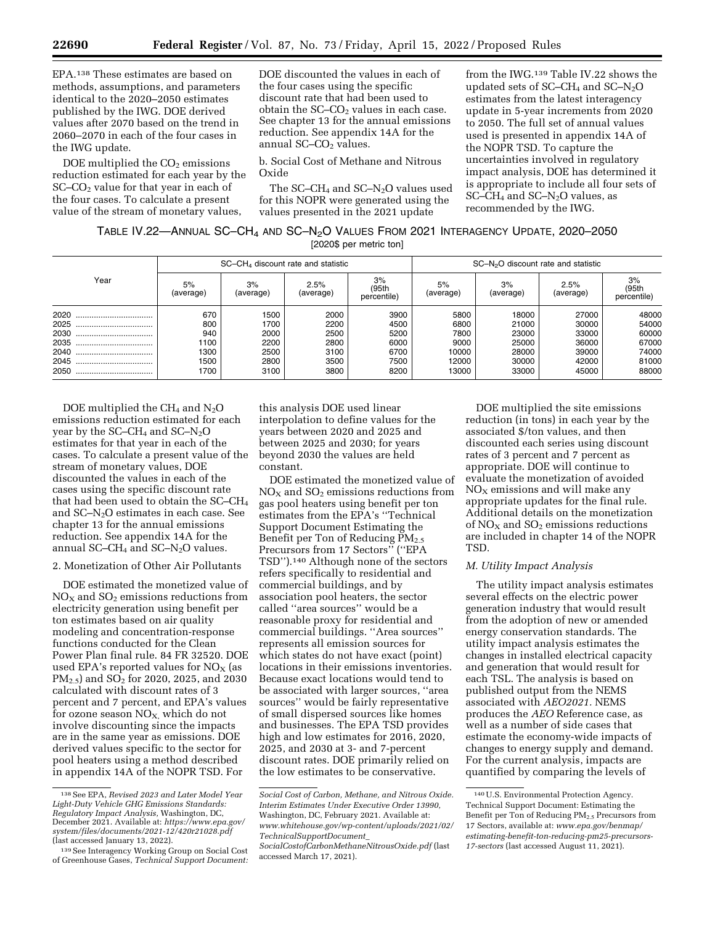EPA.138 These estimates are based on methods, assumptions, and parameters identical to the 2020–2050 estimates published by the IWG. DOE derived values after 2070 based on the trend in 2060–2070 in each of the four cases in the IWG update.

DOE multiplied the  $CO<sub>2</sub>$  emissions reduction estimated for each year by the  $SC$ – $CO<sub>2</sub>$  value for that year in each of the four cases. To calculate a present value of the stream of monetary values,

DOE discounted the values in each of the four cases using the specific discount rate that had been used to obtain the  $SC$ – $CO<sub>2</sub>$  values in each case. See chapter 13 for the annual emissions reduction. See appendix 14A for the annual  $SC$ – $CO<sub>2</sub>$  values.

b. Social Cost of Methane and Nitrous Oxide

The SC–CH<sub>4</sub> and SC–N<sub>2</sub>O values used for this NOPR were generated using the values presented in the 2021 update

from the IWG.139 Table IV.22 shows the updated sets of  $SC-CH_4$  and  $SC-N_2O$ estimates from the latest interagency update in 5-year increments from 2020 to 2050. The full set of annual values used is presented in appendix 14A of the NOPR TSD. To capture the uncertainties involved in regulatory impact analysis, DOE has determined it is appropriate to include all four sets of SC–CH<sub>4</sub> and SC–N<sub>2</sub>O values, as recommended by the IWG.

| TABLE IV.22-ANNUAL SC-CH <sub>4</sub> AND SC-N <sub>2</sub> O VALUES FROM 2021 INTERAGENCY UPDATE, 2020-2050 |                         |  |  |
|--------------------------------------------------------------------------------------------------------------|-------------------------|--|--|
|                                                                                                              | [2020\$ per metric ton] |  |  |

|          |                 | $SC$ – $CH4$ discount rate and statistic |                   |                            | $SC-N2O$ discount rate and statistic |                 |                   |                            |
|----------|-----------------|------------------------------------------|-------------------|----------------------------|--------------------------------------|-----------------|-------------------|----------------------------|
| Year     | 5%<br>(average) | 3%<br>(average)                          | 2.5%<br>(average) | 3%<br>(95th<br>percentile) | 5%<br>(average)                      | 3%<br>(average) | 2.5%<br>(average) | 3%<br>(95th<br>percentile) |
| 2020<br> | 670             | 1500                                     | 2000              | 3900                       | 5800                                 | 18000           | 27000             | 48000                      |
| 2025     | 800             | 1700                                     | 2200              | 4500                       | 6800                                 | 21000           | 30000             | 54000                      |
| 2030     | 940             | 2000                                     | 2500              | 5200                       | 7800                                 | 23000           | 33000             | 60000                      |
| 2035<br> | 1100            | 2200                                     | 2800              | 6000                       | 9000                                 | 25000           | 36000             | 67000                      |
| 2040<br> | 1300            | 2500                                     | 3100              | 6700                       | 10000                                | 28000           | 39000             | 74000                      |
| 2045<br> | 1500            | 2800                                     | 3500              | 7500                       | 12000                                | 30000           | 42000             | 81000                      |
| 2050<br> | 1700            | 3100                                     | 3800              | 8200                       | 13000                                | 33000           | 45000             | 88000                      |

DOE multiplied the  $CH_4$  and  $N_2O$ emissions reduction estimated for each year by the  $SC-CH_4$  and  $SC-N_2O$ estimates for that year in each of the cases. To calculate a present value of the stream of monetary values, DOE discounted the values in each of the cases using the specific discount rate that had been used to obtain the SC–CH4 and SC–N2O estimates in each case. See chapter 13 for the annual emissions reduction. See appendix 14A for the annual SC–CH<sub>4</sub> and SC–N<sub>2</sub>O values.

2. Monetization of Other Air Pollutants

DOE estimated the monetized value of  $NO<sub>X</sub>$  and  $SO<sub>2</sub>$  emissions reductions from electricity generation using benefit per ton estimates based on air quality modeling and concentration-response functions conducted for the Clean Power Plan final rule. 84 FR 32520. DOE used EPA's reported values for  $NO<sub>x</sub>$  (as PM<sub>2.5</sub>) and SO<sub>2</sub> for 2020, 2025, and 2030 calculated with discount rates of 3 percent and 7 percent, and EPA's values for ozone season  $NO<sub>X</sub>$ , which do not involve discounting since the impacts are in the same year as emissions. DOE derived values specific to the sector for pool heaters using a method described in appendix 14A of the NOPR TSD. For

this analysis DOE used linear interpolation to define values for the years between 2020 and 2025 and between 2025 and 2030; for years beyond 2030 the values are held constant.

DOE estimated the monetized value of  $NO<sub>X</sub>$  and  $SO<sub>2</sub>$  emissions reductions from gas pool heaters using benefit per ton estimates from the EPA's ''Technical Support Document Estimating the Benefit per Ton of Reducing PM2.5 Precursors from 17 Sectors'' (''EPA TSD'').140 Although none of the sectors refers specifically to residential and commercial buildings, and by association pool heaters, the sector called ''area sources'' would be a reasonable proxy for residential and commercial buildings. ''Area sources'' represents all emission sources for which states do not have exact (point) locations in their emissions inventories. Because exact locations would tend to be associated with larger sources, ''area sources'' would be fairly representative of small dispersed sources like homes and businesses. The EPA TSD provides high and low estimates for 2016, 2020, 2025, and 2030 at 3- and 7-percent discount rates. DOE primarily relied on the low estimates to be conservative.

DOE multiplied the site emissions reduction (in tons) in each year by the associated \$/ton values, and then discounted each series using discount rates of 3 percent and 7 percent as appropriate. DOE will continue to evaluate the monetization of avoided  $NO<sub>x</sub>$  emissions and will make any appropriate updates for the final rule. Additional details on the monetization of  $NO<sub>x</sub>$  and  $SO<sub>2</sub>$  emissions reductions are included in chapter 14 of the NOPR TSD.

# *M. Utility Impact Analysis*

The utility impact analysis estimates several effects on the electric power generation industry that would result from the adoption of new or amended energy conservation standards. The utility impact analysis estimates the changes in installed electrical capacity and generation that would result for each TSL. The analysis is based on published output from the NEMS associated with *AEO2021.* NEMS produces the *AEO* Reference case, as well as a number of side cases that estimate the economy-wide impacts of changes to energy supply and demand. For the current analysis, impacts are quantified by comparing the levels of

<sup>138</sup>See EPA, *Revised 2023 and Later Model Year Light-Duty Vehicle GHG Emissions Standards: Regulatory Impact Analysis,* Washington, DC, December 2021. Available at: *[https://www.epa.gov/](https://www.epa.gov/system/files/documents/2021-12/420r21028.pdf)  [system/files/documents/2021-12/420r21028.pdf](https://www.epa.gov/system/files/documents/2021-12/420r21028.pdf)*  (last accessed January 13, 2022).

<sup>139</sup>See Interagency Working Group on Social Cost of Greenhouse Gases, *Technical Support Document:* 

*Social Cost of Carbon, Methane, and Nitrous Oxide. Interim Estimates Under Executive Order 13990,*  Washington, DC, February 2021. Available at: *[www.whitehouse.gov/wp-content/uploads/2021/02/](http://www.whitehouse.gov/wp-content/uploads/2021/02/TechnicalSupportDocument_SocialCostofCarbonMethaneNitrousOxide.pdf) [TechnicalSupportDocument](http://www.whitehouse.gov/wp-content/uploads/2021/02/TechnicalSupportDocument_SocialCostofCarbonMethaneNitrousOxide.pdf)*\_

*[SocialCostofCarbonMethaneNitrousOxide.pdf](http://www.whitehouse.gov/wp-content/uploads/2021/02/TechnicalSupportDocument_SocialCostofCarbonMethaneNitrousOxide.pdf)* (last accessed March 17, 2021).

<sup>140</sup>U.S. Environmental Protection Agency. Technical Support Document: Estimating the Benefit per Ton of Reducing PM2.5 Precursors from 17 Sectors, available at: *[www.epa.gov/benmap/](http://www.epa.gov/benmap/estimating-benefit-ton-reducing-pm25-precursors-17-sectors) [estimating-benefit-ton-reducing-pm25-precursors-](http://www.epa.gov/benmap/estimating-benefit-ton-reducing-pm25-precursors-17-sectors)[17-sectors](http://www.epa.gov/benmap/estimating-benefit-ton-reducing-pm25-precursors-17-sectors)* (last accessed August 11, 2021).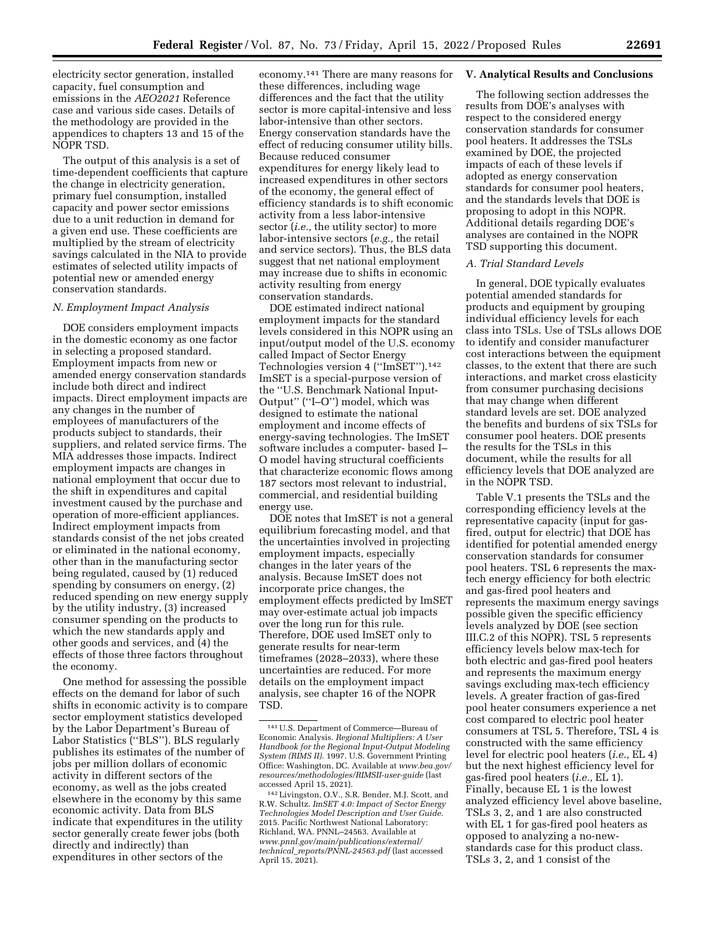electricity sector generation, installed capacity, fuel consumption and emissions in the *AEO2021* Reference case and various side cases. Details of the methodology are provided in the appendices to chapters 13 and 15 of the NOPR TSD.

The output of this analysis is a set of time-dependent coefficients that capture the change in electricity generation, primary fuel consumption, installed capacity and power sector emissions due to a unit reduction in demand for a given end use. These coefficients are multiplied by the stream of electricity savings calculated in the NIA to provide estimates of selected utility impacts of potential new or amended energy conservation standards.

### *N. Employment Impact Analysis*

DOE considers employment impacts in the domestic economy as one factor in selecting a proposed standard. Employment impacts from new or amended energy conservation standards include both direct and indirect impacts. Direct employment impacts are any changes in the number of employees of manufacturers of the products subject to standards, their suppliers, and related service firms. The MIA addresses those impacts. Indirect employment impacts are changes in national employment that occur due to the shift in expenditures and capital investment caused by the purchase and operation of more-efficient appliances. Indirect employment impacts from standards consist of the net jobs created or eliminated in the national economy, other than in the manufacturing sector being regulated, caused by (1) reduced spending by consumers on energy, (2) reduced spending on new energy supply by the utility industry, (3) increased consumer spending on the products to which the new standards apply and other goods and services, and (4) the effects of those three factors throughout the economy.

One method for assessing the possible effects on the demand for labor of such shifts in economic activity is to compare sector employment statistics developed by the Labor Department's Bureau of Labor Statistics (''BLS''). BLS regularly publishes its estimates of the number of jobs per million dollars of economic activity in different sectors of the economy, as well as the jobs created elsewhere in the economy by this same economic activity. Data from BLS indicate that expenditures in the utility sector generally create fewer jobs (both directly and indirectly) than expenditures in other sectors of the

economy.141 There are many reasons for these differences, including wage differences and the fact that the utility sector is more capital-intensive and less labor-intensive than other sectors. Energy conservation standards have the effect of reducing consumer utility bills. Because reduced consumer expenditures for energy likely lead to increased expenditures in other sectors of the economy, the general effect of efficiency standards is to shift economic activity from a less labor-intensive sector (*i.e.,* the utility sector) to more labor-intensive sectors (*e.g.,* the retail and service sectors). Thus, the BLS data suggest that net national employment may increase due to shifts in economic activity resulting from energy conservation standards.

DOE estimated indirect national employment impacts for the standard levels considered in this NOPR using an input/output model of the U.S. economy called Impact of Sector Energy Technologies version 4 (''ImSET'').142 ImSET is a special-purpose version of the ''U.S. Benchmark National Input-Output'' (''I–O'') model, which was designed to estimate the national employment and income effects of energy-saving technologies. The ImSET software includes a computer- based I– O model having structural coefficients that characterize economic flows among 187 sectors most relevant to industrial, commercial, and residential building energy use.

DOE notes that ImSET is not a general equilibrium forecasting model, and that the uncertainties involved in projecting employment impacts, especially changes in the later years of the analysis. Because ImSET does not incorporate price changes, the employment effects predicted by ImSET may over-estimate actual job impacts over the long run for this rule. Therefore, DOE used ImSET only to generate results for near-term timeframes (2028–2033), where these uncertainties are reduced. For more details on the employment impact analysis, see chapter 16 of the NOPR TSD.

#### **V. Analytical Results and Conclusions**

The following section addresses the results from DOE's analyses with respect to the considered energy conservation standards for consumer pool heaters. It addresses the TSLs examined by DOE, the projected impacts of each of these levels if adopted as energy conservation standards for consumer pool heaters, and the standards levels that DOE is proposing to adopt in this NOPR. Additional details regarding DOE's analyses are contained in the NOPR TSD supporting this document.

### *A. Trial Standard Levels*

In general, DOE typically evaluates potential amended standards for products and equipment by grouping individual efficiency levels for each class into TSLs. Use of TSLs allows DOE to identify and consider manufacturer cost interactions between the equipment classes, to the extent that there are such interactions, and market cross elasticity from consumer purchasing decisions that may change when different standard levels are set. DOE analyzed the benefits and burdens of six TSLs for consumer pool heaters. DOE presents the results for the TSLs in this document, while the results for all efficiency levels that DOE analyzed are in the NOPR TSD.

Table V.1 presents the TSLs and the corresponding efficiency levels at the representative capacity (input for gasfired, output for electric) that DOE has identified for potential amended energy conservation standards for consumer pool heaters. TSL 6 represents the maxtech energy efficiency for both electric and gas-fired pool heaters and represents the maximum energy savings possible given the specific efficiency levels analyzed by DOE (see section III.C.2 of this NOPR). TSL 5 represents efficiency levels below max-tech for both electric and gas-fired pool heaters and represents the maximum energy savings excluding max-tech efficiency levels. A greater fraction of gas-fired pool heater consumers experience a net cost compared to electric pool heater consumers at TSL 5. Therefore, TSL 4 is constructed with the same efficiency level for electric pool heaters (*i.e.,* EL 4) but the next highest efficiency level for gas-fired pool heaters (*i.e.,* EL 1). Finally, because EL 1 is the lowest analyzed efficiency level above baseline, TSLs 3, 2, and 1 are also constructed with EL 1 for gas-fired pool heaters as opposed to analyzing a no-newstandards case for this product class. TSLs 3, 2, and 1 consist of the

<sup>141</sup>U.S. Department of Commerce—Bureau of Economic Analysis. *Regional Multipliers: A User Handbook for the Regional Input-Output Modeling System (RIMS II).* 1997. U.S. Government Printing Office: Washington, DC. Available at *[www.bea.gov/](http://www.bea.gov/resources/methodologies/RIMSII-user-guide)  [resources/methodologies/RIMSII-user-guide](http://www.bea.gov/resources/methodologies/RIMSII-user-guide)* (last accessed April 15, 2021).

<sup>142</sup>Livingston, O.V., S.R. Bender, M.J. Scott, and R.W. Schultz. *ImSET 4.0: Impact of Sector Energy Technologies Model Description and User Guide.*  2015. Pacific Northwest National Laboratory: Richland, WA. PNNL–24563. Available at *[www.pnnl.gov/main/publications/external/](http://www.pnnl.gov/main/publications/external/technical_reports/PNNL-24563.pdf)  technical*\_*[reports/PNNL-24563.pdf](http://www.pnnl.gov/main/publications/external/technical_reports/PNNL-24563.pdf)* (last accessed April 15, 2021).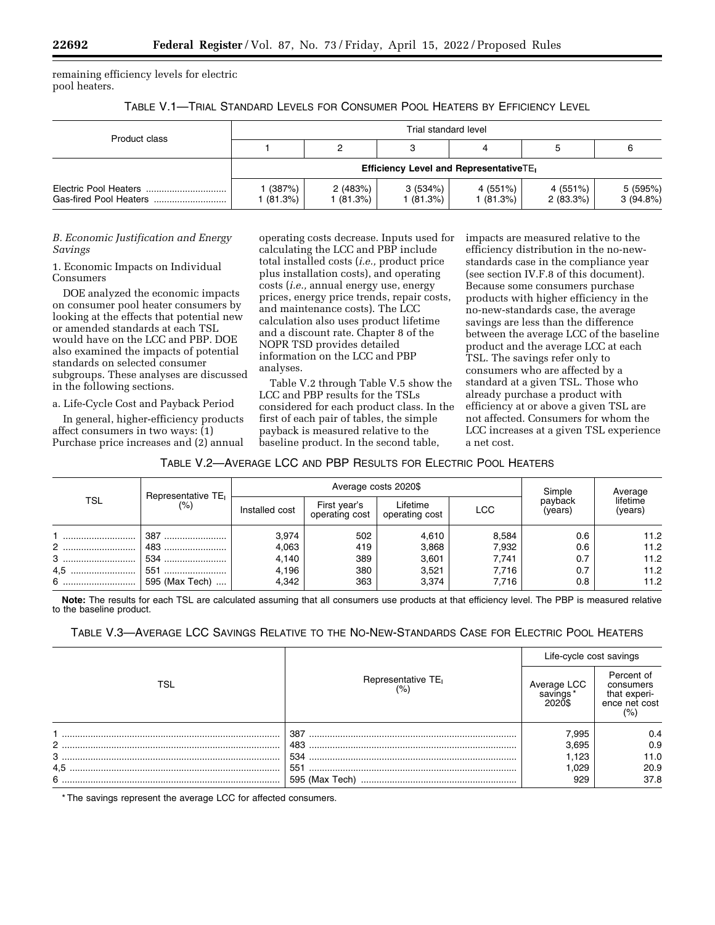remaining efficiency levels for electric pool heaters.

TABLE V.1—TRIAL STANDARD LEVELS FOR CONSUMER POOL HEATERS BY EFFICIENCY LEVEL

| Product class                                       | Trial standard level                               |                      |                      |                      |                      |                      |  |
|-----------------------------------------------------|----------------------------------------------------|----------------------|----------------------|----------------------|----------------------|----------------------|--|
|                                                     |                                                    |                      |                      |                      |                      |                      |  |
|                                                     | Efficiency Level and RepresentativeTE <sub>1</sub> |                      |                      |                      |                      |                      |  |
| Electric Pool Heaters<br>Gas-fired Pool Heaters<br> | (387%)<br>(81.3%)                                  | 2(483%)<br>1 (81.3%) | 3(534%)<br>l (81.3%) | 4 (551%)<br>1(81.3%) | 4 (551%)<br>2(83.3%) | 5 (595%)<br>3(94.8%) |  |

# *B. Economic Justification and Energy Savings*

1. Economic Impacts on Individual Consumers

DOE analyzed the economic impacts on consumer pool heater consumers by looking at the effects that potential new or amended standards at each TSL would have on the LCC and PBP. DOE also examined the impacts of potential standards on selected consumer subgroups. These analyses are discussed in the following sections.

a. Life-Cycle Cost and Payback Period

In general, higher-efficiency products affect consumers in two ways: (1) Purchase price increases and (2) annual

operating costs decrease. Inputs used for calculating the LCC and PBP include total installed costs (*i.e.,* product price plus installation costs), and operating costs (*i.e.,* annual energy use, energy prices, energy price trends, repair costs, and maintenance costs). The LCC calculation also uses product lifetime and a discount rate. Chapter 8 of the NOPR TSD provides detailed information on the LCC and PBP analyses.

Table V.2 through Table V.5 show the LCC and PBP results for the TSLs considered for each product class. In the first of each pair of tables, the simple payback is measured relative to the baseline product. In the second table,

impacts are measured relative to the efficiency distribution in the no-newstandards case in the compliance year (see section IV.F.8 of this document). Because some consumers purchase products with higher efficiency in the no-new-standards case, the average savings are less than the difference between the average LCC of the baseline product and the average LCC at each TSL. The savings refer only to consumers who are affected by a standard at a given TSL. Those who already purchase a product with efficiency at or above a given TSL are not affected. Consumers for whom the LCC increases at a given TSL experience a net cost.

TABLE V.2—AVERAGE LCC AND PBP RESULTS FOR ELECTRIC POOL HEATERS

| TSL     |                                          |                | Average costs 2020\$           | Simple                     | Average    |                    |                     |
|---------|------------------------------------------|----------------|--------------------------------|----------------------------|------------|--------------------|---------------------|
|         | Representative TE <sub>I</sub><br>$(\%)$ | Installed cost | First year's<br>operating cost | Lifetime<br>operating cost | <b>LCC</b> | payback<br>(vears) | lifetime<br>(years) |
|         | 387                                      | 3,974          | 502                            | 4,610                      | 8,584      | 0.6                | 11.2                |
| $2$<br> | 483                                      | 4,063          | 419                            | 3,868                      | 7,932      | 0.6                | 11.2                |
| 3       | 534                                      | 4,140          | 389                            | 3,601                      | 7.741      | 0.7                | 11.2                |
| 4.5     | 551                                      | 4,196          | 380                            | 3,521                      | 7.716      | 0.7                | 11.2                |
|         | 595 (Max Tech)                           | 4,342          | 363                            | 3,374                      | 7.716      | 0.8                | 11.2                |

**Note:** The results for each TSL are calculated assuming that all consumers use products at that efficiency level. The PBP is measured relative to the baseline product.

TABLE V.3—AVERAGE LCC SAVINGS RELATIVE TO THE NO-NEW-STANDARDS CASE FOR ELECTRIC POOL HEATERS

|       |                                | Life-cycle cost savings           |                                                                |  |
|-------|--------------------------------|-----------------------------------|----------------------------------------------------------------|--|
| TSL   | Representative TE <sub>I</sub> | Average LCC<br>savings*<br>2020\$ | Percent of<br>consumers<br>that experi-<br>ence net cost<br>(% |  |
|       | 387                            | 7,995                             | 0.4                                                            |  |
| $2$ . | 483                            | 3,695                             | 0.9                                                            |  |
|       | 534                            | 1.123                             | 11.0                                                           |  |
| 4.5   | 551                            | 1.029                             | 20.9                                                           |  |
|       | 595 (Max Tech)                 | 929                               | 37.8                                                           |  |

\* The savings represent the average LCC for affected consumers.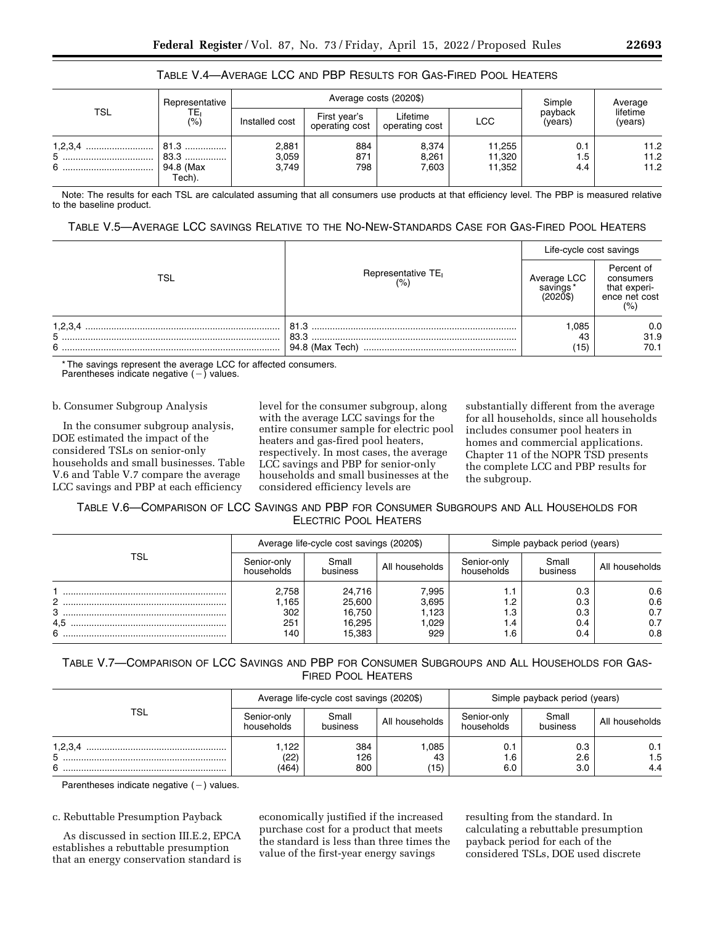# TABLE V.4—AVERAGE LCC AND PBP RESULTS FOR GAS-FIRED POOL HEATERS

| TSL            | Representative<br>TE.<br>(%)            |                         | Average costs (2020\$)         | Simple                     | Average                    |                    |                      |
|----------------|-----------------------------------------|-------------------------|--------------------------------|----------------------------|----------------------------|--------------------|----------------------|
|                |                                         | Installed cost          | First vear's<br>operating cost | Lifetime<br>operating cost | <b>LCC</b>                 | payback<br>(vears) | lifetime<br>(years)  |
| 5<br><br>6<br> | 81.3<br>83.3<br><br>94.8 (Max<br>Tech). | 2,881<br>3,059<br>3,749 | 884<br>871<br>798              | 8.374<br>8,261<br>7.603    | 11,255<br>11,320<br>11,352 | 0.1<br>1.5<br>4.4  | 11.2<br>11.2<br>11.2 |

Note: The results for each TSL are calculated assuming that all consumers use products at that efficiency level. The PBP is measured relative to the baseline product.

## TABLE V.5—AVERAGE LCC SAVINGS RELATIVE TO THE NO-NEW-STANDARDS CASE FOR GAS-FIRED POOL HEATERS

|                   |                                       | Life-cycle cost savings             |                                                                 |
|-------------------|---------------------------------------|-------------------------------------|-----------------------------------------------------------------|
| TSL               | Representative TE <sub>I</sub><br>(%) | Average LCC<br>savings*<br>(2020\$) | Percent of<br>consumers<br>that experi-<br>ence net cost<br>(%) |
| 1,2,3,4<br>5<br>6 | 81.3<br>83.3<br>94.8 (Max Tech)       | 1.085<br>43<br>(15)                 | 0.0<br>31.9<br>70.1                                             |

\* The savings represent the average LCC for affected consumers.<br>Parentheses indicate negative ( – ) values.

### b. Consumer Subgroup Analysis

In the consumer subgroup analysis, DOE estimated the impact of the considered TSLs on senior-only households and small businesses. Table V.6 and Table V.7 compare the average LCC savings and PBP at each efficiency

level for the consumer subgroup, along with the average LCC savings for the entire consumer sample for electric pool heaters and gas-fired pool heaters, respectively. In most cases, the average LCC savings and PBP for senior-only households and small businesses at the considered efficiency levels are

substantially different from the average for all households, since all households includes consumer pool heaters in homes and commercial applications. Chapter 11 of the NOPR TSD presents the complete LCC and PBP results for the subgroup.

# TABLE V.6—COMPARISON OF LCC SAVINGS AND PBP FOR CONSUMER SUBGROUPS AND ALL HOUSEHOLDS FOR ELECTRIC POOL HEATERS

|            |                           | Average life-cycle cost savings (2020\$) |                | Simple payback period (years) |                   |                |  |
|------------|---------------------------|------------------------------------------|----------------|-------------------------------|-------------------|----------------|--|
| <b>TSL</b> | Senior-only<br>households | Small<br>business                        | All households | Senior-only<br>households     | Small<br>business | All households |  |
|            | 2,758                     | 24,716                                   | 7.995          | 1.1                           | 0.3               | 0.6            |  |
| 2          | 165. ا                    | 25,600                                   | 3.695          | 2.،                           | 0.3               | 0.6            |  |
| 3          | 302                       | 16,750                                   | 1.123          | 1.3                           | 0.3               | 0.7            |  |
| 4.5        | 251                       | 16.295                                   | .029           | . 4                           | 0.4               | 0.7            |  |
| 6          | 140                       | 15.383                                   | 929            | 1.6                           | 0.4               | 0.8            |  |

# TABLE V.7—COMPARISON OF LCC SAVINGS AND PBP FOR CONSUMER SUBGROUPS AND ALL HOUSEHOLDS FOR GAS-FIRED POOL HEATERS

| TSL               |                           | Average life-cycle cost savings (2020\$) |                     | Simple payback period (years) |                   |                   |  |
|-------------------|---------------------------|------------------------------------------|---------------------|-------------------------------|-------------------|-------------------|--|
|                   | Senior-only<br>households | Small<br>business                        | All households      | Senior-only<br>households     | Small<br>business | All households    |  |
| 1,2,3,4<br>5<br>6 | .122<br>(22)<br>(464)     | 384<br>126<br>800                        | 1,085<br>43<br>(15) | 0.1<br>.6،<br>6.0             | 0.3<br>2.6<br>3.0 | 0.1<br>1.5<br>4.4 |  |

Parentheses indicate negative  $(-)$  values.

### c. Rebuttable Presumption Payback

As discussed in section III.E.2, EPCA establishes a rebuttable presumption that an energy conservation standard is economically justified if the increased purchase cost for a product that meets the standard is less than three times the value of the first-year energy savings

resulting from the standard. In calculating a rebuttable presumption payback period for each of the considered TSLs, DOE used discrete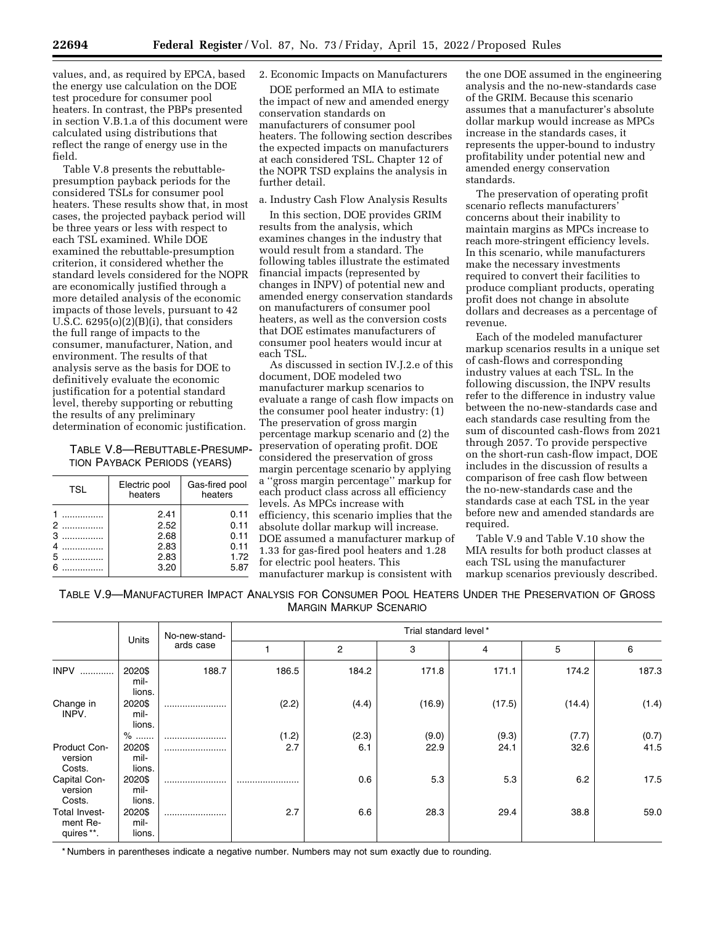values, and, as required by EPCA, based the energy use calculation on the DOE test procedure for consumer pool heaters. In contrast, the PBPs presented in section V.B.1.a of this document were calculated using distributions that reflect the range of energy use in the field.

Table V.8 presents the rebuttablepresumption payback periods for the considered TSLs for consumer pool heaters. These results show that, in most cases, the projected payback period will be three years or less with respect to each TSL examined. While DOE examined the rebuttable-presumption criterion, it considered whether the standard levels considered for the NOPR are economically justified through a more detailed analysis of the economic impacts of those levels, pursuant to 42 U.S.C.  $6295(o)(2)(B)(i)$ , that considers the full range of impacts to the consumer, manufacturer, Nation, and environment. The results of that analysis serve as the basis for DOE to definitively evaluate the economic justification for a potential standard level, thereby supporting or rebutting the results of any preliminary determination of economic justification.

# TABLE V.8—REBUTTABLE-PRESUMP-TION PAYBACK PERIODS (YEARS)

| <b>TSL</b>       | Electric pool<br>heaters             | Gas-fired pool<br>heaters            |
|------------------|--------------------------------------|--------------------------------------|
| 2<br>3<br>4<br>5 | 2.41<br>2.52<br>2.68<br>2.83<br>2.83 | 0.11<br>0.11<br>0.11<br>0.11<br>1.72 |
| .                | 3.20                                 | 5.87                                 |

# 2. Economic Impacts on Manufacturers

DOE performed an MIA to estimate the impact of new and amended energy conservation standards on manufacturers of consumer pool heaters. The following section describes the expected impacts on manufacturers at each considered TSL. Chapter 12 of the NOPR TSD explains the analysis in further detail.

# a. Industry Cash Flow Analysis Results

In this section, DOE provides GRIM results from the analysis, which examines changes in the industry that would result from a standard. The following tables illustrate the estimated financial impacts (represented by changes in INPV) of potential new and amended energy conservation standards on manufacturers of consumer pool heaters, as well as the conversion costs that DOE estimates manufacturers of consumer pool heaters would incur at each TSL.

As discussed in section IV.J.2.e of this document, DOE modeled two manufacturer markup scenarios to evaluate a range of cash flow impacts on the consumer pool heater industry: (1) The preservation of gross margin percentage markup scenario and (2) the preservation of operating profit. DOE considered the preservation of gross margin percentage scenario by applying a ''gross margin percentage'' markup for each product class across all efficiency levels. As MPCs increase with efficiency, this scenario implies that the absolute dollar markup will increase. DOE assumed a manufacturer markup of 1.33 for gas-fired pool heaters and 1.28 for electric pool heaters. This manufacturer markup is consistent with

the one DOE assumed in the engineering analysis and the no-new-standards case of the GRIM. Because this scenario assumes that a manufacturer's absolute dollar markup would increase as MPCs increase in the standards cases, it represents the upper-bound to industry profitability under potential new and amended energy conservation standards.

The preservation of operating profit scenario reflects manufacturers' concerns about their inability to maintain margins as MPCs increase to reach more-stringent efficiency levels. In this scenario, while manufacturers make the necessary investments required to convert their facilities to produce compliant products, operating profit does not change in absolute dollars and decreases as a percentage of revenue.

Each of the modeled manufacturer markup scenarios results in a unique set of cash-flows and corresponding industry values at each TSL. In the following discussion, the INPV results refer to the difference in industry value between the no-new-standards case and each standards case resulting from the sum of discounted cash-flows from 2021 through 2057. To provide perspective on the short-run cash-flow impact, DOE includes in the discussion of results a comparison of free cash flow between the no-new-standards case and the standards case at each TSL in the year before new and amended standards are required.

Table V.9 and Table V.10 show the MIA results for both product classes at each TSL using the manufacturer markup scenarios previously described.

TABLE V.9—MANUFACTURER IMPACT ANALYSIS FOR CONSUMER POOL HEATERS UNDER THE PRESERVATION OF GROSS MARGIN MARKUP SCENARIO

|                                         | Units<br>ards case              | No-new-stand- |              |              | Trial standard level* |               |               |               |
|-----------------------------------------|---------------------------------|---------------|--------------|--------------|-----------------------|---------------|---------------|---------------|
|                                         |                                 |               |              | 2            | 3                     | 4             | 5             | 6             |
| <b>INPV</b><br>                         | 2020\$<br>mil-<br>lions.        | 188.7         | 186.5        | 184.2        | 171.8                 | 171.1         | 174.2         | 187.3         |
| Change in<br>INPV.                      | 2020\$<br>mil-<br>lions.        |               | (2.2)        | (4.4)        | (16.9)                | (17.5)        | (14.4)        | (1.4)         |
| Product Con-<br>version<br>Costs.       | $%$<br>2020\$<br>mil-<br>lions. |               | (1.2)<br>2.7 | (2.3)<br>6.1 | (9.0)<br>22.9         | (9.3)<br>24.1 | (7.7)<br>32.6 | (0.7)<br>41.5 |
| Capital Con-<br>version<br>Costs.       | 2020\$<br>mil-<br>lions.        |               |              | 0.6          | 5.3                   | 5.3           | 6.2           | 17.5          |
| Total Invest-<br>ment Re-<br>quires **. | 2020\$<br>mil-<br>lions.        |               | 2.7          | 6.6          | 28.3                  | 29.4          | 38.8          | 59.0          |

\* Numbers in parentheses indicate a negative number. Numbers may not sum exactly due to rounding.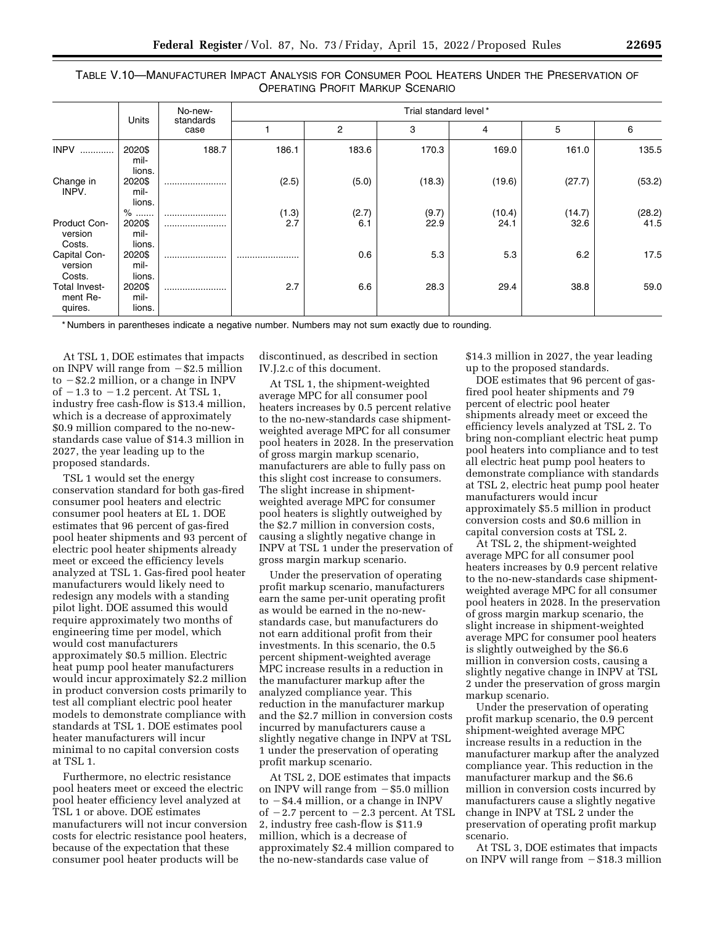TABLE V.10—MANUFACTURER IMPACT ANALYSIS FOR CONSUMER POOL HEATERS UNDER THE PRESERVATION OF OPERATING PROFIT MARKUP SCENARIO

|                                             |                                    | No-new-           | Trial standard level* |              |               |                |                |                |  |
|---------------------------------------------|------------------------------------|-------------------|-----------------------|--------------|---------------|----------------|----------------|----------------|--|
|                                             | <b>Units</b>                       | standards<br>case |                       | 2            | 3             | 4              | 5              | 6              |  |
| <b>INPV</b><br>                             | 2020\$<br>mil-<br>lions.           | 188.7             | 186.1                 | 183.6        | 170.3         | 169.0          | 161.0          | 135.5          |  |
| Change in<br>INPV.                          | 2020\$<br>mil-<br>lions.           |                   | (2.5)                 | (5.0)        | (18.3)        | (19.6)         | (27.7)         | (53.2)         |  |
| Product Con-<br>version                     | $\%$<br><br>2020\$<br>mil-         | <br>              | (1.3)<br>2.7          | (2.7)<br>6.1 | (9.7)<br>22.9 | (10.4)<br>24.1 | (14.7)<br>32.6 | (28.2)<br>41.5 |  |
| Costs.<br>Capital Con-<br>version<br>Costs. | lions.<br>2020\$<br>mil-<br>lions. |                   |                       | 0.6          | 5.3           | 5.3            | 6.2            | 17.5           |  |
| Total Invest-<br>ment Re-<br>quires.        | 2020\$<br>mil-<br>lions.           |                   | 2.7                   | 6.6          | 28.3          | 29.4           | 38.8           | 59.0           |  |

\* Numbers in parentheses indicate a negative number. Numbers may not sum exactly due to rounding.

At TSL 1, DOE estimates that impacts on INPV will range from  $-\$2.5$  million to  $-$  \$2.2 million, or a change in INPV of  $-1.3$  to  $-1.2$  percent. At TSL 1, industry free cash-flow is \$13.4 million, which is a decrease of approximately \$0.9 million compared to the no-newstandards case value of \$14.3 million in 2027, the year leading up to the proposed standards.

TSL 1 would set the energy conservation standard for both gas-fired consumer pool heaters and electric consumer pool heaters at EL 1. DOE estimates that 96 percent of gas-fired pool heater shipments and 93 percent of electric pool heater shipments already meet or exceed the efficiency levels analyzed at TSL 1. Gas-fired pool heater manufacturers would likely need to redesign any models with a standing pilot light. DOE assumed this would require approximately two months of engineering time per model, which would cost manufacturers approximately \$0.5 million. Electric heat pump pool heater manufacturers would incur approximately \$2.2 million in product conversion costs primarily to test all compliant electric pool heater models to demonstrate compliance with standards at TSL 1. DOE estimates pool heater manufacturers will incur minimal to no capital conversion costs at TSL 1.

Furthermore, no electric resistance pool heaters meet or exceed the electric pool heater efficiency level analyzed at TSL 1 or above. DOE estimates manufacturers will not incur conversion costs for electric resistance pool heaters, because of the expectation that these consumer pool heater products will be

discontinued, as described in section IV.J.2.c of this document.

At TSL 1, the shipment-weighted average MPC for all consumer pool heaters increases by 0.5 percent relative to the no-new-standards case shipmentweighted average MPC for all consumer pool heaters in 2028. In the preservation of gross margin markup scenario, manufacturers are able to fully pass on this slight cost increase to consumers. The slight increase in shipmentweighted average MPC for consumer pool heaters is slightly outweighed by the \$2.7 million in conversion costs, causing a slightly negative change in INPV at TSL 1 under the preservation of gross margin markup scenario.

Under the preservation of operating profit markup scenario, manufacturers earn the same per-unit operating profit as would be earned in the no-newstandards case, but manufacturers do not earn additional profit from their investments. In this scenario, the 0.5 percent shipment-weighted average MPC increase results in a reduction in the manufacturer markup after the analyzed compliance year. This reduction in the manufacturer markup and the \$2.7 million in conversion costs incurred by manufacturers cause a slightly negative change in INPV at TSL 1 under the preservation of operating profit markup scenario.

At TSL 2, DOE estimates that impacts on INPV will range from  $-$  \$5.0 million to  $-$  \$4.4 million, or a change in INPV of  $-2.7$  percent to  $-2.3$  percent. At TSL 2, industry free cash-flow is \$11.9 million, which is a decrease of approximately \$2.4 million compared to the no-new-standards case value of

\$14.3 million in 2027, the year leading up to the proposed standards.

DOE estimates that 96 percent of gasfired pool heater shipments and 79 percent of electric pool heater shipments already meet or exceed the efficiency levels analyzed at TSL 2. To bring non-compliant electric heat pump pool heaters into compliance and to test all electric heat pump pool heaters to demonstrate compliance with standards at TSL 2, electric heat pump pool heater manufacturers would incur approximately \$5.5 million in product conversion costs and \$0.6 million in capital conversion costs at TSL 2.

At TSL 2, the shipment-weighted average MPC for all consumer pool heaters increases by 0.9 percent relative to the no-new-standards case shipmentweighted average MPC for all consumer pool heaters in 2028. In the preservation of gross margin markup scenario, the slight increase in shipment-weighted average MPC for consumer pool heaters is slightly outweighed by the \$6.6 million in conversion costs, causing a slightly negative change in INPV at TSL 2 under the preservation of gross margin markup scenario.

Under the preservation of operating profit markup scenario, the 0.9 percent shipment-weighted average MPC increase results in a reduction in the manufacturer markup after the analyzed compliance year. This reduction in the manufacturer markup and the \$6.6 million in conversion costs incurred by manufacturers cause a slightly negative change in INPV at TSL 2 under the preservation of operating profit markup scenario.

At TSL 3, DOE estimates that impacts on INPV will range from  $-\$18.3$  million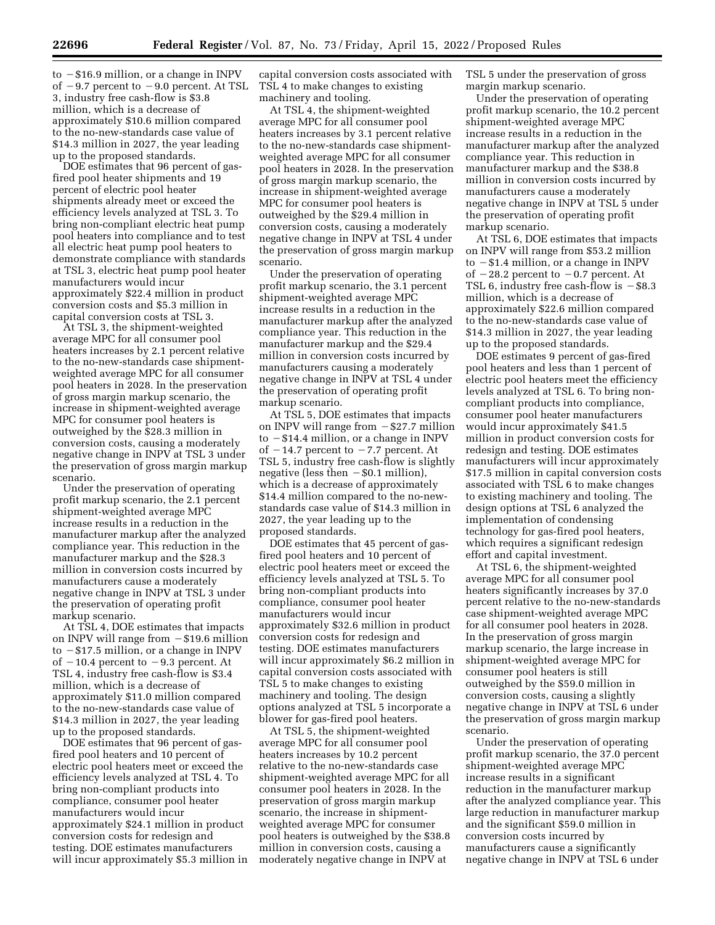$to$   $-$ \$16.9 million, or a change in INPV of  $-9.7$  percent to  $-9.0$  percent. At TSL 3, industry free cash-flow is \$3.8 million, which is a decrease of approximately \$10.6 million compared to the no-new-standards case value of \$14.3 million in 2027, the year leading up to the proposed standards.

DOE estimates that 96 percent of gasfired pool heater shipments and 19 percent of electric pool heater shipments already meet or exceed the efficiency levels analyzed at TSL 3. To bring non-compliant electric heat pump pool heaters into compliance and to test all electric heat pump pool heaters to demonstrate compliance with standards at TSL 3, electric heat pump pool heater manufacturers would incur approximately \$22.4 million in product conversion costs and \$5.3 million in capital conversion costs at TSL 3.

At TSL 3, the shipment-weighted average MPC for all consumer pool heaters increases by 2.1 percent relative to the no-new-standards case shipmentweighted average MPC for all consumer pool heaters in 2028. In the preservation of gross margin markup scenario, the increase in shipment-weighted average MPC for consumer pool heaters is outweighed by the \$28.3 million in conversion costs, causing a moderately negative change in INPV at TSL 3 under the preservation of gross margin markup scenario.

Under the preservation of operating profit markup scenario, the 2.1 percent shipment-weighted average MPC increase results in a reduction in the manufacturer markup after the analyzed compliance year. This reduction in the manufacturer markup and the \$28.3 million in conversion costs incurred by manufacturers cause a moderately negative change in INPV at TSL 3 under the preservation of operating profit markup scenario.

At TSL 4, DOE estimates that impacts on INPV will range from  $-\$19.6$  million to  $-$ \$17.5 million, or a change in INPV of  $-10.4$  percent to  $-9.3$  percent. At TSL 4, industry free cash-flow is \$3.4 million, which is a decrease of approximately \$11.0 million compared to the no-new-standards case value of \$14.3 million in 2027, the year leading up to the proposed standards.

DOE estimates that 96 percent of gasfired pool heaters and 10 percent of electric pool heaters meet or exceed the efficiency levels analyzed at TSL 4. To bring non-compliant products into compliance, consumer pool heater manufacturers would incur approximately \$24.1 million in product conversion costs for redesign and testing. DOE estimates manufacturers will incur approximately \$5.3 million in

capital conversion costs associated with TSL 4 to make changes to existing machinery and tooling.

At TSL 4, the shipment-weighted average MPC for all consumer pool heaters increases by 3.1 percent relative to the no-new-standards case shipmentweighted average MPC for all consumer pool heaters in 2028. In the preservation of gross margin markup scenario, the increase in shipment-weighted average MPC for consumer pool heaters is outweighed by the \$29.4 million in conversion costs, causing a moderately negative change in INPV at TSL 4 under the preservation of gross margin markup scenario.

Under the preservation of operating profit markup scenario, the 3.1 percent shipment-weighted average MPC increase results in a reduction in the manufacturer markup after the analyzed compliance year. This reduction in the manufacturer markup and the \$29.4 million in conversion costs incurred by manufacturers causing a moderately negative change in INPV at TSL 4 under the preservation of operating profit markup scenario.

At TSL 5, DOE estimates that impacts on INPV will range from  $-\$27.7$  million to  $-$  \$14.4 million, or a change in INPV of  $-14.7$  percent to  $-7.7$  percent. At TSL 5, industry free cash-flow is slightly negative (less then  $-$  \$0.1 million), which is a decrease of approximately \$14.4 million compared to the no-newstandards case value of \$14.3 million in 2027, the year leading up to the proposed standards.

DOE estimates that 45 percent of gasfired pool heaters and 10 percent of electric pool heaters meet or exceed the efficiency levels analyzed at TSL 5. To bring non-compliant products into compliance, consumer pool heater manufacturers would incur approximately \$32.6 million in product conversion costs for redesign and testing. DOE estimates manufacturers will incur approximately \$6.2 million in capital conversion costs associated with TSL 5 to make changes to existing machinery and tooling. The design options analyzed at TSL 5 incorporate a blower for gas-fired pool heaters.

At TSL 5, the shipment-weighted average MPC for all consumer pool heaters increases by 10.2 percent relative to the no-new-standards case shipment-weighted average MPC for all consumer pool heaters in 2028. In the preservation of gross margin markup scenario, the increase in shipmentweighted average MPC for consumer pool heaters is outweighed by the \$38.8 million in conversion costs, causing a moderately negative change in INPV at

TSL 5 under the preservation of gross margin markup scenario.

Under the preservation of operating profit markup scenario, the 10.2 percent shipment-weighted average MPC increase results in a reduction in the manufacturer markup after the analyzed compliance year. This reduction in manufacturer markup and the \$38.8 million in conversion costs incurred by manufacturers cause a moderately negative change in INPV at TSL 5 under the preservation of operating profit markup scenario.

At TSL 6, DOE estimates that impacts on INPV will range from \$53.2 million to  $-$  \$1.4 million, or a change in INPV of  $-28.2$  percent to  $-0.7$  percent. At TSL 6, industry free cash-flow is  $-$ \$8.3 million, which is a decrease of approximately \$22.6 million compared to the no-new-standards case value of \$14.3 million in 2027, the year leading up to the proposed standards.

DOE estimates 9 percent of gas-fired pool heaters and less than 1 percent of electric pool heaters meet the efficiency levels analyzed at TSL 6. To bring noncompliant products into compliance, consumer pool heater manufacturers would incur approximately \$41.5 million in product conversion costs for redesign and testing. DOE estimates manufacturers will incur approximately \$17.5 million in capital conversion costs associated with TSL 6 to make changes to existing machinery and tooling. The design options at TSL 6 analyzed the implementation of condensing technology for gas-fired pool heaters, which requires a significant redesign effort and capital investment.

At TSL 6, the shipment-weighted average MPC for all consumer pool heaters significantly increases by 37.0 percent relative to the no-new-standards case shipment-weighted average MPC for all consumer pool heaters in 2028. In the preservation of gross margin markup scenario, the large increase in shipment-weighted average MPC for consumer pool heaters is still outweighed by the \$59.0 million in conversion costs, causing a slightly negative change in INPV at TSL 6 under the preservation of gross margin markup scenario.

Under the preservation of operating profit markup scenario, the 37.0 percent shipment-weighted average MPC increase results in a significant reduction in the manufacturer markup after the analyzed compliance year. This large reduction in manufacturer markup and the significant \$59.0 million in conversion costs incurred by manufacturers cause a significantly negative change in INPV at TSL 6 under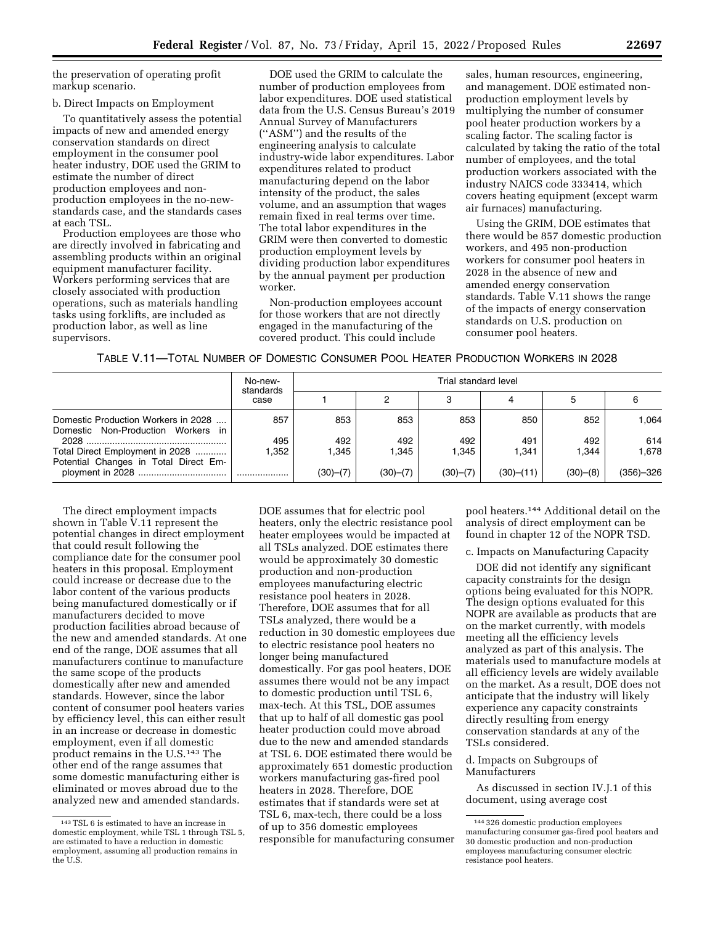the preservation of operating profit markup scenario.

### b. Direct Impacts on Employment

To quantitatively assess the potential impacts of new and amended energy conservation standards on direct employment in the consumer pool heater industry, DOE used the GRIM to estimate the number of direct production employees and nonproduction employees in the no-newstandards case, and the standards cases at each TSL.

Production employees are those who are directly involved in fabricating and assembling products within an original equipment manufacturer facility. Workers performing services that are closely associated with production operations, such as materials handling tasks using forklifts, are included as production labor, as well as line supervisors.

DOE used the GRIM to calculate the number of production employees from labor expenditures. DOE used statistical data from the U.S. Census Bureau's 2019 Annual Survey of Manufacturers (''ASM'') and the results of the engineering analysis to calculate industry-wide labor expenditures. Labor expenditures related to product manufacturing depend on the labor intensity of the product, the sales volume, and an assumption that wages remain fixed in real terms over time. The total labor expenditures in the GRIM were then converted to domestic production employment levels by dividing production labor expenditures by the annual payment per production worker.

Non-production employees account for those workers that are not directly engaged in the manufacturing of the covered product. This could include

sales, human resources, engineering, and management. DOE estimated nonproduction employment levels by multiplying the number of consumer pool heater production workers by a scaling factor. The scaling factor is calculated by taking the ratio of the total number of employees, and the total production workers associated with the industry NAICS code 333414, which covers heating equipment (except warm air furnaces) manufacturing.

Using the GRIM, DOE estimates that there would be 857 domestic production workers, and 495 non-production workers for consumer pool heaters in 2028 in the absence of new and amended energy conservation standards. Table V.11 shows the range of the impacts of energy conservation standards on U.S. production on consumer pool heaters.

### TABLE V.11—TOTAL NUMBER OF DOMESTIC CONSUMER POOL HEATER PRODUCTION WORKERS IN 2028

|                                                                           | No-new-<br>standards<br>case | Trial standard level |          |          |           |          |             |  |  |
|---------------------------------------------------------------------------|------------------------------|----------------------|----------|----------|-----------|----------|-------------|--|--|
|                                                                           |                              |                      | 0        | 3        |           | 5        |             |  |  |
| Domestic Production Workers in 2028<br>Domestic Non-Production Workers in | 857                          | 853                  | 853      | 853      | 850       | 852      | 1.064       |  |  |
|                                                                           | 495                          | 492                  | 492      | 492      | 491       | 492      | 614         |  |  |
| Total Direct Employment in 2028<br>Potential Changes in Total Direct Em-  | .352                         | 1.345                | 1,345    | 1.345    | 1,341     | 1.344    | 1.678       |  |  |
|                                                                           |                              | (30)—(7)             | (30)–(7) | (30)–(7) | (30)–(11) | (30)–(8) | $(356)-326$ |  |  |

The direct employment impacts shown in Table V.11 represent the potential changes in direct employment that could result following the compliance date for the consumer pool heaters in this proposal. Employment could increase or decrease due to the labor content of the various products being manufactured domestically or if manufacturers decided to move production facilities abroad because of the new and amended standards. At one end of the range, DOE assumes that all manufacturers continue to manufacture the same scope of the products domestically after new and amended standards. However, since the labor content of consumer pool heaters varies by efficiency level, this can either result in an increase or decrease in domestic employment, even if all domestic product remains in the U.S.143 The other end of the range assumes that some domestic manufacturing either is eliminated or moves abroad due to the analyzed new and amended standards.

DOE assumes that for electric pool heaters, only the electric resistance pool heater employees would be impacted at all TSLs analyzed. DOE estimates there would be approximately 30 domestic production and non-production employees manufacturing electric resistance pool heaters in 2028. Therefore, DOE assumes that for all TSLs analyzed, there would be a reduction in 30 domestic employees due to electric resistance pool heaters no longer being manufactured domestically. For gas pool heaters, DOE assumes there would not be any impact to domestic production until TSL 6, max-tech. At this TSL, DOE assumes that up to half of all domestic gas pool heater production could move abroad due to the new and amended standards at TSL 6. DOE estimated there would be approximately 651 domestic production workers manufacturing gas-fired pool heaters in 2028. Therefore, DOE estimates that if standards were set at TSL 6, max-tech, there could be a loss of up to 356 domestic employees responsible for manufacturing consumer

pool heaters.144 Additional detail on the analysis of direct employment can be found in chapter 12 of the NOPR TSD.

c. Impacts on Manufacturing Capacity

DOE did not identify any significant capacity constraints for the design options being evaluated for this NOPR. The design options evaluated for this NOPR are available as products that are on the market currently, with models meeting all the efficiency levels analyzed as part of this analysis. The materials used to manufacture models at all efficiency levels are widely available on the market. As a result, DOE does not anticipate that the industry will likely experience any capacity constraints directly resulting from energy conservation standards at any of the TSLs considered.

### d. Impacts on Subgroups of Manufacturers

As discussed in section IV.J.1 of this document, using average cost

<sup>143</sup>TSL 6 is estimated to have an increase in domestic employment, while TSL 1 through TSL 5, are estimated to have a reduction in domestic employment, assuming all production remains in the U.S.

<sup>144</sup> 326 domestic production employees manufacturing consumer gas-fired pool heaters and 30 domestic production and non-production employees manufacturing consumer electric resistance pool heaters.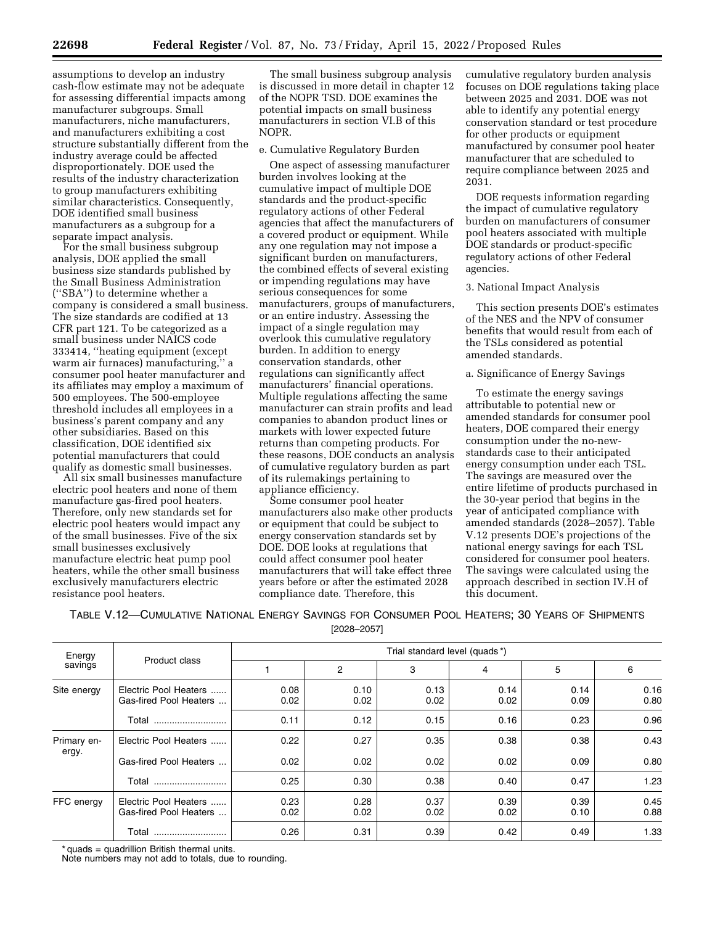assumptions to develop an industry cash-flow estimate may not be adequate for assessing differential impacts among manufacturer subgroups. Small manufacturers, niche manufacturers, and manufacturers exhibiting a cost structure substantially different from the industry average could be affected disproportionately. DOE used the results of the industry characterization to group manufacturers exhibiting similar characteristics. Consequently, DOE identified small business manufacturers as a subgroup for a separate impact analysis.

For the small business subgroup analysis, DOE applied the small business size standards published by the Small Business Administration (''SBA'') to determine whether a company is considered a small business. The size standards are codified at 13 CFR part 121. To be categorized as a small business under NAICS code 333414, ''heating equipment (except warm air furnaces) manufacturing,'' a consumer pool heater manufacturer and its affiliates may employ a maximum of 500 employees. The 500-employee threshold includes all employees in a business's parent company and any other subsidiaries. Based on this classification, DOE identified six potential manufacturers that could qualify as domestic small businesses.

All six small businesses manufacture electric pool heaters and none of them manufacture gas-fired pool heaters. Therefore, only new standards set for electric pool heaters would impact any of the small businesses. Five of the six small businesses exclusively manufacture electric heat pump pool heaters, while the other small business exclusively manufacturers electric resistance pool heaters.

The small business subgroup analysis is discussed in more detail in chapter 12 of the NOPR TSD. DOE examines the potential impacts on small business manufacturers in section VI.B of this NOPR.

## e. Cumulative Regulatory Burden

One aspect of assessing manufacturer burden involves looking at the cumulative impact of multiple DOE standards and the product-specific regulatory actions of other Federal agencies that affect the manufacturers of a covered product or equipment. While any one regulation may not impose a significant burden on manufacturers, the combined effects of several existing or impending regulations may have serious consequences for some manufacturers, groups of manufacturers, or an entire industry. Assessing the impact of a single regulation may overlook this cumulative regulatory burden. In addition to energy conservation standards, other regulations can significantly affect manufacturers' financial operations. Multiple regulations affecting the same manufacturer can strain profits and lead companies to abandon product lines or markets with lower expected future returns than competing products. For these reasons, DOE conducts an analysis of cumulative regulatory burden as part of its rulemakings pertaining to appliance efficiency.

Some consumer pool heater manufacturers also make other products or equipment that could be subject to energy conservation standards set by DOE. DOE looks at regulations that could affect consumer pool heater manufacturers that will take effect three years before or after the estimated 2028 compliance date. Therefore, this

cumulative regulatory burden analysis focuses on DOE regulations taking place between 2025 and 2031. DOE was not able to identify any potential energy conservation standard or test procedure for other products or equipment manufactured by consumer pool heater manufacturer that are scheduled to require compliance between 2025 and 2031.

DOE requests information regarding the impact of cumulative regulatory burden on manufacturers of consumer pool heaters associated with multiple DOE standards or product-specific regulatory actions of other Federal agencies.

### 3. National Impact Analysis

This section presents DOE's estimates of the NES and the NPV of consumer benefits that would result from each of the TSLs considered as potential amended standards.

## a. Significance of Energy Savings

To estimate the energy savings attributable to potential new or amended standards for consumer pool heaters, DOE compared their energy consumption under the no-newstandards case to their anticipated energy consumption under each TSL. The savings are measured over the entire lifetime of products purchased in the 30-year period that begins in the year of anticipated compliance with amended standards (2028–2057). Table V.12 presents DOE's projections of the national energy savings for each TSL considered for consumer pool heaters. The savings were calculated using the approach described in section IV.H of this document.

TABLE V.12—CUMULATIVE NATIONAL ENERGY SAVINGS FOR CONSUMER POOL HEATERS; 30 YEARS OF SHIPMENTS

| [2028–2057] |  |
|-------------|--|
|-------------|--|

| Energy<br>savings    |                                                 | Trial standard level (quads*) |              |              |              |              |              |  |  |
|----------------------|-------------------------------------------------|-------------------------------|--------------|--------------|--------------|--------------|--------------|--|--|
|                      | Product class                                   |                               | 2            | 3            | 4            | 5            | 6            |  |  |
| Site energy          | Electric Pool Heaters<br>Gas-fired Pool Heaters | 0.08<br>0.02                  | 0.10<br>0.02 | 0.13<br>0.02 | 0.14<br>0.02 | 0.14<br>0.09 | 0.16<br>0.80 |  |  |
|                      | Total<br>                                       | 0.11                          | 0.12         | 0.15         | 0.16         | 0.23         | 0.96         |  |  |
| Primary en-<br>ergy. | Electric Pool Heaters                           | 0.22                          | 0.27         | 0.35         | 0.38         | 0.38         | 0.43         |  |  |
|                      | Gas-fired Pool Heaters                          | 0.02                          | 0.02         | 0.02         | 0.02         | 0.09         | 0.80         |  |  |
|                      | Total                                           | 0.25                          | 0.30         | 0.38         | 0.40         | 0.47         | 1.23         |  |  |
| FFC energy           | Electric Pool Heaters<br>Gas-fired Pool Heaters | 0.23<br>0.02                  | 0.28<br>0.02 | 0.37<br>0.02 | 0.39<br>0.02 | 0.39<br>0.10 | 0.45<br>0.88 |  |  |
|                      | Total                                           | 0.26                          | 0.31         | 0.39         | 0.42         | 0.49         | 1.33         |  |  |

\* quads = quadrillion British thermal units.

Note numbers may not add to totals, due to rounding.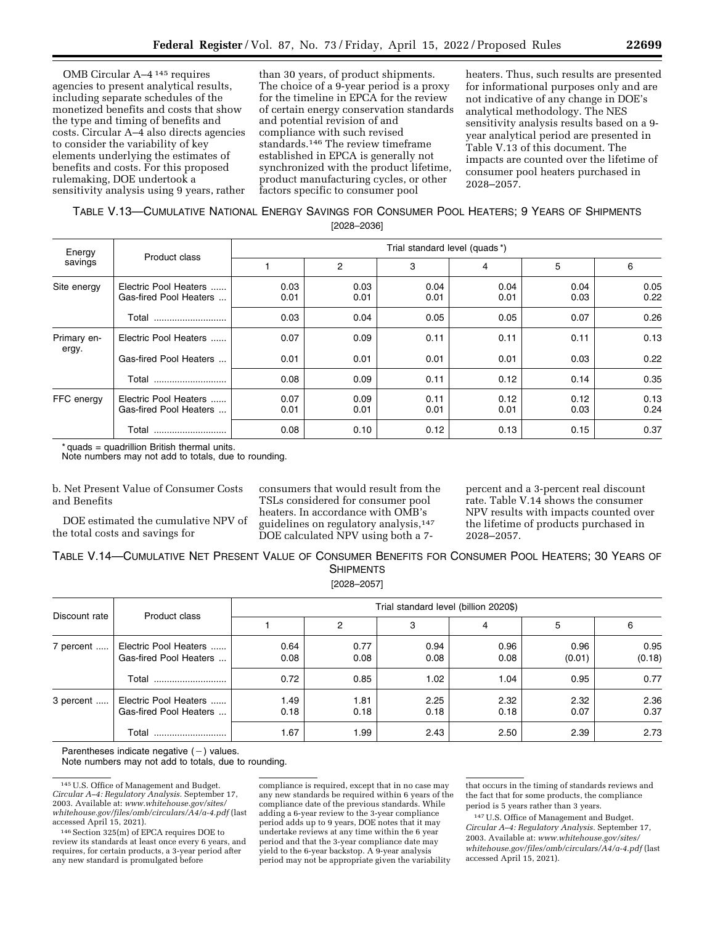OMB Circular A–4 145 requires agencies to present analytical results, including separate schedules of the monetized benefits and costs that show the type and timing of benefits and costs. Circular A–4 also directs agencies to consider the variability of key elements underlying the estimates of benefits and costs. For this proposed rulemaking, DOE undertook a sensitivity analysis using 9 years, rather

than 30 years, of product shipments. The choice of a 9-year period is a proxy for the timeline in EPCA for the review of certain energy conservation standards and potential revision of and compliance with such revised standards.146 The review timeframe established in EPCA is generally not synchronized with the product lifetime, product manufacturing cycles, or other factors specific to consumer pool

heaters. Thus, such results are presented for informational purposes only and are not indicative of any change in DOE's analytical methodology. The NES sensitivity analysis results based on a 9 year analytical period are presented in Table V.13 of this document. The impacts are counted over the lifetime of consumer pool heaters purchased in 2028–2057.

# TABLE V.13—CUMULATIVE NATIONAL ENERGY SAVINGS FOR CONSUMER POOL HEATERS; 9 YEARS OF SHIPMENTS

[2028–2036]

| Energy               |                                                 | Trial standard level (quads*) |                |              |              |              |              |  |  |
|----------------------|-------------------------------------------------|-------------------------------|----------------|--------------|--------------|--------------|--------------|--|--|
| savings              | Product class                                   |                               | $\overline{2}$ | 3            | 4            | 5            | 6            |  |  |
| Site energy          | Electric Pool Heaters<br>Gas-fired Pool Heaters | 0.03<br>0.01                  | 0.03<br>0.01   | 0.04<br>0.01 | 0.04<br>0.01 | 0.04<br>0.03 | 0.05<br>0.22 |  |  |
|                      | Total<br>                                       | 0.03                          | 0.04           | 0.05         | 0.05         | 0.07         | 0.26         |  |  |
| Primary en-<br>ergy. | Electric Pool Heaters                           | 0.07                          | 0.09           | 0.11         | 0.11         | 0.11         | 0.13         |  |  |
|                      | Gas-fired Pool Heaters                          | 0.01                          | 0.01           | 0.01         | 0.01         | 0.03         | 0.22         |  |  |
|                      | Total                                           | 0.08                          | 0.09           | 0.11         | 0.12         | 0.14         | 0.35         |  |  |
| FFC energy           | Electric Pool Heaters<br>Gas-fired Pool Heaters | 0.07<br>0.01                  | 0.09<br>0.01   | 0.11<br>0.01 | 0.12<br>0.01 | 0.12<br>0.03 | 0.13<br>0.24 |  |  |
|                      | Total                                           | 0.08                          | 0.10           | 0.12         | 0.13         | 0.15         | 0.37         |  |  |

 $*$  quads = quadrillion British thermal units.

Note numbers may not add to totals, due to rounding.

| b. Net Present Value of Consumer Costs |  |
|----------------------------------------|--|
| and Benefits                           |  |

DOE estimated the cumulative NPV of the total costs and savings for

consumers that would result from the TSLs considered for consumer pool heaters. In accordance with OMB's guidelines on regulatory analysis,147 DOE calculated NPV using both a 7percent and a 3-percent real discount rate. Table V.14 shows the consumer NPV results with impacts counted over the lifetime of products purchased in 2028–2057.

TABLE V.14—CUMULATIVE NET PRESENT VALUE OF CONSUMER BENEFITS FOR CONSUMER POOL HEATERS; 30 YEARS OF **SHIPMENTS** 

[2028–2057]

| Discount rate |                                                 | Trial standard level (billion 2020\$) |              |              |              |                |                |
|---------------|-------------------------------------------------|---------------------------------------|--------------|--------------|--------------|----------------|----------------|
|               | Product class                                   |                                       | 2            | 3            | 4            | 5              | 6              |
| 7 percent     | Electric Pool Heaters<br>Gas-fired Pool Heaters | 0.64<br>0.08                          | 0.77<br>0.08 | 0.94<br>0.08 | 0.96<br>0.08 | 0.96<br>(0.01) | 0.95<br>(0.18) |
|               | Total                                           | 0.72                                  | 0.85         | 1.02         | 1.04         | 0.95           | 0.77           |
| 3 percent     | Electric Pool Heaters<br>Gas-fired Pool Heaters | 1.49<br>0.18                          | 1.81<br>0.18 | 2.25<br>0.18 | 2.32<br>0.18 | 2.32<br>0.07   | 2.36<br>0.37   |
|               | Total                                           | 1.67                                  | 99. ا        | 2.43         | 2.50         | 2.39           | 2.73           |

Parentheses indicate negative  $(-)$  values.

Note numbers may not add to totals, due to rounding.

compliance is required, except that in no case may any new standards be required within 6 years of the compliance date of the previous standards. While adding a 6-year review to the 3-year compliance period adds up to 9 years, DOE notes that it may undertake reviews at any time within the 6 year period and that the 3-year compliance date may yield to the 6-year backstop. A 9-year analysis period may not be appropriate given the variability

that occurs in the timing of standards reviews and the fact that for some products, the compliance period is 5 years rather than 3 years.

147U.S. Office of Management and Budget. *Circular A–4: Regulatory Analysis.* September 17, 2003. Available at: *[www.whitehouse.gov/sites/](http://www.whitehouse.gov/sites/whitehouse.gov/files/omb/circulars/A4/a-4.pdf) [whitehouse.gov/files/omb/circulars/A4/a-4.pdf](http://www.whitehouse.gov/sites/whitehouse.gov/files/omb/circulars/A4/a-4.pdf)* (last accessed April 15, 2021).

<sup>145</sup>U.S. Office of Management and Budget. *Circular A–4: Regulatory Analysis.* September 17, 2003. Available at: *[www.whitehouse.gov/sites/](http://www.whitehouse.gov/sites/whitehouse.gov/files/omb/circulars/A4/a-4.pdf) [whitehouse.gov/files/omb/circulars/A4/a-4.pdf](http://www.whitehouse.gov/sites/whitehouse.gov/files/omb/circulars/A4/a-4.pdf)* (last accessed April 15, 2021).

<sup>146</sup>Section 325(m) of EPCA requires DOE to review its standards at least once every 6 years, and requires, for certain products, a 3-year period after any new standard is promulgated before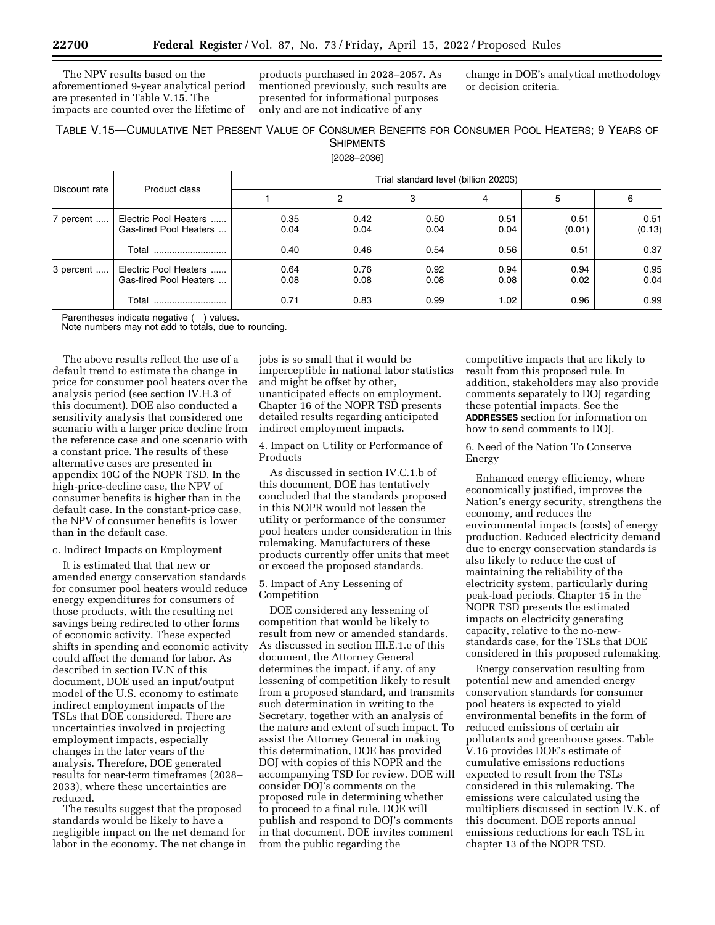The NPV results based on the aforementioned 9-year analytical period are presented in Table V.15. The impacts are counted over the lifetime of

products purchased in 2028–2057. As mentioned previously, such results are presented for informational purposes only and are not indicative of any

change in DOE's analytical methodology or decision criteria.

## TABLE V.15—CUMULATIVE NET PRESENT VALUE OF CONSUMER BENEFITS FOR CONSUMER POOL HEATERS; 9 YEARS OF SHIPMENTS

[2028–2036]

| Discount rate |                                                 | Trial standard level (billion 2020\$) |              |              |              |                |                |
|---------------|-------------------------------------------------|---------------------------------------|--------------|--------------|--------------|----------------|----------------|
|               | Product class                                   |                                       | 2            | 3            | 4            | 5              | 6              |
| 7 percent     | Electric Pool Heaters<br>Gas-fired Pool Heaters | 0.35<br>0.04                          | 0.42<br>0.04 | 0.50<br>0.04 | 0.51<br>0.04 | 0.51<br>(0.01) | 0.51<br>(0.13) |
|               | Total<br>                                       | 0.40                                  | 0.46         | 0.54         | 0.56         | 0.51           | 0.37           |
| 3 percent     | Electric Pool Heaters<br>Gas-fired Pool Heaters | 0.64<br>0.08                          | 0.76<br>0.08 | 0.92<br>0.08 | 0.94<br>0.08 | 0.94<br>0.02   | 0.95<br>0.04   |
|               | Total<br>                                       | 0.71                                  | 0.83         | 0.99         | 1.02         | 0.96           | 0.99           |

Parentheses indicate negative  $(-)$  values.

Note numbers may not add to totals, due to rounding.

The above results reflect the use of a default trend to estimate the change in price for consumer pool heaters over the analysis period (see section IV.H.3 of this document). DOE also conducted a sensitivity analysis that considered one scenario with a larger price decline from the reference case and one scenario with a constant price. The results of these alternative cases are presented in appendix 10C of the NOPR TSD. In the high-price-decline case, the NPV of consumer benefits is higher than in the default case. In the constant-price case, the NPV of consumer benefits is lower than in the default case.

### c. Indirect Impacts on Employment

It is estimated that that new or amended energy conservation standards for consumer pool heaters would reduce energy expenditures for consumers of those products, with the resulting net savings being redirected to other forms of economic activity. These expected shifts in spending and economic activity could affect the demand for labor. As described in section IV.N of this document, DOE used an input/output model of the U.S. economy to estimate indirect employment impacts of the TSLs that DOE considered. There are uncertainties involved in projecting employment impacts, especially changes in the later years of the analysis. Therefore, DOE generated results for near-term timeframes (2028– 2033), where these uncertainties are reduced.

The results suggest that the proposed standards would be likely to have a negligible impact on the net demand for labor in the economy. The net change in

jobs is so small that it would be imperceptible in national labor statistics and might be offset by other, unanticipated effects on employment. Chapter 16 of the NOPR TSD presents detailed results regarding anticipated indirect employment impacts.

4. Impact on Utility or Performance of Products

As discussed in section IV.C.1.b of this document, DOE has tentatively concluded that the standards proposed in this NOPR would not lessen the utility or performance of the consumer pool heaters under consideration in this rulemaking. Manufacturers of these products currently offer units that meet or exceed the proposed standards.

### 5. Impact of Any Lessening of Competition

DOE considered any lessening of competition that would be likely to result from new or amended standards. As discussed in section III.E.1.e of this document, the Attorney General determines the impact, if any, of any lessening of competition likely to result from a proposed standard, and transmits such determination in writing to the Secretary, together with an analysis of the nature and extent of such impact. To assist the Attorney General in making this determination, DOE has provided DOJ with copies of this NOPR and the accompanying TSD for review. DOE will consider DOJ's comments on the proposed rule in determining whether to proceed to a final rule. DOE will publish and respond to DOJ's comments in that document. DOE invites comment from the public regarding the

competitive impacts that are likely to result from this proposed rule. In addition, stakeholders may also provide comments separately to DOJ regarding these potential impacts. See the **ADDRESSES** section for information on how to send comments to DOJ.

6. Need of the Nation To Conserve Energy

Enhanced energy efficiency, where economically justified, improves the Nation's energy security, strengthens the economy, and reduces the environmental impacts (costs) of energy production. Reduced electricity demand due to energy conservation standards is also likely to reduce the cost of maintaining the reliability of the electricity system, particularly during peak-load periods. Chapter 15 in the NOPR TSD presents the estimated impacts on electricity generating capacity, relative to the no-newstandards case, for the TSLs that DOE considered in this proposed rulemaking.

Energy conservation resulting from potential new and amended energy conservation standards for consumer pool heaters is expected to yield environmental benefits in the form of reduced emissions of certain air pollutants and greenhouse gases. Table V.16 provides DOE's estimate of cumulative emissions reductions expected to result from the TSLs considered in this rulemaking. The emissions were calculated using the multipliers discussed in section IV.K. of this document. DOE reports annual emissions reductions for each TSL in chapter 13 of the NOPR TSD.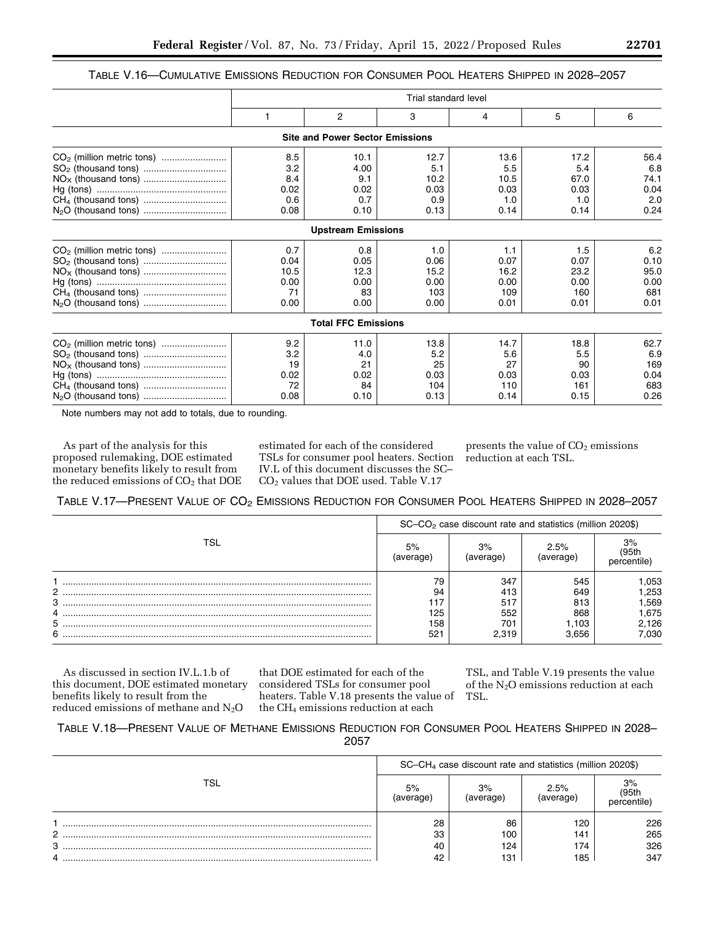# TABLE V.16—CUMULATIVE EMISSIONS REDUCTION FOR CONSUMER POOL HEATERS SHIPPED IN 2028–2057

|                                       | Trial standard level |                                        |      |      |      |      |
|---------------------------------------|----------------------|----------------------------------------|------|------|------|------|
|                                       | 1                    | 2                                      | 3    | 4    | 5    | 6    |
|                                       |                      | <b>Site and Power Sector Emissions</b> |      |      |      |      |
|                                       | 8.5                  | 10.1                                   | 12.7 | 13.6 | 17.2 | 56.4 |
|                                       | 3.2                  | 4.00                                   | 5.1  | 5.5  | 5.4  | 6.8  |
|                                       | 8.4                  | 9.1                                    | 10.2 | 10.5 | 67.0 | 74.1 |
|                                       | 0.02                 | 0.02                                   | 0.03 | 0.03 | 0.03 | 0.04 |
|                                       | 0.6                  | 0.7                                    | 0.9  | 1.0  | 1.0  | 2.0  |
|                                       | 0.08                 | 0.10                                   | 0.13 | 0.14 | 0.14 | 0.24 |
|                                       |                      | <b>Upstream Emissions</b>              |      |      |      |      |
| CO <sub>2</sub> (million metric tons) | 0.7                  | 0.8                                    | 1.0  | 1.1  | 1.5  | 6.2  |
|                                       | 0.04                 | 0.05                                   | 0.06 | 0.07 | 0.07 | 0.10 |
|                                       | 10.5                 | 12.3                                   | 15.2 | 16.2 | 23.2 | 95.0 |
|                                       | 0.00                 | 0.00                                   | 0.00 | 0.00 | 0.00 | 0.00 |
|                                       | 71                   | 83                                     | 103  | 109  | 160  | 681  |
|                                       | 0.00                 | 0.00                                   | 0.00 | 0.01 | 0.01 | 0.01 |
|                                       |                      | <b>Total FFC Emissions</b>             |      |      |      |      |
|                                       | 9.2                  | 11.0                                   | 13.8 | 14.7 | 18.8 | 62.7 |
|                                       | 3.2                  | 4.0                                    | 5.2  | 5.6  | 5.5  | 6.9  |
|                                       | 19                   | 21                                     | 25   | 27   | 90   | 169  |
|                                       | 0.02                 | 0.02                                   | 0.03 | 0.03 | 0.03 | 0.04 |
|                                       | 72                   | 84                                     | 104  | 110  | 161  | 683  |
|                                       | 0.08                 | 0.10                                   | 0.13 | 0.14 | 0.15 | 0.26 |

Note numbers may not add to totals, due to rounding.

As part of the analysis for this proposed rulemaking, DOE estimated monetary benefits likely to result from the reduced emissions of CO<sub>2</sub> that DOE

estimated for each of the considered TSLs for consumer pool heaters. Section IV.L of this document discusses the SC– CO2 values that DOE used. Table V.17

presents the value of  $CO<sub>2</sub>$  emissions reduction at each TSL.

TABLE V.17—PRESENT VALUE OF CO2 EMISSIONS REDUCTION FOR CONSUMER POOL HEATERS SHIPPED IN 2028–2057

|     | $SC$ - $CO2$ case discount rate and statistics (million 2020\$) |                 |                  |                         |
|-----|-----------------------------------------------------------------|-----------------|------------------|-------------------------|
| TSI | 5%<br>average                                                   | 3%<br>(average) | 2.5%<br>average) | 3%<br>195th<br>rcentile |
|     | 79                                                              | 347             | 545              | .053                    |
| 2   | 94                                                              | 413             | 649              | .253                    |
| 3   |                                                                 | 517             | 813              | .569                    |
| 4   | 125                                                             | 552             | 868              | 1,675                   |
| 5.  | 158                                                             | 701             | 1.103            | 2,126                   |
| 6   | 521                                                             | 2.319           | 3.656            | 7.030                   |

As discussed in section IV.L.1.b of this document, DOE estimated monetary benefits likely to result from the reduced emissions of methane and N<sub>2</sub>O

that DOE estimated for each of the considered TSLs for consumer pool heaters. Table V.18 presents the value of the CH4 emissions reduction at each

TSL, and Table V.19 presents the value of the N2O emissions reduction at each TSL.

# TABLE V.18—PRESENT VALUE OF METHANE EMISSIONS REDUCTION FOR CONSUMER POOL HEATERS SHIPPED IN 2028– 2057

|     | $SC-CH4$ case discount rate and statistics (million 2020\$) |               |                   |            |
|-----|-------------------------------------------------------------|---------------|-------------------|------------|
| TSL | 5%                                                          | 3%<br>average | $2.5\%$<br>erane. | 3%<br>95th |
|     | 28                                                          | 86            | 120               | 226        |
| C.  | 33                                                          | 100           | 141               | 265        |
| 3   | 40                                                          | 124           | 174               | 326        |
| 4   |                                                             | 131           | 185               | 347        |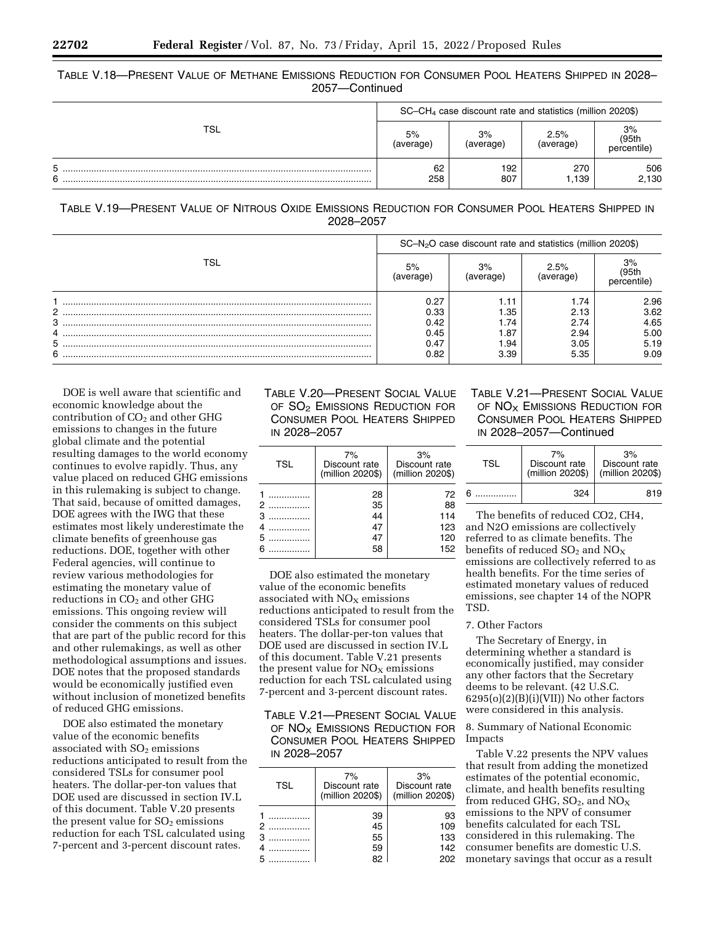TABLE V.18—PRESENT VALUE OF METHANE EMISSIONS REDUCTION FOR CONSUMER POOL HEATERS SHIPPED IN 2028– 2057—Continued

|        | $SC-CH4$ case discount rate and statistics (million 2020\$) |                 |                   |                            |
|--------|-------------------------------------------------------------|-----------------|-------------------|----------------------------|
| TSL    | 5%<br>(average)                                             | 3%<br>(average) | 2.5%<br>(average) | 3%<br>(95th<br>percentile) |
| 5<br>6 | 62<br>258                                                   | 192<br>807      | 270<br>1.139      | 506<br>2,130               |

| TABLE V.19-PRESENT VALUE OF NITROUS OXIDE EMISSIONS REDUCTION FOR CONSUMER POOL HEATERS SHIPPED IN |           |  |  |
|----------------------------------------------------------------------------------------------------|-----------|--|--|
|                                                                                                    | 2028-2057 |  |  |

|     | $SC-N2O$ case discount rate and statistics (million 2020\$) |                 |                  |                           |  |
|-----|-------------------------------------------------------------|-----------------|------------------|---------------------------|--|
| TSL | 5%<br>iverade                                               | 3%<br>(average) | 2.5%<br>average) | 3%<br>(95th<br>percentile |  |
|     | 0.27                                                        | 1.11            | 1.74             | 2.96                      |  |
| 2   | 0.33                                                        | .35             | 2.13             | 3.62                      |  |
| 3   | 0.42                                                        | .74،            | 2.74             | 4.65                      |  |
| 4   | 0.45                                                        | 87، ا           | 2.94             | 5.00                      |  |
| 5   | 0.47                                                        | .94             | 3.05             | 5.19                      |  |
| 6   | 0.82                                                        | 3.39            | 5.35             | 9.09                      |  |
|     |                                                             |                 |                  |                           |  |

DOE is well aware that scientific and economic knowledge about the contribution of  $CO<sub>2</sub>$  and other GHG emissions to changes in the future global climate and the potential resulting damages to the world economy continues to evolve rapidly. Thus, any value placed on reduced GHG emissions in this rulemaking is subject to change. That said, because of omitted damages, DOE agrees with the IWG that these estimates most likely underestimate the climate benefits of greenhouse gas reductions. DOE, together with other Federal agencies, will continue to review various methodologies for estimating the monetary value of reductions in CO<sub>2</sub> and other GHG emissions. This ongoing review will consider the comments on this subject that are part of the public record for this and other rulemakings, as well as other methodological assumptions and issues. DOE notes that the proposed standards would be economically justified even without inclusion of monetized benefits of reduced GHG emissions.

DOE also estimated the monetary value of the economic benefits associated with  $SO<sub>2</sub>$  emissions reductions anticipated to result from the considered TSLs for consumer pool heaters. The dollar-per-ton values that DOE used are discussed in section IV.L of this document. Table V.20 presents the present value for  $SO<sub>2</sub>$  emissions reduction for each TSL calculated using 7-percent and 3-percent discount rates.

# TABLE V.20—PRESENT SOCIAL VALUE OF SO<sub>2</sub> EMISSIONS REDUCTION FOR CONSUMER POOL HEATERS SHIPPED IN 2028–2057

| <b>TSL</b>        | 7%<br>Discount rate<br>(million 2020\$) | 3%<br>Discount rate<br>(million 2020\$) |
|-------------------|-----------------------------------------|-----------------------------------------|
| 2<br>3<br>5<br>ิค | 28<br>35<br>44<br>47<br>47<br>58        | 72<br>88<br>114<br>123<br>120<br>152    |

DOE also estimated the monetary value of the economic benefits associated with  $NO<sub>x</sub>$  emissions reductions anticipated to result from the considered TSLs for consumer pool heaters. The dollar-per-ton values that DOE used are discussed in section IV.L of this document. Table V.21 presents the present value for  $NO<sub>x</sub>$  emissions reduction for each TSL calculated using 7-percent and 3-percent discount rates.

TABLE V.21—PRESENT SOCIAL VALUE OF NO<sub>x</sub> EMISSIONS REDUCTION FOR CONSUMER POOL HEATERS SHIPPED IN 2028–2057

| <b>TSL</b> | 7%<br>Discount rate<br>(million 2020\$) | 3%<br>Discount rate<br>(million 2020\$) |
|------------|-----------------------------------------|-----------------------------------------|
|            | 39<br>45<br>55<br>59                    | 93<br>109<br>133<br>142                 |
|            |                                         | 202                                     |

# TABLE V.21—PRESENT SOCIAL VALUE OF NO<sub>X</sub> EMISSIONS REDUCTION FOR CONSUMER POOL HEATERS SHIPPED IN 2028–2057—Continued

| TSI | 7%<br>Discount rate<br>(million 2020\$) | 3%<br>Discount rate<br>(million 2020\$) |
|-----|-----------------------------------------|-----------------------------------------|
| ี่ค | 324                                     | 819                                     |

The benefits of reduced CO2, CH4, and N2O emissions are collectively referred to as climate benefits. The benefits of reduced  $SO_2$  and  $NO_X$ emissions are collectively referred to as health benefits. For the time series of estimated monetary values of reduced emissions, see chapter 14 of the NOPR TSD.

# 7. Other Factors

The Secretary of Energy, in determining whether a standard is economically justified, may consider any other factors that the Secretary deems to be relevant. (42 U.S.C.  $6295(o)(2)(B)(i)(VII))$  No other factors were considered in this analysis.

8. Summary of National Economic Impacts

Table V.22 presents the NPV values that result from adding the monetized estimates of the potential economic, climate, and health benefits resulting from reduced GHG,  $SO_2$ , and  $NO_X$ emissions to the NPV of consumer benefits calculated for each TSL considered in this rulemaking. The consumer benefits are domestic U.S. monetary savings that occur as a result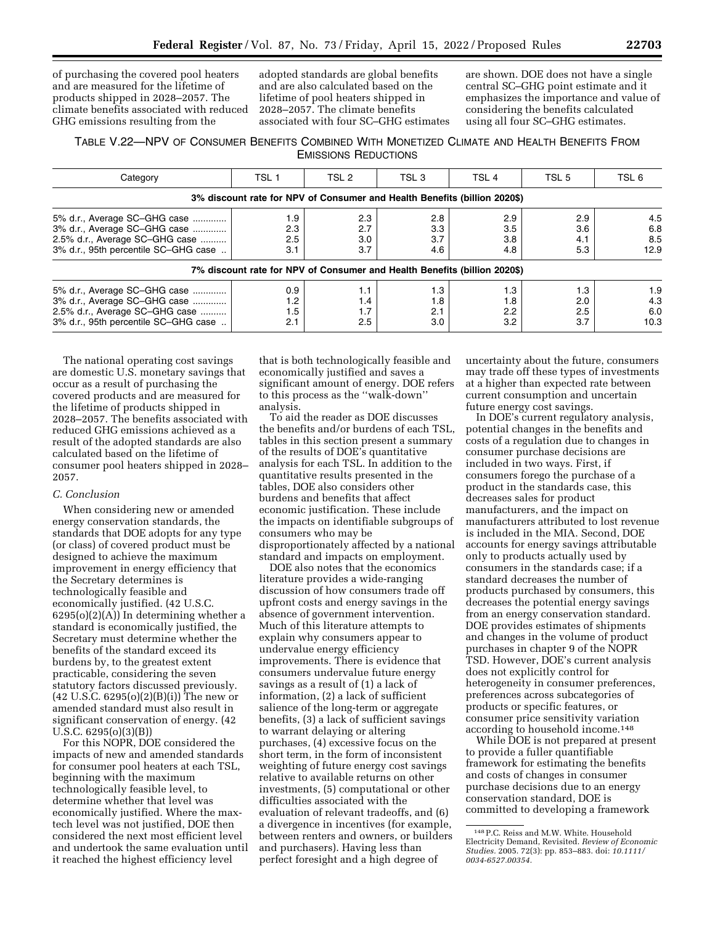of purchasing the covered pool heaters and are measured for the lifetime of products shipped in 2028–2057. The climate benefits associated with reduced GHG emissions resulting from the

adopted standards are global benefits and are also calculated based on the lifetime of pool heaters shipped in 2028–2057. The climate benefits associated with four SC–GHG estimates are shown. DOE does not have a single central SC–GHG point estimate and it emphasizes the importance and value of considering the benefits calculated using all four SC–GHG estimates.

# TABLE V.22—NPV OF CONSUMER BENEFITS COMBINED WITH MONETIZED CLIMATE AND HEALTH BENEFITS FROM EMISSIONS REDUCTIONS

| Category                                                                                                                               | TSL <sub>1</sub>         | TSL 2                    | TSL <sub>3</sub>         | TSL <sub>4</sub>                                                          | TSL <sub>5</sub>         | TSL 6                     |
|----------------------------------------------------------------------------------------------------------------------------------------|--------------------------|--------------------------|--------------------------|---------------------------------------------------------------------------|--------------------------|---------------------------|
|                                                                                                                                        |                          |                          |                          | 3% discount rate for NPV of Consumer and Health Benefits (billion 2020\$) |                          |                           |
| 5% d.r., Average SC-GHG case<br>3% d.r., Average SC-GHG case<br>2.5% d.r., Average SC-GHG case<br>3% d.r., 95th percentile SC-GHG case | 1.9<br>2.3<br>2.5<br>3.1 | 2.3<br>2.7<br>3.0<br>3.7 | 2.8<br>3.3<br>3.7<br>4.6 | 2.9<br>3.5<br>3.8<br>4.8                                                  | 2.9<br>3.6<br>4.1<br>5.3 | 4.5<br>6.8<br>8.5<br>12.9 |
|                                                                                                                                        |                          |                          |                          | 7% discount rate for NPV of Consumer and Health Benefits (billion 2020\$) |                          |                           |
| 5% d.r., Average SC-GHG case<br>3% d.r., Average SC-GHG case<br>2.5% d.r., Average SC-GHG case<br>3% d.r., 95th percentile SC-GHG case | 0.9<br>1.2<br>1.5<br>2.1 | 1.1<br>1.4<br>1.7<br>2.5 | 1.3<br>1.8<br>2.1<br>3.0 | 1.3<br>1.8<br>2.2<br>3.2                                                  | 1.3<br>2.0<br>2.5<br>3.7 | 1.9<br>4.3<br>6.0<br>10.3 |

The national operating cost savings are domestic U.S. monetary savings that occur as a result of purchasing the covered products and are measured for the lifetime of products shipped in 2028–2057. The benefits associated with reduced GHG emissions achieved as a result of the adopted standards are also calculated based on the lifetime of consumer pool heaters shipped in 2028– 2057.

### *C. Conclusion*

When considering new or amended energy conservation standards, the standards that DOE adopts for any type (or class) of covered product must be designed to achieve the maximum improvement in energy efficiency that the Secretary determines is technologically feasible and economically justified. (42 U.S.C.  $6295(o)(2)(A)$  In determining whether a standard is economically justified, the Secretary must determine whether the benefits of the standard exceed its burdens by, to the greatest extent practicable, considering the seven statutory factors discussed previously. (42 U.S.C. 6295(o)(2)(B)(i)) The new or amended standard must also result in significant conservation of energy. (42 U.S.C. 6295(o)(3)(B))

For this NOPR, DOE considered the impacts of new and amended standards for consumer pool heaters at each TSL, beginning with the maximum technologically feasible level, to determine whether that level was economically justified. Where the maxtech level was not justified, DOE then considered the next most efficient level and undertook the same evaluation until it reached the highest efficiency level

that is both technologically feasible and economically justified and saves a significant amount of energy. DOE refers to this process as the ''walk-down'' analysis.

To aid the reader as DOE discusses the benefits and/or burdens of each TSL, tables in this section present a summary of the results of DOE's quantitative analysis for each TSL. In addition to the quantitative results presented in the tables, DOE also considers other burdens and benefits that affect economic justification. These include the impacts on identifiable subgroups of consumers who may be disproportionately affected by a national standard and impacts on employment.

DOE also notes that the economics literature provides a wide-ranging discussion of how consumers trade off upfront costs and energy savings in the absence of government intervention. Much of this literature attempts to explain why consumers appear to undervalue energy efficiency improvements. There is evidence that consumers undervalue future energy savings as a result of (1) a lack of information, (2) a lack of sufficient salience of the long-term or aggregate benefits, (3) a lack of sufficient savings to warrant delaying or altering purchases, (4) excessive focus on the short term, in the form of inconsistent weighting of future energy cost savings relative to available returns on other investments, (5) computational or other difficulties associated with the evaluation of relevant tradeoffs, and (6) a divergence in incentives (for example, between renters and owners, or builders and purchasers). Having less than perfect foresight and a high degree of

uncertainty about the future, consumers may trade off these types of investments at a higher than expected rate between current consumption and uncertain future energy cost savings.

In DOE's current regulatory analysis, potential changes in the benefits and costs of a regulation due to changes in consumer purchase decisions are included in two ways. First, if consumers forego the purchase of a product in the standards case, this decreases sales for product manufacturers, and the impact on manufacturers attributed to lost revenue is included in the MIA. Second, DOE accounts for energy savings attributable only to products actually used by consumers in the standards case; if a standard decreases the number of products purchased by consumers, this decreases the potential energy savings from an energy conservation standard. DOE provides estimates of shipments and changes in the volume of product purchases in chapter 9 of the NOPR TSD. However, DOE's current analysis does not explicitly control for heterogeneity in consumer preferences, preferences across subcategories of products or specific features, or consumer price sensitivity variation according to household income.148

While DOE is not prepared at present to provide a fuller quantifiable framework for estimating the benefits and costs of changes in consumer purchase decisions due to an energy conservation standard, DOE is committed to developing a framework

<sup>148</sup>P.C. Reiss and M.W. White. Household Electricity Demand, Revisited. *Review of Economic Studies.* 2005. 72(3): pp. 853–883. doi: *10.1111/ 0034-6527.00354.*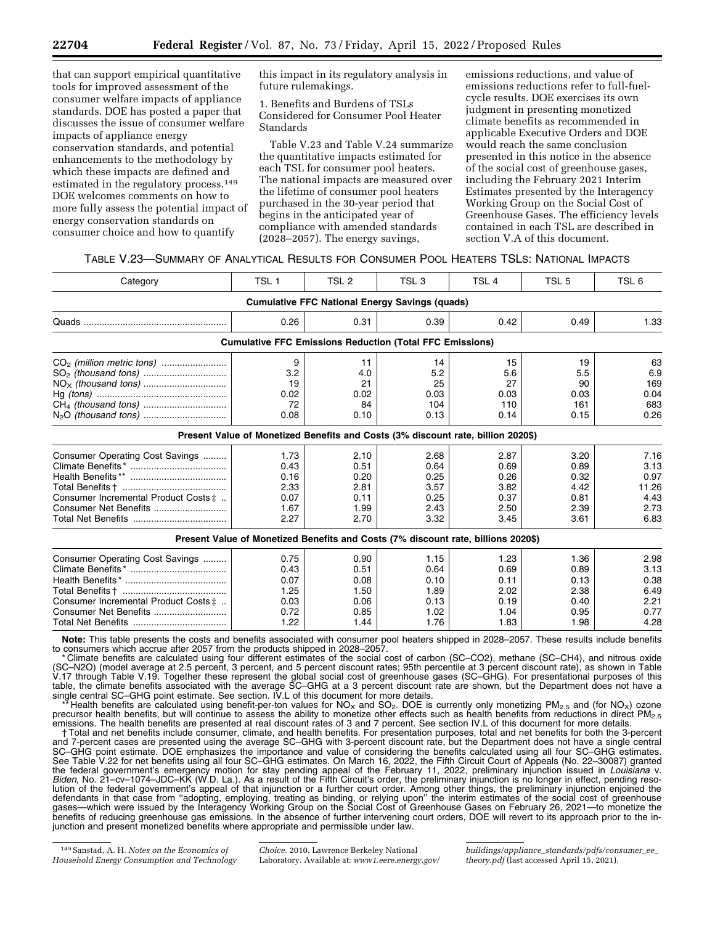that can support empirical quantitative tools for improved assessment of the consumer welfare impacts of appliance standards. DOE has posted a paper that discusses the issue of consumer welfare impacts of appliance energy conservation standards, and potential enhancements to the methodology by which these impacts are defined and estimated in the regulatory process.149 DOE welcomes comments on how to more fully assess the potential impact of energy conservation standards on consumer choice and how to quantify

this impact in its regulatory analysis in future rulemakings.

1. Benefits and Burdens of TSLs Considered for Consumer Pool Heater Standards

Table V.23 and Table V.24 summarize the quantitative impacts estimated for each TSL for consumer pool heaters. The national impacts are measured over the lifetime of consumer pool heaters purchased in the 30-year period that begins in the anticipated year of compliance with amended standards (2028–2057). The energy savings,

emissions reductions, and value of emissions reductions refer to full-fuelcycle results. DOE exercises its own judgment in presenting monetized climate benefits as recommended in applicable Executive Orders and DOE would reach the same conclusion presented in this notice in the absence of the social cost of greenhouse gases, including the February 2021 Interim Estimates presented by the Interagency Working Group on the Social Cost of Greenhouse Gases. The efficiency levels contained in each TSL are described in section V.A of this document.

| Table V.23—Summary of Analytical Results for Consumer Pool Heaters TSLs: National Impacts |  |
|-------------------------------------------------------------------------------------------|--|
|-------------------------------------------------------------------------------------------|--|

| Category                                      | TSL <sub>1</sub>                                                                  | TSL <sub>2</sub> | TSL <sub>3</sub>                                      | TSL <sub>4</sub> | TSL <sub>5</sub> | TSL 6 |
|-----------------------------------------------|-----------------------------------------------------------------------------------|------------------|-------------------------------------------------------|------------------|------------------|-------|
|                                               |                                                                                   |                  | <b>Cumulative FFC National Energy Savings (quads)</b> |                  |                  |       |
|                                               | 0.26                                                                              | 0.31             | 0.39                                                  | 0.42             | 0.49             | 1.33  |
|                                               | <b>Cumulative FFC Emissions Reduction (Total FFC Emissions)</b>                   |                  |                                                       |                  |                  |       |
| CO <sub>2</sub> (million metric tons)         | 9                                                                                 | 11               | 14                                                    | 15               | 19               | 63    |
|                                               | 3.2                                                                               | 4.0              | 5.2                                                   | 5.6              | 5.5              | 6.9   |
|                                               | 19                                                                                | 21               | 25                                                    | 27               | 90               | 169   |
|                                               | 0.02                                                                              | 0.02             | 0.03                                                  | 0.03             | 0.03             | 0.04  |
|                                               | 72                                                                                | 84               | 104                                                   | 110              | 161              | 683   |
|                                               | 0.08                                                                              | 0.10             | 0.13                                                  | 0.14             | 0.15             | 0.26  |
|                                               | Present Value of Monetized Benefits and Costs (3% discount rate, billion 2020\$)  |                  |                                                       |                  |                  |       |
| Consumer Operating Cost Savings               | 1.73                                                                              | 2.10             | 2.68                                                  | 2.87             | 3.20             | 7.16  |
|                                               | 0.43                                                                              | 0.51             | 0.64                                                  | 0.69             | 0.89             | 3.13  |
|                                               | 0.16                                                                              | 0.20             | 0.25                                                  | 0.26             | 0.32             | 0.97  |
|                                               | 2.33                                                                              | 2.81             | 3.57                                                  | 3.82             | 4.42             | 11.26 |
| Consumer Incremental Product Costs $\ddagger$ | 0.07                                                                              | 0.11             | 0.25                                                  | 0.37             | 0.81             | 4.43  |
|                                               | 1.67                                                                              | 1.99             | 2.43                                                  | 2.50             | 2.39             | 2.73  |
|                                               | 2.27                                                                              | 2.70             | 3.32                                                  | 3.45             | 3.61             | 6.83  |
|                                               | Present Value of Monetized Benefits and Costs (7% discount rate, billions 2020\$) |                  |                                                       |                  |                  |       |
| Consumer Operating Cost Savings               | 0.75                                                                              | 0.90             | 1.15                                                  | 1.23             | 1.36             | 2.98  |
|                                               | 0.43                                                                              | 0.51             | 0.64                                                  | 0.69             | 0.89             | 3.13  |
|                                               | 0.07                                                                              | 0.08             | 0.10                                                  | 0.11             | 0.13             | 0.38  |
|                                               | 1.25                                                                              | 1.50             | 1.89                                                  | 2.02             | 2.38             | 6.49  |
| Consumer Incremental Product Costs $\ddagger$ | 0.03                                                                              | 0.06             | 0.13                                                  | 0.19             | 0.40             | 2.21  |
|                                               | 0.72                                                                              | 0.85             | 1.02                                                  | 1.04             | 0.95             | 0.77  |
|                                               | 1.22                                                                              | 1.44             | 1.76                                                  | 1.83             | 1.98             | 4.28  |

**Note:** This table presents the costs and benefits associated with consumer pool heaters shipped in 2028–2057. These results include benefits to consumers which accrue after 2057 from the products shipped in 2028–2057.

\* Climate benefits are calculated using four different estimates of the social cost of carbon (SC–CO2), methane (SC–CH4), and nitrous oxide (SC–N2O) (model average at 2.5 percent, 3 percent, and 5 percent discount rates; 95th percentile at 3 percent discount rate), as shown in Table V.17 through Table V.19. Together these represent the global social cost of greenhouse gases (SC–GHG). For presentational purposes of this table, the climate benefits associated with the average SC–GHG at a 3 percent discount rate are shown, but the Department does not have a single central SC–GHG point estimate. See section. IV.L of this document for more details.

Health benefits are calculated using benefit-per-ton values for NO<sub>X</sub> and SO<sub>2</sub>. DOE is currently only monetizing PM<sub>2.5</sub> and (for NO<sub>X</sub>) ozone precursor health benefits, but will continue to assess the ability to monetize other effects such as health benefits from reductions in direct PM<sub>2.5</sub> emissions. The health benefits are presented at real discount rates of 3 and 7 percent. See section IV.L of this document for more details.

† Total and net benefits include consumer, climate, and health benefits. For presentation purposes, total and net benefits for both the 3-percent and 7-percent cases are presented using the average SC–GHG with 3-percent discount rate, but the Department does not have a single central SC–GHG point estimate. DOE emphasizes the importance and value of considering the benefits calculated using all four SC–GHG estimates. See Table V.22 for net benefits using all four SC–GHG estimates. On March 16, 2022, the Fifth Circuit Court of Appeals (No. 22–30087) granted the federal government's emergency motion for stay pending appeal of the February 11, 2022, preliminary injunction issued in *Louisiana* v. *Biden,* No. 21–cv–1074–JDC–KK (W.D. La.). As a result of the Fifth Circuit's order, the preliminary injunction is no longer in effect, pending resolution of the federal government's appeal of that injunction or a further court order. Among other things, the preliminary injunction enjoined the defendants in that case from ''adopting, employing, treating as binding, or relying upon'' the interim estimates of the social cost of greenhouse gases—which were issued by the Interagency Working Group on the Social Cost of Greenhouse Gases on February 26, 2021—to monetize the benefits of reducing greenhouse gas emissions. In the absence of further intervening court orders, DOE will revert to its approach prior to the injunction and present monetized benefits where appropriate and permissible under law.

<sup>149</sup>Sanstad, A. H. *Notes on the Economics of Household Energy Consumption and Technology* 

*Choice.* 2010. Lawrence Berkeley National Laboratory. Available at: *[www1.eere.energy.gov/](http://www1.eere.energy.gov/buildings/appliance_standards/pdfs/consumer_ee_theory.pdf)* 

*buildings/appliance*\_*[standards/pdfs/consumer](http://www1.eere.energy.gov/buildings/appliance_standards/pdfs/consumer_ee_theory.pdf)*\_*ee*\_ *[theory.pdf](http://www1.eere.energy.gov/buildings/appliance_standards/pdfs/consumer_ee_theory.pdf)* (last accessed April 15, 2021).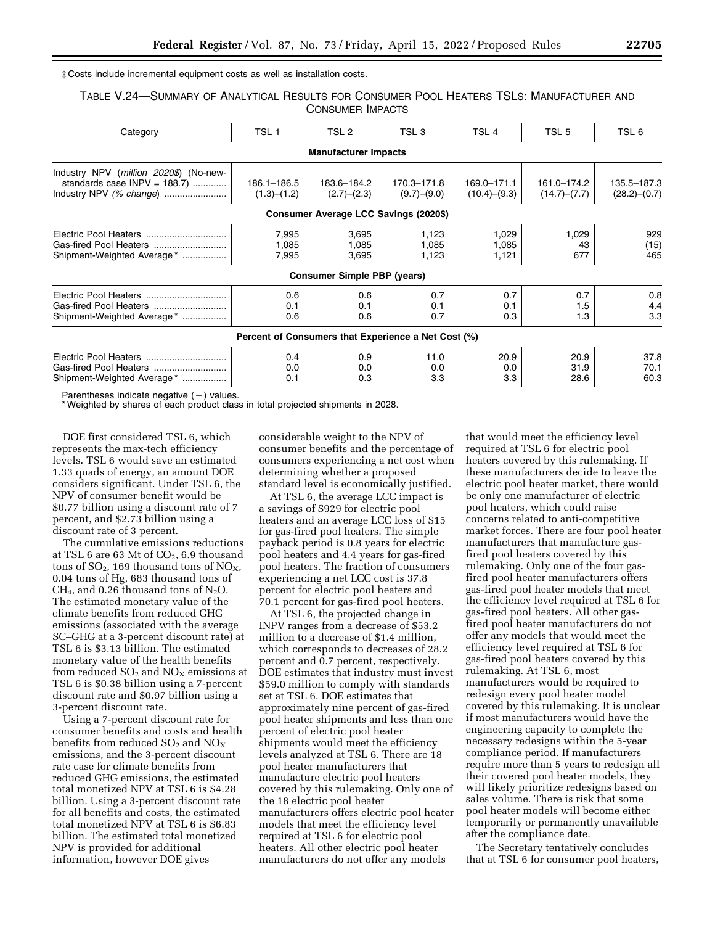‡ Costs include incremental equipment costs as well as installation costs.

TABLE V.24—SUMMARY OF ANALYTICAL RESULTS FOR CONSUMER POOL HEATERS TSLS: MANUFACTURER AND CONSUMER IMPACTS

| Category                                                                                           | TSL 1                      | TSL <sub>2</sub>                                              | TSL <sub>3</sub>           | TSL <sub>4</sub>                 | TSL 5                       | TSL 6                       |
|----------------------------------------------------------------------------------------------------|----------------------------|---------------------------------------------------------------|----------------------------|----------------------------------|-----------------------------|-----------------------------|
|                                                                                                    |                            | <b>Manufacturer Impacts</b>                                   |                            |                                  |                             |                             |
| Industry NPV (million 2020\$) (No-new-<br>standards case $INPV = 188.7$<br>Industry NPV (% change) | 186.1-186.5<br>(1.3)–(1.2) | 183.6-184.2<br>(2.7)–(2.3)                                    | 170.3-171.8<br>(9.7)–(9.0) | 169.0-171.1<br>$(10.4)$ $-(9.3)$ | 161.0-174.2<br>(14.7)–(7.7) | 135.5-187.3<br>(28.2)–(0.7) |
|                                                                                                    |                            | Consumer Average LCC Savings (2020\$)                         |                            |                                  |                             |                             |
| Shipment-Weighted Average*                                                                         | 7,995<br>1,085<br>7,995    | 3,695<br>1,085<br>3,695<br><b>Consumer Simple PBP (years)</b> | 1,123<br>1.085<br>1,123    | 1,029<br>1,085<br>1,121          | 1,029<br>43<br>677          | 929<br>(15)<br>465          |
| Shipment-Weighted Average*                                                                         | 0.6<br>0.1<br>0.6          | 0.6<br>0.1<br>0.6                                             | 0.7<br>0.1<br>0.7          | 0.7<br>0.1<br>0.3                | 0.7<br>1.5<br>1.3           | 0.8<br>4.4<br>3.3           |
|                                                                                                    |                            | Percent of Consumers that Experience a Net Cost (%)           |                            |                                  |                             |                             |
| Electric Pool Heaters<br>Shipment-Weighted Average*                                                | 0.4<br>0.0<br>0.1          | 0.9<br>0.0<br>0.3                                             | 11.0<br>0.0<br>3.3         | 20.9<br>0.0<br>3.3               | 20.9<br>31.9<br>28.6        | 37.8<br>70.1<br>60.3        |

Parentheses indicate negative  $($  –  $)$  values.

\* Weighted by shares of each product class in total projected shipments in 2028.

DOE first considered TSL 6, which represents the max-tech efficiency levels. TSL 6 would save an estimated 1.33 quads of energy, an amount DOE considers significant. Under TSL 6, the NPV of consumer benefit would be \$0.77 billion using a discount rate of 7 percent, and \$2.73 billion using a discount rate of 3 percent.

The cumulative emissions reductions at TSL 6 are 63 Mt of  $CO<sub>2</sub>$ , 6.9 thousand tons of  $SO_2$ , 169 thousand tons of  $NO_X$ , 0.04 tons of Hg, 683 thousand tons of  $CH<sub>4</sub>$ , and 0.26 thousand tons of N<sub>2</sub>O. The estimated monetary value of the climate benefits from reduced GHG emissions (associated with the average SC–GHG at a 3-percent discount rate) at TSL 6 is \$3.13 billion. The estimated monetary value of the health benefits from reduced  $SO_2$  and  $NO<sub>x</sub>$  emissions at TSL 6 is \$0.38 billion using a 7-percent discount rate and \$0.97 billion using a 3-percent discount rate.

Using a 7-percent discount rate for consumer benefits and costs and health benefits from reduced  $SO_2$  and  $NO_X$ emissions, and the 3-percent discount rate case for climate benefits from reduced GHG emissions, the estimated total monetized NPV at TSL 6 is \$4.28 billion. Using a 3-percent discount rate for all benefits and costs, the estimated total monetized NPV at TSL 6 is \$6.83 billion. The estimated total monetized NPV is provided for additional information, however DOE gives

considerable weight to the NPV of consumer benefits and the percentage of consumers experiencing a net cost when determining whether a proposed standard level is economically justified.

At TSL 6, the average LCC impact is a savings of \$929 for electric pool heaters and an average LCC loss of \$15 for gas-fired pool heaters. The simple payback period is 0.8 years for electric pool heaters and 4.4 years for gas-fired pool heaters. The fraction of consumers experiencing a net LCC cost is 37.8 percent for electric pool heaters and 70.1 percent for gas-fired pool heaters.

At TSL 6, the projected change in INPV ranges from a decrease of \$53.2 million to a decrease of \$1.4 million, which corresponds to decreases of 28.2 percent and 0.7 percent, respectively. DOE estimates that industry must invest \$59.0 million to comply with standards set at TSL 6. DOE estimates that approximately nine percent of gas-fired pool heater shipments and less than one percent of electric pool heater shipments would meet the efficiency levels analyzed at TSL 6. There are 18 pool heater manufacturers that manufacture electric pool heaters covered by this rulemaking. Only one of the 18 electric pool heater manufacturers offers electric pool heater models that meet the efficiency level required at TSL 6 for electric pool heaters. All other electric pool heater manufacturers do not offer any models

that would meet the efficiency level required at TSL 6 for electric pool heaters covered by this rulemaking. If these manufacturers decide to leave the electric pool heater market, there would be only one manufacturer of electric pool heaters, which could raise concerns related to anti-competitive market forces. There are four pool heater manufacturers that manufacture gasfired pool heaters covered by this rulemaking. Only one of the four gasfired pool heater manufacturers offers gas-fired pool heater models that meet the efficiency level required at TSL 6 for gas-fired pool heaters. All other gasfired pool heater manufacturers do not offer any models that would meet the efficiency level required at TSL 6 for gas-fired pool heaters covered by this rulemaking. At TSL 6, most manufacturers would be required to redesign every pool heater model covered by this rulemaking. It is unclear if most manufacturers would have the engineering capacity to complete the necessary redesigns within the 5-year compliance period. If manufacturers require more than 5 years to redesign all their covered pool heater models, they will likely prioritize redesigns based on sales volume. There is risk that some pool heater models will become either temporarily or permanently unavailable after the compliance date.

The Secretary tentatively concludes that at TSL 6 for consumer pool heaters,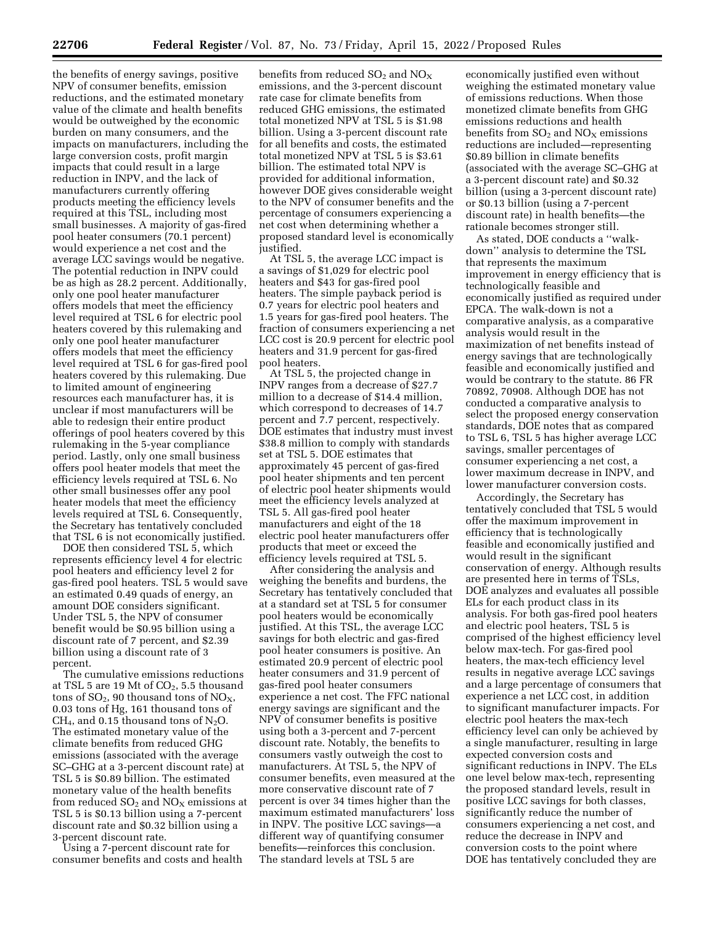the benefits of energy savings, positive NPV of consumer benefits, emission reductions, and the estimated monetary value of the climate and health benefits would be outweighed by the economic burden on many consumers, and the impacts on manufacturers, including the large conversion costs, profit margin impacts that could result in a large reduction in INPV, and the lack of manufacturers currently offering products meeting the efficiency levels required at this TSL, including most small businesses. A majority of gas-fired pool heater consumers (70.1 percent) would experience a net cost and the average LCC savings would be negative. The potential reduction in INPV could be as high as 28.2 percent. Additionally, only one pool heater manufacturer offers models that meet the efficiency level required at TSL 6 for electric pool heaters covered by this rulemaking and only one pool heater manufacturer offers models that meet the efficiency level required at TSL 6 for gas-fired pool heaters covered by this rulemaking. Due to limited amount of engineering resources each manufacturer has, it is unclear if most manufacturers will be able to redesign their entire product offerings of pool heaters covered by this rulemaking in the 5-year compliance period. Lastly, only one small business offers pool heater models that meet the efficiency levels required at TSL 6. No other small businesses offer any pool heater models that meet the efficiency levels required at TSL 6. Consequently, the Secretary has tentatively concluded that TSL 6 is not economically justified.

DOE then considered TSL 5, which represents efficiency level 4 for electric pool heaters and efficiency level 2 for gas-fired pool heaters. TSL 5 would save an estimated 0.49 quads of energy, an amount DOE considers significant. Under TSL 5, the NPV of consumer benefit would be \$0.95 billion using a discount rate of 7 percent, and \$2.39 billion using a discount rate of 3 percent.

The cumulative emissions reductions at TSL 5 are 19 Mt of  $CO<sub>2</sub>$ , 5.5 thousand tons of  $SO_2$ , 90 thousand tons of  $NO_X$ , 0.03 tons of Hg, 161 thousand tons of  $CH<sub>4</sub>$ , and 0.15 thousand tons of N<sub>2</sub>O. The estimated monetary value of the climate benefits from reduced GHG emissions (associated with the average SC–GHG at a 3-percent discount rate) at TSL 5 is \$0.89 billion. The estimated monetary value of the health benefits from reduced  $SO_2$  and  $NO<sub>X</sub>$  emissions at TSL 5 is \$0.13 billion using a 7-percent discount rate and \$0.32 billion using a 3-percent discount rate.

Using a 7-percent discount rate for consumer benefits and costs and health

benefits from reduced  $SO_2$  and  $NO_X$ emissions, and the 3-percent discount rate case for climate benefits from reduced GHG emissions, the estimated total monetized NPV at TSL 5 is \$1.98 billion. Using a 3-percent discount rate for all benefits and costs, the estimated total monetized NPV at TSL 5 is \$3.61 billion. The estimated total NPV is provided for additional information, however DOE gives considerable weight to the NPV of consumer benefits and the percentage of consumers experiencing a net cost when determining whether a proposed standard level is economically justified.

At TSL 5, the average LCC impact is a savings of \$1,029 for electric pool heaters and \$43 for gas-fired pool heaters. The simple payback period is 0.7 years for electric pool heaters and 1.5 years for gas-fired pool heaters. The fraction of consumers experiencing a net LCC cost is 20.9 percent for electric pool heaters and 31.9 percent for gas-fired pool heaters.

At TSL 5, the projected change in INPV ranges from a decrease of \$27.7 million to a decrease of \$14.4 million, which correspond to decreases of 14.7 percent and 7.7 percent, respectively. DOE estimates that industry must invest \$38.8 million to comply with standards set at TSL 5. DOE estimates that approximately 45 percent of gas-fired pool heater shipments and ten percent of electric pool heater shipments would meet the efficiency levels analyzed at TSL 5. All gas-fired pool heater manufacturers and eight of the 18 electric pool heater manufacturers offer products that meet or exceed the efficiency levels required at TSL 5.

After considering the analysis and weighing the benefits and burdens, the Secretary has tentatively concluded that at a standard set at TSL 5 for consumer pool heaters would be economically justified. At this TSL, the average LCC savings for both electric and gas-fired pool heater consumers is positive. An estimated 20.9 percent of electric pool heater consumers and 31.9 percent of gas-fired pool heater consumers experience a net cost. The FFC national energy savings are significant and the NPV of consumer benefits is positive using both a 3-percent and 7-percent discount rate. Notably, the benefits to consumers vastly outweigh the cost to manufacturers. At TSL 5, the NPV of consumer benefits, even measured at the more conservative discount rate of 7 percent is over 34 times higher than the maximum estimated manufacturers' loss in INPV. The positive LCC savings—a different way of quantifying consumer benefits—reinforces this conclusion. The standard levels at TSL 5 are

economically justified even without weighing the estimated monetary value of emissions reductions. When those monetized climate benefits from GHG emissions reductions and health benefits from  $SO_2$  and  $NO<sub>x</sub>$  emissions reductions are included—representing \$0.89 billion in climate benefits (associated with the average SC–GHG at a 3-percent discount rate) and \$0.32 billion (using a 3-percent discount rate) or \$0.13 billion (using a 7-percent discount rate) in health benefits—the rationale becomes stronger still.

As stated, DOE conducts a ''walkdown'' analysis to determine the TSL that represents the maximum improvement in energy efficiency that is technologically feasible and economically justified as required under EPCA. The walk-down is not a comparative analysis, as a comparative analysis would result in the maximization of net benefits instead of energy savings that are technologically feasible and economically justified and would be contrary to the statute. 86 FR 70892, 70908. Although DOE has not conducted a comparative analysis to select the proposed energy conservation standards, DOE notes that as compared to TSL 6, TSL 5 has higher average LCC savings, smaller percentages of consumer experiencing a net cost, a lower maximum decrease in INPV, and lower manufacturer conversion costs.

Accordingly, the Secretary has tentatively concluded that TSL 5 would offer the maximum improvement in efficiency that is technologically feasible and economically justified and would result in the significant conservation of energy. Although results are presented here in terms of TSLs, DOE analyzes and evaluates all possible ELs for each product class in its analysis. For both gas-fired pool heaters and electric pool heaters, TSL 5 is comprised of the highest efficiency level below max-tech. For gas-fired pool heaters, the max-tech efficiency level results in negative average LCC savings and a large percentage of consumers that experience a net LCC cost, in addition to significant manufacturer impacts. For electric pool heaters the max-tech efficiency level can only be achieved by a single manufacturer, resulting in large expected conversion costs and significant reductions in INPV. The ELs one level below max-tech, representing the proposed standard levels, result in positive LCC savings for both classes, significantly reduce the number of consumers experiencing a net cost, and reduce the decrease in INPV and conversion costs to the point where DOE has tentatively concluded they are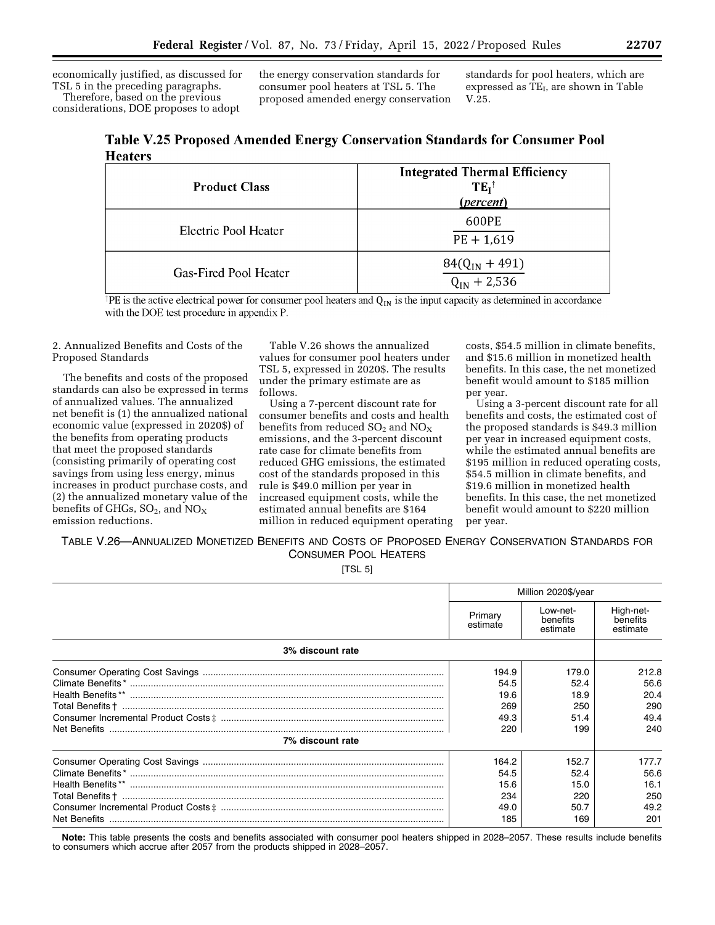economically justified, as discussed for TSL 5 in the preceding paragraphs. Therefore, based on the previous considerations, DOE proposes to adopt

the energy conservation standards for consumer pool heaters at TSL 5. The proposed amended energy conservation standards for pool heaters, which are expressed as  $TE<sub>I</sub>$ , are shown in Table V.25.

| Table V.25 Proposed Amended Energy Conservation Standards for Consumer Pool |  |  |
|-----------------------------------------------------------------------------|--|--|
| <b>Heaters</b>                                                              |  |  |

| <b>Product Class</b>  | <b>Integrated Thermal Efficiency</b><br>$TE_1^{\dagger}$<br>(percent) |
|-----------------------|-----------------------------------------------------------------------|
| Electric Pool Heater  | 600PE<br>$PE + 1,619$                                                 |
| Gas-Fired Pool Heater | $84(Q_{IN} + 491)$<br>$Q_{IN}$ + 2,536                                |

<sup>†</sup>PE is the active electrical power for consumer pool heaters and  $Q_{IN}$  is the input capacity as determined in accordance with the DOE test procedure in appendix P.

2. Annualized Benefits and Costs of the Proposed Standards

The benefits and costs of the proposed standards can also be expressed in terms of annualized values. The annualized net benefit is (1) the annualized national economic value (expressed in 2020\$) of the benefits from operating products that meet the proposed standards (consisting primarily of operating cost savings from using less energy, minus increases in product purchase costs, and (2) the annualized monetary value of the benefits of GHGs,  $SO_2$ , and  $NO_X$ emission reductions.

Table V.26 shows the annualized values for consumer pool heaters under TSL 5, expressed in 2020\$. The results under the primary estimate are as follows.

Using a 7-percent discount rate for consumer benefits and costs and health benefits from reduced  $SO_2$  and  $NO_X$ emissions, and the 3-percent discount rate case for climate benefits from reduced GHG emissions, the estimated cost of the standards proposed in this rule is \$49.0 million per year in increased equipment costs, while the estimated annual benefits are \$164 million in reduced equipment operating costs, \$54.5 million in climate benefits, and \$15.6 million in monetized health benefits. In this case, the net monetized benefit would amount to \$185 million per year.

Using a 3-percent discount rate for all benefits and costs, the estimated cost of the proposed standards is \$49.3 million per year in increased equipment costs, while the estimated annual benefits are \$195 million in reduced operating costs, \$54.5 million in climate benefits, and \$19.6 million in monetized health benefits. In this case, the net monetized benefit would amount to \$220 million per year.

TABLE V.26—ANNUALIZED MONETIZED BENEFITS AND COSTS OF PROPOSED ENERGY CONSERVATION STANDARDS FOR CONSUMER POOL HEATERS

[TSL 5]

|                  | Million 2020\$/year |                                  |                                   |
|------------------|---------------------|----------------------------------|-----------------------------------|
|                  | Primary<br>estimate | Low-net-<br>benefits<br>estimate | High-net-<br>benefits<br>estimate |
| 3% discount rate |                     |                                  |                                   |
|                  | 194.9               | 179.0                            | 212.8                             |
|                  | 54.5                | 52.4                             | 56.6                              |
|                  | 19.6                | 18.9                             | 20.4                              |
|                  | 269                 | 250                              | 290                               |
|                  | 49.3                | 51.4                             | 49.4                              |
|                  | 220                 | 199                              | 240                               |
| 7% discount rate |                     |                                  |                                   |
|                  | 164.2               | 152.7                            | 177.7                             |
|                  | 54.5                | 52.4                             | 56.6                              |
|                  | 15.6                | 15.0                             | 16.1                              |
|                  | 234                 | 220                              | 250                               |
|                  | 49.0                | 50.7                             | 49.2                              |
|                  | 185                 | 169                              | 201                               |

**Note:** This table presents the costs and benefits associated with consumer pool heaters shipped in 2028–2057. These results include benefits to consumers which accrue after 2057 from the products shipped in 2028–2057.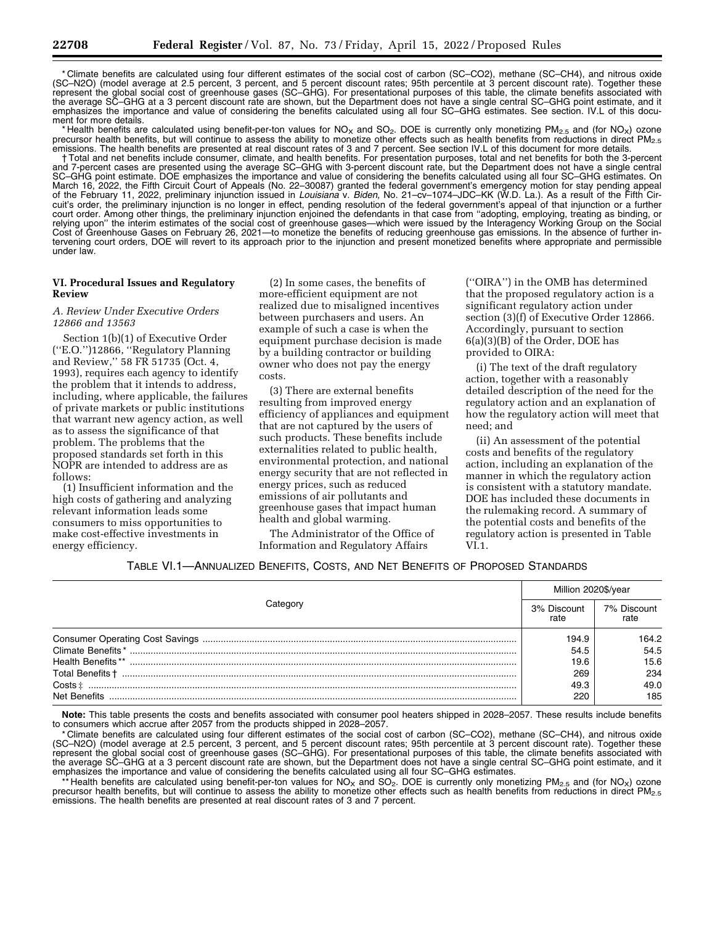\* Climate benefits are calculated using four different estimates of the social cost of carbon (SC–CO2), methane (SC–CH4), and nitrous oxide (SC–N2O) (model average at 2.5 percent, 3 percent, and 5 percent discount rates; 95th percentile at 3 percent discount rate). Together these represent the global social cost of greenhouse gases (SC–GHG). For presentational purposes of this table, the climate benefits associated with the average SC–GHG at a 3 percent discount rate are shown, but the Department does not have a single central SC–GHG point estimate, and it emphasizes the importance and value of considering the benefits calculated using all four SC–GHG estimates. See section. IV.L of this document for more details.

\* Health benefits are calculated using benefit-per-ton values for NO<sub>X</sub> and SO<sub>2</sub>. DOE is currently only monetizing PM<sub>2.5</sub> and (for NO<sub>X</sub>) ozone precursor health benefits, but will continue to assess the ability to monetize other effects such as health benefits from reductions in direct PM<sub>2.5</sub><br>emissions. The health benefits are presented at real discount rates of

† Total and net benefits include consumer, climate, and health benefits. For presentation purposes, total and net benefits for both the 3-percent and 7-percent cases are presented using the average SC–GHG with 3-percent discount rate, but the Department does not have a single central SC–GHG point estimate. DOE emphasizes the importance and value of considering the benefits calculated using all four SC–GHG estimates. On March 16, 2022, the Fifth Circuit Court of Appeals (No. 22–30087) granted the federal government's emergency motion for stay pending appeal of the February 11, 2022, preliminary injunction issued in *Louisiana* v. *Biden,* No. 21–cv–1074–JDC–KK (W.D. La.). As a result of the Fifth Circuit's order, the preliminary injunction is no longer in effect, pending resolution of the federal government's appeal of that injunction or a further court order. Among other things, the preliminary injunction enjoined the defendants in that case from ''adopting, employing, treating as binding, or relying upon'' the interim estimates of the social cost of greenhouse gases—which were issued by the Interagency Working Group on the Social Cost of Greenhouse Gases on February 26, 2021—to monetize the benefits of reducing greenhouse gas emissions. In the absence of further intervening court orders, DOE will revert to its approach prior to the injunction and present monetized benefits where appropriate and permissible under law.

### **VI. Procedural Issues and Regulatory Review**

### *A. Review Under Executive Orders 12866 and 13563*

Section 1(b)(1) of Executive Order (''E.O.'')12866, ''Regulatory Planning and Review,'' 58 FR 51735 (Oct. 4, 1993), requires each agency to identify the problem that it intends to address, including, where applicable, the failures of private markets or public institutions that warrant new agency action, as well as to assess the significance of that problem. The problems that the proposed standards set forth in this NOPR are intended to address are as follows:

(1) Insufficient information and the high costs of gathering and analyzing relevant information leads some consumers to miss opportunities to make cost-effective investments in energy efficiency.

(2) In some cases, the benefits of more-efficient equipment are not realized due to misaligned incentives between purchasers and users. An example of such a case is when the equipment purchase decision is made by a building contractor or building owner who does not pay the energy costs.

(3) There are external benefits resulting from improved energy efficiency of appliances and equipment that are not captured by the users of such products. These benefits include externalities related to public health, environmental protection, and national energy security that are not reflected in energy prices, such as reduced emissions of air pollutants and greenhouse gases that impact human health and global warming.

The Administrator of the Office of Information and Regulatory Affairs

(''OIRA'') in the OMB has determined that the proposed regulatory action is a significant regulatory action under section (3)(f) of Executive Order 12866. Accordingly, pursuant to section 6(a)(3)(B) of the Order, DOE has provided to OIRA:

(i) The text of the draft regulatory action, together with a reasonably detailed description of the need for the regulatory action and an explanation of how the regulatory action will meet that need; and

(ii) An assessment of the potential costs and benefits of the regulatory action, including an explanation of the manner in which the regulatory action is consistent with a statutory mandate. DOE has included these documents in the rulemaking record. A summary of the potential costs and benefits of the regulatory action is presented in Table VI.1.

### TABLE VI.1—ANNUALIZED BENEFITS, COSTS, AND NET BENEFITS OF PROPOSED STANDARDS

| 3% Discount                            |       | Million 2020\$/year |  |  |
|----------------------------------------|-------|---------------------|--|--|
|                                        |       | 7% Discount<br>rate |  |  |
| <b>Consumer Operating Cost Savings</b> | 194.9 | 164.2               |  |  |
| Climate Benefits*                      | 54.5  | 54.5                |  |  |
| Health Benefits **                     | 19.6  | 15.6                |  |  |
| Total Benefits +                       | 269   | 234                 |  |  |
| $Costs \pm$                            | 49.3  | 49.0                |  |  |
| Net Benefits                           | 220   | 185                 |  |  |

**Note:** This table presents the costs and benefits associated with consumer pool heaters shipped in 2028–2057. These results include benefits to consumers which accrue after 2057 from the products shipped in 2028–2057.

\* Climate benefits are calculated using four different estimates of the social cost of carbon (SC–CO2), methane (SC–CH4), and nitrous oxide (SC–N2O) (model average at 2.5 percent, 3 percent, and 5 percent discount rates; 95th percentile at 3 percent discount rate). Together these represent the global social cost of greenhouse gases (SC–GHG). For presentational purposes of this table, the climate benefits associated with the average SC–GHG at a 3 percent discount rate are shown, but the Department does not have a single central SC–GHG point estimate, and it emphasizes the importance and value of considering the benefits calculated using all four SC–GHG estimates.

Health benefits are calculated using benefit-per-ton values for NO<sub>X</sub> and SO<sub>2</sub>. DOE is currently only monetizing PM<sub>2.5</sub> and (for NO<sub>X</sub>) ozone precursor health benefits, but will continue to assess the ability to monetize other effects such as health benefits from reductions in direct PM<sub>2.5</sub> emissions. The health benefits are presented at real discount rates of 3 and 7 percent.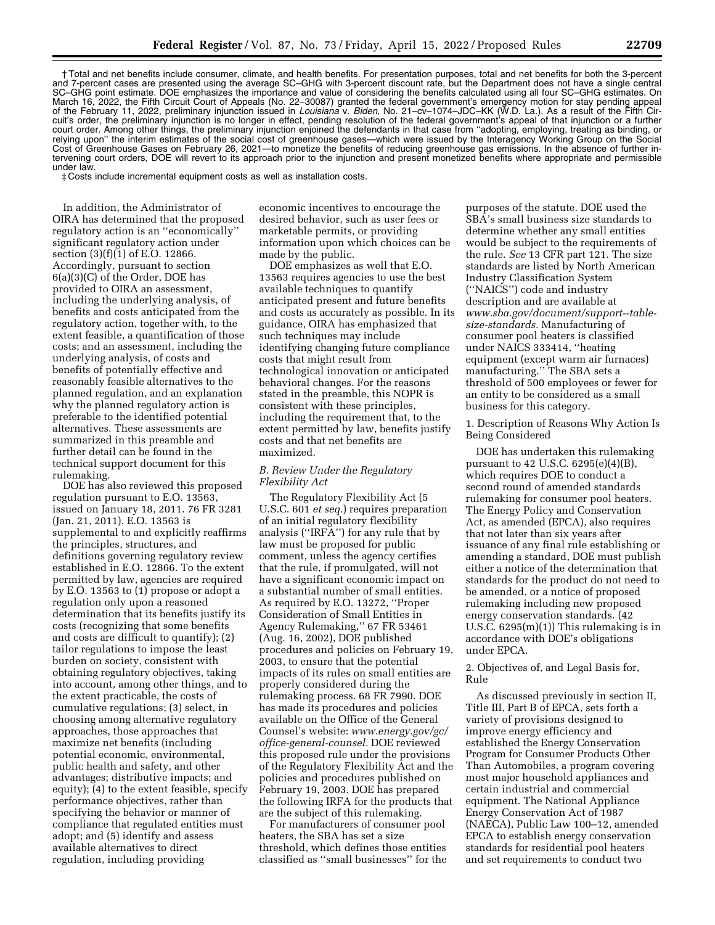† Total and net benefits include consumer, climate, and health benefits. For presentation purposes, total and net benefits for both the 3-percent and 7-percent cases are presented using the average SC–GHG with 3-percent discount rate, but the Department does not have a single central SC–GHG point estimate. DOE emphasizes the importance and value of considering the benefits calculated using all four SC–GHG estimates. On March 16, 2022, the Fifth Circuit Court of Appeals (No. 22–30087) granted the federal government's emergency motion for stay pending appeal of the February 11, 2022, preliminary injunction issued in *Louisiana* v. *Biden,* No. 21–cv–1074–JDC–KK (W.D. La.). As a result of the Fifth Circuit's order, the preliminary injunction is no longer in effect, pending resolution of the federal government's appeal of that injunction or a further court order. Among other things, the preliminary injunction enjoined the defendants in that case from ''adopting, employing, treating as binding, or relying upon'' the interim estimates of the social cost of greenhouse gases—which were issued by the Interagency Working Group on the Social Cost of Greenhouse Gases on February 26, 2021—to monetize the benefits of reducing greenhouse gas emissions. In the absence of further intervening court orders, DOE will revert to its approach prior to the injunction and present monetized benefits where appropriate and permissible under law.

‡ Costs include incremental equipment costs as well as installation costs.

In addition, the Administrator of OIRA has determined that the proposed regulatory action is an ''economically'' significant regulatory action under section (3)(f)(1) of E.O. 12866. Accordingly, pursuant to section 6(a)(3)(C) of the Order, DOE has provided to OIRA an assessment, including the underlying analysis, of benefits and costs anticipated from the regulatory action, together with, to the extent feasible, a quantification of those costs; and an assessment, including the underlying analysis, of costs and benefits of potentially effective and reasonably feasible alternatives to the planned regulation, and an explanation why the planned regulatory action is preferable to the identified potential alternatives. These assessments are summarized in this preamble and further detail can be found in the technical support document for this rulemaking.

DOE has also reviewed this proposed regulation pursuant to E.O. 13563, issued on January 18, 2011. 76 FR 3281 (Jan. 21, 2011). E.O. 13563 is supplemental to and explicitly reaffirms the principles, structures, and definitions governing regulatory review established in E.O. 12866. To the extent permitted by law, agencies are required by E.O. 13563 to (1) propose or adopt a regulation only upon a reasoned determination that its benefits justify its costs (recognizing that some benefits and costs are difficult to quantify); (2) tailor regulations to impose the least burden on society, consistent with obtaining regulatory objectives, taking into account, among other things, and to the extent practicable, the costs of cumulative regulations; (3) select, in choosing among alternative regulatory approaches, those approaches that maximize net benefits (including potential economic, environmental, public health and safety, and other advantages; distributive impacts; and equity); (4) to the extent feasible, specify performance objectives, rather than specifying the behavior or manner of compliance that regulated entities must adopt; and (5) identify and assess available alternatives to direct regulation, including providing

economic incentives to encourage the desired behavior, such as user fees or marketable permits, or providing information upon which choices can be made by the public.

DOE emphasizes as well that E.O. 13563 requires agencies to use the best available techniques to quantify anticipated present and future benefits and costs as accurately as possible. In its guidance, OIRA has emphasized that such techniques may include identifying changing future compliance costs that might result from technological innovation or anticipated behavioral changes. For the reasons stated in the preamble, this NOPR is consistent with these principles, including the requirement that, to the extent permitted by law, benefits justify costs and that net benefits are maximized.

## *B. Review Under the Regulatory Flexibility Act*

The Regulatory Flexibility Act (5 U.S.C. 601 *et seq.*) requires preparation of an initial regulatory flexibility analysis (''IRFA'') for any rule that by law must be proposed for public comment, unless the agency certifies that the rule, if promulgated, will not have a significant economic impact on a substantial number of small entities. As required by E.O. 13272, ''Proper Consideration of Small Entities in Agency Rulemaking,'' 67 FR 53461 (Aug. 16, 2002), DOE published procedures and policies on February 19, 2003, to ensure that the potential impacts of its rules on small entities are properly considered during the rulemaking process. 68 FR 7990. DOE has made its procedures and policies available on the Office of the General Counsel's website: *[www.energy.gov/gc/](http://www.energy.gov/gc/office-general-counsel)  [office-general-counsel.](http://www.energy.gov/gc/office-general-counsel)* DOE reviewed this proposed rule under the provisions of the Regulatory Flexibility Act and the policies and procedures published on February 19, 2003. DOE has prepared the following IRFA for the products that are the subject of this rulemaking.

For manufacturers of consumer pool heaters, the SBA has set a size threshold, which defines those entities classified as ''small businesses'' for the

purposes of the statute. DOE used the SBA's small business size standards to determine whether any small entities would be subject to the requirements of the rule. *See* 13 CFR part 121. The size standards are listed by North American Industry Classification System (''NAICS'') code and industry description and are available at *[www.sba.gov/document/support--table](http://www.sba.gov/document/support--table-size-standards)[size-standards.](http://www.sba.gov/document/support--table-size-standards)* Manufacturing of consumer pool heaters is classified under NAICS 333414, ''heating equipment (except warm air furnaces) manufacturing.'' The SBA sets a threshold of 500 employees or fewer for an entity to be considered as a small business for this category.

1. Description of Reasons Why Action Is Being Considered

DOE has undertaken this rulemaking pursuant to 42 U.S.C. 6295(e)(4)(B), which requires DOE to conduct a second round of amended standards rulemaking for consumer pool heaters. The Energy Policy and Conservation Act, as amended (EPCA), also requires that not later than six years after issuance of any final rule establishing or amending a standard, DOE must publish either a notice of the determination that standards for the product do not need to be amended, or a notice of proposed rulemaking including new proposed energy conservation standards. (42 U.S.C. 6295(m)(1)) This rulemaking is in accordance with DOE's obligations under EPCA.

2. Objectives of, and Legal Basis for, Rule

As discussed previously in section II, Title III, Part B of EPCA, sets forth a variety of provisions designed to improve energy efficiency and established the Energy Conservation Program for Consumer Products Other Than Automobiles, a program covering most major household appliances and certain industrial and commercial equipment. The National Appliance Energy Conservation Act of 1987 (NAECA), Public Law 100–12, amended EPCA to establish energy conservation standards for residential pool heaters and set requirements to conduct two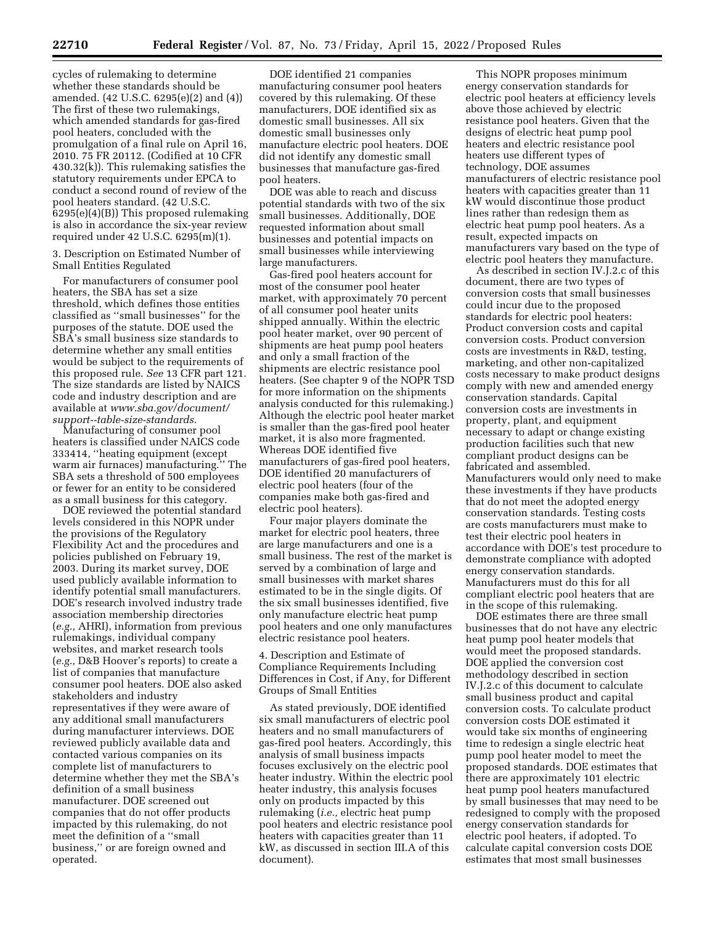cycles of rulemaking to determine whether these standards should be amended. (42 U.S.C. 6295(e)(2) and (4)) The first of these two rulemakings, which amended standards for gas-fired pool heaters, concluded with the promulgation of a final rule on April 16, 2010. 75 FR 20112. (Codified at 10 CFR 430.32(k)). This rulemaking satisfies the statutory requirements under EPCA to conduct a second round of review of the pool heaters standard. (42 U.S.C. 6295(e)(4)(B)) This proposed rulemaking is also in accordance the six-year review required under 42 U.S.C. 6295(m)(1).

3. Description on Estimated Number of Small Entities Regulated

For manufacturers of consumer pool heaters, the SBA has set a size threshold, which defines those entities classified as ''small businesses'' for the purposes of the statute. DOE used the SBA's small business size standards to determine whether any small entities would be subject to the requirements of this proposed rule. *See* 13 CFR part 121. The size standards are listed by NAICS code and industry description and are available at *[www.sba.gov/document/](http://www.sba.gov/document/support--table-size-standards)  [support--table-size-standards.](http://www.sba.gov/document/support--table-size-standards)* 

Manufacturing of consumer pool heaters is classified under NAICS code 333414, ''heating equipment (except warm air furnaces) manufacturing.'' The SBA sets a threshold of 500 employees or fewer for an entity to be considered as a small business for this category.

DOE reviewed the potential standard levels considered in this NOPR under the provisions of the Regulatory Flexibility Act and the procedures and policies published on February 19, 2003. During its market survey, DOE used publicly available information to identify potential small manufacturers. DOE's research involved industry trade association membership directories (*e.g.,* AHRI), information from previous rulemakings, individual company websites, and market research tools (*e.g.,* D&B Hoover's reports) to create a list of companies that manufacture consumer pool heaters. DOE also asked stakeholders and industry representatives if they were aware of any additional small manufacturers during manufacturer interviews. DOE reviewed publicly available data and contacted various companies on its complete list of manufacturers to determine whether they met the SBA's definition of a small business manufacturer. DOE screened out companies that do not offer products impacted by this rulemaking, do not meet the definition of a ''small business,'' or are foreign owned and operated.

DOE identified 21 companies manufacturing consumer pool heaters covered by this rulemaking. Of these manufacturers, DOE identified six as domestic small businesses. All six domestic small businesses only manufacture electric pool heaters. DOE did not identify any domestic small businesses that manufacture gas-fired pool heaters.

DOE was able to reach and discuss potential standards with two of the six small businesses. Additionally, DOE requested information about small businesses and potential impacts on small businesses while interviewing large manufacturers.

Gas-fired pool heaters account for most of the consumer pool heater market, with approximately 70 percent of all consumer pool heater units shipped annually. Within the electric pool heater market, over 90 percent of shipments are heat pump pool heaters and only a small fraction of the shipments are electric resistance pool heaters. (See chapter 9 of the NOPR TSD for more information on the shipments analysis conducted for this rulemaking.) Although the electric pool heater market is smaller than the gas-fired pool heater market, it is also more fragmented. Whereas DOE identified five manufacturers of gas-fired pool heaters, DOE identified 20 manufacturers of electric pool heaters (four of the companies make both gas-fired and electric pool heaters).

Four major players dominate the market for electric pool heaters, three are large manufacturers and one is a small business. The rest of the market is served by a combination of large and small businesses with market shares estimated to be in the single digits. Of the six small businesses identified, five only manufacture electric heat pump pool heaters and one only manufactures electric resistance pool heaters.

4. Description and Estimate of Compliance Requirements Including Differences in Cost, if Any, for Different Groups of Small Entities

As stated previously, DOE identified six small manufacturers of electric pool heaters and no small manufacturers of gas-fired pool heaters. Accordingly, this analysis of small business impacts focuses exclusively on the electric pool heater industry. Within the electric pool heater industry, this analysis focuses only on products impacted by this rulemaking (*i.e.,* electric heat pump pool heaters and electric resistance pool heaters with capacities greater than 11 kW, as discussed in section III.A of this document).

This NOPR proposes minimum energy conservation standards for electric pool heaters at efficiency levels above those achieved by electric resistance pool heaters. Given that the designs of electric heat pump pool heaters and electric resistance pool heaters use different types of technology, DOE assumes manufacturers of electric resistance pool heaters with capacities greater than 11 kW would discontinue those product lines rather than redesign them as electric heat pump pool heaters. As a result, expected impacts on manufacturers vary based on the type of electric pool heaters they manufacture.

As described in section IV.J.2.c of this document, there are two types of conversion costs that small businesses could incur due to the proposed standards for electric pool heaters: Product conversion costs and capital conversion costs. Product conversion costs are investments in R&D, testing, marketing, and other non-capitalized costs necessary to make product designs comply with new and amended energy conservation standards. Capital conversion costs are investments in property, plant, and equipment necessary to adapt or change existing production facilities such that new compliant product designs can be fabricated and assembled. Manufacturers would only need to make these investments if they have products that do not meet the adopted energy conservation standards. Testing costs are costs manufacturers must make to test their electric pool heaters in accordance with DOE's test procedure to demonstrate compliance with adopted energy conservation standards. Manufacturers must do this for all compliant electric pool heaters that are in the scope of this rulemaking.

DOE estimates there are three small businesses that do not have any electric heat pump pool heater models that would meet the proposed standards. DOE applied the conversion cost methodology described in section IV.J.2.c of this document to calculate small business product and capital conversion costs. To calculate product conversion costs DOE estimated it would take six months of engineering time to redesign a single electric heat pump pool heater model to meet the proposed standards. DOE estimates that there are approximately 101 electric heat pump pool heaters manufactured by small businesses that may need to be redesigned to comply with the proposed energy conservation standards for electric pool heaters, if adopted. To calculate capital conversion costs DOE estimates that most small businesses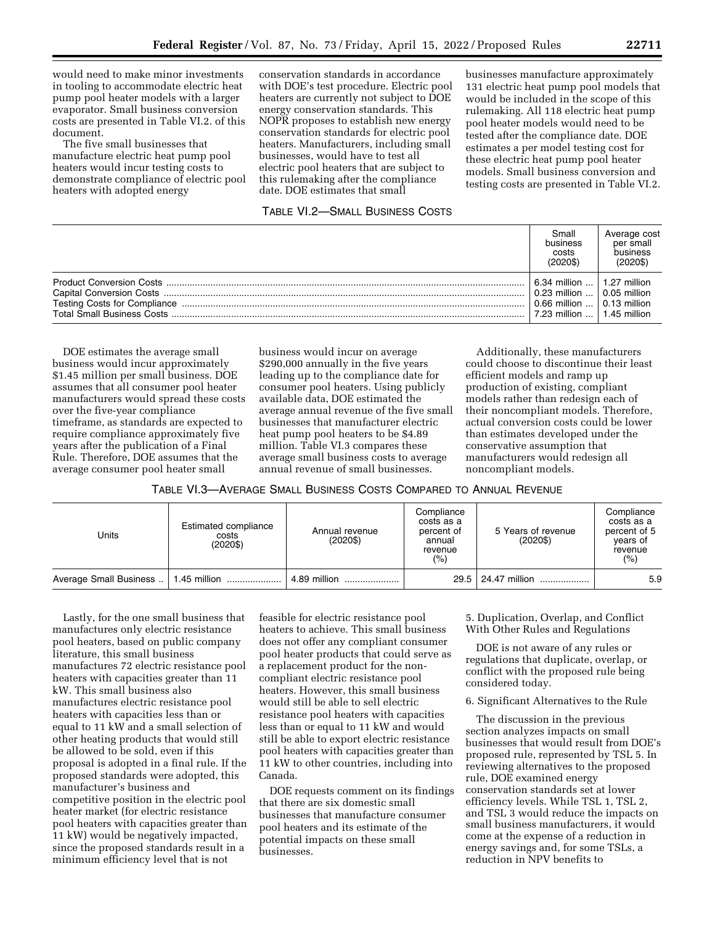would need to make minor investments in tooling to accommodate electric heat pump pool heater models with a larger evaporator. Small business conversion costs are presented in Table VI.2. of this document.

The five small businesses that manufacture electric heat pump pool heaters would incur testing costs to demonstrate compliance of electric pool heaters with adopted energy

conservation standards in accordance with DOE's test procedure. Electric pool heaters are currently not subject to DOE energy conservation standards. This NOPR proposes to establish new energy conservation standards for electric pool heaters. Manufacturers, including small businesses, would have to test all electric pool heaters that are subject to this rulemaking after the compliance date. DOE estimates that small

# TABLE VI.2—SMALL BUSINESS COSTS

businesses manufacture approximately 131 electric heat pump pool models that would be included in the scope of this rulemaking. All 118 electric heat pump pool heater models would need to be tested after the compliance date. DOE estimates a per model testing cost for these electric heat pump pool heater models. Small business conversion and testing costs are presented in Table VI.2.

| $(2020\$<br>$(2020\$                                                                                                                                       |  |
|------------------------------------------------------------------------------------------------------------------------------------------------------------|--|
| 6.34 million  1.27 million<br>$\vert$ 0.23 million $\ldots \vert$ 0.05 million<br>$0.66$ million $\dots$ $\mid$ 0.13 million<br>7.23 million  1.45 million |  |

DOE estimates the average small business would incur approximately \$1.45 million per small business. DOE assumes that all consumer pool heater manufacturers would spread these costs over the five-year compliance timeframe, as standards are expected to require compliance approximately five years after the publication of a Final Rule. Therefore, DOE assumes that the average consumer pool heater small

business would incur on average \$290,000 annually in the five years leading up to the compliance date for consumer pool heaters. Using publicly available data, DOE estimated the average annual revenue of the five small businesses that manufacturer electric heat pump pool heaters to be \$4.89 million. Table VI.3 compares these average small business costs to average annual revenue of small businesses.

Additionally, these manufacturers could choose to discontinue their least efficient models and ramp up production of existing, compliant models rather than redesign each of their noncompliant models. Therefore, actual conversion costs could be lower than estimates developed under the conservative assumption that manufacturers would redesign all noncompliant models.

| TABLE VI.3—AVERAGE SMALL BUSINESS COSTS COMPARED TO ANNUAL REVENUE |  |
|--------------------------------------------------------------------|--|
|--------------------------------------------------------------------|--|

| Units                                  | Estimated compliance<br>costs<br>$(2020\$ | Annual revenue<br>$(2020\$ | Compliance<br>costs as a<br>percent of<br>annual<br>revenue<br>(%) | 5 Years of revenue<br>$(2020\$ | Compliance<br>costs as a<br>percent of 5<br>vears of<br>revenue<br>(%) |
|----------------------------------------|-------------------------------------------|----------------------------|--------------------------------------------------------------------|--------------------------------|------------------------------------------------------------------------|
| Average Small Business    1.45 million |                                           | 4.89 million               |                                                                    | 29.5 24.47 million             | 5.9                                                                    |

Lastly, for the one small business that manufactures only electric resistance pool heaters, based on public company literature, this small business manufactures 72 electric resistance pool heaters with capacities greater than 11 kW. This small business also manufactures electric resistance pool heaters with capacities less than or equal to 11 kW and a small selection of other heating products that would still be allowed to be sold, even if this proposal is adopted in a final rule. If the proposed standards were adopted, this manufacturer's business and competitive position in the electric pool heater market (for electric resistance pool heaters with capacities greater than 11 kW) would be negatively impacted, since the proposed standards result in a minimum efficiency level that is not

feasible for electric resistance pool heaters to achieve. This small business does not offer any compliant consumer pool heater products that could serve as a replacement product for the noncompliant electric resistance pool heaters. However, this small business would still be able to sell electric resistance pool heaters with capacities less than or equal to 11 kW and would still be able to export electric resistance pool heaters with capacities greater than 11 kW to other countries, including into Canada.

DOE requests comment on its findings that there are six domestic small businesses that manufacture consumer pool heaters and its estimate of the potential impacts on these small businesses.

5. Duplication, Overlap, and Conflict With Other Rules and Regulations

DOE is not aware of any rules or regulations that duplicate, overlap, or conflict with the proposed rule being considered today.

6. Significant Alternatives to the Rule

The discussion in the previous section analyzes impacts on small businesses that would result from DOE's proposed rule, represented by TSL 5. In reviewing alternatives to the proposed rule, DOE examined energy conservation standards set at lower efficiency levels. While TSL 1, TSL 2, and TSL 3 would reduce the impacts on small business manufacturers, it would come at the expense of a reduction in energy savings and, for some TSLs, a reduction in NPV benefits to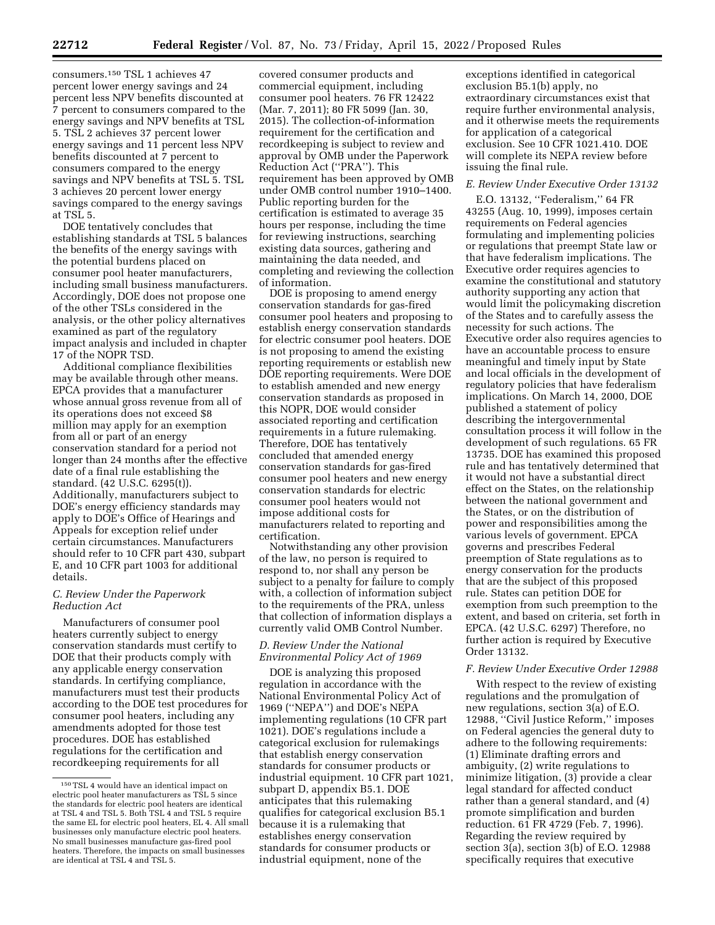consumers.150 TSL 1 achieves 47 percent lower energy savings and 24 percent less NPV benefits discounted at 7 percent to consumers compared to the energy savings and NPV benefits at TSL 5. TSL 2 achieves 37 percent lower energy savings and 11 percent less NPV benefits discounted at 7 percent to consumers compared to the energy savings and NPV benefits at TSL 5. TSL

3 achieves 20 percent lower energy savings compared to the energy savings at TSL 5. DOE tentatively concludes that

establishing standards at TSL 5 balances the benefits of the energy savings with the potential burdens placed on consumer pool heater manufacturers, including small business manufacturers. Accordingly, DOE does not propose one of the other TSLs considered in the analysis, or the other policy alternatives examined as part of the regulatory impact analysis and included in chapter 17 of the NOPR TSD.

Additional compliance flexibilities may be available through other means. EPCA provides that a manufacturer whose annual gross revenue from all of its operations does not exceed \$8 million may apply for an exemption from all or part of an energy conservation standard for a period not longer than 24 months after the effective date of a final rule establishing the standard. (42 U.S.C. 6295(t)). Additionally, manufacturers subject to DOE's energy efficiency standards may apply to DOE's Office of Hearings and Appeals for exception relief under certain circumstances. Manufacturers should refer to 10 CFR part 430, subpart E, and 10 CFR part 1003 for additional details.

### *C. Review Under the Paperwork Reduction Act*

Manufacturers of consumer pool heaters currently subject to energy conservation standards must certify to DOE that their products comply with any applicable energy conservation standards. In certifying compliance, manufacturers must test their products according to the DOE test procedures for consumer pool heaters, including any amendments adopted for those test procedures. DOE has established regulations for the certification and recordkeeping requirements for all

covered consumer products and commercial equipment, including consumer pool heaters. 76 FR 12422 (Mar. 7, 2011); 80 FR 5099 (Jan. 30, 2015). The collection-of-information requirement for the certification and recordkeeping is subject to review and approval by OMB under the Paperwork Reduction Act (''PRA''). This requirement has been approved by OMB under OMB control number 1910–1400. Public reporting burden for the certification is estimated to average 35 hours per response, including the time for reviewing instructions, searching existing data sources, gathering and maintaining the data needed, and completing and reviewing the collection of information.

DOE is proposing to amend energy conservation standards for gas-fired consumer pool heaters and proposing to establish energy conservation standards for electric consumer pool heaters. DOE is not proposing to amend the existing reporting requirements or establish new DOE reporting requirements. Were DOE to establish amended and new energy conservation standards as proposed in this NOPR, DOE would consider associated reporting and certification requirements in a future rulemaking. Therefore, DOE has tentatively concluded that amended energy conservation standards for gas-fired consumer pool heaters and new energy conservation standards for electric consumer pool heaters would not impose additional costs for manufacturers related to reporting and certification.

Notwithstanding any other provision of the law, no person is required to respond to, nor shall any person be subject to a penalty for failure to comply with, a collection of information subject to the requirements of the PRA, unless that collection of information displays a currently valid OMB Control Number.

## *D. Review Under the National Environmental Policy Act of 1969*

DOE is analyzing this proposed regulation in accordance with the National Environmental Policy Act of 1969 (''NEPA'') and DOE's NEPA implementing regulations (10 CFR part 1021). DOE's regulations include a categorical exclusion for rulemakings that establish energy conservation standards for consumer products or industrial equipment. 10 CFR part 1021, subpart D, appendix B5.1. DOE anticipates that this rulemaking qualifies for categorical exclusion B5.1 because it is a rulemaking that establishes energy conservation standards for consumer products or industrial equipment, none of the

exceptions identified in categorical exclusion B5.1(b) apply, no extraordinary circumstances exist that require further environmental analysis, and it otherwise meets the requirements for application of a categorical exclusion. See 10 CFR 1021.410. DOE will complete its NEPA review before issuing the final rule.

## *E. Review Under Executive Order 13132*

E.O. 13132, ''Federalism,'' 64 FR 43255 (Aug. 10, 1999), imposes certain requirements on Federal agencies formulating and implementing policies or regulations that preempt State law or that have federalism implications. The Executive order requires agencies to examine the constitutional and statutory authority supporting any action that would limit the policymaking discretion of the States and to carefully assess the necessity for such actions. The Executive order also requires agencies to have an accountable process to ensure meaningful and timely input by State and local officials in the development of regulatory policies that have federalism implications. On March 14, 2000, DOE published a statement of policy describing the intergovernmental consultation process it will follow in the development of such regulations. 65 FR 13735. DOE has examined this proposed rule and has tentatively determined that it would not have a substantial direct effect on the States, on the relationship between the national government and the States, or on the distribution of power and responsibilities among the various levels of government. EPCA governs and prescribes Federal preemption of State regulations as to energy conservation for the products that are the subject of this proposed rule. States can petition DOE for exemption from such preemption to the extent, and based on criteria, set forth in EPCA. (42 U.S.C. 6297) Therefore, no further action is required by Executive Order 13132.

## *F. Review Under Executive Order 12988*

With respect to the review of existing regulations and the promulgation of new regulations, section 3(a) of E.O. 12988, ''Civil Justice Reform,'' imposes on Federal agencies the general duty to adhere to the following requirements: (1) Eliminate drafting errors and ambiguity, (2) write regulations to minimize litigation, (3) provide a clear legal standard for affected conduct rather than a general standard, and (4) promote simplification and burden reduction. 61 FR 4729 (Feb. 7, 1996). Regarding the review required by section 3(a), section 3(b) of E.O. 12988 specifically requires that executive

<sup>150</sup>TSL 4 would have an identical impact on electric pool heater manufacturers as TSL 5 since the standards for electric pool heaters are identical at TSL 4 and TSL 5. Both TSL 4 and TSL 5 require the same EL for electric pool heaters, EL 4. All small businesses only manufacture electric pool heaters. No small businesses manufacture gas-fired pool heaters. Therefore, the impacts on small businesses are identical at TSL 4 and TSL 5.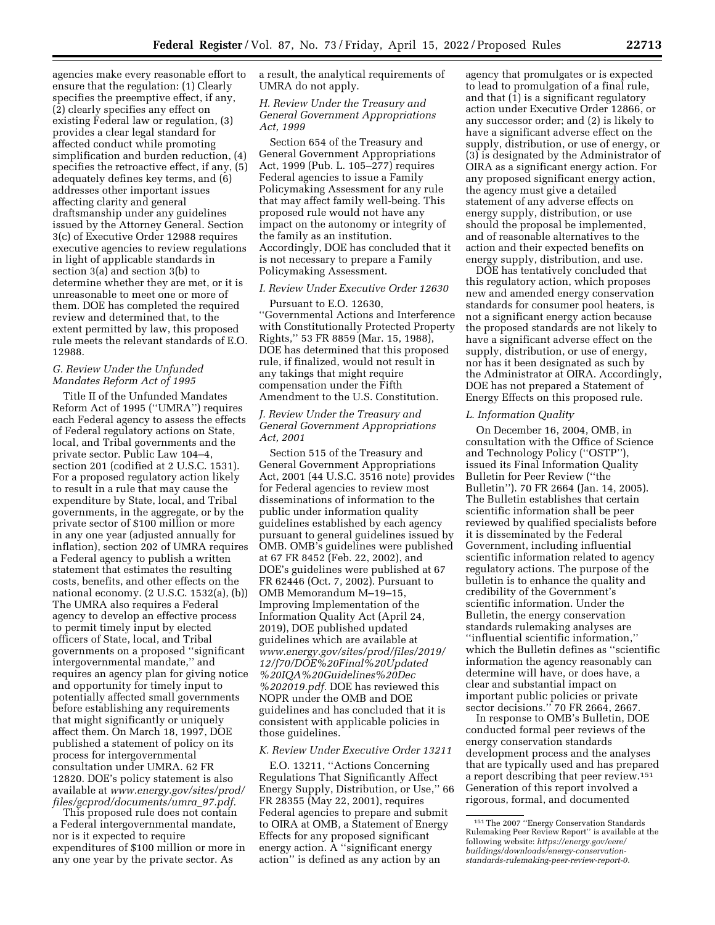agencies make every reasonable effort to ensure that the regulation: (1) Clearly specifies the preemptive effect, if any, (2) clearly specifies any effect on existing Federal law or regulation, (3) provides a clear legal standard for affected conduct while promoting simplification and burden reduction, (4) specifies the retroactive effect, if any, (5) adequately defines key terms, and (6) addresses other important issues affecting clarity and general draftsmanship under any guidelines issued by the Attorney General. Section 3(c) of Executive Order 12988 requires executive agencies to review regulations in light of applicable standards in section 3(a) and section 3(b) to determine whether they are met, or it is unreasonable to meet one or more of them. DOE has completed the required review and determined that, to the extent permitted by law, this proposed rule meets the relevant standards of E.O. 12988.

### *G. Review Under the Unfunded Mandates Reform Act of 1995*

Title II of the Unfunded Mandates Reform Act of 1995 (''UMRA'') requires each Federal agency to assess the effects of Federal regulatory actions on State, local, and Tribal governments and the private sector. Public Law 104–4, section 201 (codified at 2 U.S.C. 1531). For a proposed regulatory action likely to result in a rule that may cause the expenditure by State, local, and Tribal governments, in the aggregate, or by the private sector of \$100 million or more in any one year (adjusted annually for inflation), section 202 of UMRA requires a Federal agency to publish a written statement that estimates the resulting costs, benefits, and other effects on the national economy. (2 U.S.C. 1532(a), (b)) The UMRA also requires a Federal agency to develop an effective process to permit timely input by elected officers of State, local, and Tribal governments on a proposed ''significant intergovernmental mandate,'' and requires an agency plan for giving notice and opportunity for timely input to potentially affected small governments before establishing any requirements that might significantly or uniquely affect them. On March 18, 1997, DOE published a statement of policy on its process for intergovernmental consultation under UMRA. 62 FR 12820. DOE's policy statement is also available at *[www.energy.gov/sites/prod/](http://www.energy.gov/sites/prod/files/gcprod/documents/umra_97.pdf)  [files/gcprod/documents/umra](http://www.energy.gov/sites/prod/files/gcprod/documents/umra_97.pdf)*\_*97.pdf.* 

This proposed rule does not contain a Federal intergovernmental mandate, nor is it expected to require expenditures of \$100 million or more in any one year by the private sector. As

a result, the analytical requirements of UMRA do not apply.

### *H. Review Under the Treasury and General Government Appropriations Act, 1999*

Section 654 of the Treasury and General Government Appropriations Act, 1999 (Pub. L. 105–277) requires Federal agencies to issue a Family Policymaking Assessment for any rule that may affect family well-being. This proposed rule would not have any impact on the autonomy or integrity of the family as an institution. Accordingly, DOE has concluded that it is not necessary to prepare a Family Policymaking Assessment.

### *I. Review Under Executive Order 12630*

Pursuant to E.O. 12630, ''Governmental Actions and Interference with Constitutionally Protected Property Rights,'' 53 FR 8859 (Mar. 15, 1988), DOE has determined that this proposed rule, if finalized, would not result in any takings that might require compensation under the Fifth Amendment to the U.S. Constitution.

### *J. Review Under the Treasury and General Government Appropriations Act, 2001*

Section 515 of the Treasury and General Government Appropriations Act, 2001 (44 U.S.C. 3516 note) provides for Federal agencies to review most disseminations of information to the public under information quality guidelines established by each agency pursuant to general guidelines issued by OMB. OMB's guidelines were published at 67 FR 8452 (Feb. 22, 2002), and DOE's guidelines were published at 67 FR 62446 (Oct. 7, 2002). Pursuant to OMB Memorandum M–19–15, Improving Implementation of the Information Quality Act (April 24, 2019), DOE published updated guidelines which are available at *[www.energy.gov/sites/prod/files/2019/](http://www.energy.gov/sites/prod/files/2019/12/f70/DOE%20Final%20Updated%20IQA%20Guidelines%20Dec%202019.pdf) [12/f70/DOE%20Final%20Updated](http://www.energy.gov/sites/prod/files/2019/12/f70/DOE%20Final%20Updated%20IQA%20Guidelines%20Dec%202019.pdf) [%20IQA%20Guidelines%20Dec](http://www.energy.gov/sites/prod/files/2019/12/f70/DOE%20Final%20Updated%20IQA%20Guidelines%20Dec%202019.pdf) [%202019.pdf.](http://www.energy.gov/sites/prod/files/2019/12/f70/DOE%20Final%20Updated%20IQA%20Guidelines%20Dec%202019.pdf)* DOE has reviewed this NOPR under the OMB and DOE guidelines and has concluded that it is consistent with applicable policies in those guidelines.

#### *K. Review Under Executive Order 13211*

E.O. 13211, ''Actions Concerning Regulations That Significantly Affect Energy Supply, Distribution, or Use,'' 66 FR 28355 (May 22, 2001), requires Federal agencies to prepare and submit to OIRA at OMB, a Statement of Energy Effects for any proposed significant energy action. A "significant energy action'' is defined as any action by an

agency that promulgates or is expected to lead to promulgation of a final rule, and that (1) is a significant regulatory action under Executive Order 12866, or any successor order; and (2) is likely to have a significant adverse effect on the supply, distribution, or use of energy, or (3) is designated by the Administrator of OIRA as a significant energy action. For any proposed significant energy action, the agency must give a detailed statement of any adverse effects on energy supply, distribution, or use should the proposal be implemented, and of reasonable alternatives to the action and their expected benefits on energy supply, distribution, and use.

DOE has tentatively concluded that this regulatory action, which proposes new and amended energy conservation standards for consumer pool heaters, is not a significant energy action because the proposed standards are not likely to have a significant adverse effect on the supply, distribution, or use of energy, nor has it been designated as such by the Administrator at OIRA. Accordingly, DOE has not prepared a Statement of Energy Effects on this proposed rule.

#### *L. Information Quality*

On December 16, 2004, OMB, in consultation with the Office of Science and Technology Policy (''OSTP''), issued its Final Information Quality Bulletin for Peer Review (''the Bulletin''). 70 FR 2664 (Jan. 14, 2005). The Bulletin establishes that certain scientific information shall be peer reviewed by qualified specialists before it is disseminated by the Federal Government, including influential scientific information related to agency regulatory actions. The purpose of the bulletin is to enhance the quality and credibility of the Government's scientific information. Under the Bulletin, the energy conservation standards rulemaking analyses are ''influential scientific information,'' which the Bulletin defines as ''scientific information the agency reasonably can determine will have, or does have, a clear and substantial impact on important public policies or private sector decisions.'' 70 FR 2664, 2667.

In response to OMB's Bulletin, DOE conducted formal peer reviews of the energy conservation standards development process and the analyses that are typically used and has prepared a report describing that peer review.151 Generation of this report involved a rigorous, formal, and documented

<sup>151</sup>The 2007 ''Energy Conservation Standards Rulemaking Peer Review Report'' is available at the following website: *[https://energy.gov/eere/](https://energy.gov/eere/buildings/downloads/energy-conservation-standards-rulemaking-peer-review-report-0) [buildings/downloads/energy-conservation](https://energy.gov/eere/buildings/downloads/energy-conservation-standards-rulemaking-peer-review-report-0)[standards-rulemaking-peer-review-report-0.](https://energy.gov/eere/buildings/downloads/energy-conservation-standards-rulemaking-peer-review-report-0)*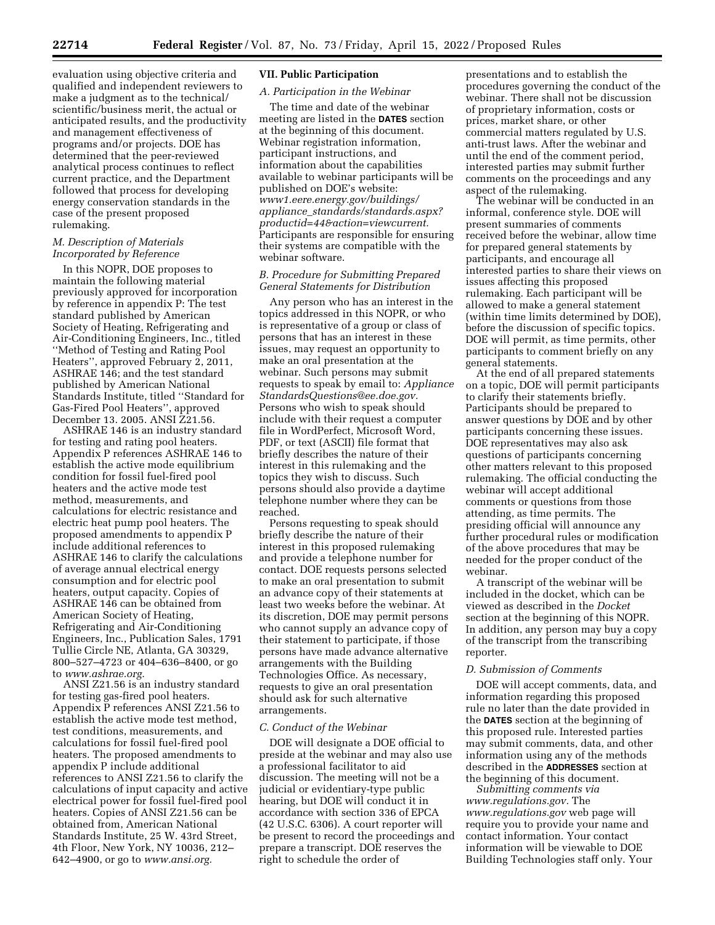evaluation using objective criteria and qualified and independent reviewers to make a judgment as to the technical/ scientific/business merit, the actual or anticipated results, and the productivity and management effectiveness of programs and/or projects. DOE has determined that the peer-reviewed analytical process continues to reflect current practice, and the Department followed that process for developing energy conservation standards in the case of the present proposed rulemaking.

## *M. Description of Materials Incorporated by Reference*

In this NOPR, DOE proposes to maintain the following material previously approved for incorporation by reference in appendix P: The test standard published by American Society of Heating, Refrigerating and Air-Conditioning Engineers, Inc., titled ''Method of Testing and Rating Pool Heaters'', approved February 2, 2011, ASHRAE 146; and the test standard published by American National Standards Institute, titled ''Standard for Gas-Fired Pool Heaters'', approved December 13. 2005. ANSI Z21.56.

ASHRAE 146 is an industry standard for testing and rating pool heaters. Appendix P references ASHRAE 146 to establish the active mode equilibrium condition for fossil fuel-fired pool heaters and the active mode test method, measurements, and calculations for electric resistance and electric heat pump pool heaters. The proposed amendments to appendix P include additional references to ASHRAE 146 to clarify the calculations of average annual electrical energy consumption and for electric pool heaters, output capacity. Copies of ASHRAE 146 can be obtained from American Society of Heating, Refrigerating and Air-Conditioning Engineers, Inc., Publication Sales, 1791 Tullie Circle NE, Atlanta, GA 30329, 800–527–4723 or 404–636–8400, or go to *[www.ashrae.org.](http://www.ashrae.org)* 

ANSI Z21.56 is an industry standard for testing gas-fired pool heaters. Appendix P references ANSI Z21.56 to establish the active mode test method, test conditions, measurements, and calculations for fossil fuel-fired pool heaters. The proposed amendments to appendix P include additional references to ANSI Z21.56 to clarify the calculations of input capacity and active electrical power for fossil fuel-fired pool heaters. Copies of ANSI Z21.56 can be obtained from, American National Standards Institute, 25 W. 43rd Street, 4th Floor, New York, NY 10036, 212– 642–4900, or go to *[www.ansi.org.](http://www.ansi.org)* 

### **VII. Public Participation**

### *A. Participation in the Webinar*

The time and date of the webinar meeting are listed in the **DATES** section at the beginning of this document. Webinar registration information, participant instructions, and information about the capabilities available to webinar participants will be published on DOE's website: *[www1.eere.energy.gov/buildings/](http://www1.eere.energy.gov/buildings/appliance_standards/standards.aspx?productid=44&action=viewcurrent)  appliance*\_*[standards/standards.aspx?](http://www1.eere.energy.gov/buildings/appliance_standards/standards.aspx?productid=44&action=viewcurrent) [productid=44&action=viewcurrent.](http://www1.eere.energy.gov/buildings/appliance_standards/standards.aspx?productid=44&action=viewcurrent)*  Participants are responsible for ensuring their systems are compatible with the webinar software.

### *B. Procedure for Submitting Prepared General Statements for Distribution*

Any person who has an interest in the topics addressed in this NOPR, or who is representative of a group or class of persons that has an interest in these issues, may request an opportunity to make an oral presentation at the webinar. Such persons may submit requests to speak by email to: *[Appliance](mailto:ApplianceStandardsQuestions@ee.doe.gov) [StandardsQuestions@ee.doe.gov.](mailto:ApplianceStandardsQuestions@ee.doe.gov)*  Persons who wish to speak should include with their request a computer file in WordPerfect, Microsoft Word, PDF, or text (ASCII) file format that briefly describes the nature of their interest in this rulemaking and the topics they wish to discuss. Such persons should also provide a daytime telephone number where they can be reached.

Persons requesting to speak should briefly describe the nature of their interest in this proposed rulemaking and provide a telephone number for contact. DOE requests persons selected to make an oral presentation to submit an advance copy of their statements at least two weeks before the webinar. At its discretion, DOE may permit persons who cannot supply an advance copy of their statement to participate, if those persons have made advance alternative arrangements with the Building Technologies Office. As necessary, requests to give an oral presentation should ask for such alternative arrangements.

#### *C. Conduct of the Webinar*

DOE will designate a DOE official to preside at the webinar and may also use a professional facilitator to aid discussion. The meeting will not be a judicial or evidentiary-type public hearing, but DOE will conduct it in accordance with section 336 of EPCA (42 U.S.C. 6306). A court reporter will be present to record the proceedings and prepare a transcript. DOE reserves the right to schedule the order of

presentations and to establish the procedures governing the conduct of the webinar. There shall not be discussion of proprietary information, costs or prices, market share, or other commercial matters regulated by U.S. anti-trust laws. After the webinar and until the end of the comment period, interested parties may submit further comments on the proceedings and any aspect of the rulemaking.

The webinar will be conducted in an informal, conference style. DOE will present summaries of comments received before the webinar, allow time for prepared general statements by participants, and encourage all interested parties to share their views on issues affecting this proposed rulemaking. Each participant will be allowed to make a general statement (within time limits determined by DOE), before the discussion of specific topics. DOE will permit, as time permits, other participants to comment briefly on any general statements.

At the end of all prepared statements on a topic, DOE will permit participants to clarify their statements briefly. Participants should be prepared to answer questions by DOE and by other participants concerning these issues. DOE representatives may also ask questions of participants concerning other matters relevant to this proposed rulemaking. The official conducting the webinar will accept additional comments or questions from those attending, as time permits. The presiding official will announce any further procedural rules or modification of the above procedures that may be needed for the proper conduct of the webinar.

A transcript of the webinar will be included in the docket, which can be viewed as described in the *Docket*  section at the beginning of this NOPR. In addition, any person may buy a copy of the transcript from the transcribing reporter.

### *D. Submission of Comments*

DOE will accept comments, data, and information regarding this proposed rule no later than the date provided in the **DATES** section at the beginning of this proposed rule. Interested parties may submit comments, data, and other information using any of the methods described in the **ADDRESSES** section at the beginning of this document.

*Submitting comments via [www.regulations.gov.](http://www.regulations.gov)* The *[www.regulations.gov](http://www.regulations.gov)* web page will require you to provide your name and contact information. Your contact information will be viewable to DOE Building Technologies staff only. Your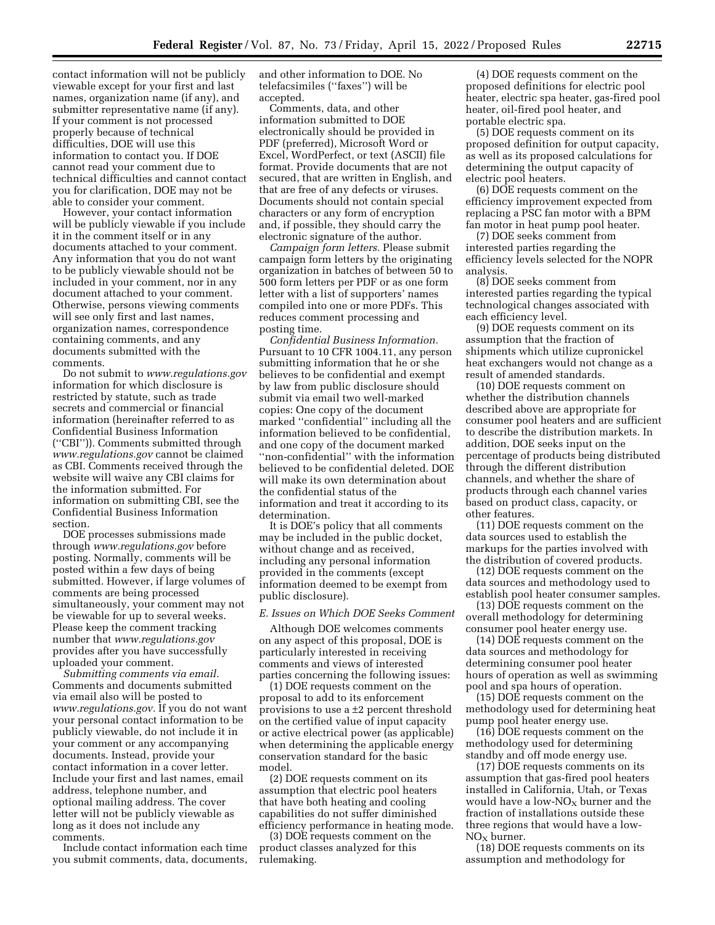contact information will not be publicly viewable except for your first and last names, organization name (if any), and submitter representative name (if any). If your comment is not processed properly because of technical difficulties, DOE will use this information to contact you. If DOE cannot read your comment due to technical difficulties and cannot contact you for clarification, DOE may not be able to consider your comment.

However, your contact information will be publicly viewable if you include it in the comment itself or in any documents attached to your comment. Any information that you do not want to be publicly viewable should not be included in your comment, nor in any document attached to your comment. Otherwise, persons viewing comments will see only first and last names, organization names, correspondence containing comments, and any documents submitted with the comments.

Do not submit to *[www.regulations.gov](http://www.regulations.gov)*  information for which disclosure is restricted by statute, such as trade secrets and commercial or financial information (hereinafter referred to as Confidential Business Information (''CBI'')). Comments submitted through *[www.regulations.gov](http://www.regulations.gov)* cannot be claimed as CBI. Comments received through the website will waive any CBI claims for the information submitted. For information on submitting CBI, see the Confidential Business Information section.

DOE processes submissions made through *[www.regulations.gov](http://www.regulations.gov)* before posting. Normally, comments will be posted within a few days of being submitted. However, if large volumes of comments are being processed simultaneously, your comment may not be viewable for up to several weeks. Please keep the comment tracking number that *[www.regulations.gov](http://www.regulations.gov)*  provides after you have successfully uploaded your comment.

*Submitting comments via email.*  Comments and documents submitted via email also will be posted to *[www.regulations.gov.](http://www.regulations.gov)* If you do not want your personal contact information to be publicly viewable, do not include it in your comment or any accompanying documents. Instead, provide your contact information in a cover letter. Include your first and last names, email address, telephone number, and optional mailing address. The cover letter will not be publicly viewable as long as it does not include any comments.

Include contact information each time you submit comments, data, documents, and other information to DOE. No telefacsimiles (''faxes'') will be accepted.

Comments, data, and other information submitted to DOE electronically should be provided in PDF (preferred), Microsoft Word or Excel, WordPerfect, or text (ASCII) file format. Provide documents that are not secured, that are written in English, and that are free of any defects or viruses. Documents should not contain special characters or any form of encryption and, if possible, they should carry the electronic signature of the author.

*Campaign form letters.* Please submit campaign form letters by the originating organization in batches of between 50 to 500 form letters per PDF or as one form letter with a list of supporters' names compiled into one or more PDFs. This reduces comment processing and posting time.

*Confidential Business Information.*  Pursuant to 10 CFR 1004.11, any person submitting information that he or she believes to be confidential and exempt by law from public disclosure should submit via email two well-marked copies: One copy of the document marked ''confidential'' including all the information believed to be confidential, and one copy of the document marked ''non-confidential'' with the information believed to be confidential deleted. DOE will make its own determination about the confidential status of the information and treat it according to its determination.

It is DOE's policy that all comments may be included in the public docket, without change and as received, including any personal information provided in the comments (except information deemed to be exempt from public disclosure).

## *E. Issues on Which DOE Seeks Comment*

Although DOE welcomes comments on any aspect of this proposal, DOE is particularly interested in receiving comments and views of interested parties concerning the following issues:

(1) DOE requests comment on the proposal to add to its enforcement provisions to use a ±2 percent threshold on the certified value of input capacity or active electrical power (as applicable) when determining the applicable energy conservation standard for the basic model.

(2) DOE requests comment on its assumption that electric pool heaters that have both heating and cooling capabilities do not suffer diminished efficiency performance in heating mode.

(3) DOE requests comment on the product classes analyzed for this rulemaking.

(4) DOE requests comment on the proposed definitions for electric pool heater, electric spa heater, gas-fired pool heater, oil-fired pool heater, and portable electric spa.

(5) DOE requests comment on its proposed definition for output capacity, as well as its proposed calculations for determining the output capacity of electric pool heaters.

(6) DOE requests comment on the efficiency improvement expected from replacing a PSC fan motor with a BPM fan motor in heat pump pool heater.

(7) DOE seeks comment from interested parties regarding the efficiency levels selected for the NOPR analysis.

(8) DOE seeks comment from interested parties regarding the typical technological changes associated with each efficiency level.

(9) DOE requests comment on its assumption that the fraction of shipments which utilize cupronickel heat exchangers would not change as a result of amended standards.

(10) DOE requests comment on whether the distribution channels described above are appropriate for consumer pool heaters and are sufficient to describe the distribution markets. In addition, DOE seeks input on the percentage of products being distributed through the different distribution channels, and whether the share of products through each channel varies based on product class, capacity, or other features.

(11) DOE requests comment on the data sources used to establish the markups for the parties involved with the distribution of covered products.

(12) DOE requests comment on the data sources and methodology used to establish pool heater consumer samples.

(13) DOE requests comment on the overall methodology for determining consumer pool heater energy use.

(14) DOE requests comment on the data sources and methodology for determining consumer pool heater hours of operation as well as swimming pool and spa hours of operation.

(15) DOE requests comment on the methodology used for determining heat pump pool heater energy use.

(16) DOE requests comment on the methodology used for determining standby and off mode energy use.

(17) DOE requests comments on its assumption that gas-fired pool heaters installed in California, Utah, or Texas would have a low- $NO<sub>X</sub>$  burner and the fraction of installations outside these three regions that would have a low- $NO<sub>x</sub>$  burner.

(18) DOE requests comments on its assumption and methodology for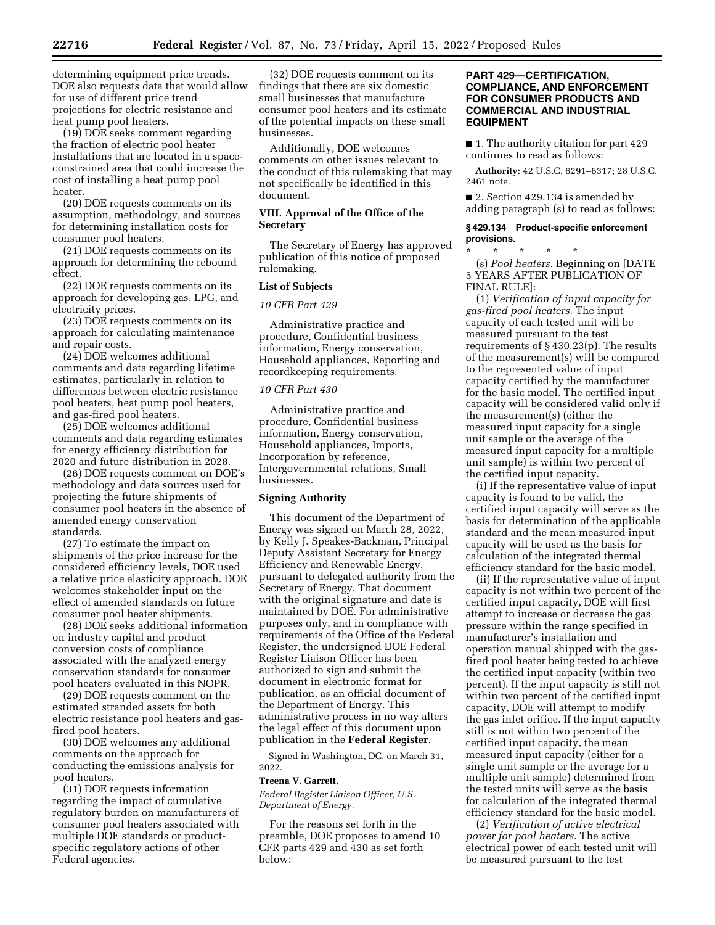determining equipment price trends. DOE also requests data that would allow for use of different price trend projections for electric resistance and heat pump pool heaters.

(19) DOE seeks comment regarding the fraction of electric pool heater installations that are located in a spaceconstrained area that could increase the cost of installing a heat pump pool heater.

(20) DOE requests comments on its assumption, methodology, and sources for determining installation costs for consumer pool heaters.

(21) DOE requests comments on its approach for determining the rebound effect.

(22) DOE requests comments on its approach for developing gas, LPG, and electricity prices.

(23) DOE requests comments on its approach for calculating maintenance and repair costs.

(24) DOE welcomes additional comments and data regarding lifetime estimates, particularly in relation to differences between electric resistance pool heaters, heat pump pool heaters, and gas-fired pool heaters.

(25) DOE welcomes additional comments and data regarding estimates for energy efficiency distribution for 2020 and future distribution in 2028.

(26) DOE requests comment on DOE's methodology and data sources used for projecting the future shipments of consumer pool heaters in the absence of amended energy conservation standards.

(27) To estimate the impact on shipments of the price increase for the considered efficiency levels, DOE used a relative price elasticity approach. DOE welcomes stakeholder input on the effect of amended standards on future consumer pool heater shipments.

(28) DOE seeks additional information on industry capital and product conversion costs of compliance associated with the analyzed energy conservation standards for consumer pool heaters evaluated in this NOPR.

(29) DOE requests comment on the estimated stranded assets for both electric resistance pool heaters and gasfired pool heaters.

(30) DOE welcomes any additional comments on the approach for conducting the emissions analysis for pool heaters.

(31) DOE requests information regarding the impact of cumulative regulatory burden on manufacturers of consumer pool heaters associated with multiple DOE standards or productspecific regulatory actions of other Federal agencies.

(32) DOE requests comment on its findings that there are six domestic small businesses that manufacture consumer pool heaters and its estimate of the potential impacts on these small businesses.

Additionally, DOE welcomes comments on other issues relevant to the conduct of this rulemaking that may not specifically be identified in this document.

### **VIII. Approval of the Office of the Secretary**

The Secretary of Energy has approved publication of this notice of proposed rulemaking.

### **List of Subjects**

#### *10 CFR Part 429*

Administrative practice and procedure, Confidential business information, Energy conservation, Household appliances, Reporting and recordkeeping requirements.

# *10 CFR Part 430*

Administrative practice and procedure, Confidential business information, Energy conservation, Household appliances, Imports, Incorporation by reference, Intergovernmental relations, Small businesses.

### **Signing Authority**

This document of the Department of Energy was signed on March 28, 2022, by Kelly J. Speakes-Backman, Principal Deputy Assistant Secretary for Energy Efficiency and Renewable Energy, pursuant to delegated authority from the Secretary of Energy. That document with the original signature and date is maintained by DOE. For administrative purposes only, and in compliance with requirements of the Office of the Federal Register, the undersigned DOE Federal Register Liaison Officer has been authorized to sign and submit the document in electronic format for publication, as an official document of the Department of Energy. This administrative process in no way alters the legal effect of this document upon publication in the **Federal Register**.

Signed in Washington, DC, on March 31, 2022.

#### **Treena V. Garrett,**

*Federal Register Liaison Officer, U.S. Department of Energy.* 

For the reasons set forth in the preamble, DOE proposes to amend 10 CFR parts 429 and 430 as set forth below:

### **PART 429—CERTIFICATION, COMPLIANCE, AND ENFORCEMENT FOR CONSUMER PRODUCTS AND COMMERCIAL AND INDUSTRIAL EQUIPMENT**

■ 1. The authority citation for part 429 continues to read as follows:

**Authority:** 42 U.S.C. 6291–6317; 28 U.S.C. 2461 note.

■ 2. Section 429.134 is amended by adding paragraph (s) to read as follows:

### **§ 429.134 Product-specific enforcement provisions.**

\* \* \* \* \* (s) *Pool heaters.* Beginning on [DATE 5 YEARS AFTER PUBLICATION OF FINAL RULE]:

(1) *Verification of input capacity for gas-fired pool heaters.* The input capacity of each tested unit will be measured pursuant to the test requirements of § 430.23(p). The results of the measurement(s) will be compared to the represented value of input capacity certified by the manufacturer for the basic model. The certified input capacity will be considered valid only if the measurement(s) (either the measured input capacity for a single unit sample or the average of the measured input capacity for a multiple unit sample) is within two percent of the certified input capacity.

(i) If the representative value of input capacity is found to be valid, the certified input capacity will serve as the basis for determination of the applicable standard and the mean measured input capacity will be used as the basis for calculation of the integrated thermal efficiency standard for the basic model.

(ii) If the representative value of input capacity is not within two percent of the certified input capacity, DOE will first attempt to increase or decrease the gas pressure within the range specified in manufacturer's installation and operation manual shipped with the gasfired pool heater being tested to achieve the certified input capacity (within two percent). If the input capacity is still not within two percent of the certified input capacity, DOE will attempt to modify the gas inlet orifice. If the input capacity still is not within two percent of the certified input capacity, the mean measured input capacity (either for a single unit sample or the average for a multiple unit sample) determined from the tested units will serve as the basis for calculation of the integrated thermal efficiency standard for the basic model.

(2) *Verification of active electrical power for pool heaters.* The active electrical power of each tested unit will be measured pursuant to the test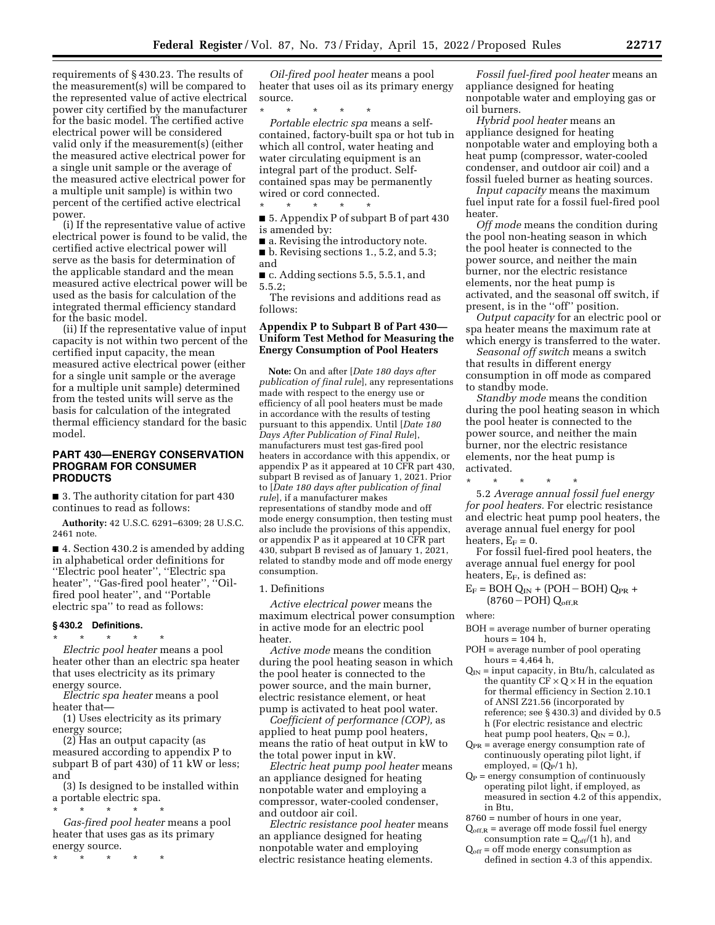requirements of § 430.23. The results of the measurement(s) will be compared to the represented value of active electrical power city certified by the manufacturer for the basic model. The certified active electrical power will be considered valid only if the measurement(s) (either the measured active electrical power for a single unit sample or the average of the measured active electrical power for a multiple unit sample) is within two percent of the certified active electrical power.

(i) If the representative value of active electrical power is found to be valid, the certified active electrical power will serve as the basis for determination of the applicable standard and the mean measured active electrical power will be used as the basis for calculation of the integrated thermal efficiency standard for the basic model.

(ii) If the representative value of input capacity is not within two percent of the certified input capacity, the mean measured active electrical power (either for a single unit sample or the average for a multiple unit sample) determined from the tested units will serve as the basis for calculation of the integrated thermal efficiency standard for the basic model.

## **PART 430—ENERGY CONSERVATION PROGRAM FOR CONSUMER PRODUCTS**

■ 3. The authority citation for part 430 continues to read as follows:

**Authority:** 42 U.S.C. 6291–6309; 28 U.S.C. 2461 note.

■ 4. Section 430.2 is amended by adding in alphabetical order definitions for ''Electric pool heater'', ''Electric spa heater", "Gas-fired pool heater", "Oilfired pool heater'', and ''Portable electric spa'' to read as follows:

#### **§ 430.2 Definitions.**

\* \* \* \* \* *Electric pool heater* means a pool heater other than an electric spa heater that uses electricity as its primary energy source.

*Electric spa heater* means a pool heater that—

(1) Uses electricity as its primary energy source;

(2) Has an output capacity (as measured according to appendix P to subpart B of part 430) of 11 kW or less; and

(3) Is designed to be installed within a portable electric spa.

\* \* \* \* \* *Gas-fired pool heater* means a pool heater that uses gas as its primary energy source.

\* \* \* \* \*

*Oil-fired pool heater* means a pool heater that uses oil as its primary energy source.

\* \* \* \* \* *Portable electric spa* means a selfcontained, factory-built spa or hot tub in which all control, water heating and water circulating equipment is an integral part of the product. Selfcontained spas may be permanently wired or cord connected.

■ 5. Appendix P of subpart B of part 430 is amended by:

■ a. Revising the introductory note.  $\blacksquare$  b. Revising sections 1., 5.2, and 5.3;

and

\* \* \* \* \*

■ c. Adding sections 5.5, 5.5.1, and 5.5.2;

The revisions and additions read as follows:

# **Appendix P to Subpart B of Part 430— Uniform Test Method for Measuring the Energy Consumption of Pool Heaters**

**Note:** On and after [*Date 180 days after publication of final rule*], any representations made with respect to the energy use or efficiency of all pool heaters must be made in accordance with the results of testing pursuant to this appendix. Until [*Date 180 Days After Publication of Final Rule*], manufacturers must test gas-fired pool heaters in accordance with this appendix, or appendix P as it appeared at 10 CFR part 430, subpart B revised as of January 1, 2021. Prior to [*Date 180 days after publication of final rule*], if a manufacturer makes representations of standby mode and off mode energy consumption, then testing must also include the provisions of this appendix, or appendix P as it appeared at 10 CFR part 430, subpart B revised as of January 1, 2021, related to standby mode and off mode energy consumption.

1. Definitions

*Active electrical power* means the maximum electrical power consumption in active mode for an electric pool heater.

*Active mode* means the condition during the pool heating season in which the pool heater is connected to the power source, and the main burner, electric resistance element, or heat pump is activated to heat pool water.

*Coefficient of performance (COP),* as applied to heat pump pool heaters, means the ratio of heat output in kW to the total power input in kW.

*Electric heat pump pool heater* means an appliance designed for heating nonpotable water and employing a compressor, water-cooled condenser, and outdoor air coil.

*Electric resistance pool heater* means an appliance designed for heating nonpotable water and employing electric resistance heating elements.

*Fossil fuel-fired pool heater* means an appliance designed for heating nonpotable water and employing gas or oil burners.

*Hybrid pool heater* means an appliance designed for heating nonpotable water and employing both a heat pump (compressor, water-cooled condenser, and outdoor air coil) and a fossil fueled burner as heating sources.

*Input capacity* means the maximum fuel input rate for a fossil fuel-fired pool heater.

*Off mode* means the condition during the pool non-heating season in which the pool heater is connected to the power source, and neither the main burner, nor the electric resistance elements, nor the heat pump is activated, and the seasonal off switch, if present, is in the ''off'' position.

*Output capacity* for an electric pool or spa heater means the maximum rate at which energy is transferred to the water.

*Seasonal off switch* means a switch that results in different energy consumption in off mode as compared to standby mode.

*Standby mode* means the condition during the pool heating season in which the pool heater is connected to the power source, and neither the main burner, nor the electric resistance elements, nor the heat pump is activated.

\* \* \* \* \* 5.2 *Average annual fossil fuel energy for pool heaters.* For electric resistance and electric heat pump pool heaters, the average annual fuel energy for pool

heaters,  $E_F = 0$ . For fossil fuel-fired pool heaters, the average annual fuel energy for pool heaters,  $E_F$ , is defined as:

 $E_F$  = BOH Q<sub>IN</sub> + (POH – BOH) Q<sub>PR</sub> +  $(8760-POH)$  Q<sub>off,R</sub>

where:

- BOH = average number of burner operating hours  $= 104$  h.
- POH = average number of pool operating hours =  $4,464$  h,
- $Q_{IN}$  = input capacity, in Btu/h, calculated as the quantity  $CF \times Q \times H$  in the equation for thermal efficiency in Section 2.10.1 of ANSI Z21.56 (incorporated by reference; see § 430.3) and divided by 0.5 h (For electric resistance and electric heat pump pool heaters,  $Q_{IN} = 0$ .),
- $Q_{PR}$  = average energy consumption rate of continuously operating pilot light, if employed,  $= (Q_P/1 \text{ h})$ ,
- $Q_P$  = energy consumption of continuously operating pilot light, if employed, as measured in section 4.2 of this appendix, in Btu,

8760 = number of hours in one year,

- $Q_{\text{off,R}}$  = average off mode fossil fuel energy consumption rate =  $Q_{off}/(1 \text{ h})$ , and
- $Q_{\text{off}}$  = off mode energy consumption as defined in section 4.3 of this appendix.